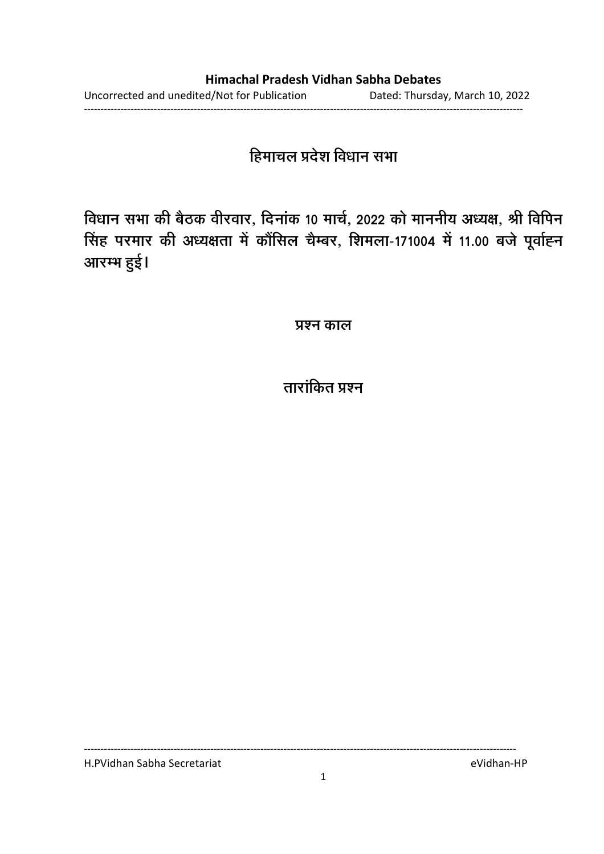## हिमाचल प्रदेश विधान सभा

विधान सभा की बैठक वीरवार, दिनाक 10 मार्च, 2022 को माननीय अध्यक्ष, श्री विपिन <u>सिंह परमार की अध्यक्षता में कौंसिल चैम्बर, शिमला-171004 में 11.00 बजे पूर्वाह्न </u> आरम्भ हुई।

**प्रश्न काल** 

## ताराकित प्रश्न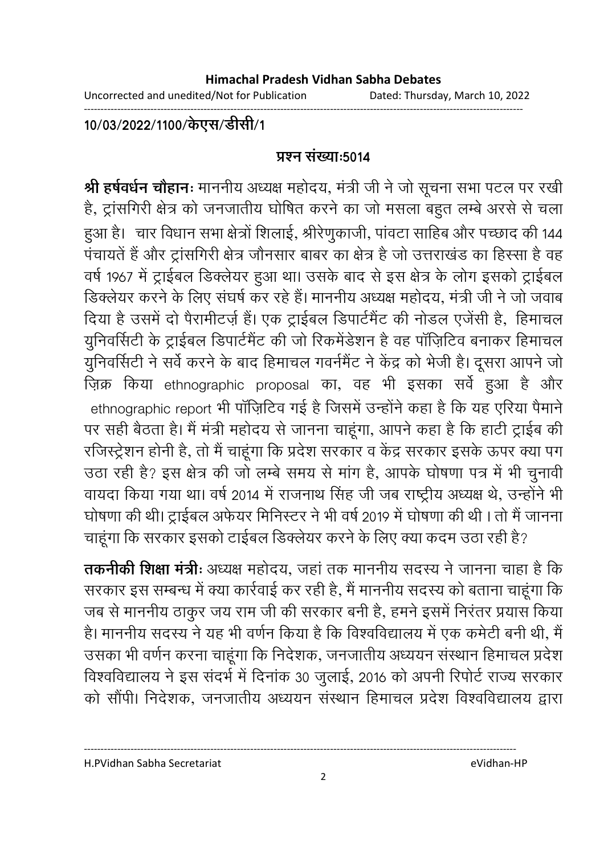Uncorrected and unedited/Not for Publication Dated: Thursday, March 10, 2022

------------------------------------------------------------------------------------------------------------------------------------

### 10/03/2022/1100/केएस/डेसि/1

### <u>प्रश्न संख्या:5014</u>

**श्री हर्षवर्धन चौहानः** माननीय अध्यक्ष महोदय, मंत्री जी ने जो सूचना सभा पटल पर रखी है, ट्रांसगिरी क्षेत्र को जनजातीय घोषित करने का जो मसला बहुत लम्बे अरसे से चला हुआ है। चार विधान सभा क्षेत्रों शिलाई, श्रीरेणुकाजी, पांवटा साहिब और पच्छाद की 144 पंचायतें हैं और ट्रांसगिरी क्षेत्र जौनसार बाबर का क्षेत्र है जो उत्तराखंड का हिस्सा है वह वर्ष 1967 में ट्राईबल डिक्लेयर हुआ था। उसके बाद से इस क्षेत्र के लोग इसको ट्राईबल डिक्लेयर करने के लिए संघर्ष कर रहे हैं। माननीय अध्यक्ष महोदय, मंत्री जी ने जो जवाब दिया है उसमें दो पैरामीटर्ज़ है। एक ट्राईबल डिपार्टमैंट की नोडल एजेंसी हैं, हिमाचल युनिवर्सिटी के ट्राईबल डिपार्टमेंट की जो रिकर्मडेशन है वह पार्ज़िटिव बनाकर हिमाचल युनिवर्सिटी ने सर्वे करने के बाद हिमाचल गवर्नमैंट ने केंद्र को भेजी है। दूसरा आपने जो ज़िक्र किया ethnographic proposal का, वह भी इसका सर्वे हुआ है और ethnographic report भी पाज़िटिव गई है जिसमें उन्होंने कहा है कि यह एरिया पैमानें पर सही बैठता है। मैं मंत्री महोदय से जानना चाहूंगा, आपने कहा है कि हाटी ट्राईब की रजिस्ट्रेशन होनी है, तो मैं चाहूंगा कि प्रदेश सरकार व केंद्र सरकार इसके ऊपर क्या पंग उठा रही है? इस क्षेत्र की जो लम्बे समय से मांग है, आपके घोषणा पत्र में भी चुनावी वायदा किया गया था। वर्ष 2014 में राजनाथ सिंह जी जब राष्ट्रीय अध्यक्ष थे, उन्होंने भी घोषणा की थी। ट्राईबल अर्फयर मिनिस्टर ने भी वर्ष 2019 में घोषणा की थी । तो मैं जानना चाहूँगा कि सरकार इसको टाईबल डिक्लेयर करने के लिए क्या कदम उठा रही है?

**तकनीकी शिक्षा मंत्रीः** अध्यक्ष महोदय, जहां तक माननीय सदस्य ने जानना चाहा है कि सरकार इस सम्बन्ध में क्या कार्रवाई कर रही है, मैं माननीय सदस्य को बताना चाहूगा कि जब से माननीय ठाकुर जय राम जी की सरकार बनी है, हमने इसमें निरंतर प्रयास किया हैं। माननीय सदस्य ने यह भी वर्णन किया है कि विश्वविद्यालय में एक कमेटी बनी थी, मैं उसका भी वर्णन करना चाहूंगा कि निर्देशक, जनजातीय अध्ययन संस्थान हिमाचल प्रदेश विश्वविद्यालय ने इस सदर्भ में दिनाक 30 जुलाई, 2016 को अपनी रिपोर्ट राज्य सरकार को सौपी। निर्देशक, जनजातीय अध्ययन संस्थान हिमाचल प्रदेश विश्वविद्यालय द्वारा

H.PVidhan Sabha Secretariat eVidhan-HP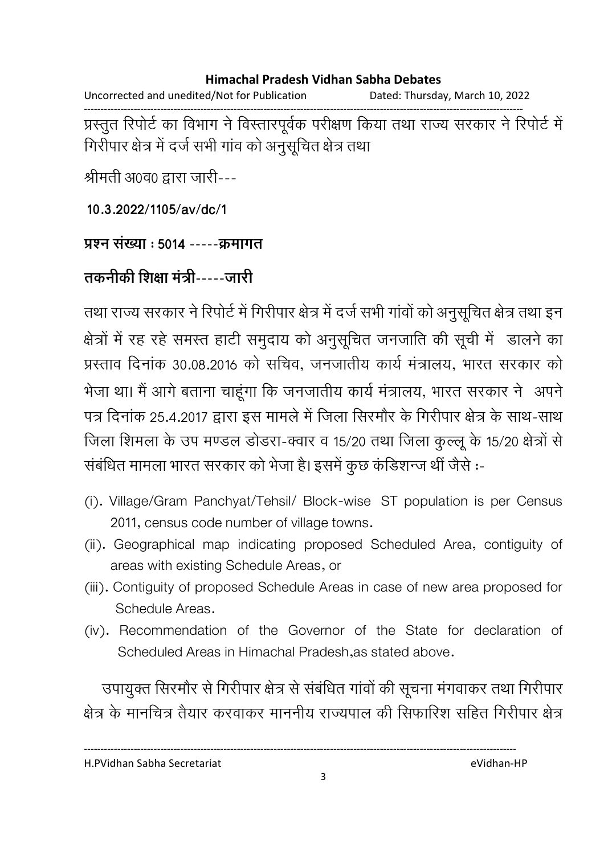Uncorrected and unedited/Not for Publication Dated: Thursday, March 10, 2022 ------------------------------------------------------------------------------------------------------------------------------------

प्रस्तुत रिपोर्ट का विभाग ने विस्तारपूर्वक परीक्षण किया तथा राज्य सरकार ने रिपोर्ट में गिरीपार क्षेत्र में दर्ज सभी गाव को अनुसूचित क्षेत्र तथा

श्रीमती अ0व0 द्वारा जारी---

**10.3.2022/1105/av/dc/1**

### प्रश्न संख्या : **5014 -----**कमागत

## तकनीकी शिक्षा मंत्री-----जारी

तथा राज्य सरकार ने रिपोर्ट में गिरीपार क्षेत्र में दर्ज सभी गावों को अनुसूचित क्षेत्र तथा इन क्षेत्रों में रह रहे समस्त हाटी समुदाय को अनुसूचित जनजाति की सूची में डालने का प्रस्ताव दिनाक 30.08.2016 को सचिव, जनजातीय कार्य मत्रालय, भारत सरकार को भेजा था। मैं आगे बताना चाहूंगा कि जनजातीय कार्य मंत्रालय, भारत सरकार ने अपने पत्र दिनाक 25.4.2017 द्वारा इस मामले में जिला सिरमौर के गिरीपार क्षेत्र के साथ-साथ जिला शिमला के उप मण्डल डोडरा-क्वार व 15/20 तथा जिला कुल्लू के 15/20 क्षेत्रों से संबंधित मामला भारत सरकार को भेजा है। इसमें कुछ कडिशन्ज थी जैसे :-

- (i). Village/Gram Panchyat/Tehsil/ Block-wise ST population is per Census 2011, census code number of village towns.
- (ii). Geographical map indicating proposed Scheduled Area, contiguity of areas with existing Schedule Areas, or
- (iii). Contiguity of proposed Schedule Areas in case of new area proposed for Schedule Areas.
- (iv). Recommendation of the Governor of the State for declaration of Scheduled Areas in Himachal Pradesh,as stated above.

उपायुक्त सिरमोर से गिरीपार क्षेत्र से संबंधित गावों की सूचना मंगवाकर तथा गिरीपार क्षेत्र के मानचित्र तैयार करवाकर माननीय राज्यपाल की सिफारिश सहित गिरीपार क्षेत्र

H.PVidhan Sabha Secretariat eVidhan-HP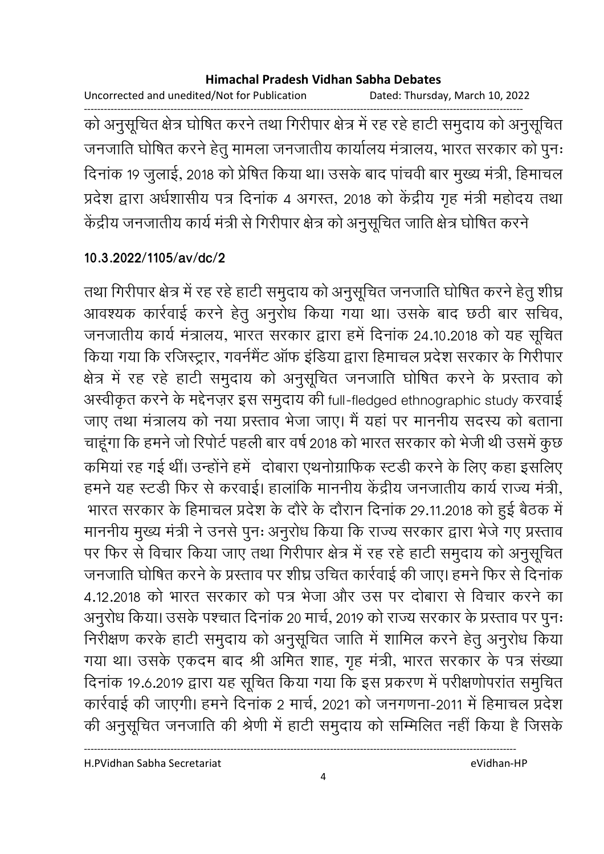Uncorrected and unedited/Not for Publication Dated: Thursday, March 10, 2022 ------------------------------------------------------------------------------------------------------------------------------------ को अनुसूचित क्षेत्र घोषित करने तथा गिरीपार क्षेत्र में रह रहे हाटी समुदाय को अनुसूचित जनजाति घोषित करने हेतु मामला जनजातीय कार्यालय मंत्रालय, भारत सरकार को पुनः दिनाक 19 जुलाई, 2018 को प्रेषित किया था। उसके बाद पाचवी बार मुख्य मंत्री, हिमाचल प्रदेश द्वारा अर्धशासीय पत्र दिनाक ४ अगस्त, २०१८ को केंद्रीय गृह मंत्री महोदय तथा केंद्रीय जनजातीय कार्य मंत्री से गिरीपार क्षेत्र को अनुसूचित जाति क्षेत्र घोषित करने |

### **10.3.2022/1105/av/dc/2**

तथा गिरीपार क्षेत्र में रह रहे हांटी समुदाय को अनुसूचित जनजाति घोषित करने हेतु शीघ्र आवश्यक कार्रवाई करने हेतु अनुरोध किया गया था। उसके बाद छठी बार सचिव, जनजातीय कार्य मंत्रालय, भारत सरकार द्वारा हमें दिनाक 24.10.2018 को यह सूचित किया गया कि रजिस्ट्रार, गवर्नमैंट आफ इंडिया द्वारा हिमाचल प्रदेश सरकार के गिरीपार क्षेत्र में रह रहे हाटी समुदाय को अनुसूचित जनजाति घोषित करने के प्रस्ताव को अस्वीकृत करने के मद्देनज़र इस समुदाय की full-fledged ethnographic study करवाई जाए तथा मंत्रालय को नया प्रस्ताव भेजा जाए। मैं यहां पर माननीय सदस्य को बताना चाहूँगा कि हमने जो रिपोर्ट पहली बार वर्ष 2018 को भारत सरकार को भेजी थी उसमें कुछ कमिया रह गई थी। उन्होंने हमें -दोबारा एथनोग्राफिक स्टंडी करने के लिए कहा इसलिए हमने यह स्टंडी फिर से करवाई। हालांकि माननीय केंद्रीय जनजातीय कार्य राज्य मंत्री, भारत सरकार के हिमाचल प्रदेश के दौरे के दौरान दिनाक 29.11.2018 को हुई बैठक में माननीय मुख्य मंत्री ने उनसे पुनः अनुरोध किया कि राज्य सरकार द्वारा भेजे गए प्रस्ताव. पर फिर से विचार किया जाए तथा गिरीपार क्षेत्र में रह रहे हाटी समुदाय को अनुसूचित जनजाति घोषित करने के प्रस्ताव पर शीघ्र उचित कार्रवाई की जाए। हमने फिर से दिनाक 4.12.2018 को भारत सरकार को पत्र भेजा और उस पर दोबारा से विचार करने का अनुरोध किया। उसके पश्चात दिनाक 20 मार्च, 2019 को राज्य सरकार के प्रस्ताव पर पुनः निरीक्षण करके हाटी समुदाय को अनुसूचित जाति में शामिल करने हेतु अनुरोध किया गया था। उसके एकदम बाद श्री अमित शाह, गृह मंत्री, भारत सरकार के पत्र संख्या दिनाक 19.6.2019 द्वारा यह सूचित किया गया कि इस प्रकरण में परीक्षणोपरात समुचित कार्रवाई की जाएगी। हमने दिनाक 2 मार्च, 2021 को जनगणना-2011 में हिमाचल प्रदेश की अनुसूचित जनजाति की श्रेणी में हाटी समुदाय को सम्मिलित नहीं किया है जिसके |

H.PVidhan Sabha Secretariat eVidhan-HP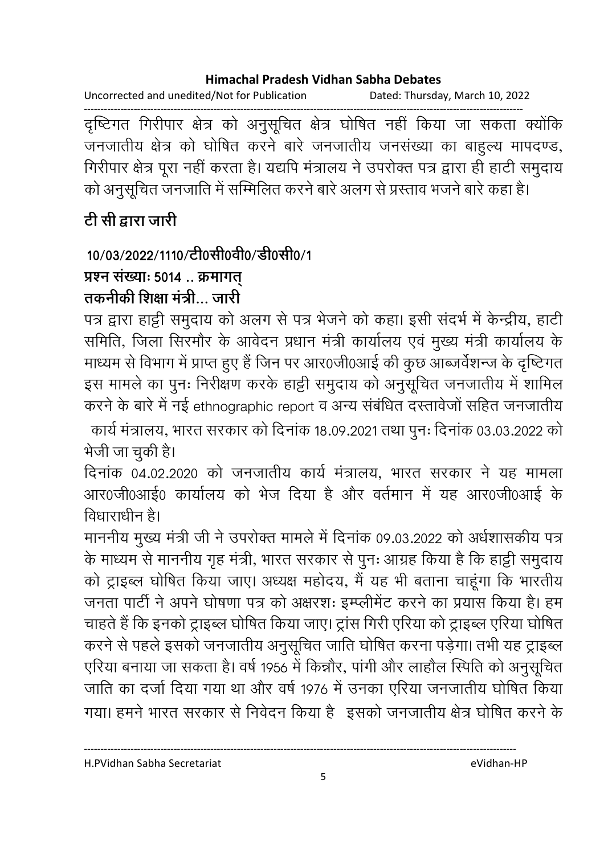Uncorrected and unedited/Not for Publication Dated: Thursday, March 10, 2022

दृष्टिगत गिरीपार क्षेत्र को अनुसूचित क्षेत्र घोषित नहीं किया जा सकता क्योंकि जनजातीय क्षेत्र को घोषित करने बारे जनजातीय जनसंख्या का बाहुल्य मापदण्ड, गिरीपार क्षेत्र पूरा नहीं करता है। यद्यपि मंत्रालय ने उपरोक्त पत्र द्वारा ही हाटी समुदाय को अनुसूचित जनजाति में सम्मिलित करने बारे अलग से प्रस्ताव भजने बारे कहा है।

## टी सी द्वारा जारी

## 10/03/2022/1110/टी0सी0वी0/डी0सी0/1

## प्रश्न संख्याः 5014.. क्रमागत्

## तकनीकी शिक्षा मंत्री जारी

पत्र द्वारा हाट्टी समुदाय को अलग से पत्र भेजने को कहा। इसी संदर्भ में केन्द्रीय, हाटी समिति, जिला सिरमौर के आवेदन प्रधान मंत्री कार्यालय एवं मुख्य मंत्री कार्यालय के माध्यम से विभाग में प्राप्त हुए हैं जिन पर आर0जी0आई की कुछ आब्जर्वेशन्ज के दृष्टिगत इस मामले का पुनः निरीक्षण करके हाट्टी समुदाय को अनुसूचित जनजातीय में शामिल करने के बारे में नई ethnographic report व अन्य संबंधित दस्तावेजों सहित जनजातीय

कार्य मंत्रालय, भारत सरकार को दिनांक 18.09.2021 तथा पुनः दिनांक 03.03.2022 को भेजी जा चकी है।

दिनांक 04.02.2020 को जनजातीय कार्य मंत्रालय, भारत सरकार ने यह मामला आर0जी0आई0 कार्यालय को भेज दिया है और वर्तमान में यह आर0जी0आई के तिधाराधीन है।

माननीय मुख्य मंत्री जी ने उपरोक्त मामले में दिनांक 09.03.2022 को अर्धशासकीय पत्र के माध्यम से माननीय गृह मंत्री, भारत सरकार से पुनः आग्रह किया है कि हाट्टी समुदाय को ट्राइब्ल घोषित किया जाए। अध्यक्ष महोदय, मैं यह भी बताना चाहंगा कि भारतीय जनता पार्टी ने अपने घोषणा पत्र को अक्षरश: इम्प्लीमेंट करने का प्रयास किया है। हम चाहते हैं कि इनको ट्राइब्ल घोषित किया जाए। ट्रांस गिरी एरिया को ट्राइब्ल एरिया घोषित करने से पहले इसको जनजातीय अनुसूचित जाति घोषित करना पड़ेगा। तभी यह ट्राइब्ल एरिया बनाया जा सकता है। वर्ष 1956 में किन्नौर, पांगी और लाहौल स्पिति को अनुसूचित जाति का दर्जा दिया गया था और वर्ष 1976 में उनका एरिया जनजातीय घोषित किया गया। हमने भारत सरकार से निवेदन किया है इसको जनजातीय क्षेत्र घोषित करने के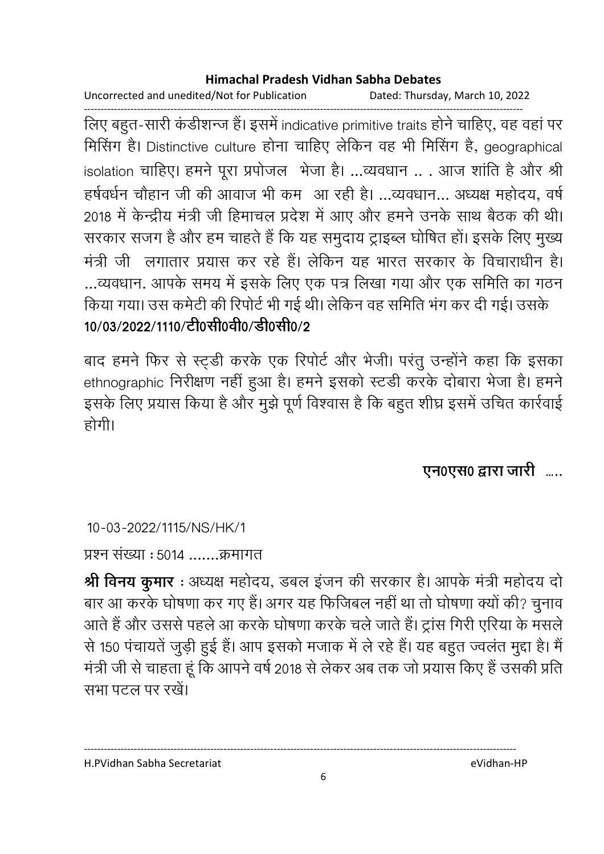Uncorrected and unedited/Not for Publication Dated: Thursday, March 10, 2022

------------------------------------------------------------------------------------------------------------------------------------ लिए बहुत-सारी कडीशन्ज है। इसमें indicative primitive traits होने चाहिए, वह वहां पर मिसिंग हैं। Distinctive culture होना चाहिए लेकिन वह भी मिसिंग है, geographical isolation चाहिए। हमने पूरा प्रपोजल भेजा है। …व्यवधान .. . आज शाति है और श्री हर्षवर्धन चौहान जी की आवाज भी कम- आ रही है। …व्यवधान… अध्यक्ष महोदय, वर्षे 2018 में केन्द्रीय मंत्री जी हिमाचल प्रदेश में आए और हमने उनके साथ बैठक की थी। सरकार सजग है और हम चाहते हैं कि यह समुदाय ट्राइब्ल घोषित हो। इसके लिए मुख्य मंत्री जी लगातार प्रयास कर रहे हैं। लेकिन यह भारत सरकार के विचाराधीन हैं। ...व्यवधान. आपके समय में इसके लिए एक पत्र लिखा गया और एक समिति का गठन किया गया। उस कर्मटी की रिपोर्ट भी गई थी। लेकिन वह समिति भग कर दी गई। उसके 10/03/2022/1110/<u>टी</u>0सी0वी0/डी0सी0/2

बाद हमने फिर से स्ट्र्डी करके एक रिपोर्ट और भेजी। परंतु उन्होंने कहा कि इसका ethnographic निरीक्षण नहीं हुआ है। हमने इसको स्टर्डी करके दोबारा भेजा है। हमने इसके लिए प्रयास किया है और मुझे पूर्ण विश्वास है कि बहुत शीघ्र इसमें उचित कार्रवाई होगी।

एन0एस0 द्वारा जारी **….**.

10-03-2022/1115/NS/HK/1

प्रश्न संख्या : 5014 .......क्रमागत

**श्री विनय कुमार** : अध्यक्ष महोदय, डबल इजन की सरकार है। आपके मंत्री महोदय दो बार आ करके घोषणा कर गए हैं। अगर यह फिजिबल नहीं था तो घोषणा क्यों की? चुनाव आते हैं और उससे पहले आ करके घोषणा करके चले जाते हैं। ट्रांस गिरी एरिया के मसले से 150 पंचायते जुड़ी हुई है। आप इसको मजाक में ले रहे हैं। यह बहुत ज्वलत मुद्दा है। मैं मंत्री जी से चाहता हूं कि आपने वर्ष 2018 से लेकर अब तक जो प्रयास किए हैं उसकी प्रति सभा पटल पर रखें।

H.PVidhan Sabha Secretariat eVidhan-HP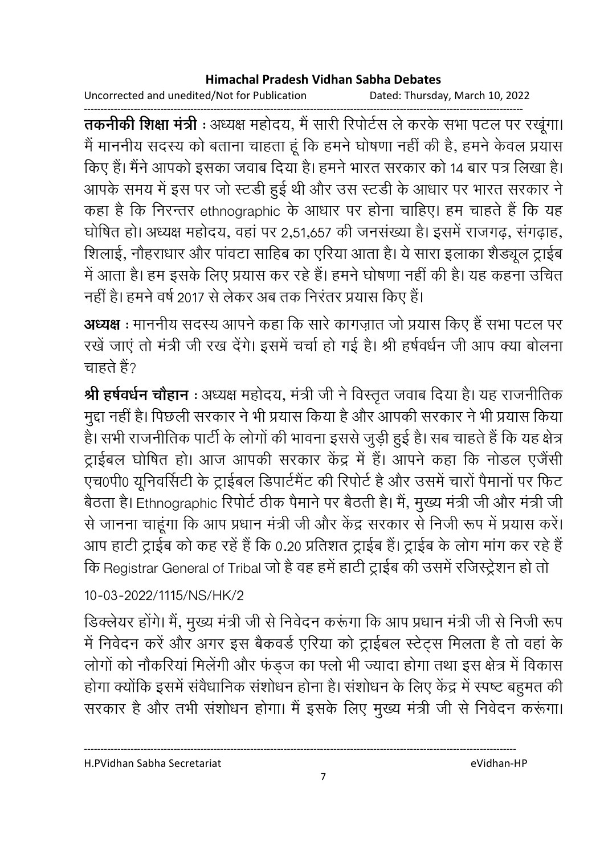Uncorrected and unedited/Not for Publication Dated: Thursday, March 10, 2022

------------------------------------------------------------------------------------------------------------------------------------ **तकनीकी शिक्षा मंत्री** : अध्यक्ष महोदय, मैं सारी रिपोर्टस ले करके सभा पटल पर रखूगा। मैं माननीय सदस्य को बताना चाहता हूं कि हमने घोषणा नहीं की है, हमने केवल प्रयास किए हैं। मैंने आपको इसका जवाब दिया है। हमने भारत सरकार को 14 बार पत्र लिखा है। आपके समय में इस पर जो स्टंडी हुई थी और उस स्टंडी के आधार पर भारत सरकार ने कहा है कि निरन्तर ethnographic के आधार पर होना चाहिए। हम चाहते है कि यह घोषित हो। अध्यक्ष महोदय, वहां पर 2,51,657 की जनसंख्या है। इसमें राजगढ़, संगढ़ाह, शिलाई, नौहराधार और पांवटा साहिब का एरिया आता है। ये सारा इलाका शैड्यूल ट्राईब में आता है। हम इसके लिए प्रयास कर रहे हैं। हमने घोषणा नहीं की है। यह कहना उचित नहीं हैं। हमने वर्ष 2017 से लेकर अब तक निरंतर प्रयास किए हैं।

**अध्यक्ष** : माननीय सदस्य आपने कहा कि सारे कांगज़ात जो प्रयास किए हैं सभा पटल पर रखे जाए तो मंत्री जी रख देंगे। इसमें चर्चा हो गई है। श्री हर्षवर्धन जी आप क्या बोलना चाहते हैं?

**श्री हर्षवर्धन चौहान** : अध्यक्ष महोदय, मंत्री जी ने विस्तृत जवाब दिया है। यह राजनीतिक मुद्दा नहीं है। पिछली सरकार ने भी प्रयास किया है और आपकी सरकार ने भी प्रयास किया है। सभी राजनीतिक पार्टी के लोगों की भावना इससे जुड़ी हुई है। सब चाहते हैं कि यह क्षेत्र ट्राईबल घोषित हो। आज आपकी सरकार केंद्र में हैं। आपने कहा कि नोडल एजेंसी एच0पी0 यूनिवर्सिटी के ट्राईबल डिपार्टमेंट की रिपोर्ट है और उसमें चारों पैमानों पर फिट बैठता है। Ethnographic रिपोर्ट ठीक पैमाने पर बैठती है। मै, मुख्य मंत्री जी और मंत्री जी से जानना चाहूंगा कि आप प्रधान मंत्री जी और केंद्र सरकार से निजी रूप में प्रयास करें। आप हार्टी ट्राईब को कह रहे हैं कि 0.20 प्रतिशत ट्राईब है। ट्राईब के लोग मांग कर रहे हैं . कि Registrar General of Tribal जो है वह हमें हार्टी ट्राईब की उसमें रजिस्ट्रेशन हो तो

### 10-03-2022/1115/NS/HK/2

डिक्लेयर होंगे। मैं, मुख्य मंत्री जी से निवेदन करूंगा कि आप प्रधान मंत्री जी से निजी रूप में निर्वेदन करें और अगर इस बैंकवर्ड एरिया को ट्राईबल स्टेंट्स मिलता है तो वहां के लोगों को नौकरिया मिलेगी और फंड्ज का फ्लों भी ज्यादा होगा तथा इस क्षेत्र में विकास होगा क्योंकि इसमें सर्वधानिक संशोधन होना है। संशोधन के लिए केंद्र में स्पष्ट बहुमत की सरकार है और तभी संशोधन होगा। मैं इसके लिए मुख्य मंत्री जी से निवेदन करूंगा।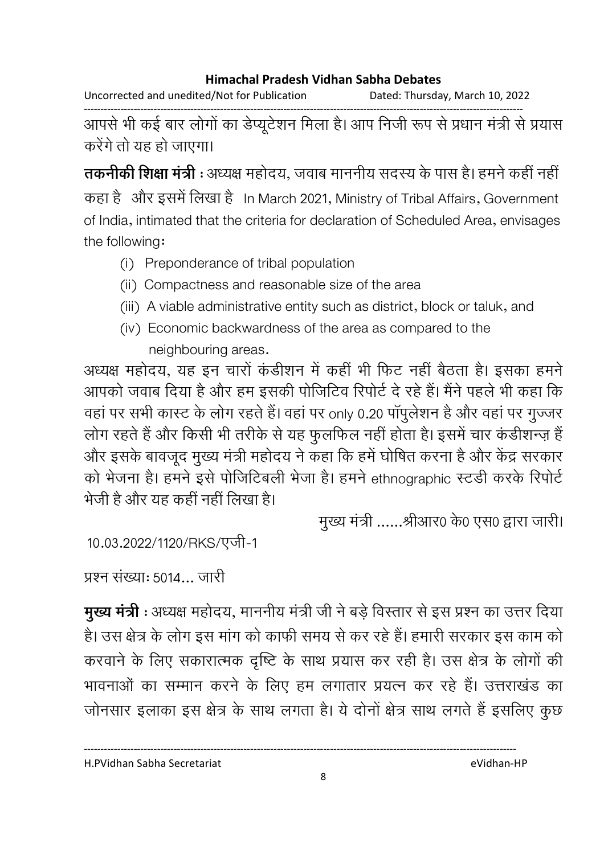Uncorrected and unedited/Not for Publication Dated: Thursday, March 10, 2022

------------------------------------------------------------------------------------------------------------------------------------ आपसे भी कई बार लोगों का डेप्यूटेशन मिला है। आप निजी रूप से प्रधान मंत्री से प्रयास करेंगे तो यह हो जाएगा।

**तकनीकी शिक्षा मंत्री** : अध्यक्ष महोदय, जवाब माननीय सदस्य के पास है। हमने कहीं नहीं | कहा है और इसमें लिखा है In March 2021, Ministry of Tribal Affairs, Government of India, intimated that the criteria for declaration of Scheduled Area, envisages the following:

- (i) Preponderance of tribal population
- (ii) Compactness and reasonable size of the area
- (iii) A viable administrative entity such as district, block or taluk, and
- (iv) Economic backwardness of the area as compared to the neighbouring areas.

अध्यक्ष महोदय, यह इन चारों कडीशन में कहीं भी फिट नहीं बैठता है। इसका हमने आपको जवाब दिया है और हम इसकी पोजिटिव रिपोर्ट दे रहे हैं। मैंने पहले भी कहा कि वहां पर सभी कास्ट के लोग रहते हैं। वहां पर only 0.20 पॉपुलेशन है और वहां पर गुज्जर लोग रहते हैं और किसी भी तरीके से यह फुलफिल नहीं होता है। इसमें चार कडीशन्ज़ है और इसके बावजूद मुख्य मंत्री महोदय ने कहा कि हमें घोषित करना है और केंद्र सरकार को भेजना है। हमने इसे पोजिटिबली भेजा है। हमने ethnographic स्टर्डी करके रिपोर्ट भेजी है और यह कहीं नहीं लिखा है।

मुख्य मंत्री ......श्रीआर0 के0 एस0 द्वारा जारी।

10.03.2022/1120/RKS/एजी-1

प्रश्न संख्या: 5014... जारी

**मुख्य मंत्री** : अध्यक्ष महोदय, माननीय मंत्री जी ने बड़े विस्तार से इस प्रश्न का उत्तर दिया। है। उस क्षेत्र के लोग इस मांग को काफी समय से कर रहे हैं। हमारी सरकार इस काम को करवाने के लिए सकारात्मक दृष्टि के साथ प्रयास कर रही है। उस क्षेत्र के लोगों की भावनाओं का सम्मान करने के लिए हम लगातार प्रयत्न कर रहे हैं। उत्तराखंड का जोनसार इलाका इस क्षेत्र के साथ लगता है। ये दोनों क्षेत्र साथ लगते हैं इसलिए कुछ

H.PVidhan Sabha Secretariat eVidhan-HP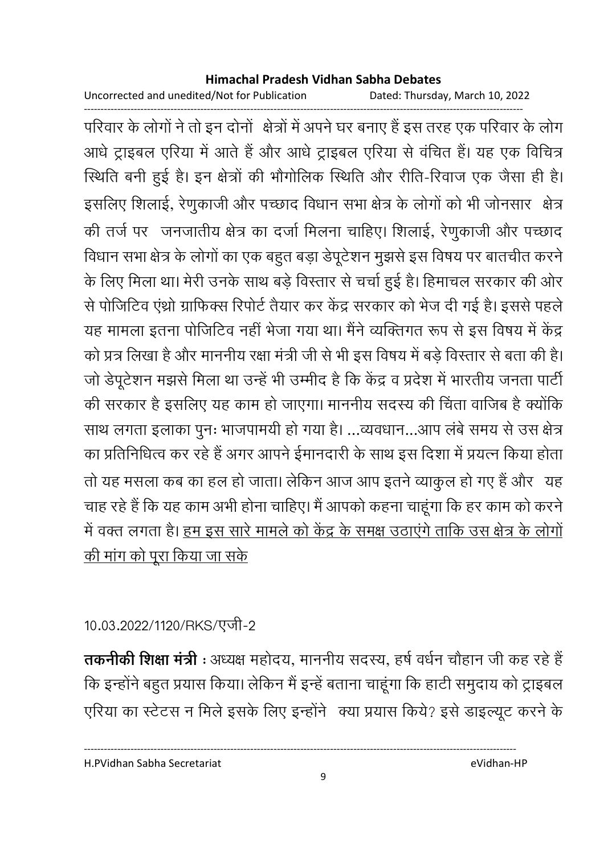Uncorrected and unedited/Not for Publication Dated: Thursday, March 10, 2022

परिवार के लोगों ने तो इन दोनों क्षेत्रों में अपने घर बनाए हैं इस तरह एक परिवार के लोग आधे ट्राइबल एरिया में आते हैं और आधे ट्राइबल एरिया से वंचित हैं। यह एक विचित्र स्थिति बनी हुई है। इन क्षेत्रों की भौगोलिक स्थिति और रीति-रिवाज एक जैसा ही है। इसलिए शिलाई, रेणुकाजी और पच्छाद विधान सभा क्षेत्र के लोगों को भी जोनसार क्षेत्र की तर्ज पर जनजातीय क्षेत्र का दर्जा मिलना चाहिए। शिलाई, रेणुकाजी और पच्छाद विधान सभा क्षेत्र के लोगों का एक बहुत बड़ा डेपूटेशन मुझसे इस विषय पर बातचीत करने के लिए मिला था। मेरी उनके साथ बड़े विस्तार से चर्चा हुई है। हिमाचल सरकार की ओर से पोजिटिव एंथ्रो ग्राफिक्स रिपोर्ट तैयार कर केंद्र सरकार को भेज दी गई है। इससे पहले यह मामला इतना पोजिटिव नहीं भेजा गया था। मैंने व्यक्तिगत रूप से इस विषय में केंद्र को प्रत्र लिखा है और माननीय रक्षा मंत्री जी से भी इस विषय में बड़े विस्तार से बता की है। जो डेपूटेशन मझसे मिला था उन्हें भी उम्मीद है कि केंद्र व प्रदेश में भारतीय जनता पार्टी की सरकार है इसलिए यह काम हो जाएगा। माननीय सदस्य की चिंता वाजिब है क्योंकि साथ लगता इलाका पुनः भाजपामयी हो गया है। ...व्यवधान...आप लंबे समय से उस क्षेत्र का प्रतिनिधित्व कर रहे हैं अगर आपने ईमानदारी के साथ इस दिशा में प्रयत्न किया होता तो यह मसला कब का हल हो जाता। लेकिन आज आप इतने व्याकुल हो गए हैं और यह चाह रहे हैं कि यह काम अभी होना चाहिए। मैं आपको कहना चाहूंगा कि हर काम को करने में वक्त लगता है। <u>हम इस सारे मामले को केंद्र के समक्ष उठाएंगे ताकि उस क्षेत्र के लोगों</u> <u>की मांग को पूरा किया जा सके</u>

## 10.03.2022/1120/RKS/एजी-2

तकनीकी शिक्षा मंत्री : अध्यक्ष महोदय, माननीय सदस्य, हर्ष वर्धन चौहान जी कह रहे हैं कि इन्होंने बहुत प्रयास किया। लेकिन मैं इन्हें बताना चाहूंगा कि हाटी समुदाय को ट्राइबल एरिया का स्टेटस न मिले इसके लिए इन्होंने क्या प्रयास किये? इसे डाइल्यूट करने के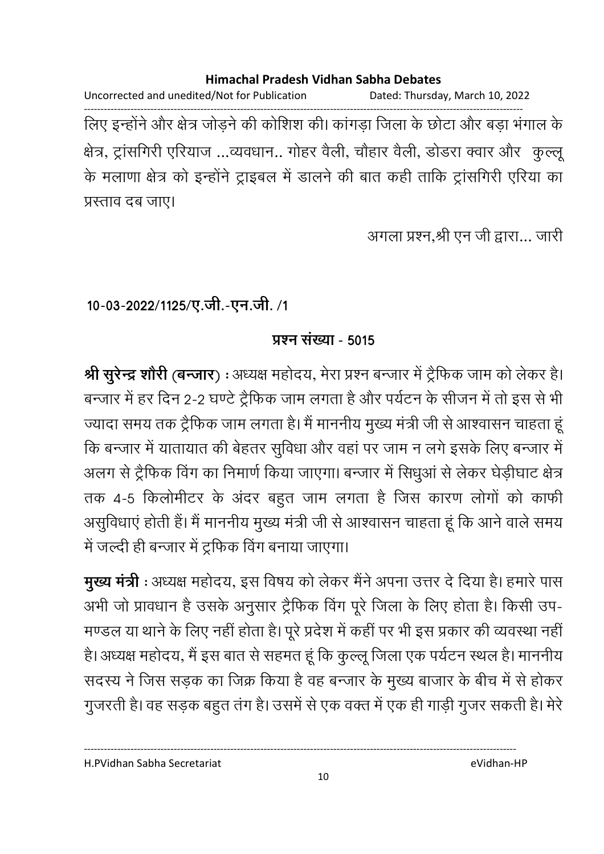Uncorrected and unedited/Not for Publication Dated: Thursday, March 10, 2022 ------------------------------------------------------------------------------------------------------------------------------------ लिए इन्होंने और क्षेत्र जोड़ने की कोशिश की। कांगड़ा जिला के छोटा और बड़ा भंगाल के क्षेत्र, ट्रांसगिरी एरियाज ...व्यवधान.. गोहर वैली, चौहार वैली, डोडरा क्वार और कुल्लू के मलाणा क्षेत्र को इन्होंने ट्राइबल में डालने की बात कही ताकि ट्रांसगिरी एरिया का प्रस्ताव दब जाए।

अगला प्रश्न,श्री एन जी द्वारा... जारी

<u>10-03-2022/1125/ए.जी.-एन.जी. /1</u>

### **प्रश्न संख्या - 5015**

**श्री सुरेन्द्र शोरी (बन्जार) :** अध्यक्ष महोदय, मेरा प्रश्न बन्जार में ट्रैफिक जाम को लेकर है। बन्जार में हर दिन 2-2 घण्टे ट्रैफिक जाम लगता है और पर्यटन के सीजन में तो इस से भी ज्यादा समय तक ट्रैफिक जाम लगता है। मैं माननीय मुख्य मंत्री जी से आश्वासन चाहता हू कि बन्जार में यातायात की बेहतर सुविधा और वहां पर जाम न लगे इसके लिए बन्जार में अलग से ट्रैफिक विंग का निमाणे किया जाएगा। बन्जार में सिंधुआ से लेकर घेड़ीघाट क्षेत्र तक 4-5 किलोमीटर के अंदर बहुत जाम लगता है जिस कारण लोगों को काफी असुविधाएं होती है। मैं माननीय मुख्य मंत्री जी से आश्वासन चाहता हूं कि आने वाले समय में जल्दी ही बन्जार में ट्रफिक विंग बनाया जाएगा।

**मुख्य मंत्री** : अध्यक्ष महोदय, इस विषय को लेकर मैंने अपना उत्तर दें दिया है। हमारे पास अभी जो प्रावधान है उसके अनुसार ट्रैफिक विंग पूरे जिला के लिए होता है। किसी उप-मण्डल या थाने के लिए नहीं होता है। पूरे प्रदेश में कहीं पर भी इस प्रकार की व्यवस्था नहीं | है। अध्यक्ष महोदय, मैं इस बात से सहमत हूं कि कुल्लू जिला एक पर्यटन स्थल है। माननीय सदस्य ने जिस सड़क का जिक्र किया है वह बन्जार के मुख्य बाजार के बीच में से होकर गुजरती है। वह सड़क बहुत तग है। उसमें से एक वक्त में एक ही गाड़ी गुजर सकती है। मेरे

H.PVidhan Sabha Secretariat eVidhan-HP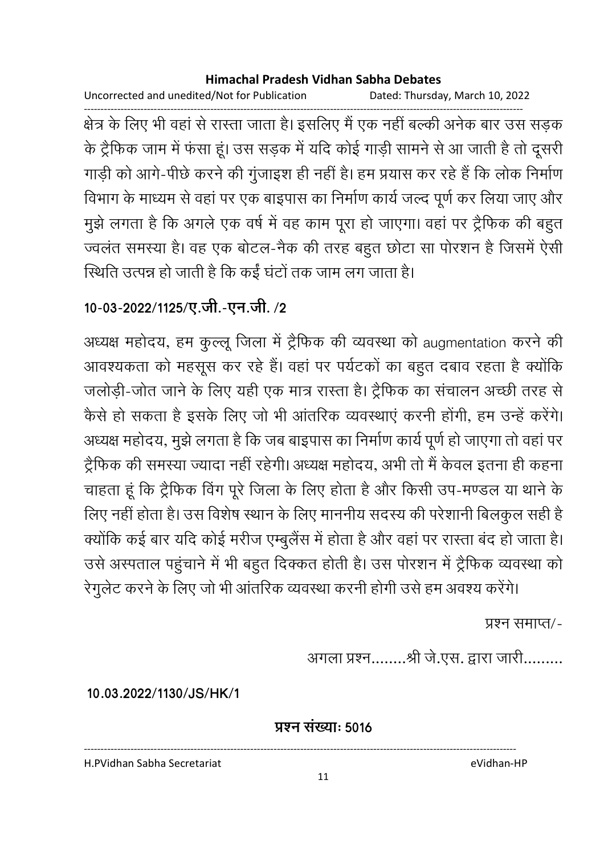Uncorrected and unedited/Not for Publication Dated: Thursday, March 10, 2022

क्षेत्र के लिए भी वहां से रास्ता जाता है। इसलिए मैं एक नहीं बल्की अनेक बार उस सड़क के ट्रैफिक जाम में फंसा हूं। उस सड़क में यदि कोई गाड़ी सामने से आ जाती है तो दूसरी गाड़ी को आगे-पीछे करने की गुंजाइश ही नहीं है। हम प्रयास कर रहे हैं कि लोक निर्माण विभाग के माध्यम से वहां पर एक बाइपास का निर्माण कार्य जल्द पूर्ण कर लिया जाए और मुझे लगता है कि अगले एक वर्ष में वह काम पूरा हो जाएगा। वहां पर ट्रैफिक की बहुत ज्वलंत समस्या है। वह एक बोटल-नैक की तरह बहुत छोटा सा पोरशन है जिसमें ऐसी स्थिति उत्पन्न हो जाती है कि कईं घंटों तक जाम लग जाता है।

### 10-03-2022/1125/ए.जी.-एन.जी./2

अध्यक्ष महोदय, हम कुल्लू जिला में ट्रैफिक की व्यवस्था को augmentation करने की आवश्यकता को महसूस कर रहे हैं। वहां पर पर्यटकों का बहुत दबाव रहता है क्योंकि जलोड़ी-जोत जाने के लिए यही एक मात्र रास्ता है। ट्रैफिक का संचालन अच्छी तरह से कैसे हो सकता है इसके लिए जो भी आंतरिक व्यवस्थाएं करनी होंगी, हम उन्हें करेंगे। अध्यक्ष महोदय, मुझे लगता है कि जब बाइपास का निर्माण कार्य पूर्ण हो जाएगा तो वहां पर ट्रैफिक की समस्या ज्यादा नहीं रहेगी। अध्यक्ष महोदय, अभी तो मैं केवल इतना ही कहना चाहता हूं कि ट्रैफिक विंग पूरे जिला के लिए होता है और किसी उप-मण्डल या थाने के लिए नहीं होता है। उस विशेष स्थान के लिए माननीय सदस्य की परेशानी बिलकुल सही है क्योंकि कई बार यदि कोई मरीज एम्बुलैंस में होता है और वहां पर रास्ता बंद हो जाता है। उसे अस्पताल पहुंचाने में भी बहुत दिक्कत होती है। उस पोरशन में ट्रैफिक व्यवस्था को

रेगुलेट करने के लिए जो भी आंतरिक व्यवस्था करनी होगी उसे हम अवश्य करेंगे।

प्रश्न समाप्त⁄-

अगला प्रश्न........श्री जे.एस. द्वारा जारी.........

10.03.2022/1130/JS/HK/1

प्रश्न संख्या: 5016

H.PVidhan Sabha Secretariat

eVidhan-HP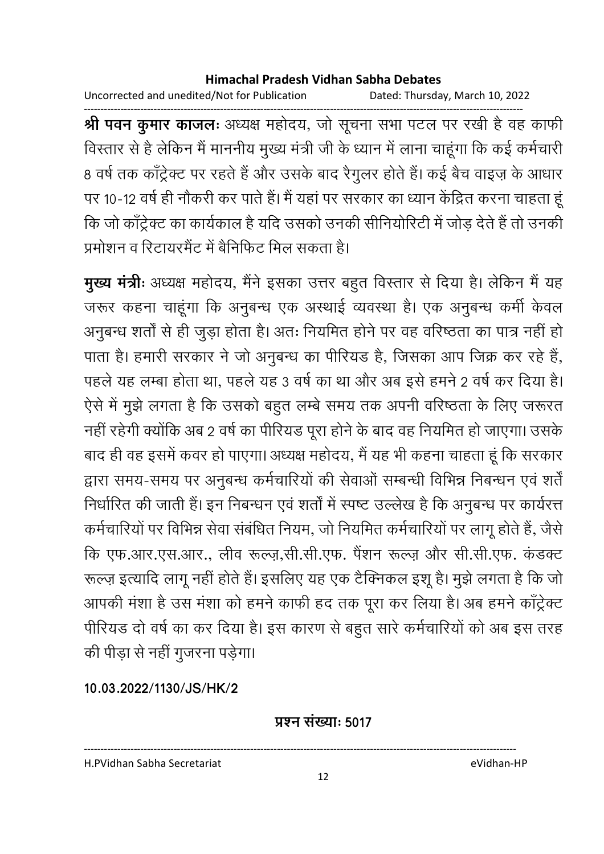Uncorrected and unedited/Not for Publication Dated: Thursday, March 10, 2022

------------------------------------------------------------------------------------------------------------------------------------ **श्री पवन कुमार काजलः** अध्यक्ष महोदय, जो सूचना सभा पटल पर रखी है वह काफी विस्तार से हैं लेकिन मैं माननीय मुख्य मंत्री जी के ध्यान में लाना चाहूंगा कि कई कर्मचारी 8 वर्ष तक काँट्रेक्ट पर रहते हैं और उसके बाद रैगुलर होते हैं। कई बैच वाइज़ के आधार पर 10-12 वर्ष ही नौकरी कर पाते हैं। मैं यहां पर सरकार का ध्यान केंद्रित करना चाहता हू कि जो कांट्रेक्ट का कार्यकाल है यदि उसको उनकी सीनियोरिटी में जोड़ देते हैं तो उनकी प्रमोशन व रिटायरमैंट में बैनिफिट मिल सकता है।

**मुख्य मंत्रीः** अध्यक्ष महोदय, मैने इसका उत्तर बहुत विस्तार से दिया है। लेकिन मैं यह जरूर कहना चाहूंगा कि अनुबन्ध एक अस्थाई व्यवस्था है। एक अनुबन्ध कमी केवल अनुबन्ध शर्ता से ही जुड़ा होता है। अतः नियमित होने पर वह वरिष्ठता का पात्र नहीं हो पाता है। हमारी सरकार ने जो अनुबन्ध का पीरियड है, जिसका आप जिक्र कर रहे है, पहले यह लम्बा होता था, पहले यह 3 वर्ष का था और अब इसे हमने 2 वर्ष कर दिया है। ऐसे में मुझे लगता है कि उसको बहुत लम्बे समय तक अपनी वरिष्ठता के लिए जरूरत नहीं रहेगी क्योंकि अब 2 वर्ष का पीरियंड पूरा होने के बाद वह नियमित हो जाएगा। उसके बाद ही वह इसमें कवर हो पाएगा। अध्यक्ष महोदय, मैं यह भी कहना चाहता हूं कि सरकार द्वारा समय-समय पर अनुबन्ध कर्मचारियों की सेवाओं सम्बन्धी विभिन्न निबन्धन एवं शर्त निर्धारित की जाती है। इन निबन्धन एवं शतों में स्पष्ट उल्लेख है कि अनुबन्ध पर कार्यरत्त कर्मचारियों पर विभिन्न सेवा संबंधित नियम, जो नियमित कर्मचारियों पर लागू होते हैं, जैसे कि एफ.आर.एस.आर., लीव रूल्ज़,सी.सी.एफ. पैंशन रूल्ज़ और सी.सी.एफ. कंडक्ट रूल्ज़ इत्यादि लागू नहीं होते हैं। इसलिए यह एक टैक्निकल इशू है। मुझे लगता है कि जो आपकी मशा है उस मशा को हमने काफी हद तक पूरा कर लिया है। अब हमने कार्ट्रक्ट पीरियंड दो वर्ष का कर दिया है। इस कारण से बहुत सारे कर्मचारियों को अब इस तरह की पीड़ा से नहीं गुजरना पड़ेगा।

**10.03.2022/1130/JS/HK/2**

**प्रश्न संख्या: 5017** 

----------------------------------------------------------------------------------------------------------------------------------

H.PVidhan Sabha Secretariat eVidhan-HP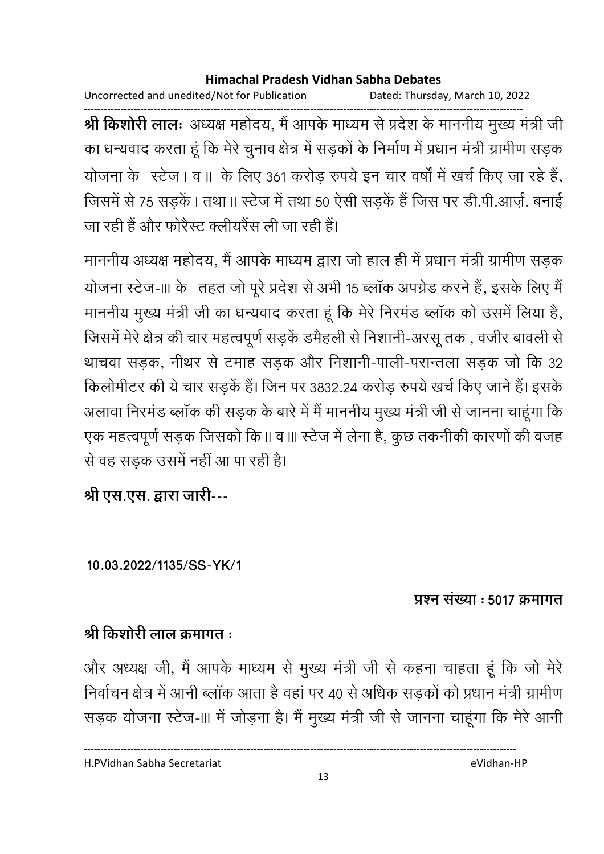Uncorrected and unedited/Not for Publication Dated: Thursday, March 10, 2022

------------------------------------------------------------------------------------------------------------------------------------ **श्री किशोरी लालः** अध्यक्ष महोदय, मैं आपके माध्यम से प्रदेश के माननीय मुख्य मंत्री जी का धन्यवाद करता हूं कि मेरे चुनाव क्षेत्र में सड़कों के निर्माण में प्रधान मंत्री ग्रामीण सड़क योजना के स्टेज | व || के लिए 361 करोड़ रुपये इन चार वर्षों में खर्च किए जा रहे हैं, ' जिसमें से 75 सड़कें | तथा || स्टेज में तथा 50 ऐसी सड़के हैं जिस पर डी.पी.आज़े. बनाई जा रही हैं और फोरेस्ट क्लीयरेंस ली जा रही हैं।

माननीय अध्यक्ष महोदय, मैं आपके माध्यम द्वारा जो हाल ही में प्रधान मंत्री ग्रामीण सड़क योजना स्टेज-III के तहत जो पूरे प्रदेश से अभी 15 ब्लाक अपग्रेड करने हैं, इसके लिए मैं माननीय मुख्य मंत्री जी का धन्यवाद करता हूं कि मेरे निरमंड ब्लाक को उसमें लिया है, जिसमें मेरे क्षेत्र की चार महत्वपूर्ण सड़के डमैहली से निशानी-अरसू तक , वजीर बावली से थाचवा सड़क, नीथर से टमाह सड़क और निशानी-पाली-परान्तला सड़क जो कि 32 किलोमीटर की ये चार सड़के हैं। जिन पर 3832.24 करोड़ रुपये खर्च किए जाने हैं। इसके अलावा निरमंड ब्लाक की सड़क के बारे में में माननीय मुख्य मंत्री जी से जानना चाहूंगा कि एक महत्वपूर्ण सड़क जिसको कि ॥ व ॥। स्टेज में लेना है, कुछ तकनीकी कारणों की वजह से वह सड़क उसमें नहीं आ पा रही है।

श्री एस.एस. द्वारा जारी---

**10.03.2022/1135/SS-YK/1**

### <u> प्रश्न संख्या : 5017 क्रमागत</u>

## श्री किशोरी लाल क्रमांगत <del>:</del>

और अध्यक्ष जी, मैं आपके माध्यम से मुख्य मंत्री जी से कहना चाहता हूं कि जो मेरे निर्वाचन क्षेत्र में आनी ब्लाक आता है वहां पर 40 से अधिक सड़कों को प्रधान मंत्री ग्रामीण सड़क योजना स्टेज-III में जोड़ना है। मैं मुख्य मंत्री जी से जानना चाहूंगा कि मेरे आनी

H.PVidhan Sabha Secretariat eVidhan-HP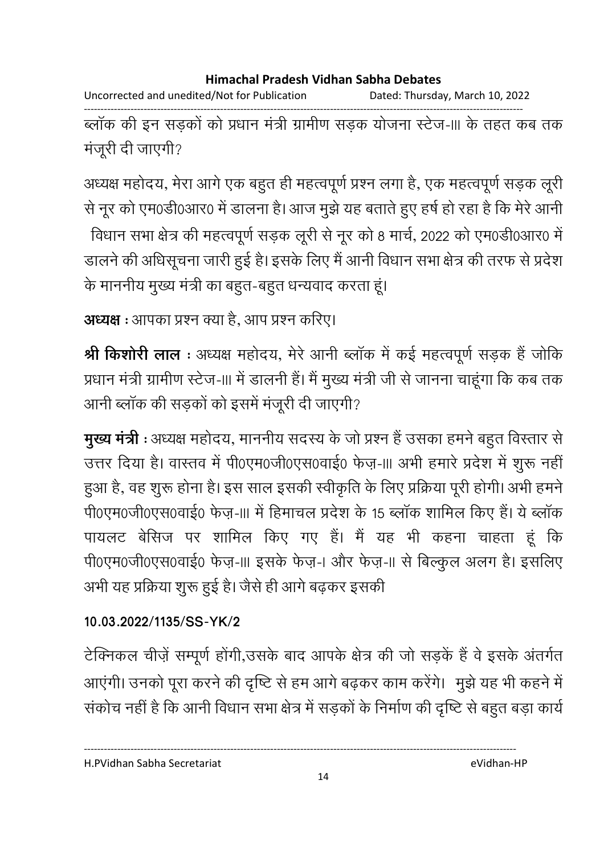Uncorrected and unedited/Not for Publication Dated: Thursday, March 10, 2022

ब्लॉक की इन सड़कों को प्रधान मंत्री ग्रामीण सड़क योजना स्टेज-III के तहत कब तक मंजूरी दी जाएगी?

अध्यक्ष महोदय, मेरा आगे एक बहुत ही महत्वपूर्ण प्रश्न लगा है, एक महत्वपूर्ण सड़क लूरी से नूर को एम0डी0आर0 में डालना है। आज मुझे यह बताते हुए हर्ष हो रहा है कि मेरे आनी

विधान सभा क्षेत्र की महत्वपूर्ण सड़क लूरी से नूर को 8 मार्च, 2022 को एम0डी0आर0 में डालने की अधिसूचना जारी हुई है। इसके लिए मैं आनी विधान सभा क्षेत्र की तरफ से प्रदेश के माननीय मुख्य मंत्री का बहुत-बहुत धन्यवाद करता हूं।

अध्यक्ष : आपका प्रश्न क्या है. आप प्रश्न करिए।

श्री किशोरी लाल : अध्यक्ष महोदय, मेरे आनी ब्लॉक में कई महत्वपूर्ण सड़क हैं जोकि प्रधान मंत्री ग्रामीण स्टेज-॥। में डालनी हैं। मैं मुख्य मंत्री जी से जानना चाहूंगा कि कब तक आनी ब्लॉक की सड़कों को इसमें मंजूरी दी जाएगी?

**मुख्य मंत्री** : अध्यक्ष महोदय, माननीय सदस्य के जो प्रश्न हैं उसका हमने बहुत विस्तार से उत्तर दिया है। वास्तव में पी0एम0जी0एस0वाई0 फेज़-।।। अभी हमारे प्रदेश में शुरू नहीं हुआ है, वह शुरू होना है। इस साल इसकी स्वीकृति के लिए प्रक्रिया पूरी होगी। अभी हमने पी0एम0जी0एस0वाई0 फेज़-III में हिमाचल प्रदेश के 15 ब्लॉक शामिल किए हैं। ये ब्लॉक पायलट बेसिज पर शामिल किए गए हैं। मैं यह भी कहना चाहता हूं कि पी0एम0जी0एस0वाई0 फेज़-।।। इसके फेज़-। और फेज़-।। से बिल्कुल अलग है। इसलिए अभी यह प्रक्रिया शुरू हुई है। जैसे ही आगे बढ़कर इसकी

### 10.03.2022/1135/SS-YK/2

टेक्निकल चीज़ें सम्पूर्ण होंगी,उसके बाद आपके क्षेत्र की जो सड़कें हैं वे इसके अंतर्गत आएंगी। उनको पूरा करने की दृष्टि से हम आगे बढ़कर काम करेंगे। मुझे यह भी कहने में संकोच नहीं है कि आनी विधान सभा क्षेत्र में सड़कों के निर्माण की दृष्टि से बहुत बड़ा कार्य

H.PVidhan Sabha Secretariat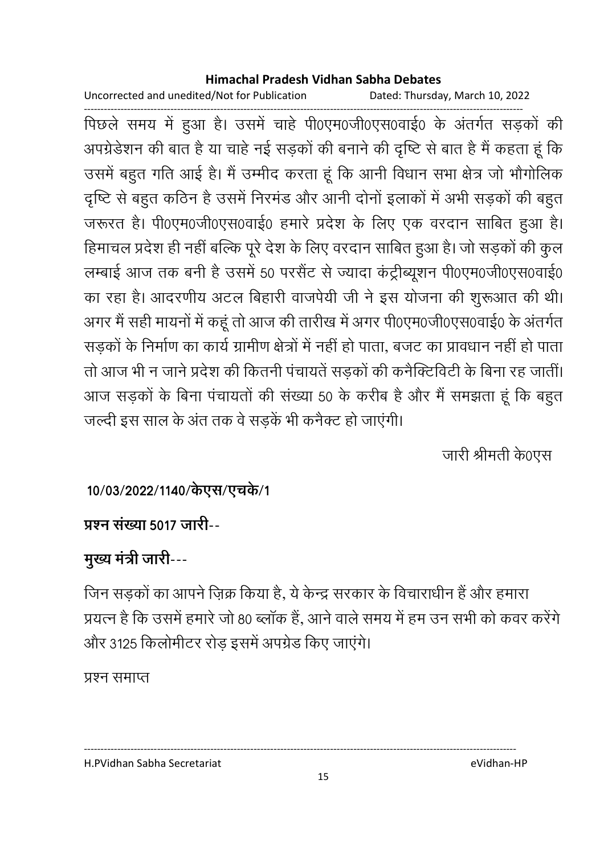Uncorrected and unedited/Not for Publication Dated: Thursday, March 10, 2022

पिछले समय में हुआ है। उसमें चाहे पी0एम0जी0एस0वाई0 के अंतर्गत सड़कों की अपग्रेडेशन की बात है या चाहे नई सड़कों की बनाने की दृष्टि से बात है मैं कहता हूं कि उसमें बहुत गति आई है। मैं उम्मीद करता हूं कि आनी विधान सभा क्षेत्र जो भौगोलिक दृष्टि से बहुत कठिन है उसमें निरमंड और आनी दोनों इलाकों में अभी सड़कों की बहुत जरूरत है। पी0एम0जी0एस0वाई0 हमारे प्रदेश के लिए एक वरदान साबित हुआ है। हिमाचल प्रदेश ही नहीं बल्कि पूरे देश के लिए वरदान साबित हुआ है। जो सड़कों की कुल लम्बाई आज तक बनी है उसमें 50 परसैंट से ज्यादा कंट्रीब्यूशन पी0एम0जी0एस0वाई0 का रहा है। आदरणीय अटल बिहारी वाजपेयी जी ने इस योजना की शूरूआत की थी। अगर मैं सही मायनों में कहूं तो आज की तारीख में अगर पी0एम0जी0एस0वाई0 के अंतर्गत सड़कों के निर्माण का कार्य ग्रामीण क्षेत्रों में नहीं हो पाता, बजट का प्रावधान नहीं हो पाता तो आज भी न जाने प्रदेश की कितनी पंचायतें सडकों की कनैक्टिविटी के बिना रह जातीं। आज सड़कों के बिना पंचायतों की संख्या 50 के करीब है और मैं समझता हूं कि बहुत जल्दी इस साल के अंत तक वे सडकें भी कनैक्ट हो जाएंगी।

जारी श्रीमती के0एस

## 10/03/2022/1140/केएस/एचके/1

## प्रश्न संख्या 5017 जारी--

## मुख्य मंत्री जारी---

जिन सड़कों का आपने ज़िक्र किया है, ये केन्द्र सरकार के विचाराधीन हैं और हमारा प्रयत्न है कि उसमें हमारे जो 80 ब्लॉक हैं, आने वाले समय में हम उन सभी को कवर करेंगे और 3125 किलोमीटर रोड़ इसमें अपग्रेड किए जाएंगे।

### प्रश्न समाप्त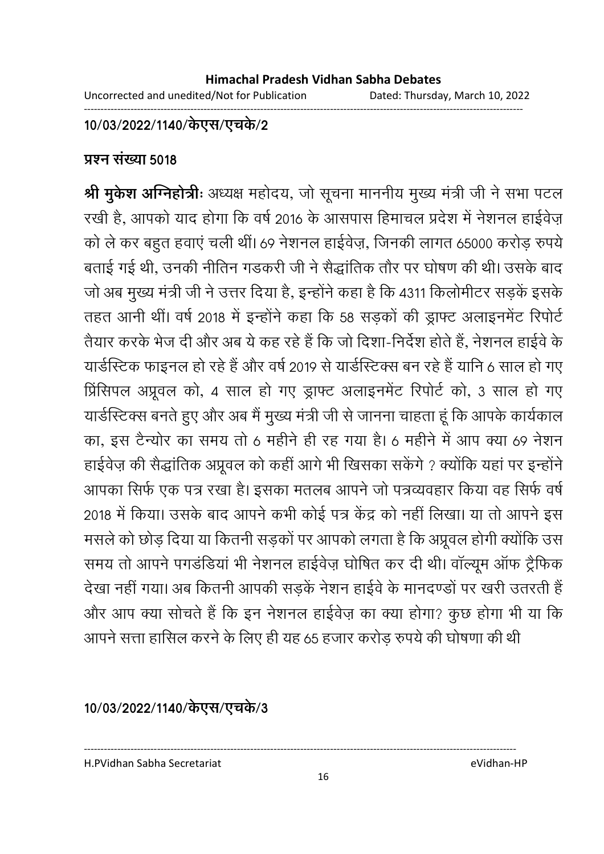### 10/03/2022/1140/केएस/एच**के/2**

### **प्रश्न संख्या 5018**

**श्री मुर्कश अग्निहोत्रीः** अध्यक्ष महोदय, जो सूचना माननीय मुख्य मंत्री जी ने सभा पटल रखी है, आपको याद होगा कि वर्ष 2016 के आसपास हिमाचल प्रदेश में नेशनल हाईवेज़ को ले कर बहुत हवाएं चली थीं। 69 नेशनल हाईवेज़, जिनकी लागत 65000 करोड़ रुपये बताई गई थी, उनकी नीतिन गडकरी जी ने सैद्धांतिक तौर पर घोषण की थी। उसके बाद जो अब मुख्य मंत्री जी ने उत्तर दिया है, इन्होंने कहा है कि 4311 किलोमीटर सड़के इसके तहत आनी थी। वर्ष 2018 में इन्होंने कहा कि 58 सड़कों की ड्राफ्ट अलाइनमेंट रिपोर्ट तैयार करके भेज दी और अब ये कह रहे हैं कि जो दिशा-निर्देश होते हैं, नेशनल हाईवे के यार्डस्टिक फाइनल हो रहे हैं और वर्ष 2019 से यार्डस्टिक्स बन रहे हैं यानि 6 साल हो गए प्रिंसिपल अप्रूवल को, 4 साल हो गए ड्राफ्ट अलाइनमेंट रिपोर्ट को, 3 साल हो गए याडीस्टेक्स बनते हुए और अब मैं मुख्य मंत्री जी से जानना चाहता हूं कि आपके कार्यकाल का, इस टैन्योर का समय तो 6 महीने ही रह गया है। 6 महीने में आप क्या 69 नेशन हाईवेज़ की सैद्धांतिक अप्रूवल को कहीं आगे भी खिसका सकेंगे ? क्योंकि यहां पर इन्होंने आपका सिर्फ एक पत्र रखा है। इसका मतलब आपने जो पत्रव्यवहार किया वह सिर्फ वर्षे 2018 में किया। उसके बाद आपने कभी कोई पत्र केंद्र को नहीं लिखा। या तो आपने इस मसले को छोड़ दिया या कितनी सड़को पर आपको लगता है कि अप्रूवल होगी क्योंकि उस समय तो आपने पंगडंडिया भी नेशनल हाईवेज़ घोषित कर दी थी। वाल्यूम आफ ट्रैफिक देखा नहीं गया। अब कितनी आपकी सड़के नेशन हाईवे के मानदण्डों पर खरी उतरती हैं और आप क्या सोचते हैं कि इन नेशनल हाईवेज़ का क्या होगा? कुछ होगा भी या कि आपने सत्ता हासिल करने के लिए ही यह 65 हजार करोड़ रुपये की घोषणा की थी

10/03/2022/1140/केएस/एच**के/3** 

H.PVidhan Sabha Secretariat eVidhan-HP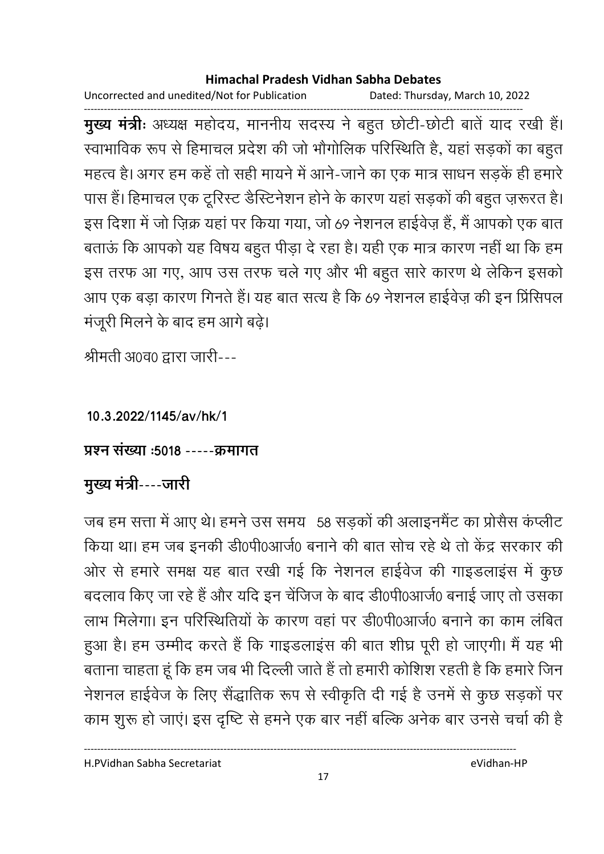Uncorrected and unedited/Not for Publication Dated: Thursday, March 10, 2022

------------------------------------------------------------------------------------------------------------------------------------ **मुख्य मंत्रीः** अध्यक्ष महोदय, माननीय सदस्य ने बहुत छोटी-छोटी बातें याद रखी है। स्वाभाविक रूप से हिमाचल प्रदेश की जो भौगोलिक परिस्थिति है, यहां सड़कों का बहुत महत्व है। अगर हम कहें तो सही मायने में आने-जाने का एक मात्र साधन सड़के ही हमारे | पास है। हिमाचल एक टूरिस्ट डीस्टॅनेशन होने के कारण यहाँ सड़कों की बहुत ज़रूरत है। इस दिशा में जो ज़िक्र यहां पर किया गया, जो 69 नेशनल हाईवेज़ हैं, मैं आपको एक बात बताऊ कि आपको यह विषय बहुत पीड़ा दे रहा है। यही एक मात्र कारण नहीं था कि हम इस तरफ आ गए, आप उस तरफ चले गए और भी बहुत सारे कारण थे लेकिन इसको आप एक बड़ा कारण गिनते हैं। यह बात सत्य है कि 69 नेशनल हाईवेज़ की इन प्रिंसिपल मजूरी मिलने के बाद हम आगे बढ़ें।

श्रीमती अ0व0 द्वारा जारी---

**10.3.2022/1145/av/hk/1**

<u> प्रश्न संख्या :5018 -----क्रमागत</u>

<u>मुख्य मंत्री----जारी</u>

जब हम सत्ता में आए थे। हमने उस समय 58 सड़कों की अलाइनमैंट का प्रसिस कप्लीट किया था। हम जब इनकी डी0पी0आजे0 बनाने की बात सोच रहे थे तो केंद्र सरकार की आेर से हमारे समक्ष यह बात रखी गई कि नेशनल हाईवेज की गाइंडलाइस में कुछ बदलाव किए जा रहे हैं और यदि इन चेंजिज के बाद डी0पी0आर्ज0 बनाई जाए तो उसका लाभ मिलेगा। इन परिस्थितियों के कारण वहां पर डी0पी0आजे0 बनाने का काम लंबित हुआ है। हम उम्मीद करते हैं कि गाइंडलाइस की बात शीघ्र पूरी हो जाएगी। मैं यह भी बताना चाहता हूं कि हम जब भी दिल्ली जाते हैं तो हमारी कोशिश रहती है कि हमारे जिन नेशनल हाईवेज के लिए सैद्धांतिक रूप से स्वीकृति दी गई है उनमें से कुछ सड़कों पर काम शुरू हो जाए। इस दृष्टि से हमने एक बार नहीं बल्कि अनेक बार उनसे चर्चा की हैं

H.PVidhan Sabha Secretariat eVidhan-HP

17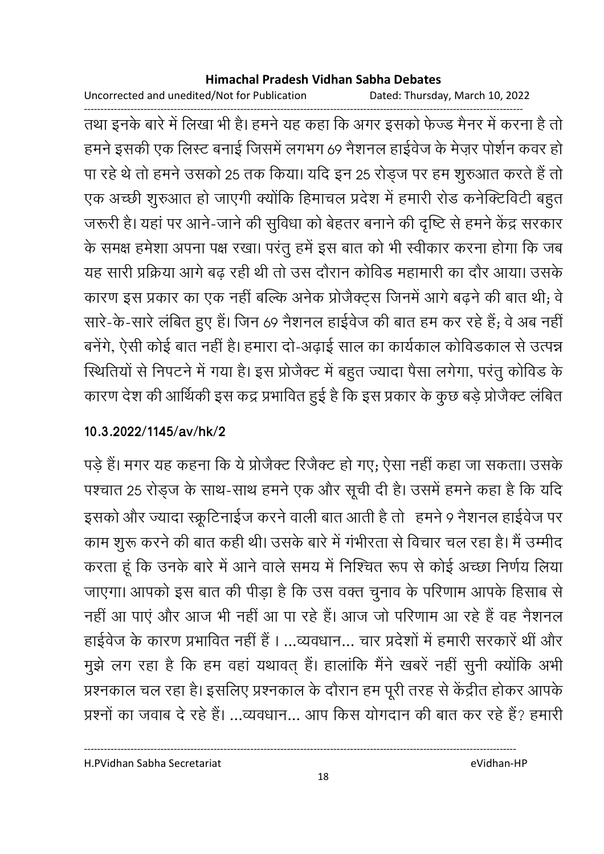Uncorrected and unedited/Not for Publication Dated: Thursday, March 10, 2022

तथा इनके बारे में लिखा भी है। हमने यह कहा कि अगर इसको फेज्ड मैनर में करना है तो हमने इसकी एक लिस्ट बनाई जिसमें लगभग 69 नैशनल हाईवेज के मेज़र पोर्शन कवर हो पा रहे थे तो हमने उसको 25 तक किया। यदि इन 25 रोड्ज पर हम शुरुआत करते हैं तो एक अच्छी शुरुआत हो जाएगी क्योंकि हिमाचल प्रदेश में हमारी रोड कनेक्टिविटी बहुत जरूरी है। यहां पर आने-जाने की सुविधा को बेहतर बनाने की दृष्टि से हमने केंद्र सरकार के समक्ष हमेशा अपना पक्ष रखा। परंतु हमें इस बात को भी स्वीकार करना होगा कि जब यह सारी प्रक्रिया आगे बढ़ रही थी तो उस दौरान कोविड महामारी का दौर आया। उसके कारण इस प्रकार का एक नहीं बल्कि अनेक प्रोजैक्ट्स जिनमें आगे बढ़ने की बात थी; वे सारे-के-सारे लंबित हुए हैं। जिन 69 नैशनल हाईवेज की बात हम कर रहे हैं; वे अब नहीं बनेंगे, ऐसी कोई बात नहीं है। हमारा दो-अढ़ाई साल का कार्यकाल कोविडकाल से उत्पन्न स्थितियों से निपटने में गया है। इस प्रोजैक्ट में बहुत ज्यादा पैसा लगेगा, परंतु कोविड के कारण देश की आर्थिकी इस कद्र प्रभावित हुई है कि इस प्रकार के कुछ बड़े प्रोजैक्ट लंबित

### 10.3.2022/1145/av/hk/2

पड़े हैं। मगर यह कहना कि ये प्रोजैक्ट रिजैक्ट हो गए; ऐसा नहीं कहा जा सकता। उसके पश्चात 25 रोड्ज के साथ-साथ हमने एक और सूची दी है। उसमें हमने कहा है कि यदि इसको और ज्यादा स्क्रूटिनाईज करने वाली बात आती है तो हमने 9 नैशनल हाईवेज पर काम शूरू करने की बात कही थी। उसके बारे में गंभीरता से विचार चल रहा है। मैं उम्मीद करता हूं कि उनके बारे में आने वाले समय में निश्चित रूप से कोई अच्छा निर्णय लिया जाएगा। आपको इस बात की पीड़ा है कि उस वक्त चुनाव के परिणाम आपके हिसाब से नहीं आ पाएं और आज भी नहीं आ पा रहे हैं। आज जो परिणाम आ रहे हैं वह नैशनल हाईवेज के कारण प्रभावित नहीं हैं।...व्यवधान... चार प्रदेशों में हमारी सरकारें थीं और मुझे लग रहा है कि हम वहां यथावत् हैं। हालांकि मैंने खबरें नहीं सुनी क्योंकि अभी प्रश्नकाल चल रहा है। इसलिए प्रश्नकाल के दौरान हम पूरी तरह से केंद्रीत होकर आपके प्रश्नों का जवाब दे रहे हैं। ...व्यवधान... आप किस योगदान की बात कर रहे हैं? हमारी

eVidhan-HP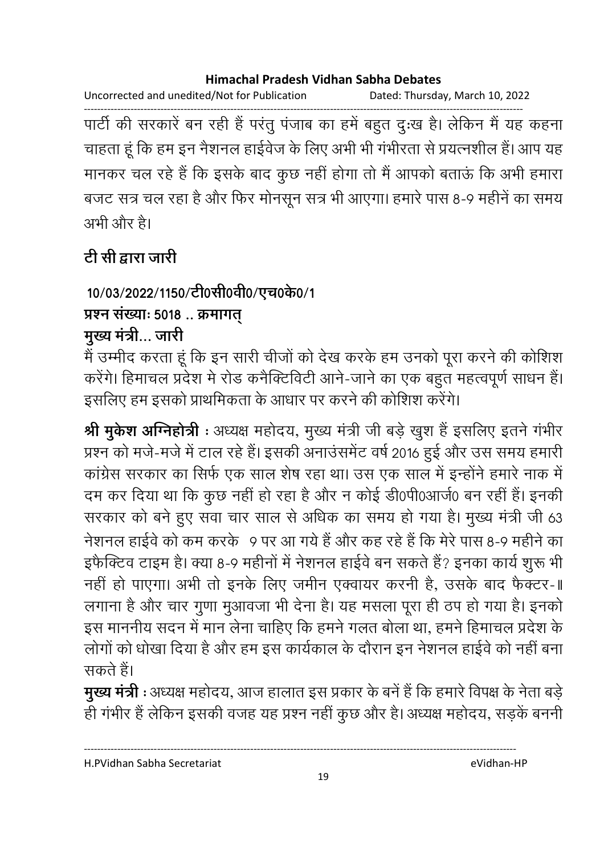Uncorrected and unedited/Not for Publication Dated: Thursday, March 10, 2022

पार्टी की सरकारें बन रही हैं परंतु पंजाब का हमें बहुत दुःख है। लेकिन मैं यह कहना चाहता हूं कि हम इन नैशनल हाईवेज के लिए अभी भी गंभीरता से प्रयत्नशील हैं। आप यह मानकर चल रहे हैं कि इसके बाद कुछ नहीं होगा तो मैं आपको बताऊं कि अभी हमारा बजट सत्र चल रहा है और फिर मोनसून सत्र भी आएगा। हमारे पास 8-9 महीनें का समय अभी और है।

# टी सी द्वारा जारी

10/03/2022/1150/टी0सी0वी0/एच0के0/1 प्रश्न संख्याः 5018.. क्रमागत्

## मुख्य मंत्री... जारी

मैं उम्मीद करता हूं कि इन सारी चीजों को देख करके हम उनको पूरा करने की कोशिश करेंगे। हिमाचल प्रदेश मे रोड कनैक्टिविटी आने-जाने का एक बहुत महत्वपूर्ण साधन हैं। इसलिए हम इसको प्राथमिकता के आधार पर करने की कोशिश करेंगे।

श्री मुकेश अग्निहोत्री : अध्यक्ष महोदय, मुख्य मंत्री जी बड़े खुश हैं इसलिए इतने गंभीर प्रश्न को मजे-मजे में टाल रहे हैं। इसकी अनाउंसमेंट वर्ष 2016 हुई और उस समय हमारी कांग्रेस सरकार का सिर्फ एक साल शेष रहा था। उस एक साल में इन्होंने हमारे नाक में दम कर दिया था कि कुछ नहीं हो रहा है और न कोई डी0पी0आर्ज0 बन रहीं हैं। इनकी सरकार को बने हुए सवा चार साल से अधिक का समय हो गया है। मुख्य मंत्री जी 63 नेशनल हाईवे को कम करके 9 पर आ गये हैं और कह रहे हैं कि मेरे पास 8-9 महीने का इफैक्टिव टाइम है। क्या 8-9 महीनों में नेशनल हाईवे बन सकते हैं? इनका कार्य शुरू भी नहीं हो पाएगा। अभी तो इनके लिए जमीन एक्वायर करनी है, उसके बाद फैक्टर-॥ लगाना है और चार गुणा मुआवजा भी देना है। यह मसला पूरा ही ठप हो गया है। इनको इस माननीय सदन में मान लेना चाहिए कि हमने गलत बोला था, हमने हिमाचल प्रदेश के लोगों को धोखा दिया है और हम इस कार्यकाल के दौरान इन नेशनल हाईवे को नहीं बना सकते हैं।

मुख्य मंत्री : अध्यक्ष महोदय, आज हालात इस प्रकार के बनें हैं कि हमारे विपक्ष के नेता बडे ही गंभीर हैं लेकिन इसकी वजह यह प्रश्न नहीं कुछ और है। अध्यक्ष महोदय, सड़कें बननी

H.PVidhan Sabha Secretariat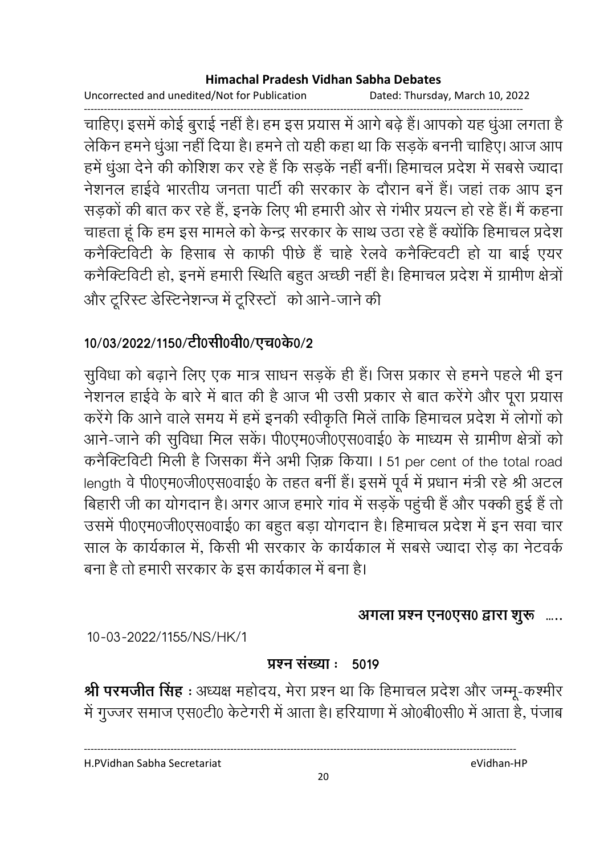Uncorrected and unedited/Not for Publication Dated: Thursday, March 10, 2022

चाहिए। इसमें कोई बुराई नहीं है। हम इस प्रयास में आगे बढ़े हैं। आपको यह धुंआ लगता है लेकिन हमने धुंआ नहीं दिया है। हमने तो यही कहा था कि सड़कें बननी चाहिए। आज आप हमें धुंआ देने की कोशिश कर रहे हैं कि सड़कें नहीं बनीं। हिमाचल प्रदेश में सबसे ज्यादा नेशनल हाईवे भारतीय जनता पार्टी की सरकार के दौरान बनें हैं। जहां तक आप इन सड़कों की बात कर रहे हैं, इनके लिए भी हमारी ओर से गंभीर प्रयत्न हो रहे हैं। मैं कहना चाहता हूं कि हम इस मामले को केन्द्र सरकार के साथ उठा रहे हैं क्योंकि हिमाचल प्रदेश कनैक्टिविटी के हिसाब से काफी पीछे हैं चाहे रेलवे कनैक्टिवटी हो या बाई एयर कनैक्टिविटी हो, इनमें हमारी स्थिति बहुत अच्छी नहीं है। हिमाचल प्रदेश में ग्रामीण क्षेत्रों और टूरिस्ट डेस्टिनेशन्ज में टूरिस्टों को आने-जाने की

## 10/03/2022/1150/टी0सी0वी0/एच0के0/2

सुविधा को बढ़ाने लिए एक मात्र साधन सड़कें ही हैं। जिस प्रकार से हमने पहले भी इन नेशनल हाईवे के बारे में बात की है आज भी उसी प्रकार से बात करेंगे और पूरा प्रयास करेंगे कि आने वाले समय में हमें इनकी स्वीकृति मिलें ताकि हिमाचल प्रदेश में लोगों को आने-जाने की सुविधा मिल सकें। पी0एम0जी0एस0वाई0 के माध्यम से ग्रामीण क्षेत्रों को कनैक्टिविटी मिली है जिसका मैंने अभी ज़िक्र किया। I 51 per cent of the total road length वे पी0एम0जी0एस0वाई0 के तहत बनीं हैं। इसमें पूर्व में प्रधान मंत्री रहे श्री अटल बिहारी जी का योगदान है। अगर आज हमारे गांव में सड़कें पहुंची हैं और पक्की हुई हैं तो उसमें पी0एम0जी0एस0वाई0 का बहुत बड़ा योगदान है। हिमाचल प्रदेश में इन सवा चार साल के कार्यकाल में, किसी भी सरकार के कार्यकाल में सबसे ज्यादा रोड़ का नेटवर्क बना है तो हमारी सरकार के इस कार्यकाल में बना है।

### अगला प्रश्न एन0एस0 द्वारा शुरू .....

10-03-2022/1155/NS/HK/1

#### प्रश्न संख्या : 5019

श्री परमजीत सिंह : अध्यक्ष महोदय, मेरा प्रश्न था कि हिमाचल प्रदेश और जम्मू-कश्मीर में गुज्जर समाज एस0टी0 केटेगरी में आता है। हरियाणा में ओ0बी0सी0 में आता है, पंजाब

H.PVidhan Sabha Secretariat

eVidhan-HP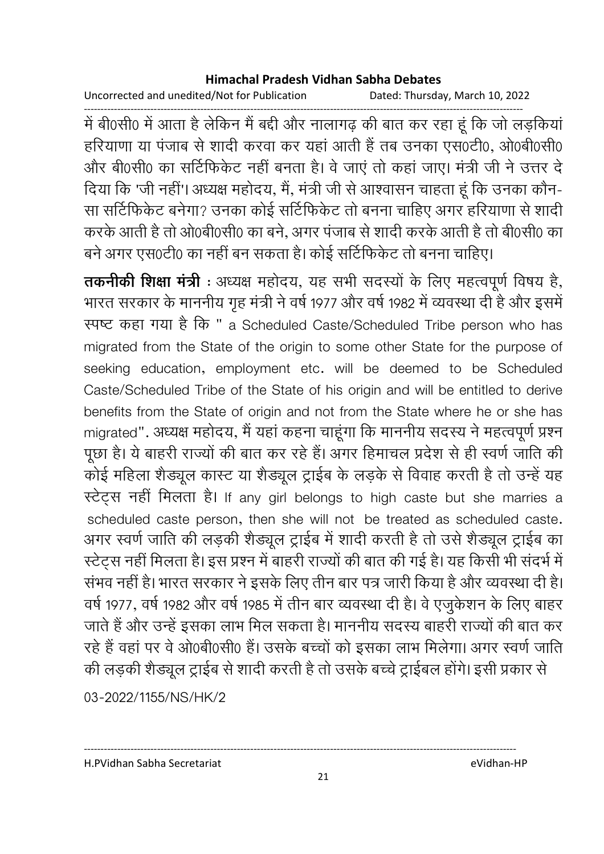Uncorrected and unedited/Not for Publication Dated: Thursday, March 10, 2022

------------------------------------------------------------------------------------------------------------------------------------ में बी0सी0 में आता है लेकिन मैं बंदी और नालागढ़ की बात कर रहा हूं कि जो लड़किया हरियाणा या पंजाब से शादी करवा कर यहां आती हैं तब उनका एस0टी0, ओ0बी0सी0 और बी0सी0 का सोटेफिकेट नहीं बनता है। वे जाए तो कहा जाए। मंत्री जी ने उत्तर दे दिया कि 'जी नहीं'। अध्यक्ष महोदय, मैं, मंत्री जी से आश्वासन चाहता हूं कि उनका कौन-सा सर्टिफिकेट बनेगा? उनका कोई सर्टिफिकेट तो बनना चाहिए अगर हरियाणा से शादी करके आती है तो ओ0बी0सी0 का बने, अगर पंजाब से शादी करके आती है तो बी0सी0 का बने अगर एस0टी0 का नहीं बन सकता है। कोई सर्टिफिकेट तो बनना चाहिए।

**तकनीकी शिक्षा मंत्री** : अध्यक्ष महोदय, यह सभी सदस्यों के लिए महत्वपूर्ण विषय है, भारत सरकार के माननीय गृह मंत्री ने वर्ष 1977 और वर्ष 1982 में व्यवस्था दी है और इसमें रपष्ट कहा गया है कि " a Scheduled Caste/Scheduled Tribe person who has migrated from the State of the origin to some other State for the purpose of seeking education, employment etc. will be deemed to be Scheduled Caste/Scheduled Tribe of the State of his origin and will be entitled to derive benefits from the State of origin and not from the State where he or she has migrated". अध्यक्ष महोदय, मै यहा कहना चाहूगा कि माननीय सदस्य ने महत्वपूर्ण प्रश्न पूछा है। ये बाहरी राज्यों की बात कर रहे हैं। अगर हिमाचल प्रदेश से ही स्वर्ण जाति की कोई महिला शैंड्यूल कास्ट या शैंड्यूल ट्राईब के लड़के से विवाह करती है तो उन्हें यह स्टेट्स नहीं मिलता है। If any girl belongs to high caste but she marries a scheduled caste person, then she will not be treated as scheduled caste. अगर स्वर्ण जाति की लड़की शैड्यूल ट्राईब में शादी करती है तो उसे शैड्यूल ट्राईब का स्टेट्स नहीं मिलता है। इस प्रश्न में बाहरी राज्यों की बात की गई है। यह किसी भी सदर्भ में संभव नहीं है। भारत सरकार ने इसके लिए तीन बार पत्र जारी किया है और व्यवस्था दी है। वर्ष 1977, वर्ष 1982 और वर्ष 1985 में तीन बार व्यवस्था दी है। वे एजुकेशन के लिए बाहर जाते हैं और उन्हें इसका लाभ मिल सकता है। माननीय सदस्य बाहरी राज्यों की बात कर रहे हैं वहां पर वे ओ0बे0सी0 हैं। उसके बच्चों को इसका लाभ मिलेगा। अगर स्वर्ण जाति की लड़की शैड्यूल ट्राईब से शादी करती है तो उसके बच्चे ट्राईबल होंगे। इसी प्रकार से

03-2022/1155/NS/HK/2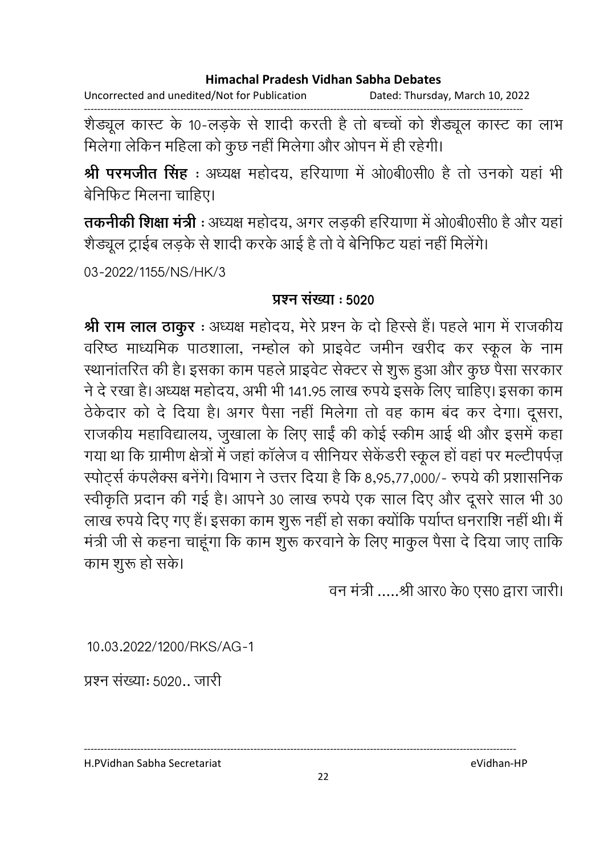Uncorrected and unedited/Not for Publication Dated: Thursday, March 10, 2022

शैड्यूल कास्ट के 10-लड़के से शादी करती है तो बच्चों को शैड्यूल कास्ट का लाभ मिलेगा लेकिन महिला को कुछ नहीं मिलेगा और ओपन में ही रहेगी।

श्री परमजीत सिंह : अध्यक्ष महोदय, हरियाणा में ओ0बी0सी0 है तो उनको यहां भी बेनिफिट मिलना चाहिए।

तकनीकी शिक्षा मंत्री : अध्यक्ष महोदय, अगर लड़की हरियाणा में ओ0बी0सी0 है और यहां शैड्यूल ट्राईब लड़के से शादी करके आई है तो वे बेनिफिट यहां नहीं मिलेंगे।

03-2022/1155/NS/HK/3

### प्रश्न संख्या : 5020

श्री राम लाल ठाकुर: अध्यक्ष महोदय, मेरे प्रश्न के दो हिस्से हैं। पहले भाग में राजकीय वरिष्ठ माध्यमिक पाठशाला, नम्होल को प्राइवेट जमीन खरीद कर स्कूल के नाम स्थानांतरित की है। इसका काम पहले प्राइवेट सेक्टर से शुरू हुआ और कुछ पैसा सरकार ने दे रखा है। अध्यक्ष महोदय, अभी भी 141.95 लाख रुपये इसके लिए चाहिए। इसका काम ठेकेदार को दे दिया है। अगर पैसा नहीं मिलेगा तो वह काम बंद कर देगा। दूसरा, राजकीय महाविद्यालय, जुखाला के लिए साईं की कोई स्कीम आई थी और इसमें कहा गया था कि ग्रामीण क्षेत्रों में जहां कॉलेज व सीनियर सेकेंडरी स्कूल हों वहां पर मल्टीपर्पज़ स्पोर्ट्स कंपलैक्स बनेंगे। विभाग ने उत्तर दिया है कि 8,95,77,000/- रुपये की प्रशासनिक स्वीकृति प्रदान की गई है। आपने 30 लाख रुपये एक साल दिए और दूसरे साल भी 30 लाख रुपये दिए गए हैं। इसका काम शुरू नहीं हो सका क्योंकि पर्याप्त धनराशि नहीं थी। मैं मंत्री जी से कहना चाहूंगा कि काम शुरू करवाने के लिए माकुल पैसा दे दिया जाए ताकि काम शुरू हो सके।

वन मंत्री .....श्री आर0 के0 एस0 द्वारा जारी।

10.03.2022/1200/RKS/AG-1

प्रश्न संख्या: 5020.. जारी

H.PVidhan Sabha Secretariat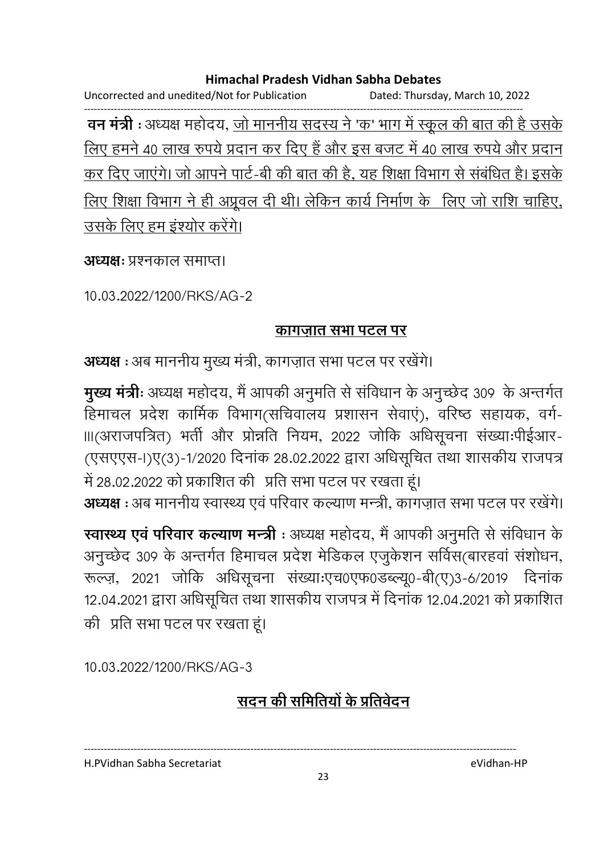Uncorrected and unedited/Not for Publication Dated: Thursday, March 10, 2022 ------------------------------------------------------------------------------------------------------------------------------------ **वन मंत्री** : अध्यक्ष महोदय, <u>जो माननीय सदस्य ने 'क' भाग में स्कूल की बात की है उसके</u> ' <u>लिए हमने 40 लाख रुपये प्रदान कर दिए हैं और इस बजट में 40 लाख रुपयें और प्रदान</u> कर दिए जाएंगे। जो आपने पार्ट-बी की बात की है. यह शिक्षा विभाग से संबंधित है। इसके <u>लिए शिक्षा विभाग ने ही अप्रूवल दी थी। लेकिन कार्य निर्माण के लिए जो राशि चाहिए, </u> <u>उसके लिए हम इश्योर करेंगे।</u>

**अध्यक्षः** प्रश्नकाल समाप्त।

10.03.2022/1200/RKS/AG-2

### <u>कागजात सभा पटल पर</u>

**अध्यक्ष** : अब माननीय मुख्य मंत्री, कांगज़ात सभा पटल पर रखेंगे।

**मुख्य मंत्रीः** अध्यक्ष महोदय, मै आपकी अनुमति से सर्विधान के अनुच्छेद 309 के अन्तर्गत हिमाचल प्रदेश कार्मिक विभाग(सर्चिवालय प्रशासन सेवाए), वरिष्ठ सहायक, वर्ग-॥।(अराजपत्रित) भर्ती और प्रोन्नति नियम, 2022 जोकि अधिसूचना संख्याःपीईआर-(एसएएस-I)ए(3)-1/2020 दिनांक 28.02.2022 द्वारा अधिसूचित तथा शासकीय राजपत्र में 28.02.2022 को प्रकाशित की प्रति सभा पटल पर रखता हूं।

**अध्यक्ष :** अब माननीय स्वास्थ्य एवं परिवार कल्याण मन्त्री, कांगज़ात सभा पटल पर रखेंगे।

**स्वास्थ्य एव परिवार कल्याण मन्त्री** : अध्यक्ष महोदय, मैं आपकी अनुमति से सर्विधान के अनुच्छेद 309 के अन्तर्गत हिमाचल प्रदेश मेडिकल एजुर्कशन सर्विस(बारहवा संशोधन, रूल्ज़, 2021 जोकि अधिसूचना संख्याःएच0एफ0डब्ल्यू0-बी(ए)3-6/2019 दिनांक 12.04.2021 द्वारा अधिसूचित तथा शासकीय राजपत्र में दिनाक 12.04.2021 को प्रकाशित की प्रति सभा पटल पर रखता हूं।

10.03.2022/1200/RKS/AG-3

## <u>सदन की समितियों के प्रतिवेदन</u>

H.PVidhan Sabha Secretariat eVidhan-HP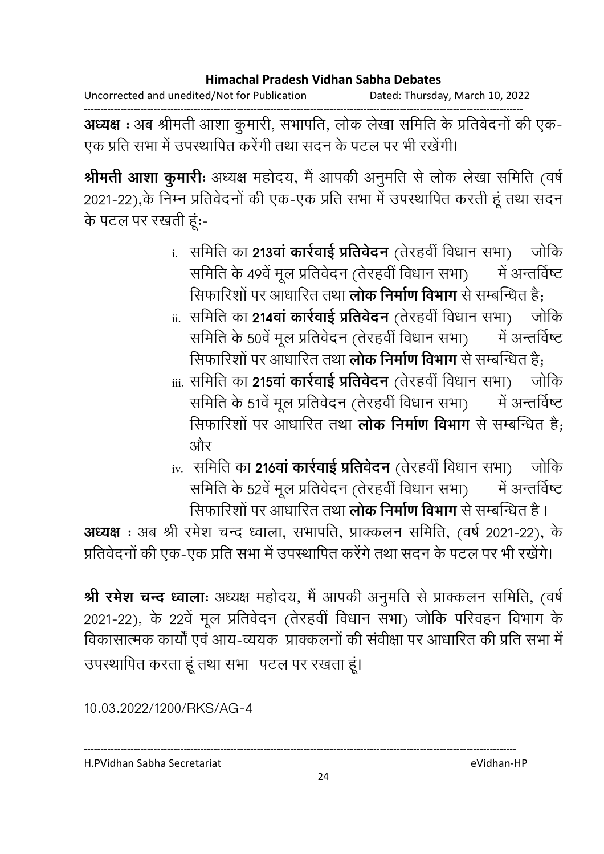Uncorrected and unedited/Not for Publication Dated: Thursday, March 10, 2022

------------------------------------------------------------------------------------------------------------------------------------ **अध्यक्ष** : अब श्रीमती आशा कुमारी, सभापति, लोक लेखा समिति के प्रतिवेदनों की एक-एक प्रति सभा में उपस्थापित करेगी तथा सदन के पटल पर भी रखेगी।

**श्रीमती आशा कुमारीः** अध्यक्ष महोदय, मैं आपकी अनुमति से लोक लेखा समिति (वर्षे 2021-22),के निम्न प्रतिवेदनों की एक-एक प्रति सभा में उपस्थापित करती हूं तथा सदन के पटल पर रखती हूं:-

- <u>i</u>. समिति का **213वा कार्रवाई प्रतिवेदन** (तेरहवी विधान सभा) जोकि समिति के ४९वे मूल प्रतिवेदन (तेरहवी विधान सभा) — मे में अन्तर्विष्ट सिफारिशों पर आधारित तथा **लोक निर्माण विभाग** से सम्बन्धित है;
- $_{\rm ii.}$  समिति का 214वा कार्रवाई प्रतिवेदन (तेरहवी विधान सभा) जोकि समिति के 50वें मूल प्रतिवेदन (तेरहवी विधान सभा) मे में अन्तर्विष्ट सिफारिशों पर आधारित तथा **लोक निर्माण विभाग** से सम्बन्धित है;
- $_{\rm iii.}$  समिति का 215वा कार्रवाई प्रतिवेदन (तेरहवी विधान सभा) जोकि । समिति के 51वें मूल प्रतिवेदन (तेरहवी विधान सभा) मे में अन्तर्विष्ट सिफारिशो पर आधारित तथा **लोक निर्माण विभाग** से सम्बन्धित है; .और
- <u>i</u>v. समिति का **216वा कार्रवाई प्रतिवेदन** (तेरहवी विधान सभा) जोकि समिति के 52वें मूल प्रतिवेदन (तेरहवी विधान सभा) मे में अन्तर्विष्ट सिफारिशो पर आधारित तथा **लोक निर्माण विभाग** से सम्बन्धित है ।

**अध्यक्ष** : अब श्री रमेश चन्द ध्वाला, सभापति, प्राक्कलन समिति, (वर्ष 2021-22), के प्रतिवेदनों की एक-एक प्रति सभा में उपस्थापित करेंगे तथा सदन के पटल पर भी रखेंगे।

**श्री रमेश चन्द ध्वालाः** अध्यक्ष महोदय, मै आपकी अनुमति से प्राक्कलन समिति, (वर्षे) 2021-22), के 22वें मूल प्रतिवेदन (तेरहवी विधान सभा) जोकि परिवहन विभाग के विकासात्मक कार्यो एवं आय-व्ययक प्राक्कलनो की सर्वीक्षा पर आधारित की प्रति सभा मे उपस्थापित करता हूं तथा सभा पटल पर रखता हूं।

10.03.2022/1200/RKS/AG-4

H.PVidhan Sabha Secretariat eVidhan-HP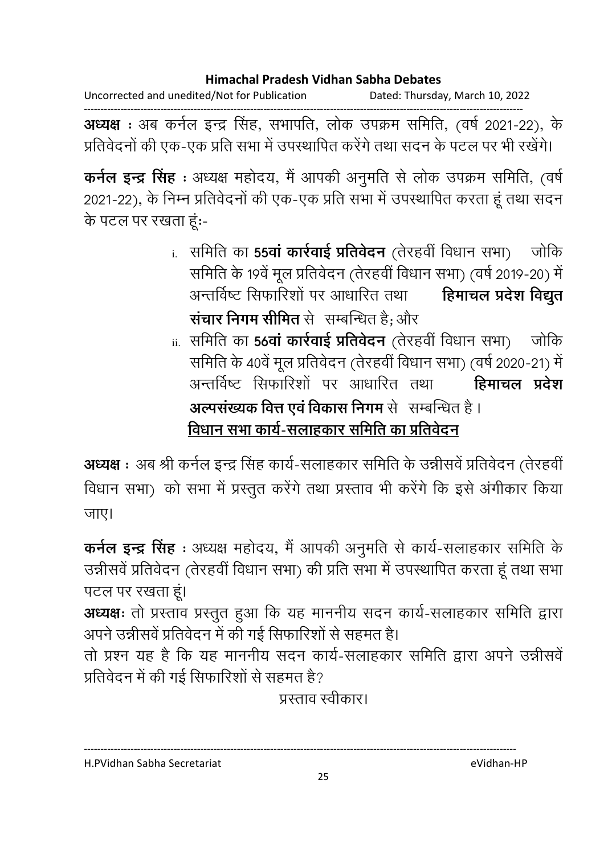Uncorrected and unedited/Not for Publication Dated: Thursday, March 10, 2022

------------------------------------------------------------------------------------------------------------------------------------ **अध्यक्ष** : अब कर्नल इन्द्र सिंह, सभापति, लोक उपक्रम समिति, (वर्ष 2021-22), के प्रतिवेदनों की एक-एक प्रति सभा में उपस्थापित करेंगे तथा सदन के पटल पर भी रखेंगे।

**कर्नल इन्द्र सिंह** : अध्यक्ष महोदय, मै आपकी अनुमति से लोक उपक्रम समिति, (वर्ष) 2021-22), के निम्न प्रतिवेदनों की एक-एक प्रति सभा में उपस्थापित करता हूं तथा सदन के पटल पर रखता हूं:-

- <u>i. समिति का **55वा कार्रवाई प्रतिवेदन** (तेरहवी विधान सभा) जोकि</u> समिति के 19वें मूल प्रतिवेदन (तेरहवी विधान सभा) (वर्ष 2019-20) में | अन्तर्विष्ट सिफारिशों पर आधारित तथा हेमाचल प्रदेश विद्युत **सचार निगम सीमित** से सम्बन्धित हैं; और
- $_{\rm ii.}$  समिति का **56वा कार्रवाई प्रतिवेदन** (तेरहवी विधान सभा) जोकि समिति के 40वे मूल प्रतिवेदन (तेरहवी विधान सभा) (वर्ष 2020-21) में अन्तर्विष्ट् सिफारिशों पर आधारित तथा हेमाचल प्रदेश **अल्पसंख्यक वित्त एवं विकास निगम** से सम्बन्धित हैं । <u>विधान सभा कार्य-सलाहकार समिति का प्रतिवेदन</u>

**अध्यक्ष** : अब श्री कर्नल इन्द्र सिंह कार्य-सलाहकार समिति के उन्नीसर्व प्रतिवेदन (तेरहवी) विधान सभा) को सभा में प्रस्तुत करेंगे तथा प्रस्ताव भी करेंगे कि इसे अंगीकार किया जाए।

**कर्नल इन्द्र सिंह** : अध्यक्ष महोदय, मैं आपकी अनुमति से कार्य-सलाहकार समिति के उन्नीसर्व प्रतिवेदन (तेरहवी विधान सभा) की प्रति सभा में उपस्थापित करता हूं तथा सभा पटल पर रखता हूं।

**अध्यक्षः** तो प्रस्ताव प्रस्तुत हुआ कि यह माननीय सदन कार्य-सलाहकार समिति द्वारा अपने उन्नीसवे प्रतिवेदन में की गई सिफारिशों से सहमत हैं।

तो प्रश्न यह है कि यह माननीय सदन कार्य-सलाहकार समिति द्वारा अपने उन्नीसर्व प्रतिवेदन में की गई सिफारिशों से सहमत हैं?

प्रस्ताव स्वीकार।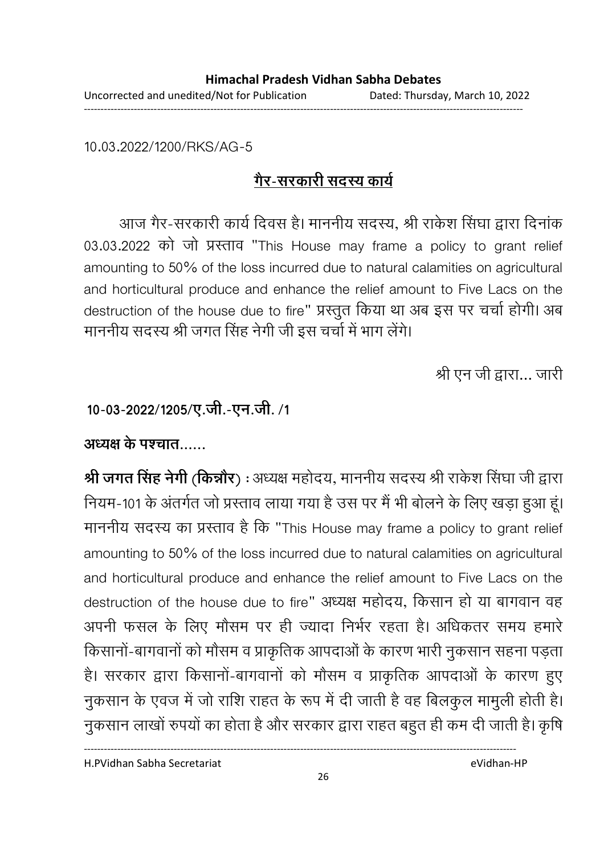10.03.2022/1200/RKS/AG-5

## <u>गैर-सरकारी सदस्य कार्य</u>

आज गैर-सरकारी कार्य दिवस है। माननीय सदस्य, श्री राकेश सिंघा द्वारा दिनाक 03.03.2022 को जो प्रस्ताव "This House may frame a policy to grant relief amounting to 50% of the loss incurred due to natural calamities on agricultural and horticultural produce and enhance the relief amount to Five Lacs on the destruction of the house due to fire" प्रस्तुत किया था अब इस पर चर्चा होगी। अब माननीय सदस्य श्री जगत सिंह नेगी जी इस चर्चा में भाग लेगे।

श्री एन जी द्वारा... जारी

10-03-2022/1205/ए.जी.-एन.जी. /1

अध्यक्ष के पश्चात……

**श्री जगत सिंह नेगी (किन्नौर)** : अध्यक्ष महोदय, माननीय सदस्य श्री राकेश सिंघा जी द्वारा नियम-101 के अंतर्गत जो प्रस्ताव लाया गया है उस पर मैं भी बोलने के लिए खड़ा हुआ हूं। माननीय सदस्य का प्रस्ताव है कि "This House may frame a policy to grant relief amounting to 50% of the loss incurred due to natural calamities on agricultural and horticultural produce and enhance the relief amount to Five Lacs on the destruction of the house due to fire" अध्यक्ष महोदय, किसान हो या बागवान वह अपनी फसल के लिए मौसम पर ही ज्यादा निभेर रहता है। अधिकतर समय हमारे किसानो-बागवानों को मौसम व प्राकृतिक आपदाओं के कारण भारी नुकसान सहना पड़ता हैं। सरकार द्वारा किसानों-बागवानों को मौसम व प्राकृतिक आपदाओं के कारण हुए नुकसान के एवज में जो राशि राहत के रूप में दी जाती है वह बिलकुल मामुली होती है। नुकसान लाखों रुपयों का होता है और सरकार द्वारा राहत बहुत ही कम दी जाती है। कृषि

H.PVidhan Sabha Secretariat eVidhan-HP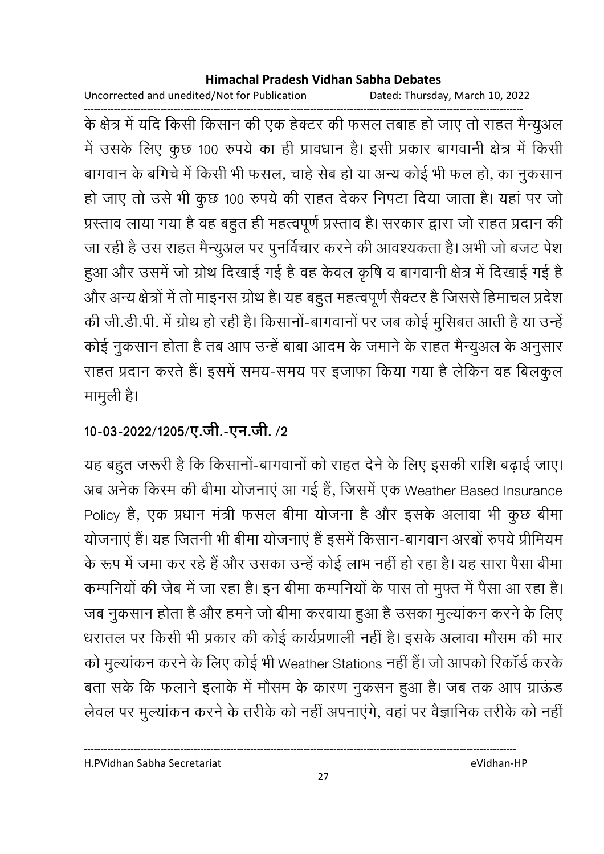Uncorrected and unedited/Not for Publication Dated: Thursday, March 10, 2022

------------------------------------------------------------------------------------------------------------------------------------ के क्षेत्र में यदि किसी किसान की एक हेक्टर की फसल तबाह हो जाए तो राहत मैन्युअल में उसके लिए कुछ 100 रुपये का ही प्रावधान है। इसी प्रकार बागवानी क्षेत्र में किसी बागवान के बगिचे में किसी भी फसल, चाहें सेब हो या अन्य कोई भी फल हो, का नुकसान हो जाए तो उसे भी कुछ 100 रुपये की राहत देकर निपटा दिया जाता है। यहां पर जो प्रस्ताव लाया गया है वह बहुत ही महत्वपूर्ण प्रस्ताव है। सरकार द्वारा जो राहत प्रदान की जा रही है उस राहत मैन्युअल पर पुनविचार करने की आवश्यकता है। अभी जो बजट पेश हुआ और उसमें जो ग्रोथ दिखाई गई है वह केवल कृषि व बागवानी क्षेत्र में दिखाई गई हैं। और अन्य क्षेत्रों में तो माइनस ग्रोथ है। यह बहुत महत्वपूर्ण सैक्टर है जिससे हिमाचल प्रदेश की जी.डी.पी. में ग्रोथ हो रही है। किसानो-बागवानों पर जब कोई मुसिबत आती है या उन्हें कोई नुकसान होता है तब आप उन्हें बाबा आदम के जमाने के राहत मैन्युअल के अनुसार राहत प्रदान करते हैं। इसमें समय-समय पर इजाफा किया गया है लेकिन वह बिलकुल मामुली है।

## 10-03-2022/1205/ए.जी.-एन.जी. /2

यह बहुत जरूरी है कि किसानों-बागवानों को राहत देने के लिए इसकी राशि बढ़ाई जाए। अब अनेक किस्म की बीमा योजनाए आ गई है, जिसमें एक Weather Based Insurance Policy है, एक प्रधान मंत्री फसल बीमा योजना है और इसके अलावा भी कुछ बीमा योजनाए हैं। यह जितनी भी बीमा योजनाए है इसमें किसान-बागवान अरबो रुपये प्रीमियम के रूप में जमा कर रहे हैं और उसका उन्हें कोई लाभ नहीं हो रहा है। यह सारा पैसा बीमा कम्पनियों की जेब में जा रहा है। इन बीमा कम्पनियों के पास तो मुफ्त में पैसा आ रहा है। जब नुकसान होता है और हमने जो बीमा करवाया हुआ है उसका मुल्याकन करने के लिए धरातल पर किसी भी प्रकार की कोई कार्यप्रणाली नहीं है। इसके अलावा मौसम की मार को मुल्याकन करने के लिए कोई भी Weather Stations नहीं है। जो आपको रिकार्ड करके बता सके कि फलाने इलाके में मौसम के कारण नुकसन हुआ है। जब तक आप ग्राऊंड लेवल पर मुल्याकन करने के तरीके को नहीं अपनाएंगे, वहां पर वैज्ञानिक तरीके को नहीं।

H.PVidhan Sabha Secretariat eVidhan-HP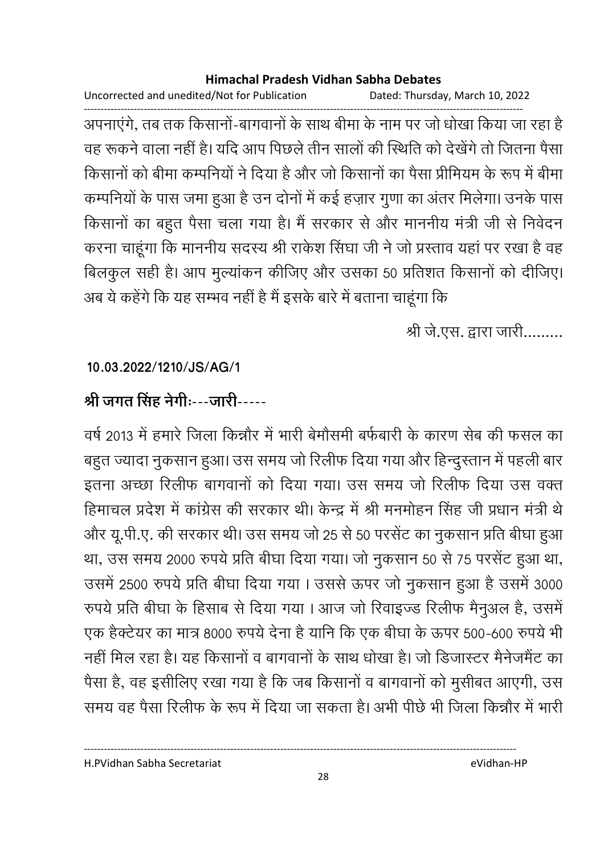Uncorrected and unedited/Not for Publication Dated: Thursday, March 10, 2022

अपनाएंगे, तब तक किसानों-बागवानों के साथ बीमा के नाम पर जो धोखा किया जा रहा है वह रूकने वाला नहीं है। यदि आप पिछले तीन सालों की स्थिति को देखेंगे तो जितना पैसा किसानों को बीमा कम्पनियों ने दिया है और जो किसानों का पैसा प्रीमियम के रूप में बीमा कम्पनियों के पास जमा हुआ है उन दोनों में कई हज़ार गुणा का अंतर मिलेगा। उनके पास किसानों का बहुत पैसा चला गया है। मैं सरकार से और माननीय मंत्री जी से निवेदन करना चाहूंगा कि माननीय सदस्य श्री राकेश सिंघा जी ने जो प्रस्ताव यहां पर रखा है वह बिलकुल सही है। आप मुल्यांकन कीजिए और उसका 50 प्रतिशत किसानों को दीजिए। अब ये कहेंगे कि यह सम्भव नहीं है मैं इसके बारे में बताना चाहूंगा कि

श्री जे.एस. द्वारा जारी.........

### 10.03.2022/1210/JS/AG/1

## श्री जगत सिंह नेगीः---जारी-----

वर्ष 2013 में हमारे जिला किन्नौर में भारी बेमौसमी बर्फबारी के कारण सेब की फसल का बहुत ज्यादा नुकसान हुआ। उस समय जो रिलीफ दिया गया और हिन्दुस्तान में पहली बार इतना अच्छा रिलीफ बागवानों को दिया गया। उस समय जो रिलीफ दिया उस वक्त हिमाचल प्रदेश में कांग्रेस की सरकार थी। केन्द्र में श्री मनमोहन सिंह जी प्रधान मंत्री थे और यू.पी.ए. की सरकार थी। उस समय जो 25 से 50 परसेंट का नुकसान प्रति बीघा हुआ था, उस समय 2000 रुपये प्रति बीघा दिया गया। जो नुकसान 50 से 75 परसेंट हुआ था, उसमें 2500 रुपये प्रति बीघा दिया गया। उससे ऊपर जो नुकसान हुआ है उसमें 3000 रुपये प्रति बीघा के हिसाब से दिया गया। आज जो रिवाइज्ड रिलीफ मैनुअल है, उसमें एक हैक्टेयर का मात्र 8000 रुपये देना है यानि कि एक बीघा के ऊपर 500-600 रुपये भी नहीं मिल रहा है। यह किसानों व बागवानों के साथ धोखा है। जो डिजास्टर मैनेजमैंट का पैसा है, वह इसीलिए रखा गया है कि जब किसानों व बागवानों को मुसीबत आएगी, उस समय वह पैसा रिलीफ के रूप में दिया जा सकता है। अभी पीछे भी जिला किन्नौर में भारी

H.PVidhan Sabha Secretariat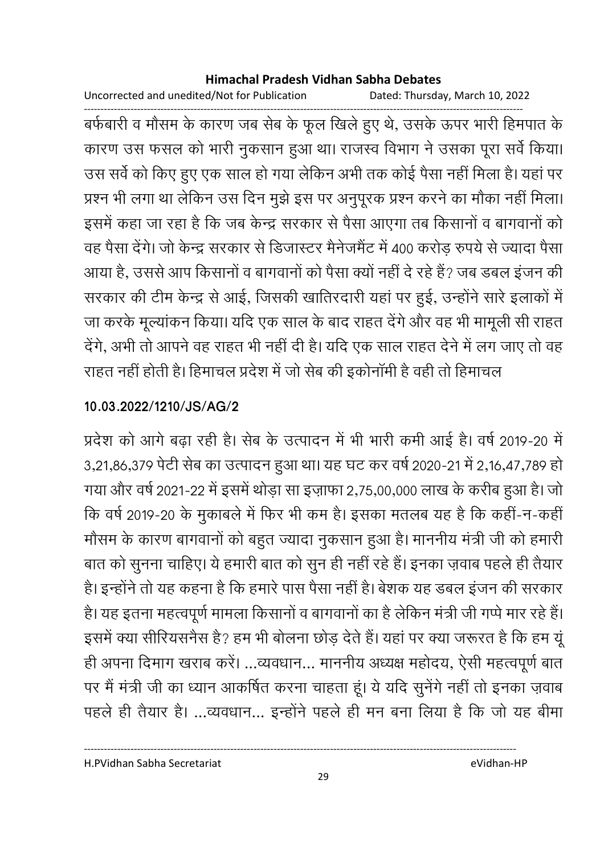Uncorrected and unedited/Not for Publication Dated: Thursday, March 10, 2022

बर्फबारी व मौसम के कारण जब सेब के फूल खिले हुए थे, उसके ऊपर भारी हिमपात के कारण उस फसल को भारी नुकसान हुआ था। राजस्व विभाग ने उसका पूरा सर्वे किया। उस सर्वे को किए हुए एक साल हो गया लेकिन अभी तक कोई पैसा नहीं मिला है। यहां पर प्रश्न भी लगा था लेकिन उस दिन मुझे इस पर अनुपूरक प्रश्न करने का मौका नहीं मिला। इसमें कहा जा रहा है कि जब केन्द्र सरकार से पैसा आएगा तब किसानों व बागवानों को वह पैसा देंगे। जो केन्द्र सरकार से डिजास्टर मैनेजमैंट में 400 करोड़ रुपये से ज्यादा पैसा आया है, उससे आप किसानों व बागवानों को पैसा क्यों नहीं दे रहे हैं? जब डबल इंजन की सरकार की टीम केन्द्र से आई, जिसकी खातिरदारी यहां पर हुई, उन्होंने सारे इलाकों में जा करके मूल्यांकन किया। यदि एक साल के बाद राहत देंगे और वह भी मामूली सी राहत देंगे, अभी तो आपने वह राहत भी नहीं दी है। यदि एक साल राहत देने में लग जाए तो वह राहत नहीं होती है। हिमाचल प्रदेश में जो सेब की इकोनॉमी है वही तो हिमाचल

### 10.03.2022/1210/JS/AG/2

प्रदेश को आगे बढ़ा रही है। सेब के उत्पादन में भी भारी कमी आई है। वर्ष 2019-20 में 3,21,86,379 पेटी सेब का उत्पादन हुआ था। यह घट कर वर्ष 2020-21 में 2,16,47,789 हो गया और वर्ष 2021-22 में इसमें थोड़ा सा इज़ाफा 2,75,00,000 लाख के करीब हुआ है। जो कि वर्ष 2019-20 के मुकाबले में फिर भी कम है। इसका मतलब यह है कि कहीं-न-कहीं मौसम के कारण बागवानों को बहुत ज्यादा नुकसान हुआ है। माननीय मंत्री जी को हमारी बात को सुनना चाहिए। ये हमारी बात को सुन ही नहीं रहे हैं। इनका ज़वाब पहले ही तैयार है। इन्होंने तो यह कहना है कि हमारे पास पैसा नहीं है। बेशक यह डबल इंजन की सरकार है। यह इतना महत्वपूर्ण मामला किसानों व बागवानों का है लेकिन मंत्री जी गप्पे मार रहे हैं। इसमें क्या सीरियसनैस है? हम भी बोलना छोड़ देते हैं। यहां पर क्या जरूरत है कि हम यूं ही अपना दिमाग खराब करें। ...व्यवधान... माननीय अध्यक्ष महोदय, ऐसी महत्वपूर्ण बात पर मैं मंत्री जी का ध्यान आकर्षित करना चाहता हूं। ये यदि सुनेंगे नहीं तो इनका ज़वाब पहले ही तैयार है। ...व्यवधान... इन्होंने पहले ही मन बना लिया है कि जो यह बीमा

eVidhan-HP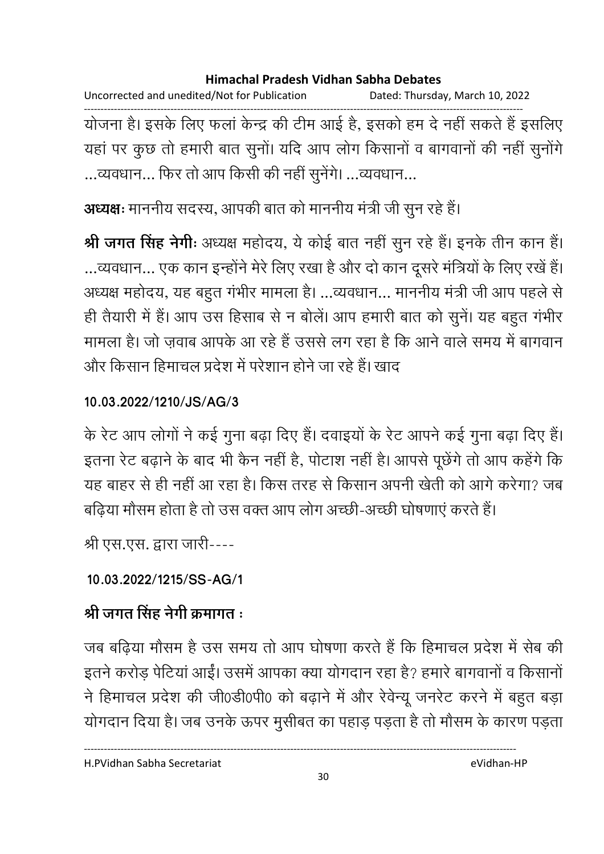Uncorrected and unedited/Not for Publication Dated: Thursday, March 10, 2022 ------------------------------------------------------------------------------------------------------------------------------------ योजना है। इसके लिए फला केन्द्र की टीम आई है, इसको हम दे नहीं सकते हैं इसलिए यहाँ पर कुछ तो हमारी बात सुनी। यदि आप लोग किसानों व बागवानों की नहीं सुनोंगें ...व्यवधान... फिर तो आप किसी की नहीं सुनेंगे। ...व्यवधान...

**अध्यक्षः** माननीय सदस्य, आपकी बात को माननीय मंत्री जी सुन रहे हैं।

**श्री जगत सिंह नेगीः** अध्यक्ष महोदय, ये कोई बात नहीं सुन रहे हैं। इनके तीन कान हैं। …व्यवधान… एक कान इन्होंने मेरे लिए रखा है और दो कान दूसरे मंत्रियों के लिए रखे हैं। अध्यक्ष महोदय, यह बहुत गर्भीर मामला है। …व्यवधान… माननीय मंत्री जी आप पहले से ही तैयारी में हैं। आप उस हिसाब से न बोले। आप हमारी बात को सुने। यह बहुत गभीर मामला है। जो ज़वाब आपके आ रहे है उससे लग रहा है कि आने वाले समय में बागवान और किसान हिमाचल प्रदेश में परेशान होने जा रहे हैं। खाद

### **10.03.2022/1210/JS/AG/3**

के रेट आप लोगों ने कई गुना बढ़ा दिए हैं। दवाइयों के रेट आपने कई गुना बढ़ा दिए हैं। इतना रेट बढ़ाने के बाद भी कैन नहीं है, पोटाश नहीं है। आपसे पूछेंगे तो आप कहेंगे कि यह बाहर से ही नहीं आ रहा है। किस तरह से किसान अपनी खेती को आगे करेगा? जब बढ़िया मौसम होता है तो उस वक्त आप लोग अच्छी-अच्छी घोषणाएं करते हैं।

श्री एस.एस. द्वारा जारी----

## **10.03.2022/1215/SS-AG/1**

## श्री जगत सिंह नेगी क्रमांगत **:**

जब बढ़िया मौसम है उस समय तो आप घोषणा करते हैं कि हिमाचल प्रदेश में सेब की इतने करोड़ पेंटिया आई। उसमें आपका क्या योगदान रहा है? हमारे बागवानों व किसानों ने हिमाचल प्रदेश की जी0डी0पी0 को बढ़ाने में और रेवेन्यू जनरेट करने में बहुत बड़ा योगदान दिया है। जब उनके ऊपर मुसीबत का पहाड़ पड़ता है तो मौसम के कारण पड़ता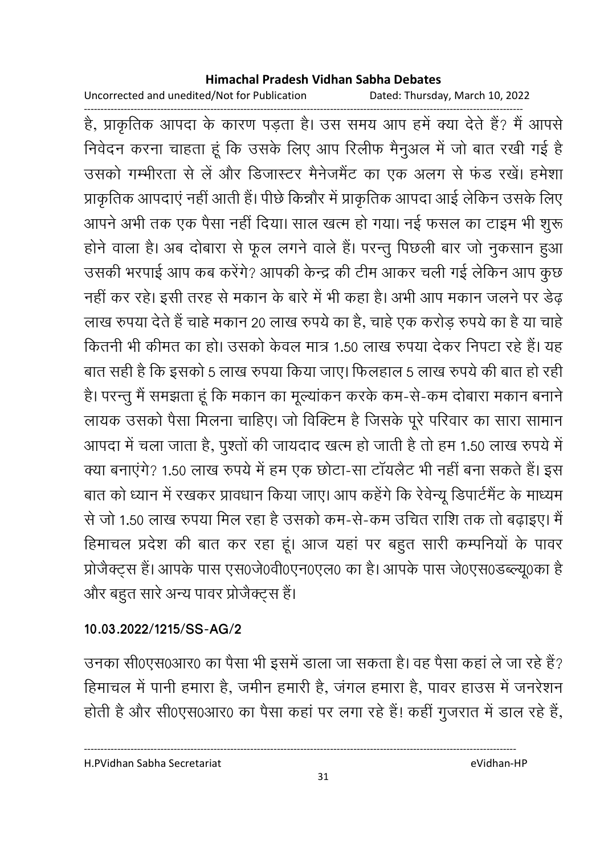Uncorrected and unedited/Not for Publication

Dated: Thursday, March 10, 2022

है, प्राकृतिक आपदा के कारण पड़ता है। उस समय आप हमें क्या देते हैं? मैं आपसे निवेदन करना चाहता हूं कि उसके लिए आप रिलीफ मैनुअल में जो बात रखी गई है उसको गम्भीरता से लें और डिजास्टर मैनेजमैंट का एक अलग से फंड रखें। हमेशा प्राकृतिक आपदाएं नहीं आती हैं। पीछे किन्नौर में प्राकृतिक आपदा आई लेकिन उसके लिए आपने अभी तक एक पैसा नहीं दिया। साल खत्म हो गया। नई फसल का टाइम भी शुरू होने वाला है। अब दोबारा से फूल लगने वाले हैं। परन्तू पिछली बार जो नुकसान हुआ उसकी भरपाई आप कब करेंगे? आपकी केन्द्र की टीम आकर चली गई लेकिन आप कुछ नहीं कर रहे। इसी तरह से मकान के बारे में भी कहा है। अभी आप मकान जलने पर डेढ लाख रुपया देते हैं चाहे मकान 20 लाख रुपये का है, चाहे एक करोड़ रुपये का है या चाहे कितनी भी कीमत का हो। उसको केवल मात्र 1.50 लाख रुपया देकर निपटा रहे हैं। यह बात सही है कि इसको 5 लाख रुपया किया जाए। फिलहाल 5 लाख रुपये की बात हो रही है। परन्तु मैं समझता हूं कि मकान का मूल्यांकन करके कम-से-कम दोबारा मकान बनाने लायक उसको पैसा मिलना चाहिए। जो विक्टिम है जिसके पूरे परिवार का सारा सामान आपदा में चला जाता है, पुश्तों की जायदाद खत्म हो जाती है तो हम 1.50 लाख रुपये में क्या बनाएंगे? 1.50 लाख रुपये में हम एक छोटा-सा टॉयलैट भी नहीं बना सकते हैं। इस बात को ध्यान में रखकर प्रावधान किया जाए। आप कहेंगे कि रेवेन्यू डिपार्टमैंट के माध्यम से जो 1.50 लाख रुपया मिल रहा है उसको कम-से-कम उचित राशि तक तो बढ़ाइए। मैं हिमाचल प्रदेश की बात कर रहा हूं। आज यहां पर बहुत सारी कम्पनियों के पावर प्रोजैक्ट्स हैं। आपके पास एस0जे0वी0एन0एल0 का है। आपके पास जे0एस0डब्ल्यू0का है और बहुत सारे अन्य पावर प्रोजैक्ट्स हैं।

### 10.03.2022/1215/SS-AG/2

उनका सी0एस0आर0 का पैसा भी इसमें डाला जा सकता है। वह पैसा कहां ले जा रहे हैं? हिमाचल में पानी हमारा है, जमीन हमारी है, जंगल हमारा है, पावर हाउस में जनरेशन होती है और सी0एस0आर0 का पैसा कहां पर लगा रहे हैं! कहीं गुजरात में डाल रहे हैं,

H.PVidhan Sabha Secretariat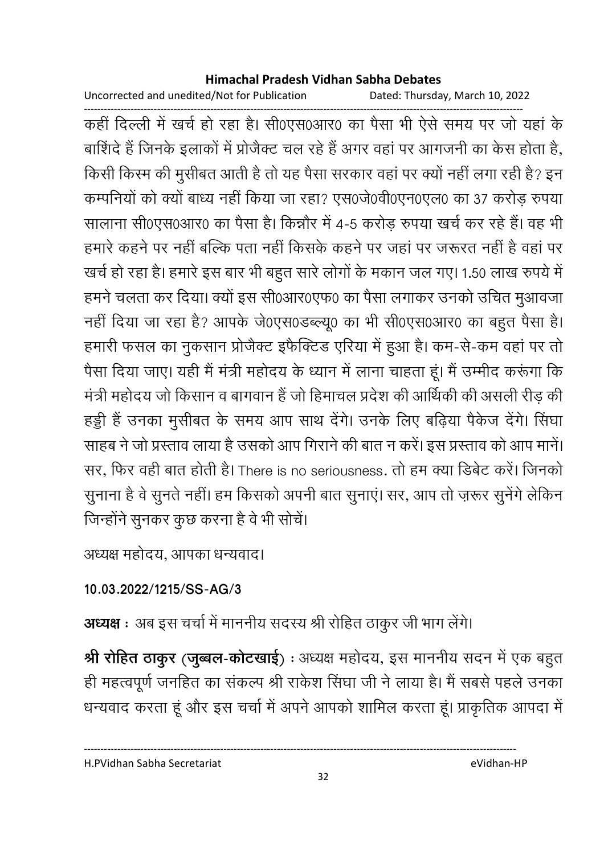Uncorrected and unedited/Not for Publication

Dated: Thursday, March 10, 2022

कहीं दिल्ली में खर्च हो रहा है। सी0एस0आर0 का पैसा भी ऐसे समय पर जो यहां के बाशिंदे हैं जिनके इलाकों में प्रोजैक्ट चल रहे हैं अगर वहां पर आगजनी का केस होता है, किसी किस्म की मुसीबत आती है तो यह पैसा सरकार वहां पर क्यों नहीं लगा रही है? इन कम्पनियों को क्यों बाध्य नहीं किया जा रहा? एस0जे0वी0एन0एल0 का 37 करोड़ रुपया सालाना सी0एस0आर0 का पैसा है। किन्नौर में 4-5 करोड़ रुपया खर्च कर रहे हैं। वह भी हमारे कहने पर नहीं बल्कि पता नहीं किसके कहने पर जहां पर जरूरत नहीं है वहां पर खर्च हो रहा है। हमारे इस बार भी बहुत सारे लोगों के मकान जल गए। 1.50 लाख रुपये में हमने चलता कर दिया। क्यों इस सी0आर0एफ0 का पैसा लगाकर उनको उचित मूआवजा नहीं दिया जा रहा है? आपके जे0एस0डब्ल्यू0 का भी सी0एस0आर0 का बहुत पैसा है। हमारी फसल का नुकसान प्रोजेक्ट इफैक्टिड एरिया में हुआ है। कम-से-कम वहां पर तो पैसा दिया जाए। यही मैं मंत्री महोदय के ध्यान में लाना चाहता हूं। मैं उम्मीद करूंगा कि मंत्री महोदय जो किसान व बागवान हैं जो हिमाचल प्रदेश की आर्थिकी की असली रीड की हड्डी हैं उनका मुसीबत के समय आप साथ देंगे। उनके लिए बढ़िया पैकेज देंगे। सिंघा साहब ने जो प्रस्ताव लाया है उसको आप गिराने की बात न करें। इस प्रस्ताव को आप मानें। सर, फिर वही बात होती है। There is no seriousness. तो हम क्या डिबेट करें। जिनको सुनाना है वे सुनते नहीं। हम किसको अपनी बात सुनाएं। सर, आप तो ज़रूर सुनेंगे लेकिन जिन्होंने सुनकर कुछ करना है वे भी सोचें।

अध्यक्ष महोदय, आपका धन्यवाद।

## 10.03.2022/1215/SS-AG/3

अध्यक्ष : अब इस चर्चा में माननीय सदस्य श्री रोहित ठाकुर जी भाग लेंगे।

श्री रोहित ठाकुर (जुब्बल-कोटखाई) : अध्यक्ष महोदय, इस माननीय सदन में एक बहुत ही महत्वपूर्ण जनहित का संकल्प श्री राकेश सिंघा जी ने लाया है। मैं सबसे पहले उनका धन्यवाद करता हूं और इस चर्चा में अपने आपको शामिल करता हूं। प्राकृतिक आपदा में

H.PVidhan Sabha Secretariat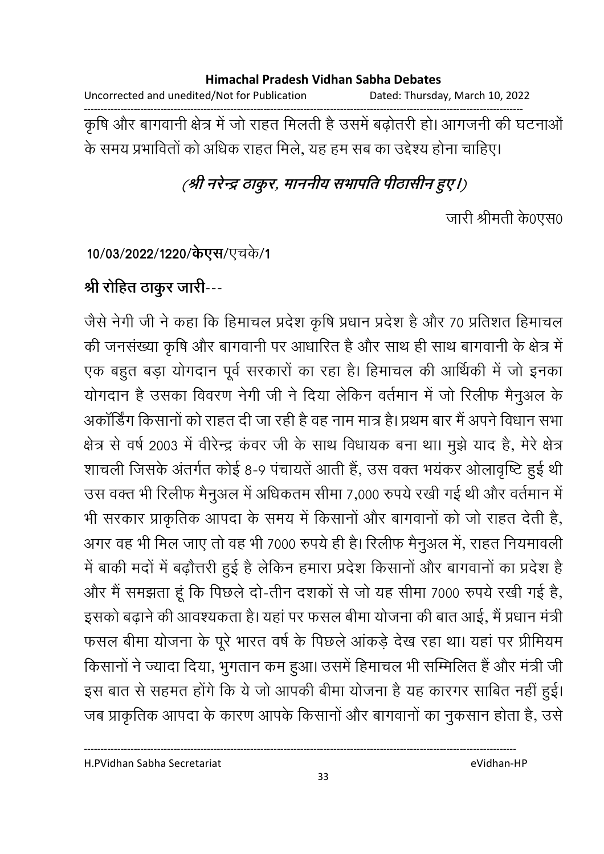### **Himachal Pradesh Vidhan Sabha Debates**  Uncorrected and unedited/Not for Publication Dated: Thursday, March 10, 2022 ------------------------------------------------------------------------------------------------------------------------------------ कृषि और बागवानी क्षेत्र में जो राहत मिलती है उसमें बढ़ोतरी हो। आगजनी की घटनाओं के समय प्रभावितों को अधिक राहत मिले, यह हम सब का उद्देश्य होना चाहिए।

## (श्री नरेन्द्र ठाकुर, माननीय सभापति पीठासीन हुए।)

जारी श्रीमती के0एस0

**10/03/2022/1220/केएस/**एचके/1

## <u>श्री रोहित ठाकुर जारी---</u>

जैसे नेगी जी ने कहा कि हिमाचल प्रदेश कृषि प्रधान प्रदेश है और 70 प्रतिशत हिमाचल की जनसंख्या कृषि और बागवानी पर आधारित है और साथ ही साथ बागवानी के क्षेत्र में एक बहुत बड़ा योगदान पूर्व सरकारों का रहा है। हिमाचल की आर्थिकी में जो इनका योगदान है उसका विवरण नेगी जी ने दिया लेकिन वर्तमान में जो रिलीफ मैनुअल के अकार्डिंग किसानों को राहत दी जा रही है वह नाम मात्र है। प्रथम बार मैं अपने विधान सभा क्षेत्र से वर्ष 2003 में वेरिन्द्र कवर जी के साथ विधायक बना था। मुझे याद है, मेरे क्षेत्र शाचली जिसके अंतर्गत कोई 8-9 पंचायतें आती हैं, उस वक्त भयंकर ओलावृष्टि हुई थी उस वक्त भी रिलीफ मैनुअल में अधिकतम सीमा 7,000 रुपये रखी गई थी और वर्तमान में भी सरकार प्राकृतिक आपदा के समय में किसानों और बागवानों को जो राहत देती है, अगर वह भी मिल जाए तो वह भी 7000 रुपये ही है। रिलीफ मैनुअल में, राहत नियमावली में बाकी मंदों में बढ़ौत्तरी हुई है लेकिन हमारा प्रदेश किसानों और बागवानों का प्रदेश हैं | और मैं समझता हूँ कि पिछले दो-तीन दशकों से जो यह सीमा 7000 रुपये रखी गई है, इसको बढ़ाने की आवश्यकता है। यहां पर फसल बीमा योजना की बात आई, मैं प्रधान मंत्री फसल बीमा योजना के पूरे भारत वर्ष के पिछले आकड़े देख रहा था। यहां पर प्रीमियम किसानों ने ज्यादा दिया, भुगतान कम हुआ। उसमें हिमाचल भी सम्मिलित है और मंत्री जी इस बात से सहमत होंगे कि ये जो आपकी बीमा योजना है यह कारंगर साबित नहीं हुई। जब प्राकृतिक आपदा के कारण आपके किसानों और बागवानों का नुकसान होता है, उसे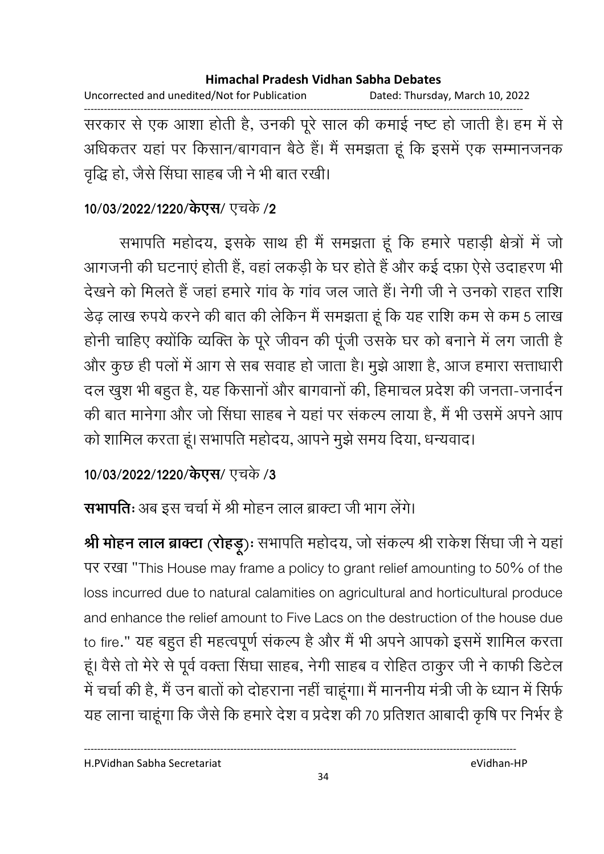Uncorrected and unedited/Not for Publication Dated: Thursday, March 10, 2022 सरकार से एक आशा होती है, उनकी पूरे साल की कमाई नष्ट हो जाती है। हम में से अधिकतर यहां पर किसान/बागवान बैठे हैं। मैं समझता हूं कि इसमें एक सम्मानजनक वृद्धि हो, जैसे सिंघा साहब जी ने भी बात रखी।

## 10/03/2022/1220/केएस/ एचके /2

सभापति महोदय, इसके साथ ही मैं समझता हूं कि हमारे पहाड़ी क्षेत्रों में जो आगजनी की घटनाएं होती हैं, वहां लकड़ी के घर होते हैं और कई दफ़ा ऐसे उदाहरण भी देखने को मिलते हैं जहां हमारे गांव के गांव जल जाते हैं। नेगी जी ने उनको राहत राशि डेढ़ लाख रुपये करने की बात की लेकिन मैं समझता हूं कि यह राशि कम से कम 5 लाख होनी चाहिए क्योंकि व्यक्ति के पूरे जीवन की पूंजी उसके घर को बनाने में लग जाती है और कुछ ही पलों में आग से सब सवाह हो जाता है। मुझे आशा है, आज हमारा सत्ताधारी दल खुश भी बहुत है, यह किसानों और बागवानों की, हिमाचल प्रदेश की जनता-जनार्दन की बात मानेगा और जो सिंघा साहब ने यहां पर संकल्प लाया है, मैं भी उसमें अपने आप को शामिल करता हूं। सभापति महोदय, आपने मुझे समय दिया, धन्यवाद।

## 10/03/2022/1220/केएस/ एचके /3

सभापतिः अब इस चर्चा में श्री मोहन लाल ब्राक्टा जी भाग लेंगे।

श्री मोहन लाल ब्राक्टा (रोहड़ू): सभापति महोदय, जो संकल्प श्री राकेश सिंघा जी ने यहां पर रखा "This House may frame a policy to grant relief amounting to 50% of the loss incurred due to natural calamities on agricultural and horticultural produce and enhance the relief amount to Five Lacs on the destruction of the house due to fire." यह बहुत ही महत्वपूर्ण संकल्प है और मैं भी अपने आपको इसमें शामिल करता हूं। वैसे तो मेरे से पूर्व वक्ता सिंघा साहब, नेगी साहब व रोहित ठाकुर जी ने काफी डिटेल में चर्चा की है, मैं उन बातों को दोहराना नहीं चाहूंगा। मैं माननीय मंत्री जी के ध्यान में सिर्फ यह लाना चाहूंगा कि जैसे कि हमारे देश व प्रदेश की 70 प्रतिशत आबादी कृषि पर निर्भर है

H.PVidhan Sabha Secretariat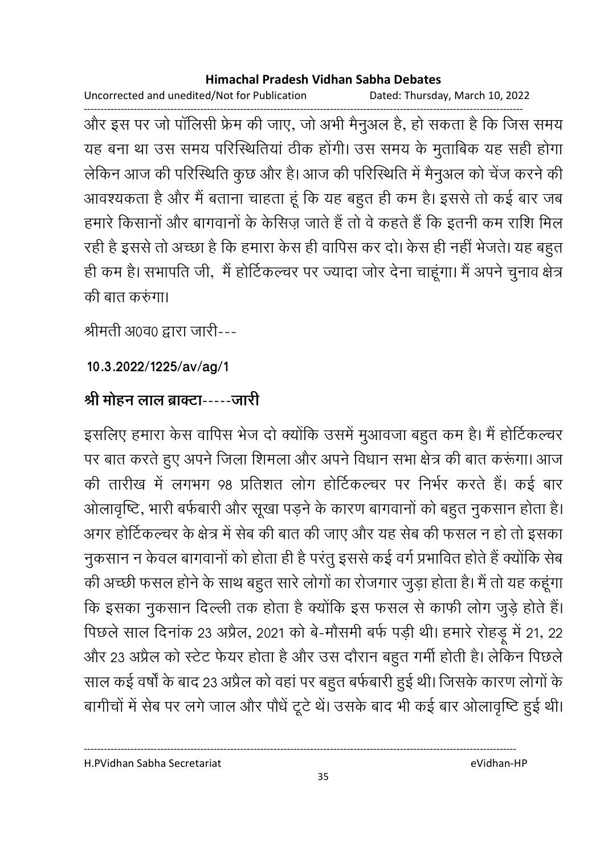Uncorrected and unedited/Not for Publication Dated: Thursday, March 10, 2022

------------------------------------------------------------------------------------------------------------------------------------ और इस पर जो पालिसी फ्रेम की जाए, जो अभी मैनुअल है, हो सकता है कि जिस समय यह बना था उस समय परिस्थितिया ठीक होगी। उस समय के मुताबिक यह सही होगा लेकिन आज की परिस्थिति कुछ और है। आज की परिस्थिति में मैनुअल को चेज करने की आवश्यकता है और मैं बताना चाहता हूं कि यह बहुत ही कम है। इससे तो कई बार जब हमारे किसानों और बागवानों के कैसिज़ जाते हैं तो वे कहते हैं कि इतनी कम राशि मिल रही है इससे तो अच्छा है कि हमारा केस ही वापिस कर दो। केस ही नहीं भेजते। यह बहुत हीं कम है। सभापति जी, मैं होटिकल्चर पर ज्यादा जोर देना चाहूँगा। मैं अपने चुनाव क्षेत्र की बात करुंगा।

श्रीमती अ0व0 द्वारा जारी---

**10.3.2022/1225/av/ag/1**

## श्री मोहन लाल ब्राक्टा-----जारी

इसलिए हमारा केस वापिस भेज दो क्योंकि उसमें मुआवजा बहुत कम है। मैं होटिकल्चर पर बात करते हुए अपने जिला शिमला और अपने विधान सभा क्षेत्र की बात करूगा। आज की तारीख में लगभग 98 प्रतिशत लोग होटिकल्चर पर निर्भर करते हैं। कई बार ओलावृष्टि, भारी बर्फबारी और सूखा पड़ने के कारण बागवानों को बहुत नुकसान होता है। अगर होटिकल्चर के क्षेत्र में सेब की बात की जाए और यह सेब की फसल न हो तो इसका नुकसान न केवल बागवानों को होता ही है परंतु इससे कई वर्ग प्रभावित होते हैं क्योंकि सेब की अच्छी फसल होने के साथ बहुत सारे लोगों का रोजगार जुड़ा होता है। मैं तो यह कहूंगा कि इसका नुकसान दिल्ली तक होता है क्योंकि इस फसल से काफी लोग जुड़े होते हैं। पिछले साल दिनाक 23 अप्रैल, 2021 को बे-मोसमी बर्फ पड़ी थी। हमारे रोहड़ू में 21, 22 और 23 अप्रैल को स्टेट फेयर होता है और उस दौरान बहुत गर्मी होती है। लेकिन पिछले साल कई वर्षों के बाद 23 अप्रैल को वहां पर बहुत बर्फबारी हुई थी। जिसके कारण लोगों के बागीचों में सेब पर लगे जाल और पौधे टूटे थे। उसके बाद भी कई बार ओलावृष्टि हुई थी।

H.PVidhan Sabha Secretariat eVidhan-HP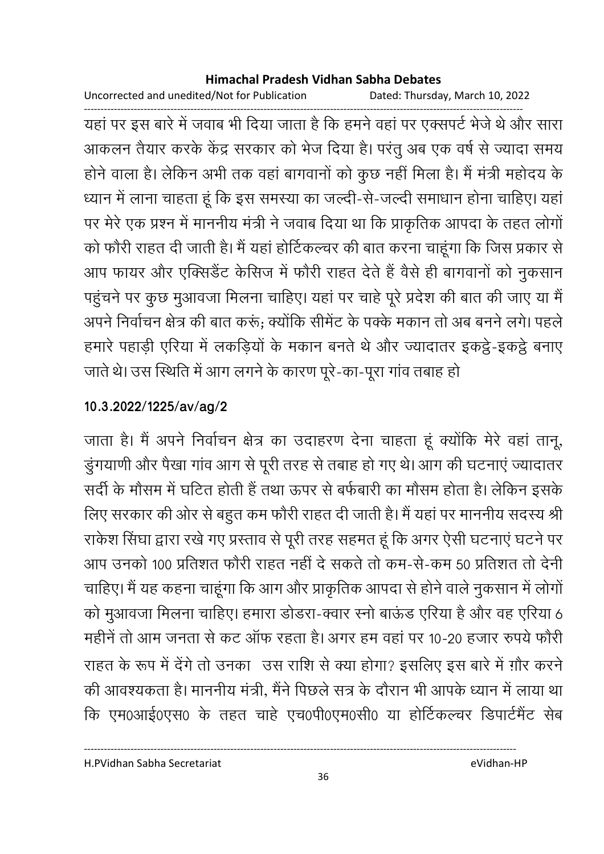Uncorrected and unedited/Not for Publication Dated: Thursday, March 10, 2022

यहां पर इस बारे में जवाब भी दिया जाता है कि हमने वहां पर एक्सपर्ट भेजे थे और सारा आकलन तैयार करके केंद्र सरकार को भेज दिया है। परंतु अब एक वर्ष से ज्यादा समय होने वाला है। लेकिन अभी तक वहां बागवानों को कुछ नहीं मिला है। मैं मंत्री महोदय के ध्यान में लाना चाहता हूं कि इस समस्या का जल्दी-से-जल्दी समाधान होना चाहिए। यहां पर मेरे एक प्रश्न में माननीय मंत्री ने जवाब दिया था कि प्राकृतिक आपदा के तहत लोगों को फौरी राहत दी जाती है। मैं यहां होर्टिकल्चर की बात करना चाहूंगा कि जिस प्रकार से आप फायर और एक्सिडेंट केसिज में फौरी राहत देते हैं वैसे ही बागवानों को नुकसान पहुंचने पर कुछ मुआवजा मिलना चाहिए। यहां पर चाहे पूरे प्रदेश की बात की जाए या मैं अपने निर्वाचन क्षेत्र की बात करूं; क्योंकि सीमेंट के पक्के मकान तो अब बनने लगे। पहले हमारे पहाड़ी एरिया में लकड़ियों के मकान बनते थे और ज्यादातर इकट्ठे-इकट्ठे बनाए जाते थे। उस स्थिति में आग लगने के कारण पूरे-का-पूरा गांव तबाह हो

### 10.3.2022/1225/av/ag/2

जाता है। मैं अपने निर्वाचन क्षेत्र का उदाहरण देना चाहता हूं क्योंकि मेरे वहां तानू, डुंगयाणी और पैखा गांव आग से पूरी तरह से तबाह हो गए थे। आग की घटनाएं ज्यादातर सर्दी के मौसम में घटित होती हैं तथा ऊपर से बर्फबारी का मौसम होता है। लेकिन इसके लिए सरकार की ओर से बहुत कम फौरी राहत दी जाती है। मैं यहां पर माननीय सदस्य श्री राकेश सिंघा द्वारा रखे गए प्रस्ताव से पूरी तरह सहमत हूं कि अगर ऐसी घटनाएं घटने पर आप उनको 100 प्रतिशत फौरी राहत नहीं दे सकते तो कम-से-कम 50 प्रतिशत तो देनी चाहिए। मैं यह कहना चाहूंगा कि आग और प्राकृतिक आपदा से होने वाले नुकसान में लोगों को मुआवजा मिलना चाहिए। हमारा डोडरा-क्वार स्नो बाऊंड एरिया है और वह एरिया 6 महीनें तो आम जनता से कट ऑफ रहता है। अगर हम वहां पर 10-20 हजार रुपये फौरी राहत के रूप में देंगे तो उनका उस राशि से क्या होगा? इसलिए इस बारे में ग़ौर करने की आवश्यकता है। माननीय मंत्री, मैंने पिछले सत्र के दौरान भी आपके ध्यान में लाया था कि एम0आई0एस0 के तहत चाहे एच0पी0एम0सी0 या होर्टिकल्चर डिपार्टमैंट सेब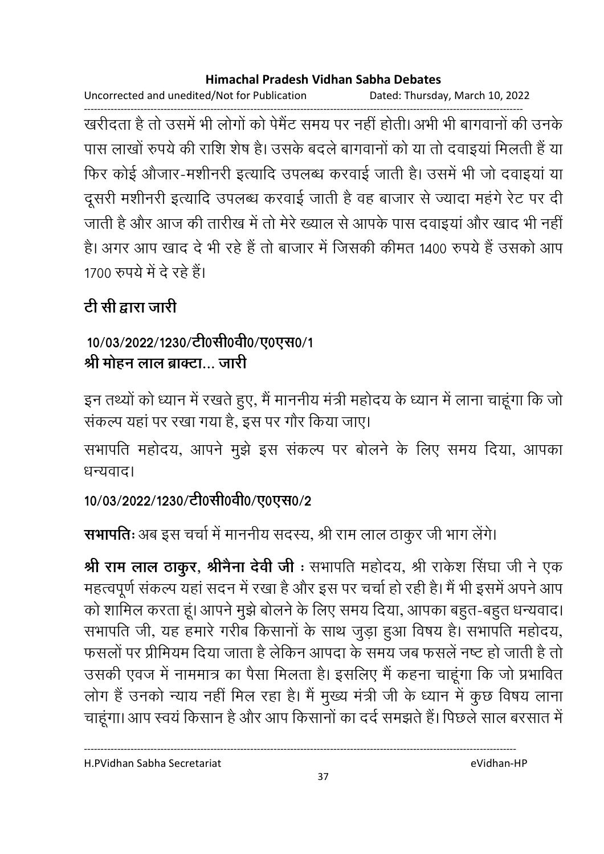Uncorrected and unedited/Not for Publication Dated: Thursday, March 10, 2022

खरीदता है तो उसमें भी लोगों को पेमैंट समय पर नहीं होती। अभी भी बागवानों की उनके पास लाखों रुपये की राशि शेष है। उसके बदले बागवानों को या तो दवाइयां मिलती हैं या फिर कोई औजार-मशीनरी इत्यादि उपलब्ध करवाई जाती है। उसमें भी जो दवाइयां या दूसरी मशीनरी इत्यादि उपलब्ध करवाई जाती है वह बाजार से ज्यादा महंगे रेट पर दी जाती है और आज की तारीख में तो मेरे ख्याल से आपके पास दवाइयां और खाद भी नहीं है। अगर आप खाद दे भी रहे हैं तो बाजार में जिसकी कीमत 1400 रुपये हैं उसको आप 1700 रुपये में दे रहे हैं।

# टी सी द्वारा जारी

## 10/03/2022/1230/टी0सी0वी0/ए0एस0/1 श्री मोहन लाल ब्राक्टा… जारी

इन तथ्यों को ध्यान में रखते हुए, मैं माननीय मंत्री महोदय के ध्यान में लाना चाहूंगा कि जो संकल्प यहां पर रखा गया है. इस पर गौर किया जाए।

सभापति महोदय, आपने मुझे इस संकल्प पर बोलने के लिए समय दिया, आपका धन्यवाद।

## 10/03/2022/1230/टी0सी0वी0/ए0एस0/2

सभापतिः अब इस चर्चा में माननीय सदस्य, श्री राम लाल ठाकुर जी भाग लेंगे।

श्री राम लाल ठाकुर, श्रीनैना देवी जी: सभापति महोदय, श्री राकेश सिंघा जी ने एक महत्वपूर्ण संकल्प यहां सदन में रखा है और इस पर चर्चा हो रही है। मैं भी इसमें अपने आप को शामिल करता हूं। आपने मुझे बोलने के लिए समय दिया, आपका बहुत-बहुत धन्यवाद। सभापति जी, यह हमारे गरीब किसानों के साथ जुड़ा हुआ विषय है। सभापति महोदय, फसलों पर प्रीमियम दिया जाता है लेकिन आपदा के समय जब फसलें नष्ट हो जाती है तो उसकी एवज में नाममात्र का पैसा मिलता है। इसलिए मैं कहना चाहूंगा कि जो प्रभावित लोग हैं उनको न्याय नहीं मिल रहा है। मैं मुख्य मंत्री जी के ध्यान में कुछ विषय लाना चाहूंगा। आप स्वयं किसान है और आप किसानों का दर्द समझते हैं। पिछले साल बरसात में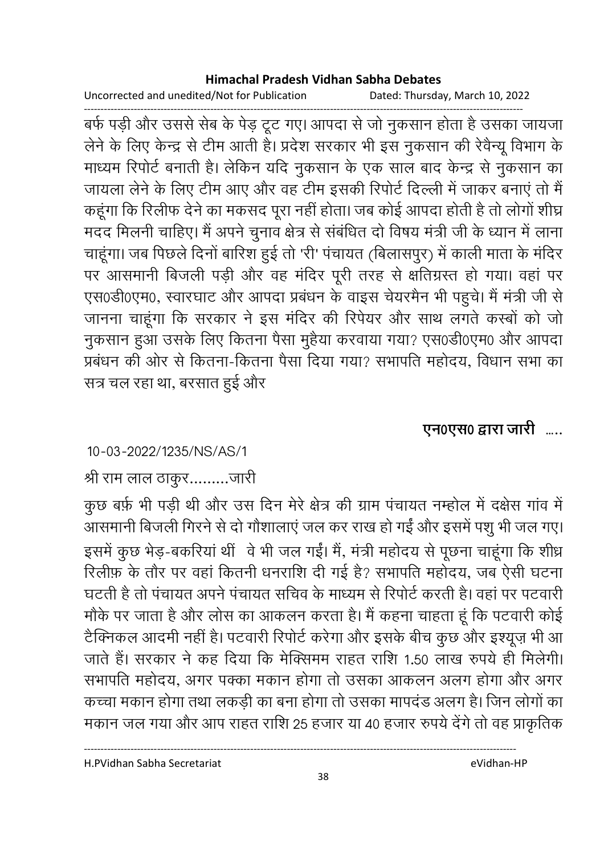Uncorrected and unedited/Not for Publication Dated: Thursday, March 10, 2022

------------------------------------------------------------------------------------------------------------------------------------ बर्फ पड़ी और उससे सेब के पेड़ टूट गए। आपदा से जो नुकसान होता है उसका जायजा लेने के लिए केन्द्र से टीम आती है। प्रदेश सरकार भी इस नुकसान की रेवैन्यू विभाग के माध्यम रिपोर्ट बनाती है। लेकिन यदि नुकसान के एक साल बाद केन्द्र से नुकसान का जायला लेने के लिए टीम आए और वह टीम इसकी रिपोर्ट दिल्ली में जाकर बनाए तो मैं कहूँगा कि रिलीफ देने का मकसद पूरा नहीं होता। जब कोई आपदा होती है तो लोगों शीघ्र मदद मिलनी चाहिए। मैं अपने चुनाव क्षेत्र से संबंधित दो विषय मंत्री जी के ध्यान में लाना-चाहूँगा। जब पिछले दिनो बारिश हुई तो 'री' पंचायत (बिलासपुर) में काली माता के मंदिर पर आसमानी बिजली पड़ी और वह मंदिर पूरी तरह से क्षतिग्रस्त हो गया। वहां पर एस0डी0एम0, स्वारघाट और आपदा प्रबंधन के वाइस चेयरमैन भी पहुंचे। मैं मंत्री जी से जानना चाहूंगा कि सरकार ने इस मंदिर की रिपेयर और साथ लगते कस्बों को जो नुकसान हुआ उसके लिए कितना पैसा मुहैया करवाया गया? एस0डी0एम0 और आपदा प्रबंधन की ओर से कितना-कितना पैसा दिया गया? सभापति महोदय, विधान सभा का सत्र चल रहा था, बरसात हुई और

## एन0एस0 द्वारा जारी …..

### 10-03-2022/1235/NS/AS/1

### श्री राम लाल ठाकुर……….जारी

कुछ बर्फ़ भी पड़ी थी और उस दिन मेरे क्षेत्र की ग्राम पंचायत नम्होल में दक्षेस गांव में आसमानी बिजली गिरने से दो गौशालाएं जल कर राख हो गई और इसमें पशु भी जल गए। इसमें कुछ भेड़-बकरिया थी वे भी जल गई। मैं, मंत्री महोदय से पूछना चाहूंगा कि शीध्र रिलीफ़ के तौर पर वहां कितनी धनराशि दी गई है? सभापति महोदय, जब ऐसी घटना घटती है तो पचायत अपने पचायत सचिव के माध्यम से रिपोर्ट करती है। वहां पर पटवारी मोंके पर जाता है और लोस का आकलन करता है। मैं कहना चाहता हूं कि पटवारी कोई टैक्निकल आदमी नहीं है। पटवारी रिपोर्ट करेगा और इसके बीच कुछ और इश्यूज़ भी आ जाते हैं। सरकार ने कह दिया कि मेक्सिमम राहत राशि 1.50 लाख रुपये ही मिलेगी। सभापति महोदय, अगर पक्का मकान होगा तो उसका आकलन अलग होगा और अगर कच्चा मकान होगा तथा लकड़ी का बना होगा तो उसका मापदंड अलग है। जिन लोगों का मकान जल गया और आप राहत राशि 25 हजार या 40 हजार रुपये देंगे तो वह प्राकृतिक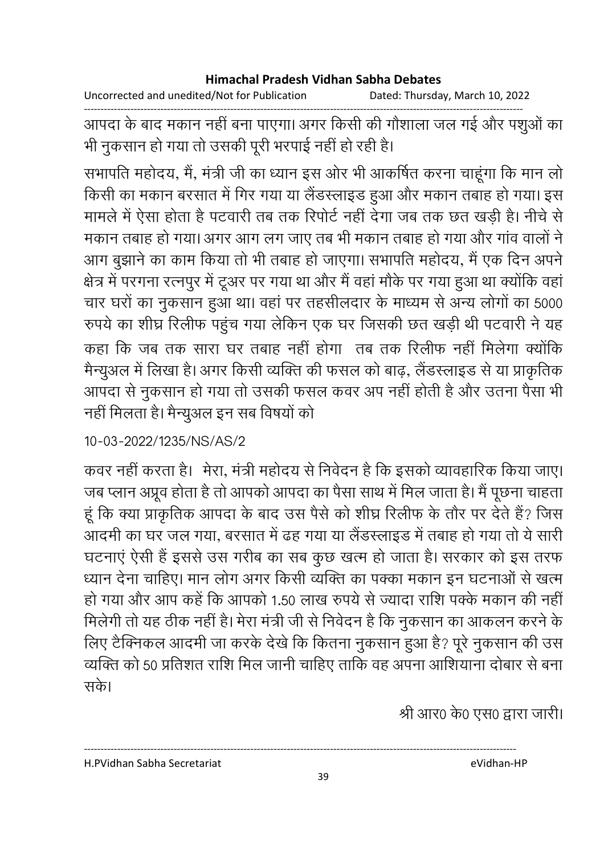Uncorrected and unedited/Not for Publication Dated: Thursday, March 10, 2022

आपदा के बाद मकान नहीं बना पाएगा। अगर किसी की गौशाला जल गई और पशुओं का भी नुकसान हो गया तो उसकी पूरी भरपाई नहीं हो रही है।

सभापति महोदय, मैं, मंत्री जी का ध्यान इस ओर भी आकर्षित करना चाहूंगा कि मान लो किसी का मकान बरसात में गिर गया या लैंडस्लाइड हुआ और मकान तबाह हो गया। इस मामले में ऐसा होता है पटवारी तब तक रिपोर्ट नहीं देगा जब तक छत खड़ी है। नीचे से मकान तबाह हो गया। अगर आग लग जाए तब भी मकान तबाह हो गया और गांव वालों ने आग बुझाने का काम किया तो भी तबाह हो जाएगा। सभापति महोदय, मैं एक दिन अपने क्षेत्र में परगना रत्नपुर में टूअर पर गया था और मैं वहां मौके पर गया हुआ था क्योंकि वहां चार घरों का नुकसान हुआ था। वहां पर तहसीलदार के माध्यम से अन्य लोगों का 5000 रुपये का शीघ्र रिलीफ पहुंच गया लेकिन एक घर जिसकी छत खड़ी थी पटवारी ने यह कहा कि जब तक सारा घर तबाह नहीं होगा) तब तक रिलीफ नहीं मिलेगा क्योंकि मैन्यूअल में लिखा है। अगर किसी व्यक्ति की फसल को बाढ़, लैंडस्लाइड से या प्राकृतिक आपदा से नुकसान हो गया तो उसकी फसल कवर अप नहीं होती है और उतना पैसा भी नहीं मिलता है। मैन्युअल इन सब विषयों को

### 10-03-2022/1235/NS/AS/2

कवर नहीं करता है। मेरा, मंत्री महोदय से निवेदन है कि इसको व्यावहारिक किया जाए। जब प्लान अप्रूव होता है तो आपको आपदा का पैसा साथ में मिल जाता है। मैं पूछना चाहता हूं कि क्या प्राकृतिक आपदा के बाद उस पैसे को शीघ्र रिलीफ के तौर पर देते हैं? जिस आदमी का घर जल गया, बरसात में ढह गया या लैंडस्लाइड में तबाह हो गया तो ये सारी घटनाएं ऐसी हैं इससे उस गरीब का सब कुछ खत्म हो जाता है। सरकार को इस तरफ ध्यान देना चाहिए। मान लोग अगर किसी व्यक्ति का पक्का मकान इन घटनाओं से खत्म हो गया और आप कहें कि आपको 1.50 लाख रुपये से ज्यादा राशि पक्के मकान की नहीं मिलेगी तो यह ठीक नहीं है। मेरा मंत्री जी से निवेदन है कि नुकसान का आकलन करने के लिए टैक्निकल आदमी जा करके देखे कि कितना नुकसान हुआ है? पूरे नुकसान की उस व्यक्ति को 50 प्रतिशत राशि मिल जानी चाहिए ताकि वह अपना आशियाना दोबार से बना सके।

श्री आर0 के0 एस0 द्वारा जारी।

H.PVidhan Sabha Secretariat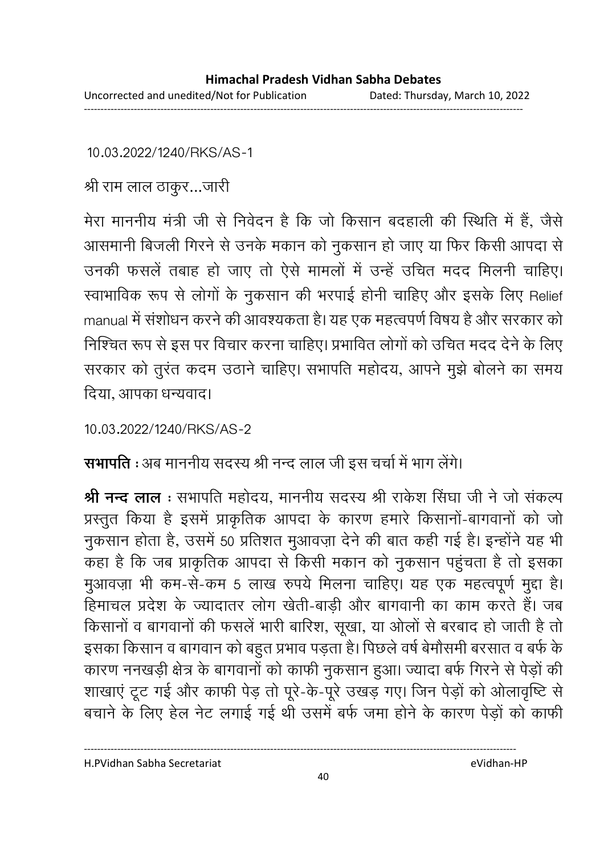10.03.2022/1240/RKS/AS-1

श्री राम लाल ठाकुर...जारी

मेरा माननीय मंत्री जी से निवेदन है कि जो किसान बदहाली की स्थिति में हैं, जैसे आसमानी बिजली गिरने से उनके मकान को नुकसान हो जाए या फिर किसी आपदा से उनकी फसलें तबाह हो जाए तो ऐसे मामलों में उन्हें उचित मदद मिलनी चाहिए। स्वाभाविक रूप से लोगों के नुकसान की भरपाई होनी चाहिए और इसके लिए Relief manual में संशोधन करने की आवश्यकता है। यह एक महत्वपर्ण विषय है और सरकार को निश्चित रूप से इस पर विचार करना चाहिए। प्रभावित लोगों को उचित मदद देने के लिए सरकार को तुरंत कदम उठाने चाहिए। सभापति महोदय, आपने मुझे बोलने का समय दिया. आपका धन्यवाद।

10.03.2022/1240/RKS/AS-2

सभापति : अब माननीय सदस्य श्री नन्द लाल जी इस चर्चा में भाग लेंगे।

श्री नन्द लाल : सभापति महोदय, माननीय सदस्य श्री राकेश सिंघा जी ने जो संकल्प प्रस्तुत किया है इसमें प्राकृतिक आपदा के कारण हमारे किसानों-बागवानों को जो नुकसान होता है, उसमें 50 प्रतिशत मुआवज़ा देने की बात कही गई है। इन्होंने यह भी कहा है कि जब प्राकृतिक आपदा से किसी मकान को नुकसान पहुंचता है तो इसका मुआवज़ा भी कम-से-कम 5 लाख रुपये मिलना चाहिए। यह एक महत्वपूर्ण मुद्दा है। हिमाचल प्रदेश के ज्यादातर लोग खेती-बाड़ी और बागवानी का काम करते हैं। जब किसानों व बागवानों की फसलें भारी बारिश, सूखा, या ओलों से बरबाद हो जाती है तो इसका किसान व बागवान को बहुत प्रभाव पड़ता है। पिछले वर्ष बेमौसमी बरसात व बर्फ के कारण ननखड़ी क्षेत्र के बागवानों को काफी नुकसान हुआ। ज्यादा बर्फ गिरने से पेड़ों की शाखाएं टूट गई और काफी पेड़ तो पूरे-के-पूरे उखड़ गए। जिन पेड़ों को ओलावृष्टि से बचाने के लिए हेल नेट लगाई गई थी उसमें बर्फ जमा होने के कारण पेड़ों को काफी

H.PVidhan Sabha Secretariat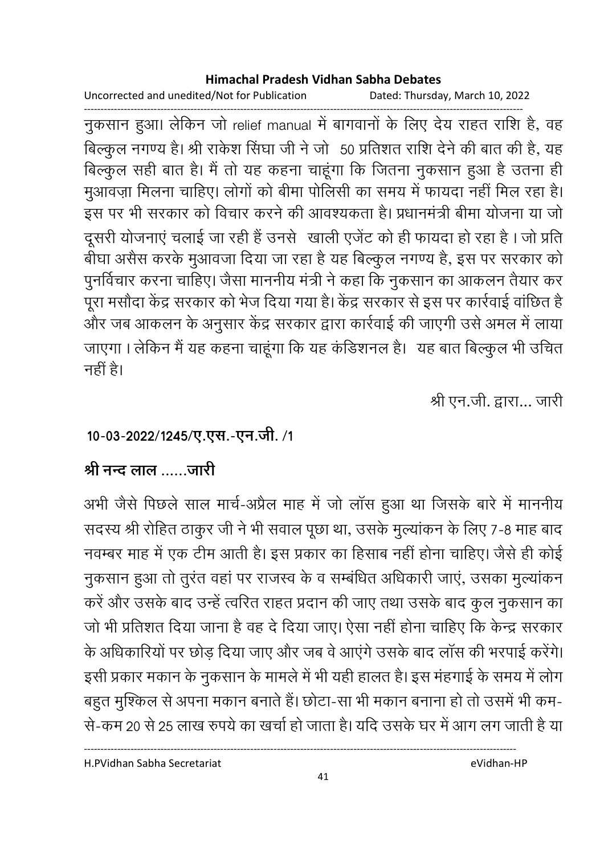Uncorrected and unedited/Not for Publication Dated: Thursday, March 10, 2022

------------------------------------------------------------------------------------------------------------------------------------ नुकसान हुआ। लेकिन जो relief manual में बांगवानों के लिए देय राहत राशि हैं, वह बिल्कुल नगण्य है। श्री राकेश सिंघा जी ने जो 50 प्रतिशत राशि देने की बात की है, यह बिल्कुल सही बात है। मैं तो यह कहना चाहूंगा कि जितना नुकसान हुआ है उतना ही मुआवज़ा मिलना चाहिए। लोगों को बीमा पोलिसी का समय में फायदा नहीं मिल रहा है। इस पर भी सरकार को विचार करने की आवश्यकता है। प्रधानमंत्री बीमा योजना या जो दूसरी योजनाएं चलाई जा रही हैं उनसे खाली एजेंट को ही फायदा हो रहा है। जो प्रति बीघा असैस करके मुआवजा दिया जा रहा है यह बिल्कुल नगण्य है, इस पर सरकार को पुनर्विचार करना चाहिए। जैसा माननीय मंत्री ने कहा कि नुकसान का आकलन तैयार कर पूरा मसौदा केंद्र सरकार को भेज दिया गया है। केंद्र सरकार से इस पर कार्रवाई वाछित हैं-और जब आकलन के अनुसार केंद्र सरकार द्वारा कार्रवाई की जाएंगी उसे अमल में लाया जाएगा । लेकिन मैं यह कहना चाहूंगा कि यह कडिशनल हैं। यह बात बिल्कुल भी उचित नहीं है।

श्री एन.जी. द्वारा... जारी

## 10-03-2022/1245/ए.एस.-एन.जी. /1

## श्री नन्द लाल जारी

अभी जैसे पिछले साल मार्च-अप्रैल माह में जो लास हुआ था जिसके बारे में माननीय सदस्य श्री रोहित ठाकुर जी ने भी सवाल पूछा था, उसके मुल्याकन के लिए 7-8 माह बाद नवम्बर माह में एक टीम आती है। इस प्रकार का हिसाब नहीं होना चाहिए। जैसे ही कोई नुकसान हुआ तो तुरंत वहां पर राजस्व के व सम्बंधित अधिकारी जाएं, उसका मुल्यांकन करें और उसके बाद उन्हें त्वरित राहत प्रदान की जाए तथा उसके बाद कुल नुकसान का जो भी प्रतिशत दिया जाना है वह दे दिया जाए। ऐसा नहीं होना चाहिए कि केन्द्र सरकार के अधिकारियों पर छोड़ दिया जाए और जब वे आएंगे उसके बाद लॉस की भरपाई करेंगे। इसी प्रकार मकान के नुकसान के मामले में भी यही हालत है। इस महगाई के समय में लोग बहुत मुश्किल से अपना मकान बनाते हैं। छोटा-सा भी मकान बनाना हो तो उसमें भी कम-से-कम 20 से 25 लाख रुपये का खर्चा हो जाता है। यदि उसके घर में आग लग जाती है या

H.PVidhan Sabha Secretariat eVidhan-HP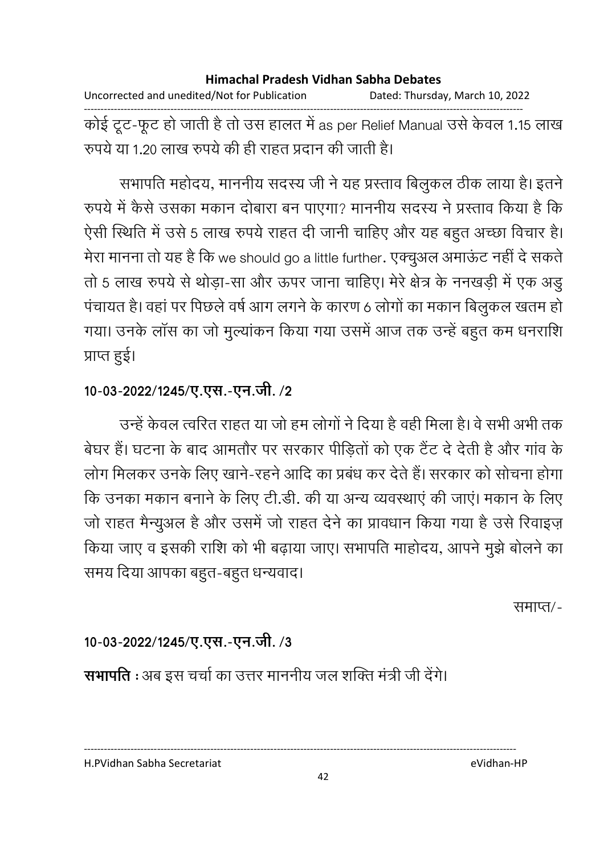Uncorrected and unedited/Not for Publication Dated: Thursday, March 10, 2022 ------------------------------------------------------------------------------------------------------------------------------------ कोई टूट-फूट हो जाती है तो उस हालत में as per Relief Manual उसे केवल 1.15 लाख रुपये या 1.20 लाख रुपये की ही राहत प्रदान की जाती है।

सभापति महोदय, माननीय सदस्य जी ने यह प्रस्ताव बिलुकल ठीक लाया है। इतने रुपर्य में कैसे उसका मकान दोबारा बन पाएगा? माननीय सदस्य ने प्रस्ताव किया है कि ऐसी स्थिति में उसे 5 लाख रुपये राहत दी जानी चाहिए और यह बहुत अच्छा विचार है। मेरा मानना तो यह है कि we should go a little further. एक्चुअल अमाऊट नहीं दे सकतें तो 5 लाख रुपये से थोड़ा-सा और ऊपर जाना चाहिए। मेरे क्षेत्र के ननखड़ी में एक अड़ु पंचायत है। वहां पर पिछले वर्ष आग लगने के कारण 6 लोगों का मकान बिलुकल खतम हो | गया। उनके लास का जो मुल्याकन किया गया उसमें आज तक उन्हें बहुत कम धनराशि प्राप्त हुई।

### 10-03-2022/1245/ए.एस.-एन.जी. /2

उन्हें केवल त्वरित राहत या जो हम लोगों ने दिया है वहीं मिला है। वे सभी अभी तक बेघर है। घटना के बाद आमतौर पर सरकार पीड़ितों को एक टैट दे देती है और गांव के लोग मिलकर उनके लिए खाने-रहने आदि का प्रबंध कर देते हैं। सरकार को सोचना होगा कि उनका मकान बनाने के लिए टी.डी. की या अन्य व्यवस्थाएं की जाए। मकान के लिए जो राहत मैन्युअल है और उसमें जो राहत देने का प्रावधान किया गया है उसे रिवाइज़ किया जाए व इसकी राशि को भी बढ़ाया जाए। सभापति माहोदय, आपने मुझे बोलने का समय दिया आपका बहुत-बहुत धन्यवाद।

समाप्त/-

## 10-03-2022/1245/ए.एस.-एन.जी. /3

**सभापति** : अब इस चर्चा का उत्तर माननीय जल शक्ति मंत्री जी देंगे।

H.PVidhan Sabha Secretariat eVidhan-HP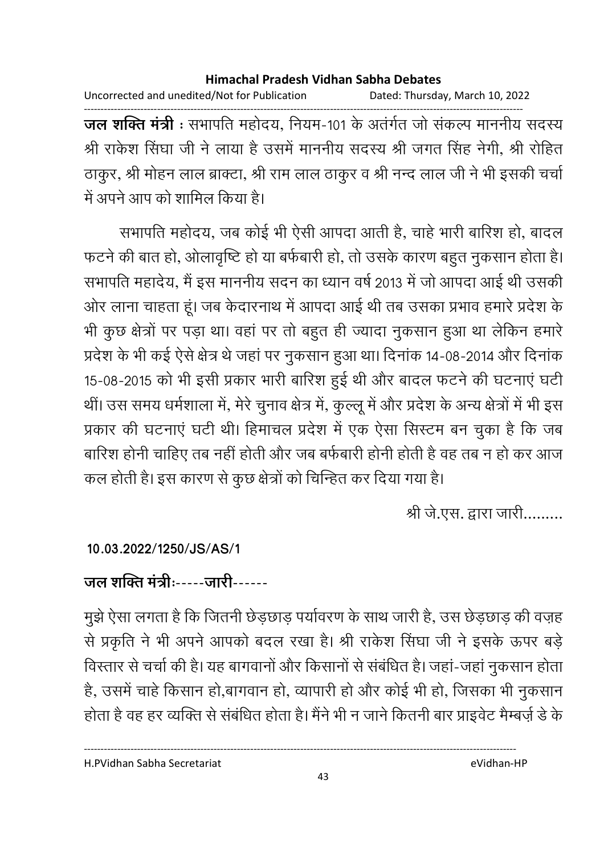Uncorrected and unedited/Not for Publication Dated: Thursday, March 10, 2022

------------------------------------------------------------------------------------------------------------------------------------ **जल शक्ति मंत्री** : संभापति महोदय, नियम-101 के अंतर्गत जो सकल्प माननीय सदस्य श्री राकेश सिंघा जी ने लाया है उसमें माननीय सदस्य श्री जगत सिंह नेगी, श्री रोहित ठाकुर, श्री मोहन लाल ब्राक्टा, श्री राम लाल ठाकुर व श्री नन्द लाल जी ने भी इसकी चर्चा में अपने आप को शामिल किया है।

सभापति महोदय, जब कोई भी ऐसी आपदा आती है, चाहे भारी बारिश हो, बादल फटने की बात हो, ओलावृष्टि हो या बर्फबारी हो, तो उसके कारण बहुत नुकसान होता है। सभापति महादेय, मैं इस माननीय सदन का ध्यान वर्ष 2013 में जो आपदा आई थी उसकी ओर लाना चाहता हूं। जब केदारनाथ में आपदा आई थी तब उसका प्रभाव हमारे प्रदेश के भी कुछ क्षेत्रों पर पड़ा था। वहां पर तो बहुत ही ज्यादा नुकसान हुआ था लेकिन हमारे प्रदेश के भी कई ऐसे क्षेत्र थे जहां पर नुकसान हुआ था। दिनांक 14-08-2014 और दिनांक 15-08-2015 को भी इसी प्रकार भारी बारिश हुई थी और बादल फटने की घटनाएं घटी थी। उस समय धर्मशाला में, मेरे चुनाव क्षेत्र में, कुल्लू में और प्रदेश के अन्य क्षेत्रों में भी इस प्रकार की घटनाएं घंटी थी। हिमाचल प्रदेश में एक ऐसा सिस्टम बन चुका है कि जब बारिश होनी चाहिए तब नहीं होती और जब बर्फबारी होनी होती है वह तब न हो कर आज कल होती है। इस कारण से कुछ क्षेत्रों को चिन्हित कर दिया गया है।

श्री जे.एस. द्वारा जारी.........

### **10.03.2022/1250/JS/AS/1**

# <u>जल शक्ति मंत्रीः-----जारी------</u>

मुझे ऐसा लगता है कि जितनी छेड़छाड़ पर्यावरण के साथ जारी है, उस छेड़छाड़ की वज़ह से प्रकृति ने भी अपने आपको बदल रखा है। श्री राकेश सिंघा जी ने इसके ऊपर बड़े विस्तार से चर्चा की है। यह बागवानों और किसानों से संबंधित है। जहां-जहां नुकसान होता है, उसमें चाहे किसान हो,बागवान हो, व्यापारी हो और कोई भी हो, जिसका भी नुकसान होता है वह हर व्यक्ति से संबंधित होता है। मैंने भी न जाने कितनी बार प्राइवेट मैम्बज़े डे के

H.PVidhan Sabha Secretariat eVidhan-HP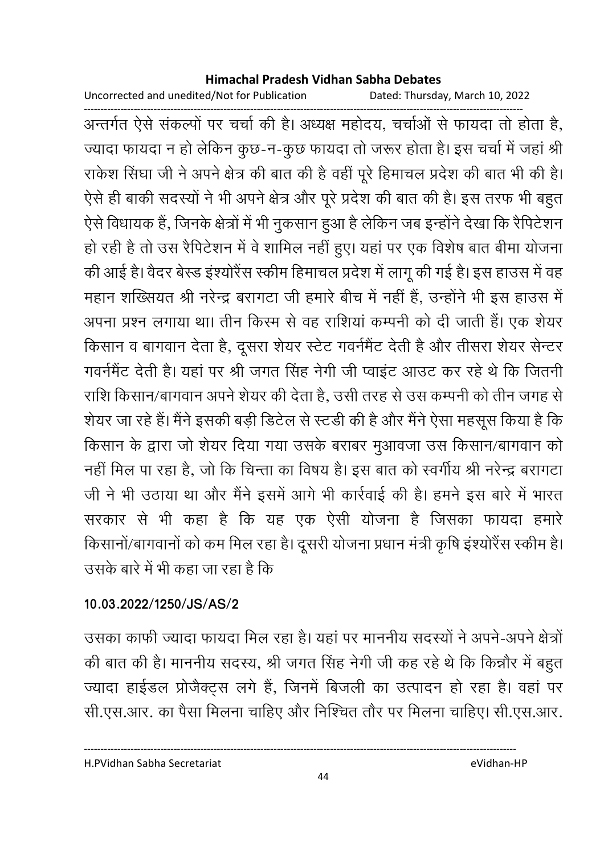Uncorrected and unedited/Not for Publication

Dated: Thursday, March 10, 2022

अन्तर्गत ऐसे संकल्पों पर चर्चा की है। अध्यक्ष महोदय, चर्चाओं से फायदा तो होता है, ज्यादा फायदा न हो लेकिन कुछ-न-कुछ फायदा तो जरूर होता है। इस चर्चा में जहां श्री राकेश सिंघा जी ने अपने क्षेत्र की बात की है वहीं पूरे हिमाचल प्रदेश की बात भी की है। ऐसे ही बाकी सदस्यों ने भी अपने क्षेत्र और पूरे प्रदेश की बात की है। इस तरफ भी बहुत ऐसे विधायक हैं, जिनके क्षेत्रों में भी नुकसान हुआ है लेकिन जब इन्होंने देखा कि रैपिटेशन हो रही है तो उस रैपिटेशन में वे शामिल नहीं हुए। यहां पर एक विशेष बात बीमा योजना की आई है। वैदर बेस्ड इंश्योरैंस स्कीम हिमाचल प्रदेश में लागू की गई है। इस हाउस में वह महान शख्सियत श्री नरेन्द्र बरागटा जी हमारे बीच में नहीं हैं, उन्होंने भी इस हाउस में अपना प्रश्न लगाया था। तीन किस्म से वह राशियां कम्पनी को दी जाती हैं। एक शेयर किसान व बागवान देता है, दूसरा शेयर स्टेट गवर्नमैंट देती है और तीसरा शेयर सेन्टर गवर्नमेंट देती है। यहां पर श्री जगत सिंह नेगी जी प्वाइंट आउट कर रहे थे कि जितनी राशि किसान/बागवान अपने शेयर की देता है. उसी तरह से उस कम्पनी को तीन जगह से शेयर जा रहे हैं। मैंने इसकी बड़ी डिटेल से स्टडी की है और मैंने ऐसा महसूस किया है कि किसान के द्वारा जो शेयर दिया गया उसके बराबर मुआवजा उस किसान/बागवान को नहीं मिल पा रहा है, जो कि चिन्ता का विषय है। इस बात को स्वर्गीय श्री नरेन्द्र बरागटा जी ने भी उठाया था और मैंने इसमें आगे भी कार्रवाई की है। हमने इस बारे में भारत सरकार से भी कहा है कि यह एक ऐसी योजना है जिसका फायदा हमारे किसानों/बागवानों को कम मिल रहा है। दूसरी योजना प्रधान मंत्री कृषि इंश्योरैंस स्कीम है। उसके बारे में भी कहा जा रहा है कि

### 10.03.2022/1250/JS/AS/2

उसका काफी ज्यादा फायदा मिल रहा है। यहां पर माननीय सदस्यों ने अपने-अपने क्षेत्रों की बात की है। माननीय सदस्य, श्री जगत सिंह नेगी जी कह रहे थे कि किन्नौर में बहुत ज्यादा हाईडल प्रोजैक्ट्स लगे हैं, जिनमें बिजली का उत्पादन हो रहा है। वहां पर सी.एस.आर. का पैसा मिलना चाहिए और निश्चित तौर पर मिलना चाहिए। सी.एस.आर.

H.PVidhan Sabha Secretariat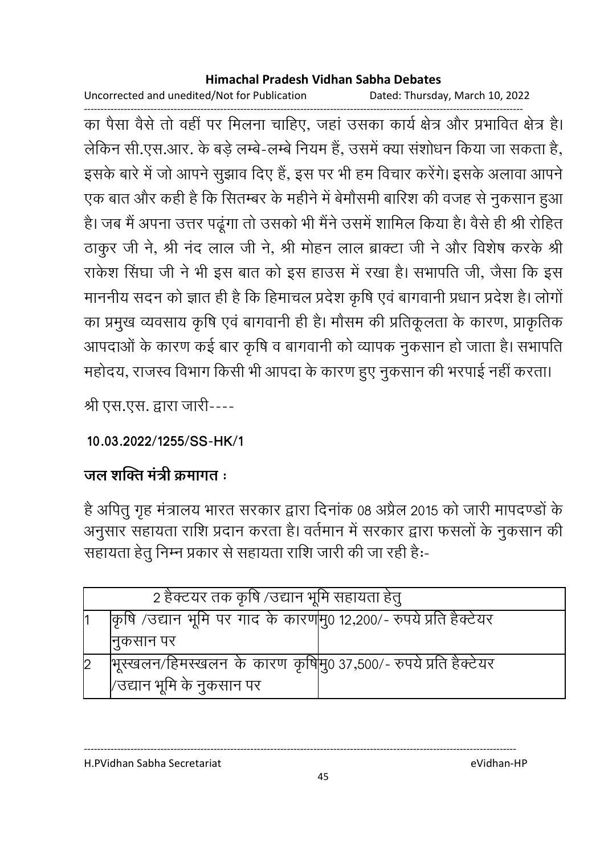Uncorrected and unedited/Not for Publication Dated: Thursday, March 10, 2022

का पैसा वैसे तो वहीं पर मिलना चाहिए, जहां उसका कार्य क्षेत्र और प्रभावित क्षेत्र है। लेकिन सी.एस.आर. के बड़े लम्बे-लम्बे नियम हैं, उसमें क्या संशोधन किया जा सकता है, इसके बारे में जो आपने सूझाव दिए हैं, इस पर भी हम विचार करेंगे। इसके अलावा आपने एक बात और कही है कि सितम्बर के महीने में बेमौसमी बारिश की वजह से नुकसान हुआ है। जब मैं अपना उत्तर पढूंगा तो उसको भी मैंने उसमें शामिल किया है। वैसे ही श्री रोहित ठाकुर जी ने, श्री नंद लाल जी ने, श्री मोहन लाल ब्राक्टा जी ने और विशेष करके श्री राकेश सिंघा जी ने भी इस बात को इस हाउस में रखा है। सभापति जी, जैसा कि इस माननीय सदन को ज्ञात ही है कि हिमाचल प्रदेश कृषि एवं बागवानी प्रधान प्रदेश है। लोगों का प्रमुख व्यवसाय कृषि एवं बागवानी ही है। मौसम की प्रतिकूलता के कारण, प्राकृतिक आपदाओं के कारण कई बार कृषि व बागवानी को व्यापक नुकसान हो जाता है। सभापति महोदय, राजस्व विभाग किसी भी आपदा के कारण हुए नुकसान की भरपाई नहीं करता।

श्री एस.एस. द्वारा जारी----

10.03.2022/1255/SS-HK/1

## जल शक्ति मंत्री कमागत :

है अपितु गृह मंत्रालय भारत सरकार द्वारा दिनांक 08 अप्रैल 2015 को जारी मापदण्डों के अनुसार सहायता राशि प्रदान करता है। वर्तमान में सरकार द्वारा फसलों के नुकसान की सहायता हेतू निम्न प्रकार से सहायता राशि जारी की जा रही है:-

| 2 हैक्टयर तक कृषि /उद्यान भूमि सहायता हेतु                          |  |  |
|---------------------------------------------------------------------|--|--|
| किृषि /उद्यान भूमि पर गाद के कारण मु0 12,200/- रुपये प्रति हैक्टेयर |  |  |
| निकसान पर                                                           |  |  |
| गिरस्खलन/हिमस्खलन के कारण कृषिमु0 37,500/- रुपये प्रति हैक्टेयर     |  |  |
| /उद्यान भूमि के नुकसान पर                                           |  |  |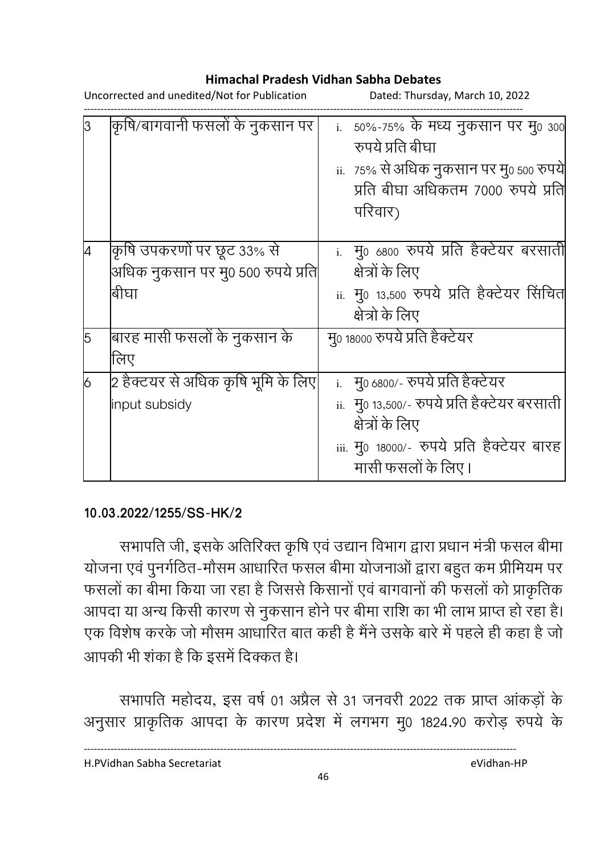Uncorrected and unedited/Not for Publication Dated: Thursday, March 10, 2022

|   | कृषि/बागवानी फसलों के नुकसान पर                                          | i. 50%-75% के मध्य नुकसान पर मु0 300<br>रुपये प्रति बीघा<br>ii.   75% से अधिक नुकसान पर मु0 500 रुपये<br>प्रति बीघा अधिकतम 7000 रुपये प्रति<br>परिवार)                      |
|---|--------------------------------------------------------------------------|-----------------------------------------------------------------------------------------------------------------------------------------------------------------------------|
|   | कृषि उपकरणों पर छूट 33% से<br>अधिक नुकसान पर मु0 500 रुपये प्रति<br>बीघा | <u>i. मु0 6800 रुपये प्रति हैक्टेयर बरसाती</u><br>क्षेत्रों के लिए<br>ii. मु0 13,500 रुपये प्रति हैक्टेयर सिंचित<br>क्षेत्रो के लिए                                         |
| 5 | बारह मासी फसलों के नुकसान के<br>लिए                                      | मु0 18000 रुपये प्रति हैक्टेयर                                                                                                                                              |
| 6 | 2 हैक्टयर से अधिक कृषि भूमि के लिए <br>input subsidy                     | i. मु0 6800/- रुपये प्रति हैक्टेयर<br>ii. मु0 13,500/- रुपये प्रति हैक्टेयर बरसाती<br>क्षेत्रों के लिए<br>iii. मु0 18000/- रुपये प्रति हैक्टेयर बारह<br>मासी फसलों के लिए । |

#### **10.03.2022/1255/SS-HK/2**

सभापति जी, इसके अतिरिक्त कृषि एवं उद्यान विभाग द्वारा प्रधान मंत्री फंसल बीमा योजना एवं पुनर्गठित-मौसम आधारित फसल बीमा योजनाओं द्वारा बहुत कम प्रीमियम पर फसलों का बीमा किया जा रहा है जिससे किसानों एवं बागवानों की फसलों को प्राकृतिक आपदा या अन्य किसी कारण से नुकसान होने पर बीमा राशि का भी लाभ प्राप्त हो रहा है। एक विशेष करके जो मौसम आधारित बात कही है मैंने उसके बारे में पहले ही कहा है जो आपकी भी शका है कि इसमें दिक्कत है।

सभापति महोदय, इस वर्ष 01 अप्रैल से 31 जनवरी 2022 तक प्राप्त आकड़ों के अनुसार प्राकृतिक आपदा के कारण प्रदेश में लगभग मु0 1824.90 करोड़ रुपये के

----------------------------------------------------------------------------------------------------------------------------------

H.PVidhan Sabha Secretariat eVidhan-HP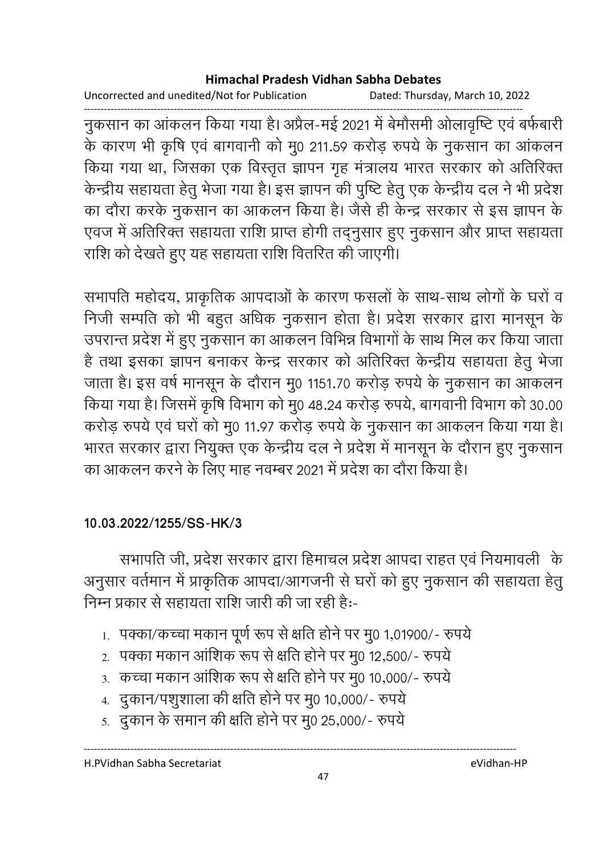Uncorrected and unedited/Not for Publication Dated: Thursday, March 10, 2022

नुकसान का आंकलन किया गया है। अप्रैल-मई 2021 में बेमौसमी ओलावृष्टि एवं बर्फबारी के कारण भी कृषि एवं बागवानी को मू0 211.59 करोड़ रुपये के नुकसान का आंकलन किया गया था, जिसका एक विस्तृत ज्ञापन गृह मंत्रालय भारत संरकार को अतिरिक्त केन्द्रीय सहायता हेतु भेजा गया है। इस ज्ञापन की पुष्टि हेतु एक केन्द्रीय दल ने भी प्रदेश का दौरा करके नुकसान का आकलन किया है। जैसे ही केन्द्र सरकार से इस ज्ञापन के एवज में अतिरिक्त सहायता राशि प्राप्त होगी तद्नुसार हुए नुकसान और प्राप्त सहायता राशि को देखते हुए यह सहायता राशि वितरित की जाएगी।

सभापति महोदय, प्राकृतिक आपदाओं के कारण फसलों के साथ-साथ लोगों के घरों व निजी सम्पति को भी बहुत अधिक नुकसान होता है। प्रदेश सरकार द्वारा मानसून के उपरान्त प्रदेश में हुए नुकसान का आकलन विभिन्न विभागों के साथ मिल कर किया जाता है तथा इसका ज्ञापन बनाकर केन्द्र सरकार को अतिरिक्त केन्द्रीय सहायता हेतु भेजा जाता है। इस वर्ष मानसून के दौरान मु0 1151.70 करोड़ रुपये के नुकसान का आंकलन किया गया है। जिसमें कृषि विभाग को मू0 48.24 करोड़ रुपये, बागवानी विभाग को 30.00 करोड़ रुपये एवं घरों को मु0 11.97 करोड़ रुपये के नुकसान का आकलन किया गया है। भारत सरकार द्वारा नियुक्त एक केन्द्रीय दल ने प्रदेश में मानसून के दौरान हुए नुकसान का आकलन करने के लिए माह नवम्बर 2021 में प्रदेश का दौरा किया है।

#### 10.03.2022/1255/SS-HK/3

सभापति जी, प्रदेश सरकार द्वारा हिमाचल प्रदेश आपदा राहत एवं नियमावली के अनुसार वर्तमान में प्राकृतिक आपदा/आगजनी से घरों को हुए नुकसान की सहायता हेतु निम्न प्रकार से सहायता राशि जारी की जा रही है:-

- 1. पक्का/कच्चा मकान पूर्ण रूप से क्षति होने पर मु0 1,01900/- रुपये
- 2. पक्का मकान आंशिक रूप से क्षति होने पर मु0 12,500/- रुपये
- 3. कच्चा मकान आंशिक रूप से क्षति होने पर मु0 10,000/- रुपये
- 4. दुकान/पशुशाला की क्षति होने पर मु0 10,000/- रुपये
- 5. दुकान के समान की क्षति होने पर मु0 25,000/- रुपये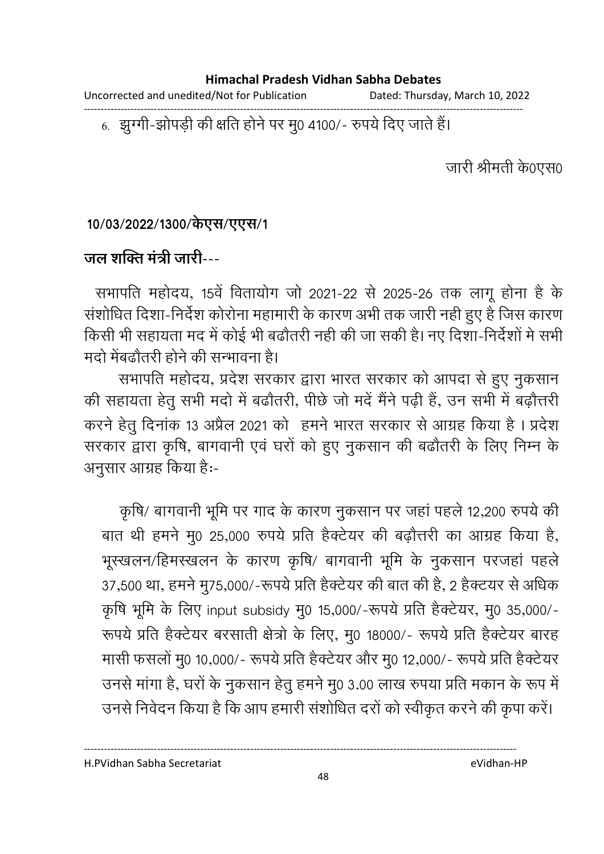Uncorrected and unedited/Not for Publication Dated: Thursday, March 10, 2022

6. झुग्गी-झोपड़ी की क्षति होने पर मु0 4100/- रुपये दिए जाते हैं।

जारी श्रीमती के0एस0

10/03/2022/1300/केएस/एएस/1

### जल शक्ति मंत्री जारी---

सभापति महोदय, 15वें वितायोग जो 2021-22 से 2025-26 तक लागू होना है के संशोधित दिशा-निर्देश कोरोना महामारी के कारण अभी तक जारी नही हुए हैं जिस कारण किसी भी सहायता मद में कोई भी बढौतरी नही की जा सकी है। नए दिशा-निर्देशों मे सभी मदो मेंबढौतरी होने की सन्भावना है।

सभापति महोदय, प्रदेश सरकार द्वारा भारत सरकार को आपदा से हुए नुकसान की सहायता हेतु सभी मदो में बढौतरी, पीछे जो मदें मैंने पढ़ी हैं, उन सभी में बढ़ौत्तरी करने हेतु दिनांक 13 अप्रैल 2021 को हमने भारत सरकार से आग्रह किया है। प्रदेश सरकार द्वारा कृषि, बागवानी एवं घरों को हुए नुकसान की बढौतरी के लिए निम्न के अनुसार आग्रह किया है:-

कृषि/ बागवानी भूमि पर गाद के कारण नुकसान पर जहां पहले 12,200 रुपये की बात थी हमने मु0 25,000 रुपये प्रति हैक्टेयर की बढ़ौत्तरी का आग्रह किया है, भूस्खलन/हिमस्खलन के कारण कृषि/ बागवानी भूमि के नुकसान परजहां पहले 37,500 था, हमने मु75,000/-रूपये प्रति हैक्टेयर की बात की है, 2 हैक्टयर से अधिक कृषि भूमि के लिए input subsidy मु0 15,000/-रूपये प्रति हैक्टेयर, मु0 35,000/-रूपये प्रति हैक्टेयर बरसाती क्षेत्रों के लिए, मु0 18000/- रूपये प्रति हैक्टेयर बारह मासी फसलों मु0 10,000/- रूपये प्रति हैक्टेयर और मु0 12,000/- रूपये प्रति हैक्टेयर उनसे मांगा है, घरों के नुकसान हेतु हमने मु0 3.00 लाख रुपया प्रति मकान के रूप में उनसे निवेदन किया है कि आप हमारी संशोधित दरों को स्वीकृत करने की कृपा करें।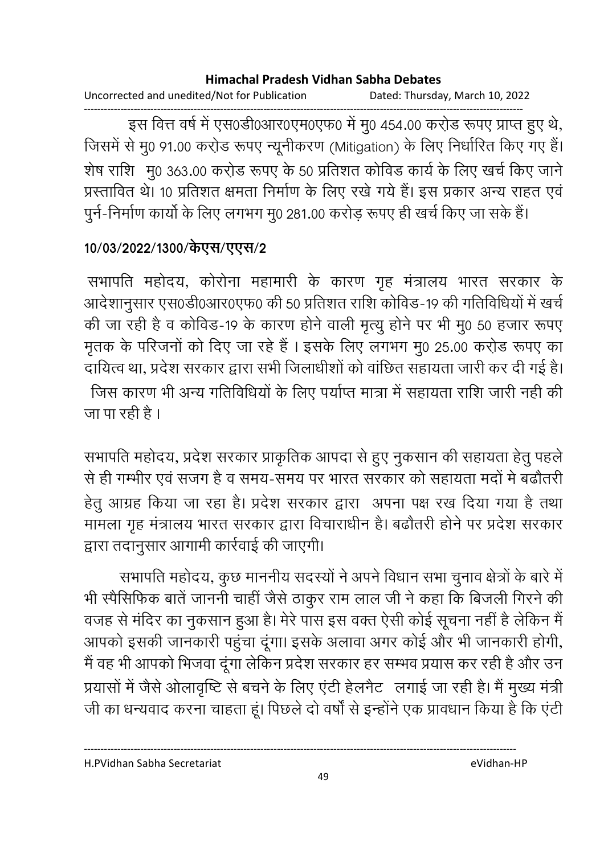Uncorrected and unedited/Not for Publication Dated: Thursday, March 10, 2022

इस वित्त वर्ष में एस0डी0आर0एम0एफ0 में मु0 454.00 करो़ड रूपए प्राप्त हुए थे, जिसमें से मु0 91.00 करो़ड रूपए न्यूनीकरण (Mitigation) के लिए निर्धारित किए गए हैं। शेष राशि मु0 363.00 करो़ड रूपए के 50 प्रतिशत कोविड कार्य के लिए खर्च किए जाने प्रस्तावित थे। 10 प्रतिशत क्षमता निर्माण के लिए रखे गये हैं। इस प्रकार अन्य राहत एवं पुर्न-निर्माण कार्यो के लिए लगभग मु0 281.00 करोड़ रूपए ही खर्च किए जा सके हैं।

### 10/03/2022/1300/केएस/एएस/2

सभापति महोदय, कोरोना महामारी के कारण गृह मंत्रालय भारत सरकार के आदेशानुसार एस0डी0आर0एफ0 की 50 प्रतिशत राशि कोविड-19 की गतिविधियों में खर्च की जा रही है व कोविड-19 के कारण होने वाली मृत्यु होने पर भी मु0 50 हजार रूपए मृतक के परिजनों को दिए जा रहे हैं। इसके लिए लगभग मु0 25.00 करो़ड रूपए का दायित्व था, प्रदेश सरकार द्वारा सभी जिलाधीशों को वांछित सहायता जारी कर दी गई है। जिस कारण भी अन्य गतिविधियों के लिए पर्याप्त मात्रा में सहायता राशि जारी नही की जा पा रही है ।

सभापति महोदय, प्रदेश सरकार प्राकृतिक आपदा से हुए नुकसान की सहायता हेतु पहले से ही गम्भीर एवं सजग है व समय-समय पर भारत सरकार को सहायता मदों मे बढौतरी हेतु आग्रह किया जा रहा है। प्रदेश सरकार द्वारा अपना पक्ष रख दिया गया है तथा मामला गृह मंत्रालय भारत सरकार द्वारा विचाराधीन है। बढौतरी होने पर प्रदेश सरकार द्वारा तदानुसार आगामी कार्रवाई की जाएगी।

सभापति महोदय, कुछ माननीय सदस्यों ने अपने विधान सभा चुनाव क्षेत्रों के बारे में भी स्पैसिफिक बातें जाननी चाहीं जैसे ठाकुर राम लाल जी ने कहा कि बिजली गिरने की वजह से मंदिर का नुकसान हुआ है। मेरे पास इस वक्त ऐसी कोई सूचना नहीं है लेकिन मैं आपको इसकी जानकारी पहुंचा दूंगा। इसके अलावा अगर कोई और भी जानकारी होगी, मैं वह भी आपको भिजवा दूंगा लेकिन प्रदेश सरकार हर सम्भव प्रयास कर रही है और उन प्रयासों में जैसे ओलावृष्टि से बचने के लिए एंटी हेलनैट लगाई जा रही है। मैं मुख्य मंत्री जी का धन्यवाद करना चाहता हूं। पिछले दो वर्षों से इन्होंने एक प्रावधान किया है कि एंटी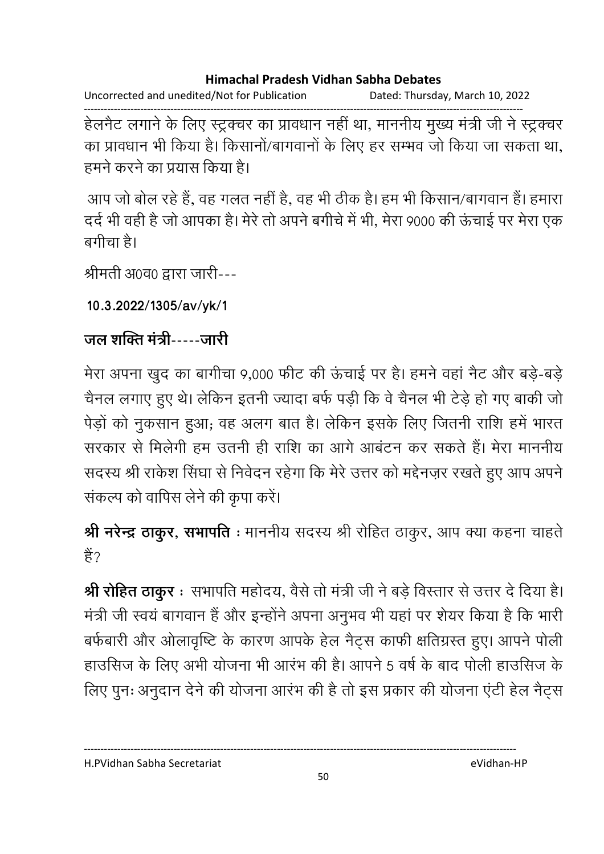Uncorrected and unedited/Not for Publication Dated: Thursday, March 10, 2022

------------------------------------------------------------------------------------------------------------------------------------ हेलनैट लगाने के लिए स्ट्रक्चर का प्रावधान नहीं था, माननीय मुख्य मंत्री जी ने स्ट्रक्चर का प्रावधान भी किया है। किसानों/बागवानों के लिए हर सम्भव जो किया जा सकता था. हमने करने का प्रयास किया है।

आप जो बोल रहे हैं, वह गलत नहीं हैं, वह भी ठीक है। हम भी किसान/बागवान है। हमारा दर्द भी वहीं है जो आपका है। मेरे तो अपने बंगीचे में भी, मेरा 9000 की ऊंचाई पर मेरा एक बगीचा है।

श्रीमती अ0व0 द्वारा जारी---

**10.3.2022/1305/av/yk/1**

## <u>जल शक्ति मंत्री-----जारी</u>

मेरा अपना खुद का बागीचा 9,000 फीट की ऊंचाई पर है। हमने वहां नैट और बड़े-बड़ें चैनल लगाए हुए थे। लेकिन इतनी ज्यादा बर्फ पड़ी कि वे चैनल भी टेड़े हो गए बाकी जो पेड़ो को नुकसान हुआ; वह अलग बात है। लेकिन इसके लिए जितनी राशि हमें भारत सरकार से मिलेगी हम उतनी ही राशि का आगे आबटन कर सकते हैं। मेरा माननीय सदस्य श्री राकेश सिंघा से निवेदन रहेगा कि मेरे उत्तर को मद्देनज़र रखते हुए आप अपने | संकल्प को वापिस लेने की कृपा करें।

**श्री नरेन्द्र ठाकुर, सभापति** : माननीय सदस्य श्री रोहित ठाकुर, आप क्या कहना चाहते | हैं?

**श्री रोहित ठाकुर** ः सभापति महोदय, वैसे तो मंत्री जी ने बड़े विस्तार से उत्तर दे दिया है। मंत्री जी स्वयं बागवान है और इन्होंने अपना अनुभव भी यहां पर शेयर किया है कि भारी बर्फबारी और ओलावृष्टि के कारण आपके हेल नैट्स काफी क्षतिग्रस्त हुए। आपने पोली हाउसिज के लिए अभी योजना भी आरंभ की है। आपने 5 वर्ष के बाद पोली हाउसिज के लिए पुनः अनुदान देने की योजना आरंभ की है तो इस प्रकार की योजना एंटी हेल नैट्स

H.PVidhan Sabha Secretariat eVidhan-HP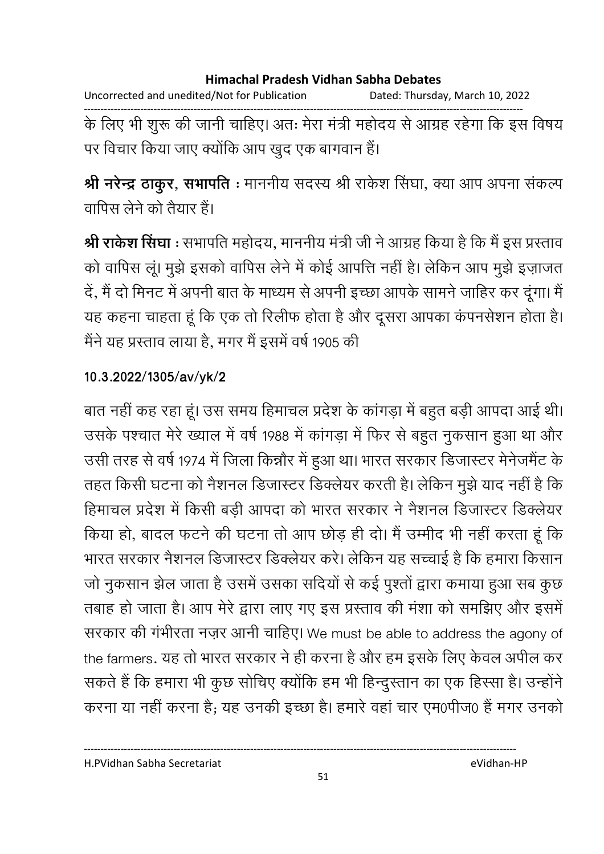Uncorrected and unedited/Not for Publication Dated: Thursday, March 10, 2022 के लिए भी शुरू की जानी चाहिए। अतः मेरा मंत्री महोदय से आग्रह रहेगा कि इस विषय पर विचार किया जाए क्योंकि आप खुद एक बागवान हैं।

श्री नरेन्द्र ठाकूर, सभापति : माननीय सदस्य श्री राकेश सिंघा, क्या आप अपना संकल्प वापिस लेने को तैयार हैं।

श्री राकेश सिंघा : सभापति महोदय, माननीय मंत्री जी ने आग्रह किया है कि मैं इस प्रस्ताव को वापिस लूं। मुझे इसको वापिस लेने में कोई आपत्ति नहीं है। लेकिन आप मुझे इज़ाजत दें, मैं दो मिनट में अपनी बात के माध्यम से अपनी इच्छा आपके सामने जाहिर कर दूंगा। मैं यह कहना चाहता हूं कि एक तो रिलीफ होता है और दूसरा आपका कंपनसेशन होता है। मैंने यह प्रस्ताव लाया है, मगर मैं इसमें वर्ष 1905 की

### 10.3.2022/1305/av/yk/2

बात नहीं कह रहा हूं। उस समय हिमाचल प्रदेश के कांगड़ा में बहुत बड़ी आपदा आई थी। उसके पश्चात मेरे ख्याल में वर्ष 1988 में कांगड़ा में फिर से बहुत नुकसान हुआ था और उसी तरह से वर्ष 1974 में जिला किन्नौर में हुआ था। भारत सरकार डिजास्टर मेनेजमैंट के तहत किसी घटना को नैशनल डिजास्टर डिक्लेयर करती है। लेकिन मुझे याद नहीं है कि हिमाचल प्रदेश में किसी बड़ी आपदा को भारत सरकार ने नैशनल डिजास्टर डिक्लेयर किया हो, बादल फटने की घटना तो आप छोड़ ही दो। मैं उम्मीद भी नहीं करता हूं कि भारत सरकार नैशनल डिजास्टर डिक्लेयर करे। लेकिन यह सच्चाई है कि हमारा किसान जो नुकसान झेल जाता है उसमें उसका सदियों से कई पुश्तों द्वारा कमाया हुआ सब कुछ तबाह हो जाता है। आप मेरे द्वारा लाए गए इस प्रस्ताव की मंशा को समझिए और इसमें सरकार की गंभीरता नज़र आनी चाहिए। We must be able to address the agony of the farmers. यह तो भारत सरकार ने ही करना है और हम इसके लिए केवल अपील कर सकते हैं कि हमारा भी कुछ सोचिए क्योंकि हम भी हिन्दुस्तान का एक हिस्सा है। उन्होंने करना या नहीं करना है; यह उनकी इच्छा है। हमारे वहां चार एम0पीज0 हैं मगर उनको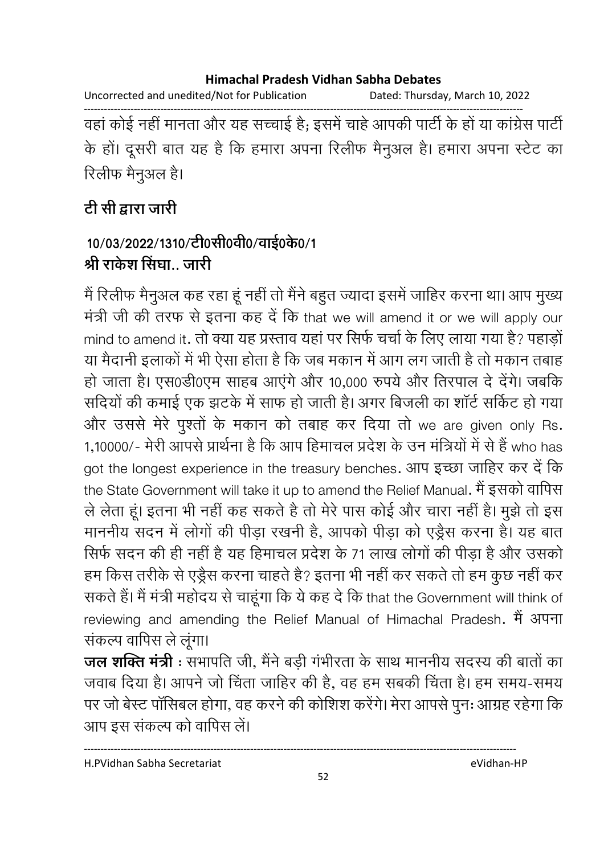Uncorrected and unedited/Not for Publication Dated: Thursday, March 10, 2022

वहां कोई नहीं मानता और यह सच्चाई है; इसमें चाहे आपकी पार्टी के हों या कांग्रेस पार्टी के हों। दूसरी बात यह है कि हमारा अपना रिलीफ मैनुअल है। हमारा अपना स्टेट का रिलीफ मैनूअल है।

# टी सी द्वारा जारी

## 10/03/2022/1310/टी0सी0वी0/वाई0के0/1 श्री राक्रेश सिंघा जारी

मैं रिलीफ मैनुअल कह रहा हूं नहीं तो मैंने बहुत ज्यादा इसमें जाहिर करना था। आप मुख्य मंत्री जी की तरफ से इतना कह दें कि that we will amend it or we will apply our mind to amend it. तो क्या यह प्रस्ताव यहां पर सिर्फ चर्चा के लिए लाया गया है? पहाड़ों या मैदानी इलाकों में भी ऐसा होता है कि जब मकान में आग लग जाती है तो मकान तबाह हो जाता है। एस0डी0एम साहब आएंगे और 10,000 रुपये और तिरपाल दे देंगे। जबकि सदियों की कमाई एक झटके में साफ हो जाती है। अगर बिजली का शॉर्ट सर्किट हो गया और उससे मेरे पुश्तों के मकान को तबाह कर दिया तो we are given only Rs. 1,10000/- मेरी आपसे प्रार्थना है कि आप हिमाचल प्रदेश के उन मंत्रियों में से हैं who has got the longest experience in the treasury benches. आप इच्छा जाहिर कर दें कि the State Government will take it up to amend the Relief Manual. मैं इसको वापिस ले लेता हूं। इतना भी नहीं कह सकते है तो मेरे पास कोई और चारा नहीं है। मुझे तो इस माननीय सदन में लोगों की पीड़ा रखनी है, आपको पीड़ा को एड्रैस करना है। यह बात सिर्फ सदन की ही नहीं है यह हिमाचल प्रदेश के 71 लाख लोगों की पीड़ा है और उसको हम किस तरीके से एड्रैस करना चाहते है? इतना भी नहीं कर सकते तो हम कुछ नहीं कर सकते हैं। मैं मंत्री महोदय से चाहूंगा कि ये कह दे कि that the Government will think of reviewing and amending the Relief Manual of Himachal Pradesh. मैं अपना संकल्प वापिस ले लूंगा।

**जल शक्ति मंत्री** : सभापति जी. मैंने बड़ी गंभीरता के साथ माननीय सदस्य की बातों का जवाब दिया है। आपने जो चिंता जाहिर की है, वह हम सबकी चिंता है। हम समय-समय पर जो बेस्ट पॉसिबल होगा, वह करने की कोशिश करेंगे। मेरा आपसे पुनः आग्रह रहेगा कि आप इस संकल्प को वापिस लें।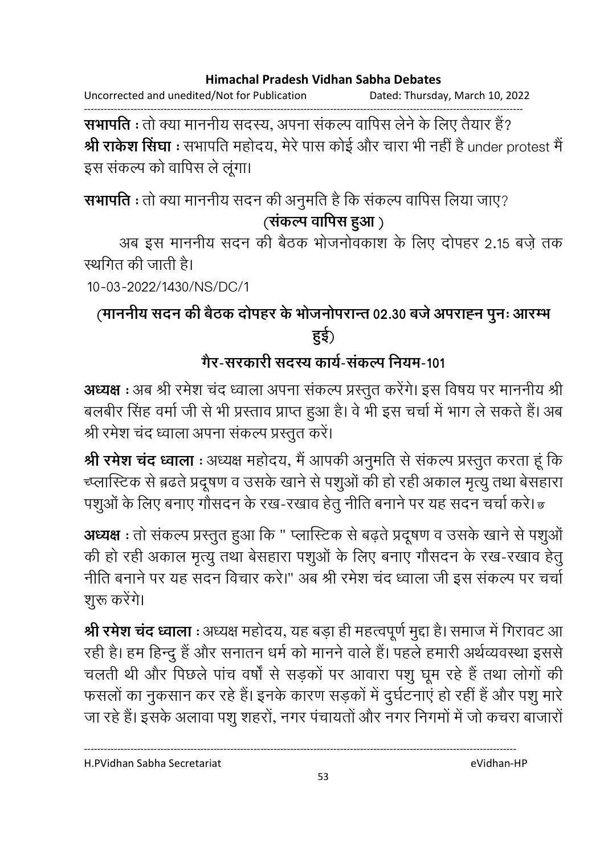Uncorrected and unedited/Not for Publication Dated: Thursday, March 10, 2022

सभापति : तो क्या माननीय सदस्य, अपना संकल्प वापिस लेने के लिए तैयार हैं? श्री राकेश सिंघा : सभापति महोदय, मेरे पास कोई और चारा भी नहीं है under protest मैं इस संकल्प को वापिस ले लूंगा।

सभापति : तो क्या माननीय सदन की अनुमति है कि संकल्प वापिस लिया जाए? (संकल्प वापिस हुआ)

अब इस माननीय सदन की बैठक भोजनोवकाश के लिए दोपहर 2.15 बजे तक स्थगित की जाती है।

10-03-2022/1430/NS/DC/1

# (माननीय सदन की बैठक दोपहर के भोजनोपरान्त 02.30 बजे अपराह्न पुनः आरम्भ हई)

# गैर-सरकारी सदस्य कार्य-संकल्प नियम-101

अध्यक्ष : अब श्री रमेश चंद ध्वाला अपना संकल्प प्रस्तुत करेंगे। इस विषय पर माननीय श्री बलबीर सिंह वर्मा जी से भी प्रस्ताव प्राप्त हुआ है। वे भी इस चर्चा में भाग ले सकते हैं। अब श्री रमेश चंद ध्वाला अपना संकल्प प्रस्तुत करें।

श्री रमेश चंद ध्वाला : अध्यक्ष महोदय, मैं आपकी अनुमति से संकल्प प्रस्तुत करता हूं कि च्प्लास्टिक से ब़ढते प्रदूषण व उसके खाने से पशुओं की हो रही अकाल मृत्यू तथा बेसहारा पशुओं के लिए बनाए गौसदन के रख-रखाव हेतू नीति बनाने पर यह सदन चर्चा करे। छ

अध्यक्ष : तो संकल्प प्रस्तुत हुआ कि " प्लास्टिक से बढ़ते प्रदूषण व उसके खाने से पशुओं की हो रही अकाल मृत्यु तथा बेसहारा पशुओं के लिए बनाए गौसदन के रख-रखाव हेतु नीति बनाने पर यह सदन विचार करे।" अब श्री रमेश चंद ध्वाला जी इस संकल्प पर चर्चा शुरू करेंगे।

श्री रमेश चंद ध्वाला : अध्यक्ष महोदय, यह बड़ा ही महत्वपूर्ण मुद्दा है। समाज में गिरावट आ रही है। हम हिन्दु हैं और सनातन धर्म को मानने वाले हैं। पहले हमारी अर्थव्यवस्था इससे चलती थी और पिछले पांच वर्षों से सड़कों पर आवारा पशु घूम रहे हैं तथा लोगों की फसलों का नुकसान कर रहे हैं। इनके कारण सड़कों में दुर्घटनाएं हो रहीं हैं और पशु मारे जा रहे हैं। इसके अलावा पशु शहरों, नगर पंचायतों और नगर निगमों में जो कचरा बाजारों

H.PVidhan Sabha Secretariat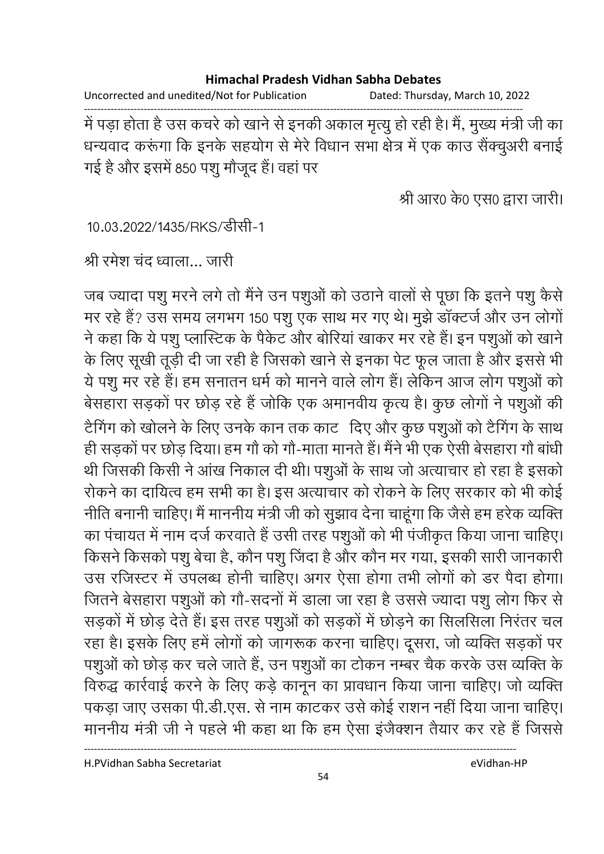Uncorrected and unedited/Not for Publication Dated: Thursday, March 10, 2022

में पड़ा होता है उस कचरे को खाने से इनकी अकाल मृत्यु हो रही है। मैं, मुख्य मंत्री जी का धन्यवाद करूंगा कि इनके सहयोग से मेरे विधान सभा क्षेत्र में एक काउँ सैंक्चुअरी बनाई गई है और इसमें 850 पशु मौजूद हैं। वहां पर

श्री आर0 के0 एस0 द्वारा जारी।

10.03.2022/1435/RKS/डीसी-1

श्री रमेश चंद ध्वाला... जारी

जब ज्यादा पशु मरने लगे तो मैंने उन पशुओं को उठाने वालों से पूछा कि इतने पशु कैसे मर रहे हैं? उस समय लगभग 150 पशु एक साथ मर गए थे। मुझे डॉक्टर्ज और उन लोगों ने कहा कि ये पशु प्लास्टिक के पैकेट और बोरियां खाकर मर रहे हैं। इन पशुओं को खाने के लिए सूखी तूड़ी दी जा रही है जिसको खाने से इनका पेट फूल जाता है और इससे भी ये पशु मर रहे हैं। हम सनातन धर्म को मानने वाले लोग हैं। लेकिन आज लोग पशुओं को बेसहारा सड़कों पर छोड़ रहे हैं जोकि एक अमानवीय कृत्य है। कुछ लोगों ने पशुओं की टैगिंग को खोलने के लिए उनके कान तक काट दिए और कुछ पशुओं को टैगिंग के साथ ही सडकों पर छोड़ दिया। हम गौ को गौ-माता मानते हैं। मैंने भी एक ऐसी बेसहारा गौ बांधी थी जिसकी किसी ने आंख निकाल दी थी। पशुओं के साथ जो अत्याचार हो रहा है इसको रोकने का दायित्व हम सभी का है। इस अत्याचार को रोकने के लिए सरकार को भी कोई नीति बनानी चाहिए। मैं माननीय मंत्री जी को सूझाव देना चाहूंगा कि जैसे हम हरेक व्यक्ति का पंचायत में नाम दर्ज करवाते हैं उसी तरह पशुओं को भी पंजीकृत किया जाना चाहिए। किसने किसको पशु बेचा है, कौन पशु जिंदा है और कौन मर गया, इसकी सारी जानकारी उस रजिस्टर में उपलब्ध होनी चाहिए। अगर ऐसा होगा तभी लोगों को डर पैदा होगा। जितने बेसहारा पशुओं को गौ-सदनों में डाला जा रहा है उससे ज्यादा पशु लोग फिर से सड़कों में छोड़ देते हैं। इस तरह पशुओं को सड़कों में छोड़ने का सिलसिला निरंतर चल रहा है। इसके लिए हमें लोगों को जागरूक करना चाहिए। दूसरा, जो व्यक्ति सड़कों पर पशुओं को छोड़ कर चले जाते हैं, उन पशुओं का टोकन नम्बर चैक करके उस व्यक्ति के विरुद्ध कार्रवाई करने के लिए कड़े कानून का प्रावधान किया जाना चाहिए। जो व्यक्ति पकड़ा जाए उसका पी.डी.एस. से नाम काटकर उसे कोई राशन नहीं दिया जाना चाहिए। माननीय मंत्री जी ने पहले भी कहा था कि हम ऐसा इंजैक्शन तैयार कर रहे हैं जिससे

H.PVidhan Sabha Secretariat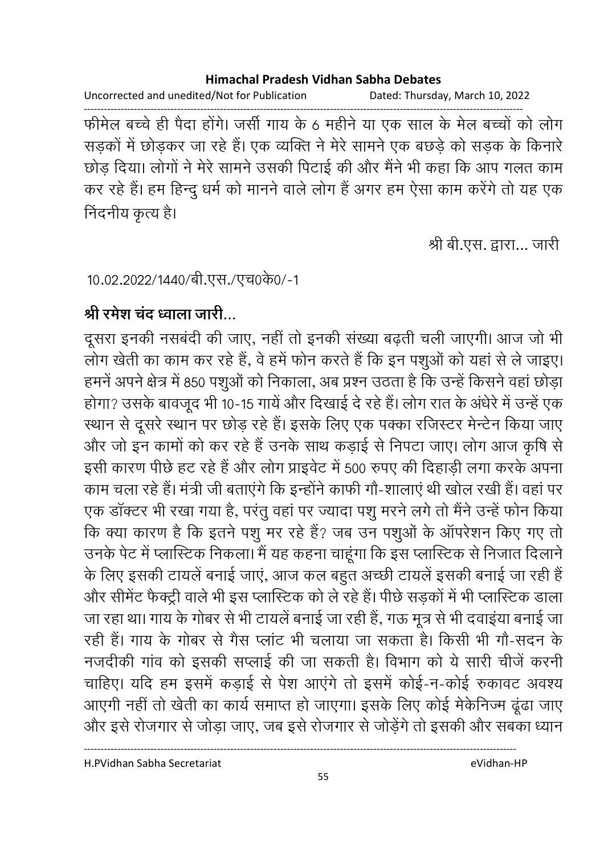Uncorrected and unedited/Not for Publication Dated: Thursday, March 10, 2022

फीमेल बच्चे ही पैदा होंगे। जर्सी गाय के 6 महीने या एक साल के मेल बच्चों को लोग सड़कों में छोड़कर जा रहे हैं। एक व्यक्ति ने मेरे सामने एक बछड़े को सड़क के किनारे छोड़ दिया। लोगों ने मेरे सामने उसकी पिटाई की और मैंने भी कहा कि आप गलत काम कर रहे हैं। हम हिन्दु धर्म को मानने वाले लोग हैं अगर हम ऐसा काम करेंगे तो यह एक निंदनीय कृत्य है।

श्री बी.एस. द्वारा... जारी

10.02.2022/1440/बी.एस./एच0के0/-1

## श्री रमेश चंद ध्वाला जारी...

दूसरा इनकी नसबंदी की जाए, नहीं तो इनकी संख्या बढ़ती चली जाएगी। आज जो भी लोग खेती का काम कर रहे हैं, वे हमें फोन करते हैं कि इन पशुओं को यहां से ले जाइए। हमनें अपने क्षेत्र में 850 पशुओं को निकाला, अब प्रश्न उठता है कि उन्हें किसने वहां छोड़ा होगा? उसके बावजूद भी 10-15 गायें और दिखाई दे रहे हैं। लोग रात के अंधेरे में उन्हें एक स्थान से दूसरे स्थान पर छोड़ रहे हैं। इसके लिए एक पक्का रजिस्टर मेन्टेन किया जाए और जो इन कामों को कर रहे हैं उनके साथ कड़ाई से निपटा जाए। लोग आज कृषि से इसी कारण पीछे हट रहे हैं और लोग प्राइवेट में 500 रुपए की दिहाड़ी लगा करके अपना काम चला रहे हैं। मंत्री जी बताएंगे कि इन्होंने काफी गौ-शालाएं थी खोल रखी हैं। वहां पर एक डॉक्टर भी रखा गया है, परंतू वहां पर ज्यादा पशू मरने लगे तो मैंने उन्हें फोन किया कि क्या कारण है कि इतने पशु मर रहे हैं? जब उन पशुओं के ऑपरेशन किए गए तो उनके पेट में प्लास्टिक निकला। मैं यह कहना चाहूंगा कि इस प्लास्टिक से निजात दिलाने के लिए इसकी टायलें बनाई जाएं, आज कल बहुत अच्छी टायलें इसकी बनाई जा रही हैं और सीमेंट फैक्ट्री वाले भी इस प्लास्टिक को ले रहे हैं। पीछे सड़कों में भी प्लास्टिक डाला जा रहा था। गाय के गोबर से भी टायलें बनाई जा रही हैं, गऊ मूत्र से भी दवाइंया बनाई जा रही हैं। गाय के गोबर से गैस प्लांट भी चलाया जा सकता है। किसी भी गौ-सदन के नजदीकी गांव को इसकी सप्लाई की जा सकती है। विभाग को ये सारी चीजें करनी चाहिए। यदि हम इसमें कड़ाई से पेश आएंगे तो इसमें कोई-न-कोई रुकावट अवश्य आएगी नहीं तो खेती का कार्य समाप्त हो जाएगा। इसके लिए कोई मेकेनिज्म ढूंढा जाए और इसे रोजगार से जोड़ा जाए, जब इसे रोजगार से जोड़ेंगे तो इसकी और सबका ध्यान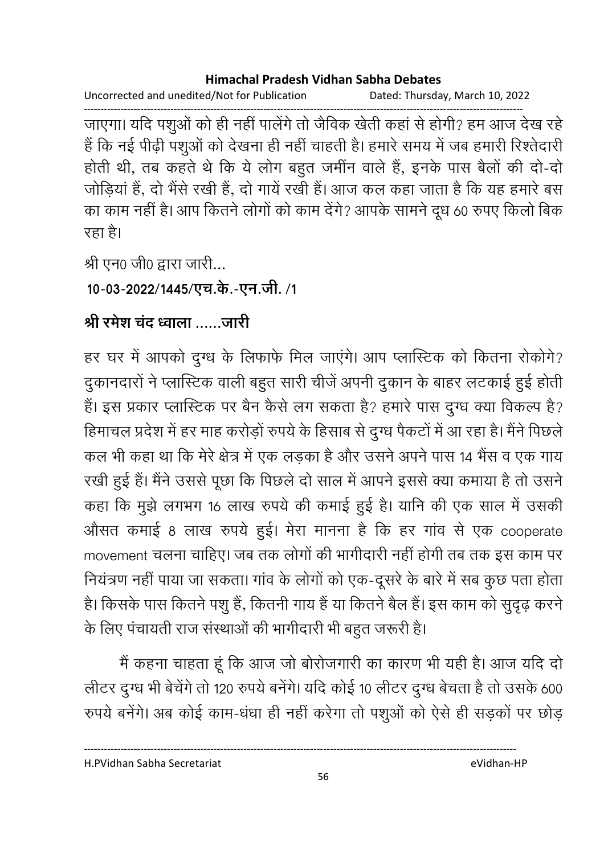Uncorrected and unedited/Not for Publication Dated: Thursday, March 10, 2022

जाएगा। यदि पशुओं को ही नहीं पालेंगे तो जैविक खेती कहां से होगी? हम आज देख रहे हैं कि नई पीढ़ी पशुओं को देखना ही नहीं चाहती है। हमारे समय में जब हमारी रिश्तेदारी होती थी, तब कहते थे कि ये लोग बहुत जमींन वाले हैं, इनके पास बैलों की दो-दो जोड़ियां हैं, दो भैंसे रखी हैं, दो गायें रखी हैं। आज कल कहा जाता है कि यह हमारे बस का काम नहीं है। आप कितने लोगों को काम देंगे? आपके सामने दूध 60 रुपए किलो बिक रहा है।

श्री एन0 जी0 द्वारा जारी...

10-03-2022/1445/एच.के.-एन.जी. /1

# श्री रमेश चंद ध्वाला जारी

हर घर में आपको दुग्ध के लिफाफे मिल जाएंगे। आप प्लास्टिक को कितना रोकोगे? दुकानदारों ने प्लास्टिक वाली बहुत सारी चीजें अपनी दुकान के बाहर लटकाई हुई होती हैं। इस प्रकार प्लास्टिक पर बैन कैसे लग सकता है? हमारे पास दुग्ध क्या विकल्प है? हिमाचल प्रदेश में हर माह करोड़ों रुपये के हिसाब से दुग्ध पैकटों में आ रहा है। मैंने पिछले कल भी कहा था कि मेरे क्षेत्र में एक लड़का है और उसने अपने पास 14 भैंस व एक गाय रखी हुई हैं। मैंने उससे पूछा कि पिछले दो साल में आपने इससे क्या कमाया है तो उसने कहा कि मुझे लगभग 16 लाख रुपये की कमाई हुई है। यानि की एक साल में उसकी औसत कमाई 8 लाख रुपये हुई। मेरा मानना है कि हर गांव से एक cooperate movement चलना चाहिए। जब तक लोगों की भागीदारी नहीं होगी तब तक इस काम पर नियंत्रण नहीं पाया जा सकता। गांव के लोगों को एक-दूसरे के बारे में सब कुछ पता होता है। किसके पास कितने पशु हैं, कितनी गाय हैं या कितने बैल हैं। इस काम को सुदृढ़ करने के लिए पंचायती राज संस्थाओं की भागीदारी भी बहुत जरूरी है।

मैं कहना चाहता हूं कि आज जो बोरोजगारी का कारण भी यही है। आज यदि दो लीटर दुग्ध भी बेचेंगे तो 120 रुपये बनेंगे। यदि कोई 10 लीटर दुग्ध बेचता है तो उसके 600 रुपये बनेंगे। अब कोई काम-धंधा ही नहीं करेगा तो पशुओं को ऐसे ही सड़कों पर छोड़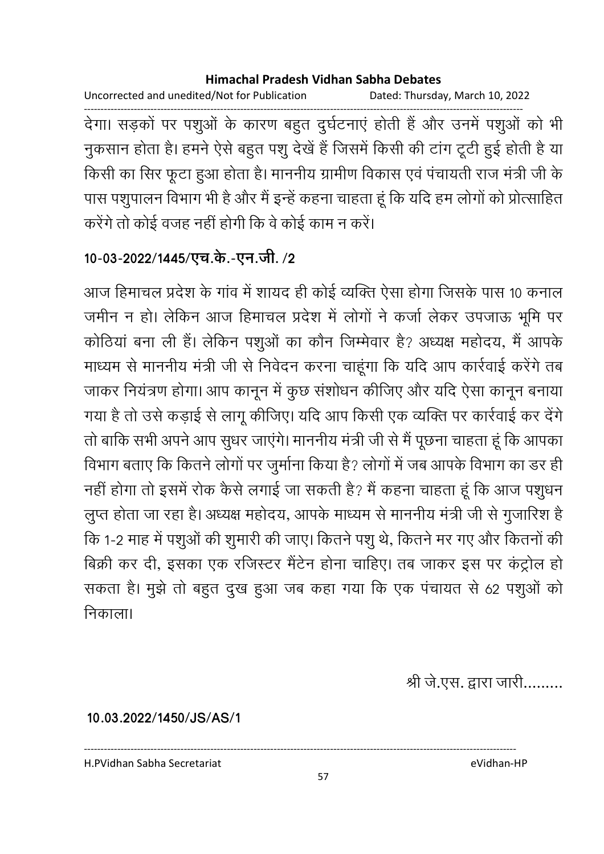Uncorrected and unedited/Not for Publication Dated: Thursday, March 10, 2022

देगा। सड़कों पर पशुओं के कारण बहुत दुर्घटनाएं होती हैं और उनमें पशुओं को भी नुकसान होता है। हमने ऐसे बहुत पशु देखें हैं जिसमें किसी की टांग टूटी हुई होती है या किसी का सिर फूटा हुआ होता है। माननीय ग्रामीण विकास एवं पंचायती राज मंत्री जी के पास पशुपालन विभाग भी है और मैं इन्हें कहना चाहता हूं कि यदि हम लोगों को प्रोत्साहित करेंगे तो कोई वजह नहीं होगी कि वे कोई काम न करें।

### 10-03-2022/1445/एच.के.-एन.जी. /2

आज हिमाचल प्रदेश के गांव में शायद ही कोई व्यक्ति ऐसा होगा जिसके पास 10 कनाल जमीन न हो। लेकिन आज हिमाचल प्रदेश में लोगों ने कर्जा लेकर उपजाऊ भूमि पर कोठियां बना ली हैं। लेकिन पशुओं का कौन जिम्मेवार है? अध्यक्ष महोदय, मैं आपके माध्यम से माननीय मंत्री जी से निवेदन करना चाहूंगा कि यदि आप कार्रवाई करेंगे तब जाकर नियंत्रण होगा। आप कानून में कुछ संशोधन कीजिए और यदि ऐसा कानून बनाया गया है तो उसे कड़ाई से लागू कीजिए। यदि आप किसी एक व्यक्ति पर कार्रवाई कर देंगे तो बाकि सभी अपने आप सुधर जाएंगे। माननीय मंत्री जी से मैं पूछना चाहता हूं कि आपका विभाग बताए कि कितने लोगों पर जुर्माना किया है? लोगों में जब आपके विभाग का डर ही नहीं होगा तो इसमें रोक कैसे लगाई जा सकती है? मैं कहना चाहता हूं कि आज पशुधन लुप्त होता जा रहा है। अध्यक्ष महोदय, आपके माध्यम से माननीय मंत्री जी से गुजारिश है कि 1-2 माह में पशुओं की शुमारी की जाए। कितने पशु थे, कितने मर गए और कितनों की बिक्री कर दी, इसका एक रजिस्टर मैंटेन होना चाहिए। तब जाकर इस पर कंट्रोल हो सकता है। मुझे तो बहुत दुख हुआ जब कहा गया कि एक पंचायत से 62 पशुओं को निकाला।

श्री जे.एस. द्वारा जारी.........

10.03.2022/1450/JS/AS/1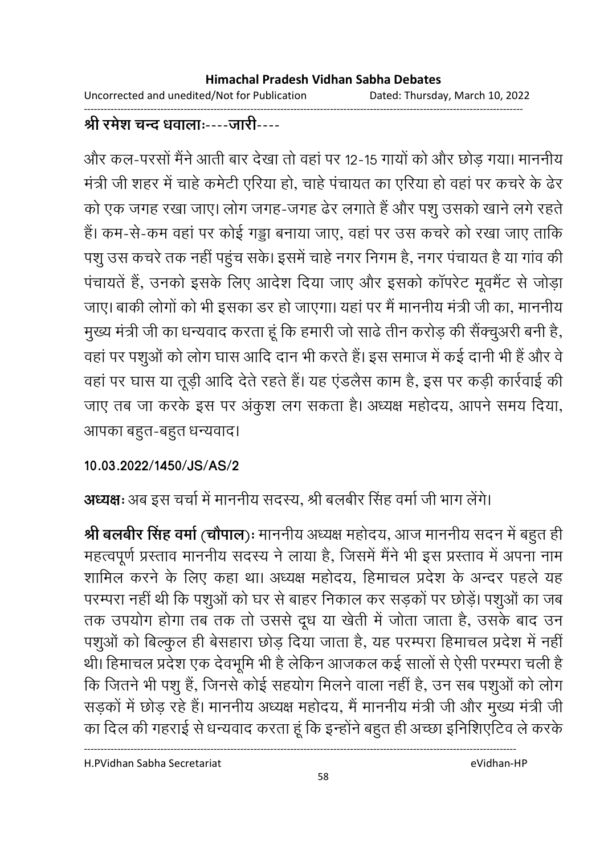Uncorrected and unedited/Not for Publication Dated: Thursday, March 10, 2022

## श्री रमेश चन्द धवालाः----जारी----

और कल-परसों मैंने आती बार देखा तो वहां पर 12-15 गायों को और छोड़ गया। माननीय मंत्री जी शहर में चाहे कमेटी एरिया हो, चाहे पंचायत का एरिया हो वहां पर कचरे के ढेर को एक जगह रखा जाए। लोग जगह-जगह ढेर लगाते हैं और पशु उसको खाने लगे रहते हैं। कम-से-कम वहां पर कोई गड्डा बनाया जाए, वहां पर उस कचरे को रखा जाए ताकि पशु उस कचरे तक नहीं पहुंच सके। इसमें चाहे नगर निगम है, नगर पंचायत है या गांव की पंचायतें हैं, उनको इसके लिए आदेश दिया जाए और इसको कॉपरेट मूवमैंट से जोड़ा जाए। बाकी लोगों को भी इसका डर हो जाएगा। यहां पर मैं माननीय मंत्री जी का, माननीय मुख्य मंत्री जी का धन्यवाद करता हूं कि हमारी जो साढे तीन करोड़ की सैंक्चूअरी बनी है, वहां पर पशुओं को लोग घास आदि दान भी करते हैं। इस समाज में कई दानी भी हैं और वे वहां पर घास या तूड़ी आदि देते रहते हैं। यह एंडलैस काम है, इस पर कड़ी कार्रवाई की जाए तब जा करके इस पर अंकूश लग सकता है। अध्यक्ष महोदय, आपने समय दिया, आपका बहुत-बहुत धन्यवाद।

### 10.03.2022/1450/JS/AS/2

## अध्यक्षः अब इस चर्चा में माननीय सदस्य, श्री बलबीर सिंह वर्मा जी भाग लेंगे।

श्री बलबीर सिंह वर्मा (चौपाल)ः माननीय अध्यक्ष महोदय, आज माननीय सदन में बहुत ही महत्वपूर्ण प्रस्ताव माननीय सदस्य ने लाया है, जिसमें मैंने भी इस प्रस्ताव में अपना नाम शामिल करने के लिए कहा था। अध्यक्ष महोदय, हिमाचल प्रदेश के अन्दर पहले यह परम्परा नहीं थी कि पशुओं को घर से बाहर निकाल कर सड़कों पर छोड़ें। पशुओं का जब तक उपयोग होगा तब तक तो उससे दूध या खेती में जोता जाता है, उसके बाद उन पशुओं को बिल्कुल ही बेसहारा छोड़ दिया जाता है, यह परम्परा हिमाचल प्रदेश में नहीं थी। हिमाचल प्रदेश एक देवभूमि भी है लेकिन आजकल कई सालों से ऐसी परम्परा चली है कि जितने भी पशु हैं, जिनसे कोई सहयोग मिलने वाला नहीं है, उन सब पशुओं को लोग सड़कों में छोड़ रहे हैं। माननीय अध्यक्ष महोदय, मैं माननीय मंत्री जी और मुख्य मंत्री जी का दिल की गहराई से धन्यवाद करता हूं कि इन्होंने बहुत ही अच्छा इनिशिएटिव ले करके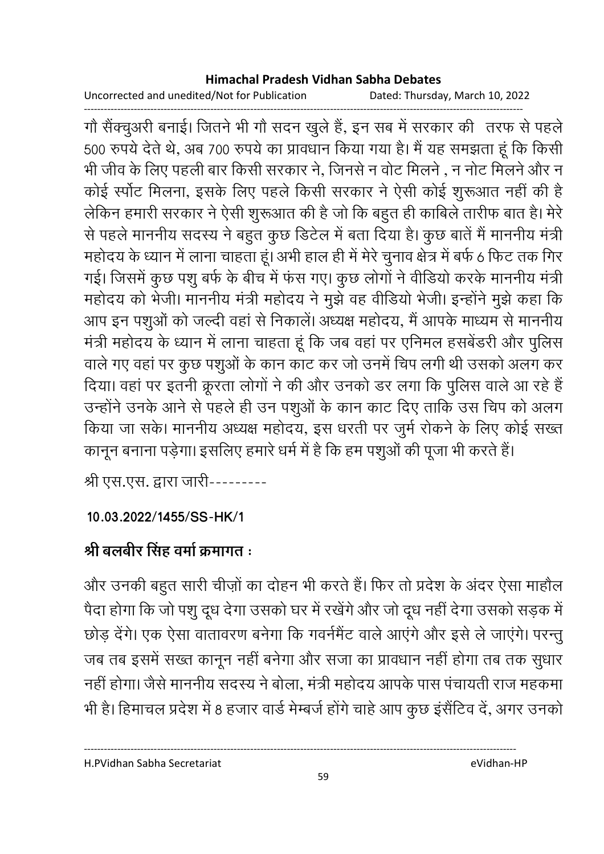Uncorrected and unedited/Not for Publication Dated: Thursday, March 10, 2022

गौ सैंक्चुअरी बनाई। जितने भी गौ सदन खुले हैं, इन सब में सरकार की तरफ से पहले 500 रुपये देते थे, अब 700 रुपये का प्रावधान किया गया है। मैं यह समझता हूं कि किसी भी जीव के लिए पहली बार किसी सरकार ने, जिनसे न वोट मिलने , न नोट मिलने और न कोई स्पॉट मिलना, इसके लिए पहले किसी सरकार ने ऐसी कोई शुरूआत नहीं की है लेकिन हमारी सरकार ने ऐसी शुरूआत की है जो कि बहुत ही काबिले तारीफ बात है। मेरे से पहले माननीय सदस्य ने बहुत कुछ डिटेल में बता दिया है। कुछ बातें मैं माननीय मंत्री महोदय के ध्यान में लाना चाहता हूं। अभी हाल ही में मेरे चुनाव क्षेत्र में बर्फ 6 फिट तक गिर गई। जिसमें कुछ पशु बर्फ के बीच में फंस गए। कुछ लोगों ने वीडियो करके माननीय मंत्री महोदय को भेजी। माननीय मंत्री महोदय ने मुझे वह वीडियो भेजी। इन्होंने मुझे कहा कि आप इन पशुओं को जल्दी वहां से निकालें। अध्यक्ष महोदय, मैं आपके माध्यम से माननीय मंत्री महोदय के ध्यान में लाना चाहता हूं कि जब वहां पर एनिमल हसबेंडरी और पुलिस वाले गए वहां पर कुछ पशुओं के कान काट कर जो उनमें चिप लगी थी उसको अलग कर दिया। वहां पर इतनी क्रूरता लोगों ने की और उनको डर लगा कि पुलिस वाले आ रहे हैं उन्होंने उनके आने से पहले ही उन पशुओं के कान काट दिए ताकि उस चिप को अलग किया जा सके। माननीय अध्यक्ष महोदय, इस धरती पर जुर्म रोकने के लिए कोई सख्त कानून बनाना पड़ेगा। इसलिए हमारे धर्म में है कि हम पशुओं की पूजा भी करते हैं।

श्री एस.एस. द्वारा जारी---------

### 10.03.2022/1455/SS-HK/1

# श्री बलबीर सिंह वर्मा क्रमागत :

और उनकी बहुत सारी चीज़ों का दोहन भी करते हैं। फिर तो प्रदेश के अंदर ऐसा माहौल पैदा होगा कि जो पशु दूध देगा उसको घर में रखेंगे और जो दूध नहीं देगा उसको सड़क में छोड़ देंगे। एक ऐसा वातावरण बनेगा कि गवर्नमेंट वाले आएंगे और इसे ले जाएंगे। परन्तु जब तब इसमें सख्त कानून नहीं बनेगा और सजा का प्रावधान नहीं होगा तब तक सुधार नहीं होगा। जैसे माननीय सदस्य ने बोला, मंत्री महोदय आपके पास पंचायती राज महकमा भी है। हिमाचल प्रदेश में 8 हजार वार्ड मेम्बर्ज होंगे चाहे आप कुछ इंसैंटिव दें, अगर उनको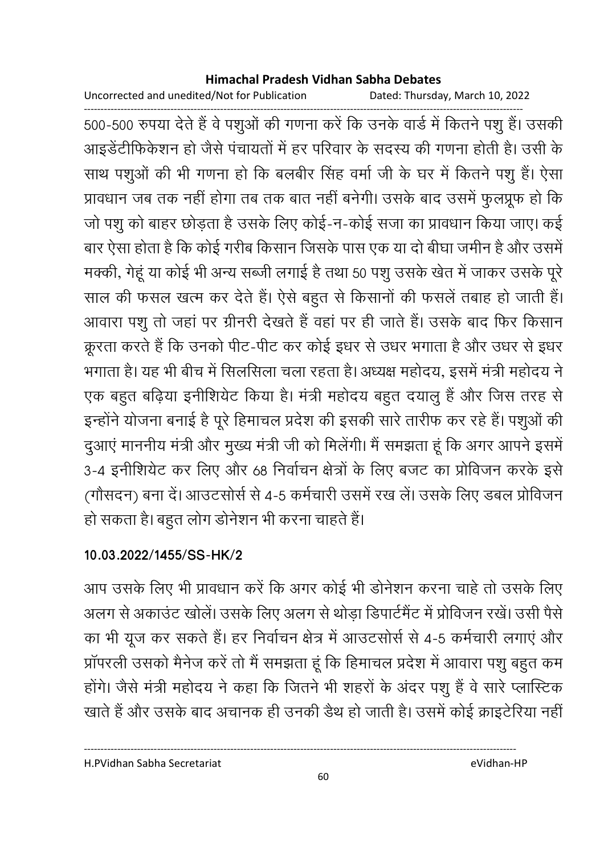Uncorrected and unedited/Not for Publication Dated: Thursday, March 10, 2022

------------------------------------------------------------------------------------------------------------------------------------ 500-500 रुपया देते हैं वे पशुओं की गणना करें कि उनके वार्ड में कितने पशु हैं। उसकी आइंडेंटीफिकेशन हो जैसे पंचायतों में हर परिवार के सदस्य की गणना होती हैं। उसी के साथ पशुओं की भी गणना हो कि बलबीर सिंह वर्मा जी के घर में कितने पशु हैं। ऐसा प्रावधान जब तक नहीं होगा तब तक बात नहीं बनेगी। उसके बाद उसमें फुलप्रूफ हो कि जो पशु को बाहर छोड़ता है उसके लिए कोई-न-कोई सजा का प्रावधान किया जाए। कई बार ऐसा होता है कि कोई गरीब किसान जिसके पास एक या दो बीघा जमीन है और उसमें मक्की, गेहू या कोई भी अन्य सब्जी लगाई है तथा 50 पशु उसके खेत में जाकर उसके पूरे साल की फसल खत्म कर देते हैं। ऐसे बहुत से किसानों की फसले तबाह हो जाती है। आवारा पशू तो जहां पर ग्रीनरी देखते हैं वहां पर ही जाते हैं। उसके बाद फिर किसान क्रूरता करते हैं कि उनको पीट-पीट कर कोई इधर से उधर भगाता है और उधर से इधर भगाता है। यह भी बीच में सिलसिला चला रहता है। अध्यक्ष महोदय, इसमें मंत्री महोदय ने एक बहुत बढ़िया इनीशियेंट किया है। मंत्री महोदय बहुत दयालु है और जिस तरह से इन्होंने योजना बनाई है पूरे हिमाचल प्रदेश की इसकी सारे तारीफ कर रहे हैं। पशुओं की दुआए माननीय मंत्री और मुख्य मंत्री जी को मिलेगी। मैं समझता हूं कि अगर आपने इसमें 3-4 इनीशियेट कर लिए और 68 निर्वाचन क्षेत्रों के लिए बजट का प्रोविजन करके इसे (गौसदन) बना दें। आउटसोर्स से 4-5 कर्मचारी उसमें रख ले। उसके लिए डबल प्रोविजन हो सकता है। बहुत लोग डोनेशन भी करना चाहते हैं।

### **10.03.2022/1455/SS-HK/2**

आप उसके लिए भी प्रावधान करें कि अगर कोई भी डोनेशन करना चाहे तो उसके लिए अलग से अकाउट खोले। उसके लिए अलग से थोड़ा डिपार्टमेंट में प्रोविजन रखे। उसी पैसे का भी यूज कर सकते हैं। हर निर्वाचन क्षेत्र में आउटसोर्स से 4-5 कर्मचारी लगाएं और प्रापरली उसको मैंनेज करें तो मैं समझता हूँ कि हिमाचल प्रदेश में आवारा पशु बहुत कम होंगे। जैसे मंत्री महोदय ने कहा कि जितने भी शहरों के अंदर पशु है वे सारे प्लास्टिक खाते हैं और उसके बाद अचानक ही उनकी डैथ हो जाती है। उसमें कोई क्राइटेरिया नहीं |

H.PVidhan Sabha Secretariat eVidhan-HP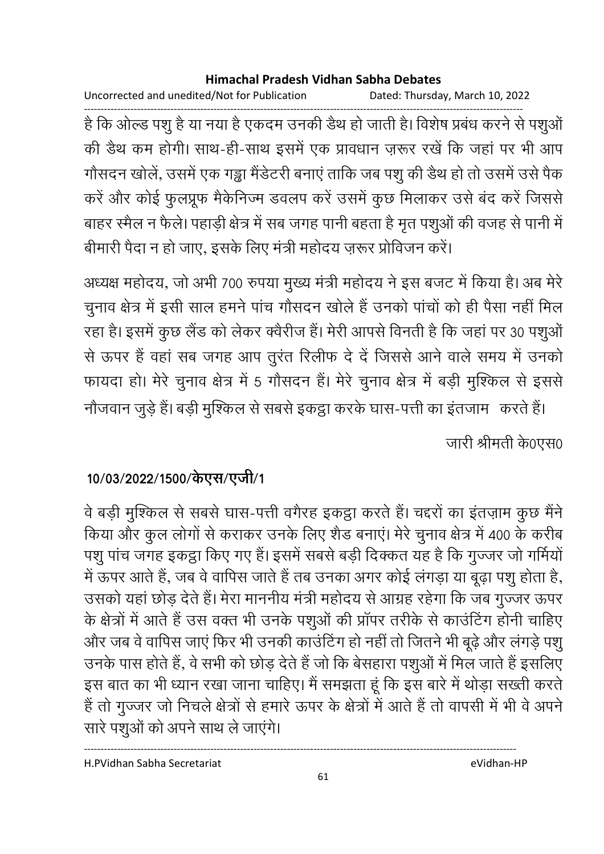Uncorrected and unedited/Not for Publication Dated: Thursday, March 10, 2022

है कि ओल्ड पशु है या नया है एकदम उनकी डैथ हो जाती है। विशेष प्रबंध करने से पशुओं की डैथ कम होगी। साथ-ही-साथ इसमें एक प्रावधान ज़रूर रखें कि जहां पर भी आप गौसदन खोलें, उसमें एक गड्ढा मैंडेटरी बनाएं ताकि जब पशु की डैथ हो तो उसमें उसे पैक करें और कोई फुलप्रूफ मैकेनिज्म डवलप करें उसमें कुछ मिलाकर उसे बंद करें जिससे बाहर स्मैल न फैले। पहाड़ी क्षेत्र में सब जगह पानी बहता है मृत पशुओं की वजह से पानी में बीमारी पैदा न हो जाए, इसके लिए मंत्री महोदय ज़रूर प्रोविजन करें।

अध्यक्ष महोदय, जो अभी 700 रुपया मुख्य मंत्री महोदय ने इस बजट में किया है। अब मेरे चुनाव क्षेत्र में इसी साल हमने पांच गौसदन खोले हैं उनको पांचों को ही पैसा नहीं मिल रहा है। इसमें कुछ लैंड को लेकर क्वैरीज हैं। मेरी आपसे विनती है कि जहां पर 30 पशुओं से ऊपर हैं वहां सब जगह आप तुरंत रिलीफ दे दें जिससे आने वाले समय में उनको फायदा हो। मेरे चुनाव क्षेत्र में 5 गौसदन हैं। मेरे चुनाव क्षेत्र में बड़ी मुश्किल से इससे

नौजवान जुड़े हैं। बड़ी मुश्किल से सबसे इकट्ठा करके घास-पत्ती का इंतजाम) करते हैं। जारी श्रीमती के0एस0

## 10/03/2022/1500/केएस/एजी/1

वे बड़ी मुश्किल से सबसे घास-पत्ती वगैरह इकट्ठा करते हैं। चद्दरों का इंतज़ाम कुछ मैंने किया और कुल लोगों से कराकर उनके लिए शैड बनाएं। मेरे चुनाव क्षेत्र में 400 के करीब पशु पांच जगह इकट्ठा किए गए हैं। इसमें सबसे बड़ी दिक्कत यह है कि गुज्जर जो गर्मियों में ऊपर आते हैं, जब वे वापिस जाते हैं तब उनका अगर कोई लंगड़ा या बूढ़ा पशु होता है, उसको यहां छोड़ देते हैं। मेरा माननीय मंत्री महोदय से आग्रह रहेगा कि जब गुज्जर ऊपर के क्षेत्रों में आते हैं उस वक्त भी उनके पशुओं की प्रॉपर तरीके से काउंटिंग होनी चाहिए और जब वे वापिस जाएं फिर भी उनकी काउंटिंग हो नहीं तो जितने भी बूढ़े और लंगड़े पशु उनके पास होते हैं, वे सभी को छोड़ देते हैं जो कि बेसहारा पशुओं में मिल जाते हैं इसलिए इस बात का भी ध्यान रखा जाना चाहिए। मैं समझता हूं कि इस बारे में थोड़ा सख्ती करते हैं तो गुज्जर जो निचले क्षेत्रों से हमारे ऊपर के क्षेत्रों में आते हैं तो वापसी में भी वे अपने सारे पशुओं को अपने साथ ले जाएंगे।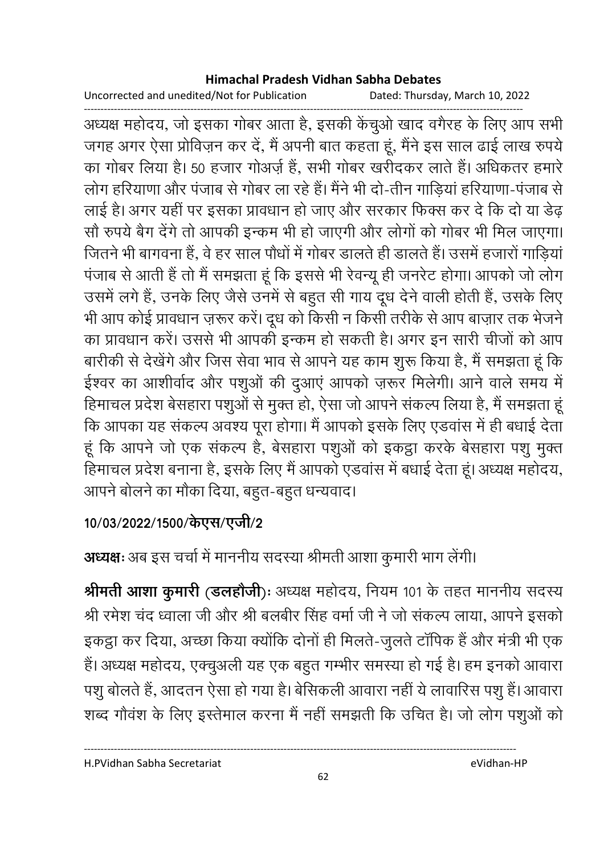Uncorrected and unedited/Not for Publication

Dated: Thursday, March 10, 2022

अध्यक्ष महोदय, जो इसका गोबर आता है, इसकी केंचुओ खाद वगैरह के लिए आप सभी जगह अगर ऐसा प्रोविज़न कर दें, मैं अपनी बात कहता हूं, मैंने इस साल ढाई लाख रुपये का गोबर लिया है। 50 हजार गोअर्ज़ हैं, सभी गोबर खरीदकर लाते हैं। अधिकतर हमारे लोग हरियाणा और पंजाब से गोबर ला रहे हैं। मैंने भी दो-तीन गाडियां हरियाणा-पंजाब से लाई है। अगर यहीं पर इसका प्रावधान हो जाए और सरकार फिक्स कर दे कि दो या डेढ़ सौ रुपये बैग देंगे तो आपकी इन्कम भी हो जाएगी और लोगों को गोबर भी मिल जाएगा। जितने भी बागवना हैं, वे हर साल पौधों में गोबर डालते ही डालते हैं। उसमें हजारों गाडियां पंजाब से आती हैं तो मैं समझता हूं कि इससे भी रेवन्यू ही जनरेट होगा। आपको जो लोग उसमें लगे हैं, उनके लिए जैसे उनमें से बहुत सी गाय दूध देने वाली होती हैं, उसके लिए भी आप कोई प्रावधान ज़रूर करें। दूध को किसी न किसी तरीके से आप बाज़ार तक भेजने का प्रावधान करें। उससे भी आपकी इन्कम हो सकती है। अगर इन सारी चीजों को आप बारीकी से देखेंगे और जिस सेवा भाव से आपने यह काम शुरू किया है, मैं समझता हूं कि ईश्वर का आशीर्वाद और पशुओं की दुआएं आपको ज़रूर मिलेगी। आने वाले समय में हिमाचल प्रदेश बेसहारा पशुओं से मुक्त हो, ऐसा जो आपने संकल्प लिया है, मैं समझता हूं कि आपका यह संकल्प अवश्य पूरा होगा। मैं आपको इसके लिए एडवांस में ही बधाई देता हूं कि आपने जो एक संकल्प है, बेसहारा पशुओं को इकट्ठा करके बेसहारा पशु मुक्त हिमाचल प्रदेश बनाना है, इसके लिए मैं आपको एडवांस में बधाई देता हूं। अध्यक्ष महोदय, आपने बोलने का मौका दिया, बहुत-बहुत धन्यवाद।

## 10/03/2022/1500/केएस/एजी/2

# अध्यक्षः अब इस चर्चा में माननीय सदस्या श्रीमती आशा कुमारी भाग लेंगी।

श्रीमती आशा कुमारी (डलहोजी): अध्यक्ष महोदय, नियम 101 के तहत माननीय सदस्य श्री रमेश चंद ध्वाला जी और श्री बलबीर सिंह वर्मा जी ने जो संकल्प लाया, आपने इसको इकट्ठा कर दिया, अच्छा किया क्योंकि दोनों ही मिलते-जुलते टॉपिक हैं और मंत्री भी एक हैं। अध्यक्ष महोदय, एक्चुअली यह एक बहुत गम्भीर समस्या हो गई है। हम इनको आवारा पशु बोलते हैं, आदतन ऐसा हो गया है। बेसिकली आवारा नहीं ये लावारिस पशु हैं। आवारा शब्द गौवंश के लिए इस्तेमाल करना मैं नहीं समझती कि उचित है। जो लोग पशुओं को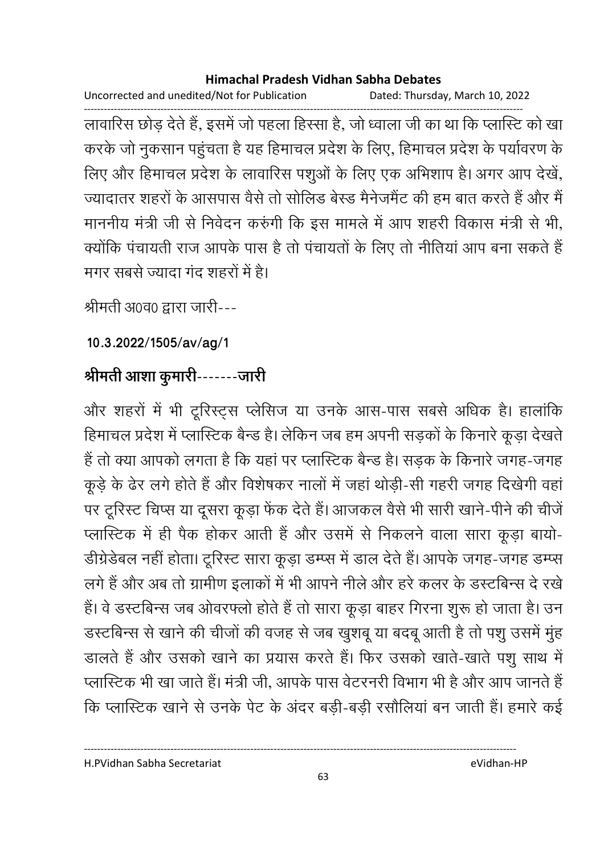Uncorrected and unedited/Not for Publication Dated: Thursday, March 10, 2022

लावारिस छोड़ देते हैं, इसमें जो पहला हिस्सा है, जो ध्वाला जी का था कि प्लास्टि को खा करके जो नुकसान पहुंचता है यह हिमाचल प्रदेश के लिए, हिमाचल प्रदेश के पर्यावरण के लिए और हिमाचल प्रदेश के लावारिस पशुओं के लिए एक अभिशाप है। अगर आप देखें, ज्यादातर शहरों के आसपास वैसे तो सोलिड बेस्ड मैनेजमैंट की हम बात करते हैं और मैं माननीय मंत्री जी से निवेदन करुंगी कि इस मामले में आप शहरी विकास मंत्री से भी, क्योंकि पंचायती राज आपके पास है तो पंचायतों के लिए तो नीतियां आप बना सकते हैं मगर सबसे ज्यादा गंद शहरों में है।

श्रीमती अ0व0 द्वारा जारी---

10.3.2022/1505/av/ag/1

# श्रीमती आशा कुमारी-------जारी

और शहरों में भी टूरिस्ट्स प्लेसिज या उनके आस-पास सबसे अधिक है। हालांकि हिमाचल प्रदेश में प्लास्टिक बैन्ड है। लेकिन जब हम अपनी सड़कों के किनारे कूड़ा देखते हैं तो क्या आपको लगता है कि यहां पर प्लास्टिक बैन्ड है। सडक के किनारे जगह-जगह कूड़े के ढेर लगे होते हैं और विशेषकर नालों में जहां थोड़ी-सी गहरी जगह दिखेगी वहां पर टूरिस्ट चिप्स या दूसरा कूड़ा फेंक देते हैं। आजकल वैसे भी सारी खाने-पीने की चीजें प्लास्टिक में ही पैक होकर आती हैं और उसमें से निकलने वाला सारा कूड़ा बायो-डीग्रेडेबल नहीं होता। टूरिस्ट सारा कूड़ा डम्प्स में डाल देते हैं। आपके जगह-जगह डम्प्स लगे हैं और अब तो ग्रामीण इलाकों में भी आपने नीले और हरे कलर के डस्टबिन्स दे रखे हैं। वे डस्टबिन्स जब ओवरफ्लो होते हैं तो सारा कूड़ा बाहर गिरना शुरू हो जाता है। उन डस्टबिन्स से खाने की चीजों की वजह से जब खुशबू या बदबू आती है तो पशु उसमें मुंह डालते हैं और उसको खाने का प्रयास करते हैं। फिर उसको खाते-खाते पशु साथ में प्लास्टिक भी खा जाते हैं। मंत्री जी, आपके पास वेटरनरी विभाग भी है और आप जानते हैं कि प्लास्टिक खाने से उनके पेट के अंदर बड़ी-बड़ी रसौलियां बन जाती हैं। हमारे कई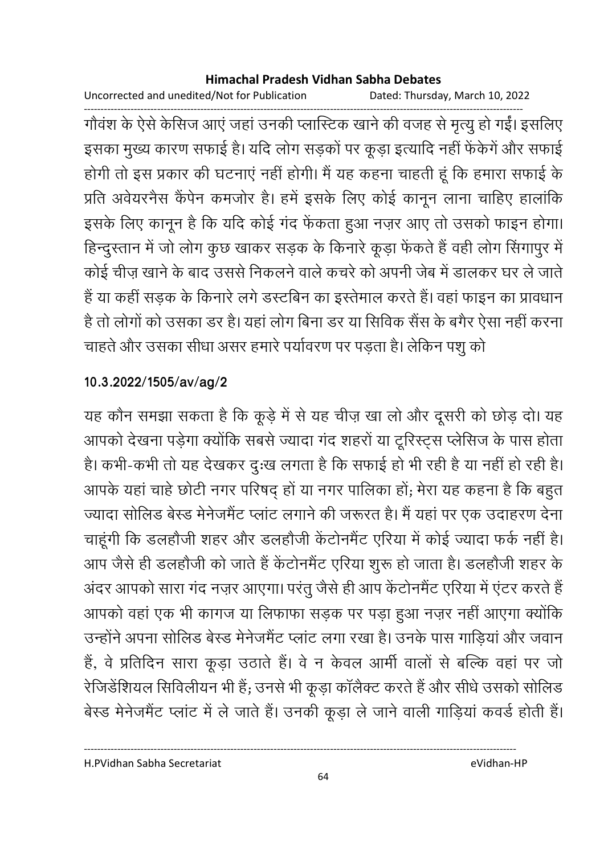Uncorrected and unedited/Not for Publication Dated: Thursday, March 10, 2022

गौवंश के ऐसे केसिज आएं जहां उनकी प्लास्टिक खाने की वजह से मृत्यु हो गईं। इसलिए इसका मुख्य कारण सफाई है। यदि लोग सड़कों पर कूड़ा इत्यादि नहीं फेंकेगें और सफाई होगी तो इस प्रकार की घटनाएं नहीं होगी। मैं यह कहना चाहती हूं कि हमारा सफाई के प्रति अवेयरनैस कैंपेन कमजोर है। हमें इसके लिए कोई कानून लाना चाहिए हालांकि इसके लिए कानून है कि यदि कोई गंद फेंकता हुआ नज़र आए तो उसको फाइन होगा। हिन्दुस्तान में जो लोग कुछ खाकर सड़क के किनारे कूड़ा फेंकते हैं वही लोग सिंगापुर में कोई चीज़ खाने के बाद उससे निकलने वाले कचरे को अपनी जेब में डालकर घर ले जाते हैं या कहीं सड़क के किनारे लगे डस्टबिन का इस्तेमाल करते हैं। वहां फाइन का प्रावधान है तो लोगों को उसका डर है। यहां लोग बिना डर या सिविक सैंस के बगैर ऐसा नहीं करना चाहते और उसका सीधा असर हमारे पर्यावरण पर पड़ता है। लेकिन पशु को

## 10.3.2022/1505/av/ag/2

यह कौन समझा सकता है कि कूड़े में से यह चीज़ खा लो और दूसरी को छोड़ दो। यह आपको देखना पड़ेगा क्योंकि सबसे ज्यादा गंद शहरों या टूरिस्ट्स प्लेसिज के पास होता है। कभी-कभी तो यह देखकर दुःख लगता है कि सफाई हो भी रही है या नहीं हो रही है। आपके यहां चाहे छोटी नगर परिषद् हों या नगर पालिका हों; मेरा यह कहना है कि बहुत ज्यादा सोलिड बेस्ड मेनेजमैंट प्लांट लगाने की जरूरत है। मैं यहां पर एक उदाहरण देना चाहूंगी कि डलहौजी शहर और डलहौजी केंटोनमैंट एरिया में कोई ज्यादा फर्क नहीं है। आप जैसे ही डलहौजी को जाते हैं केंटोनमैंट एरिया शुरू हो जाता है। डलहौजी शहर के अंदर आपको सारा गंद नज़र आएगा। परंतु जैसे ही आप केंटोनमैंट एरिया में एंटर करते हैं आपको वहां एक भी कागज या लिफाफा सड़क पर पड़ा हुआ नज़र नहीं आएगा क्योंकि उन्होंने अपना सोलिड बेस्ड मेनेजमैंट प्लांट लगा रखा है। उनके पास गाडियां और जवान हैं, वे प्रतिदिन सारा कूड़ा उठाते हैं। वे न केवल आर्मी वालों से बल्कि वहां पर जो रेजिडेंशियल सिविलीयन भी हैं; उनसे भी कूड़ा कॉलैक्ट करते हैं और सीधे उसको सोलिड बेस्ड मेनेजमैंट प्लांट में ले जाते हैं। उनकी कूड़ा ले जाने वाली गाड़ियां कवर्ड होती हैं।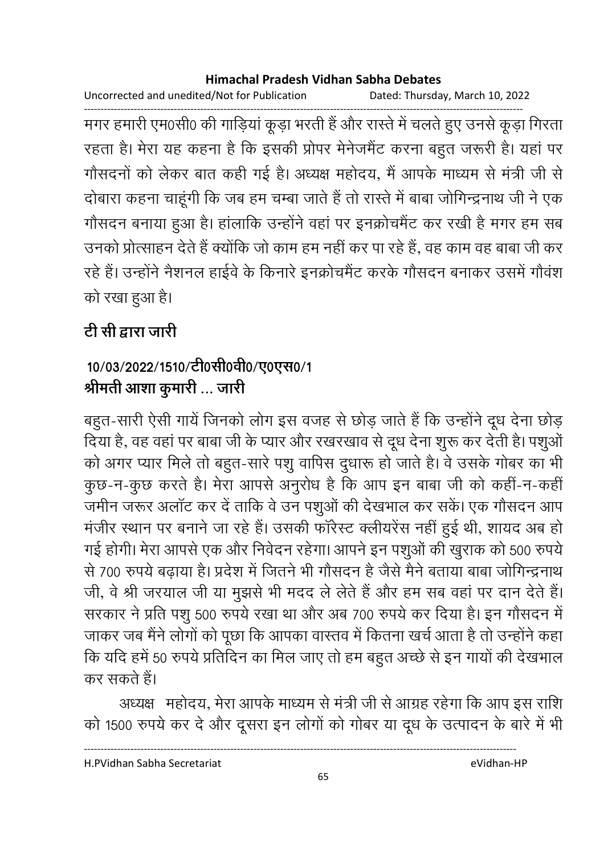Uncorrected and unedited/Not for Publication Dated: Thursday, March 10, 2022

मगर हमारी एम0सी0 की गाड़ियां कूड़ा भरती हैं और रास्ते में चलते हुए उनसे कूड़ा गिरता रहता है। मेरा यह कहना है कि इसकी प्रोपर मेनेजमैंट करना बहुत जरूरी है। यहां पर गौसदनों को लेकर बात कही गई है। अध्यक्ष महोदय, मैं आपके माध्यम से मंत्री जी से दोबारा कहना चाहूंगी कि जब हम चम्बा जाते हैं तो रास्ते में बाबा जोगिन्द्रनाथ जी ने एक गौसदन बनाया हुआ है। हांलाकि उन्होंने वहां पर इनक्रोचमैंट कर रखी है मगर हम सब उनको प्रोत्साहन देते हैं क्योंकि जो काम हम नहीं कर पा रहे हैं, वह काम वह बाबा जी कर रहे हैं। उन्होंने नैशनल हाईवे के किनारे इनक्रोचमैंट करके गौसदन बनाकर उसमें गौवंश को रखा हुआ है।

# टी सी द्वारा जारी

# 10/03/2022/1510/टी0सी0वी0/ए0एस0/1 श्रीमती आशा कुमारी ... जारी

बहुत-सारी ऐसी गायें जिनको लोग इस वजह से छोड़ जाते हैं कि उन्होंने दूध देना छोड़ दिया है, वह वहां पर बाबा जी के प्यार और रखरखाव से दूध देना शुरू कर देती है। पशुओं को अगर प्यार मिले तो बहुत-सारे पशु वापिस दुधारू हो जाते है। वे उसके गोबर का भी कुछ-न-कुछ करते है। मेरा आपसे अनुरोध है कि आप इन बाबा जी को कहीं-न-कहीं जमीन जरूर अलॉट कर दें ताकि वे उन पशुओं की देखभाल कर सकें। एक गौसदन आप मंजीर स्थान पर बनाने जा रहे हैं। उसकी फॉरेस्ट क्लीयरेंस नहीं हुई थी, शायद अब हो गई होगी। मेरा आपसे एक और निवेदन रहेगा। आपने इन पशुओं की खुराक को 500 रुपये से 700 रुपये बढाया है। प्रदेश में जितने भी गौसदन है जैसे मैने बताया बाबा जोगिन्द्रनाथ जी, वे श्री जरयाल जी या मुझसे भी मदद ले लेते हैं और हम सब वहां पर दान देते हैं। सरकार ने प्रति पशु 500 रुपये रखा था और अब 700 रुपये कर दिया है। इन गौसदन में जाकर जब मैंने लोगों को पूछा कि आपका वास्तव में कितना खर्च आता है तो उन्होंने कहा कि यदि हमें 50 रुपये प्रतिदिन का मिल जाए तो हम बहुत अच्छे से इन गायों की देखभाल कर सकते हैं।

अध्यक्ष महोदय, मेरा आपके माध्यम से मंत्री जी से आग्रह रहेगा कि आप इस राशि को 1500 रुपये कर दे और दूसरा इन लोगों को गोबर या दूध के उत्पादन के बारे में भी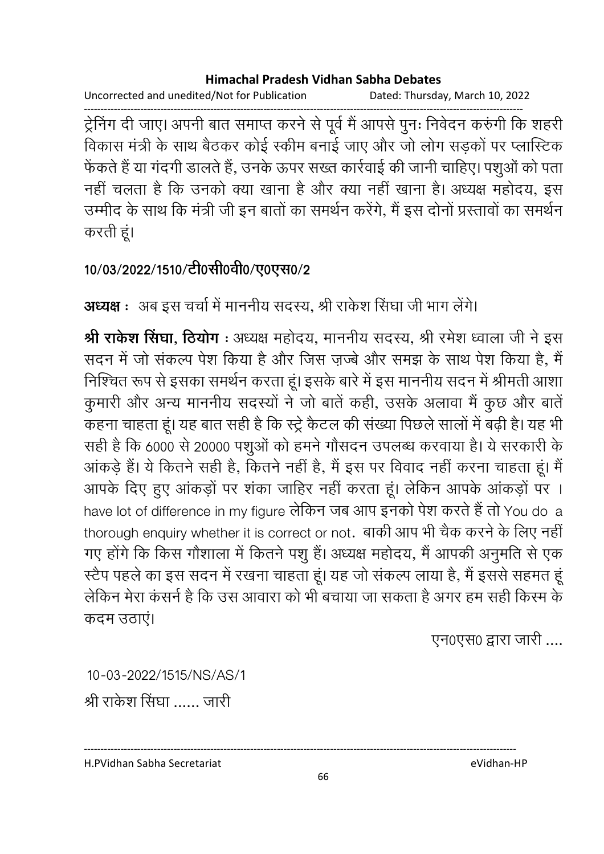Uncorrected and unedited/Not for Publication Dated: Thursday, March 10, 2022

ट्रेनिंग दी जाए। अपनी बात समाप्त करने से पूर्व मैं आपसे पुनः निवेदन करुंगी कि शहरी विकास मंत्री के साथ बैठकर कोई स्कीम बनाई जाए और जो लोग सड़कों पर प्लास्टिक फेंकते हैं या गंदगी डालते हैं, उनके ऊपर सख्त कार्रवाई की जानी चाहिए। पशुओं को पता नहीं चलता है कि उनको क्या खाना है और क्या नहीं खाना है। अध्यक्ष महोदय, इस उम्मीद के साथ कि मंत्री जी इन बातों का समर्थन करेंगे, मैं इस दोनों प्रस्तावों का समर्थन करती हूं।

### 10/03/2022/1510/टी0सी0वी0/ए0एस0/2

**अध्यक्ष** : अब इस चर्चा में माननीय सदस्य, श्री राकेश सिंघा जी भाग लेंगे।

श्री राकेश सिंघा. ठियोग: अध्यक्ष महोदय. माननीय सदस्य. श्री रमेश ध्वाला जी ने इस सदन में जो संकल्प पेश किया है और जिस ज़ज्बे और समझ के साथ पेश किया है, मैं निश्चित रूप से इसका समर्थन करता हूं। इसके बारे में इस माननीय सदन में श्रीमती आशा कुमारी और अन्य माननीय सदस्यों ने जो बातें कही, उसके अलावा मैं कुछ और बातें कहना चाहता हूं। यह बात सही है कि स्ट्रे कैटल की संख्या पिछले सालों में बढ़ी है। यह भी सही है कि 6000 से 20000 पशुओं को हमने गौसदन उपलब्ध करवाया है। ये सरकारी के आंकड़े हैं। ये कितने सही है, कितने नहीं है, मैं इस पर विवाद नहीं करना चाहता हूं। मैं आपके दिए हुए आंकड़ों पर शंका जाहिर नहीं करता हूं। लेकिन आपके आंकड़ों पर । have lot of difference in my figure लेकिन जब आप इनको पेश करते हैं तो You do a thorough enquiry whether it is correct or not. बाकी आप भी चैक करने के लिए नहीं गए होंगे कि किस गौशाला में कितने पशु हैं। अध्यक्ष महोदय, मैं आपकी अनुमति से एक स्टैप पहले का इस सदन में रखना चाहता हूं। यह जो संकल्प लाया है, मैं इससे सहमत हूं लेकिन मेरा कंसर्न है कि उस आवारा को भी बचाया जा सकता है अगर हम सही किस्म के कदम उठाएं।

एन0एस0 द्वारा जारी ....

10-03-2022/1515/NS/AS/1 श्री राकेश सिंघा ...... जारी

H.PVidhan Sabha Secretariat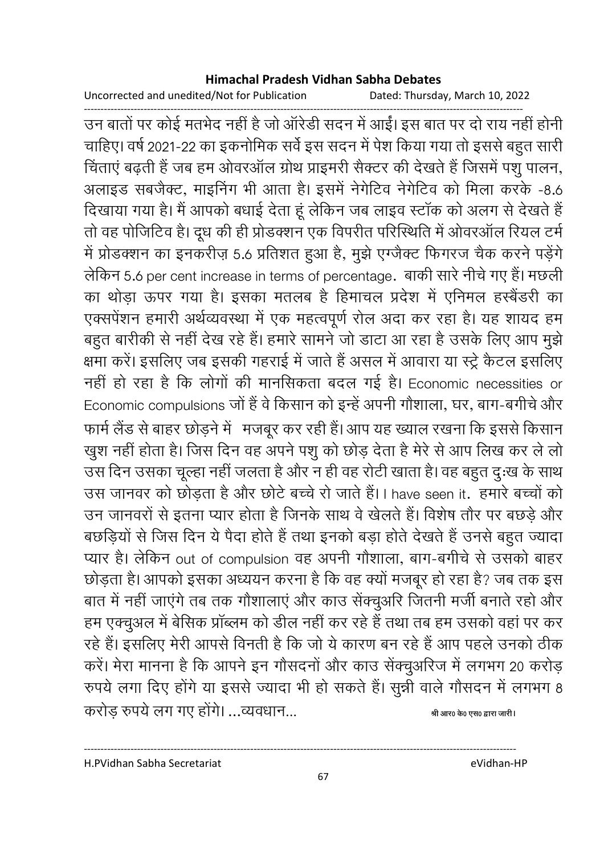Uncorrected and unedited/Not for Publication

Dated: Thursday, March 10, 2022

उन बातों पर कोई मतभेद नहीं है जो ऑरेडी सदन में आईं। इस बात पर दो राय नहीं होनी चाहिए। वर्ष 2021-22 का इकनोमिक सर्वे इस सदन में पेश किया गया तो इससे बहुत सारी चिंताएं बढ़ती हैं जब हम ओवरऑल ग्रोथ प्राइमरी सैक्टर की देखते हैं जिसमें पशु पालन, अलाइड सबजैक्ट, माइनिंग भी आता है। इसमें नेगेटिव नेगेटिव को मिला करके -8.6 दिखाया गया है। मैं आपको बधाई देता हूं लेकिन जब लाइव स्टॉक को अलग से देखते हैं तो वह पोजिटिव है। दूध की ही प्रोडक्शन एक विपरीत परिस्थिति में ओवरऑल रियल टर्म में प्रोडक्शन का इनकरीज़ 5.6 प्रतिशत हुआ है, मुझे एग्जैक्ट फिगरज चैक करने पड़ेंगे लेकिन 5.6 per cent increase in terms of percentage. बाकी सारे नीचे गए हैं। मछली का थोड़ा ऊपर गया है। इसका मतलब है हिमाचल प्रदेश में एनिमल हस्बैंडरी का एक्सपेंशन हमारी अर्थव्यवस्था में एक महत्वपूर्ण रोल अदा कर रहा है। यह शायद हम बहुत बारीकी से नहीं देख रहे हैं। हमारे सामने जो डाटा आ रहा है उसके लिए आप मुझे क्षमा करें। इसलिए जब इसकी गहराई में जाते हैं असल में आवारा या स्ट्रे केटल इसलिए नहीं हो रहा है कि लोगों की मानसिकता बदल गई है। Economic necessities or Economic compulsions जों हैं वे किसान को इन्हें अपनी गौशाला, घर, बाग-बगीचे और फार्म लैंड से बाहर छोड़ने में मजबूर कर रही हैं। आप यह ख्याल रखना कि इससे किसान खुश नहीं होता है। जिस दिन वह अपने पशु को छोड़ देता है मेरे से आप लिख कर ले लो उस दिन उसका चूल्हा नहीं जलता है और न ही वह रोटी खाता है। वह बहुत दुःख के साथ उस जानवर को छोड़ता है और छोटे बच्चे रो जाते हैं। I have seen it. हमारे बच्चों को उन जानवरों से इतना प्यार होता है जिनके साथ वे खेलते हैं। विशेष तौर पर बछड़े और बछड़ियों से जिस दिन ये पैदा होते हैं तथा इनको बड़ा होते देखते हैं उनसे बहुत ज्यादा प्यार है। लेकिन out of compulsion वह अपनी गौशाला, बाग-बगीचे से उसको बाहर छोड़ता है। आपको इसका अध्ययन करना है कि वह क्यों मजबूर हो रहा है? जब तक इस बात में नहीं जाएंगे तब तक गौशालाएं और काउ सेंक्चुअरि जितनी मर्जी बनाते रहो और हम एक्चुअल में बेसिक प्रॉब्लम को डील नहीं कर रहे हैं तथा तब हम उसको वहां पर कर रहे हैं। इसलिए मेरी आपसे विनती है कि जो ये कारण बन रहे हैं आप पहले उनको ठीक करें। मेरा मानना है कि आपने इन गौसदनों और काउ सेंक्चूअरिज में लगभग 20 करोड़ रुपये लगा दिए होंगे या इससे ज्यादा भी हो सकते हैं। सुन्नी वाले गौसदन में लगभग 8 करोड रुपये लग गए होंगे। ...व्यवधान...

श्री आर0 के0 एस0 द्वारा जारी।

H.PVidhan Sabha Secretariat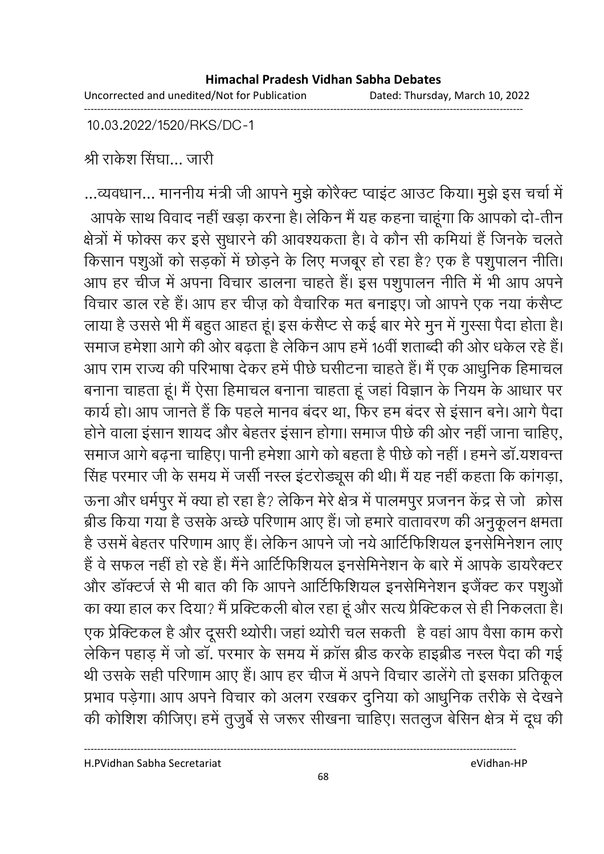Uncorrected and unedited/Not for Publication Dated: Thursday, March 10, 2022

10.03.2022/1520/RKS/DC-1

श्री राकेश सिंघा… जारी

...व्यवधान... माननीय मंत्री जी आपने मुझे कोरैक्ट प्वाइंट आउट किया। मुझे इस चर्चा में आपके साथ विवाद नहीं खड़ा करना है। लेकिन मैं यह कहना चाहूंगा कि आपको दो-तीन क्षेत्रों में फोक्स कर इसे सुधारने की आवश्यकता है। वे कौन सी कमियां हैं जिनके चलते किसान पशुओं को सड़कों में छोड़ने के लिए मजबूर हो रहा है? एक है पशुपालन नीति। आप हर चीज में अपना विचार डालना चाहते हैं। इस पशुपालन नीति में भी आप अपने विचार डाल रहे हैं। आप हर चीज़ को वैचारिक मत बनाइए। जो आपने एक नया कंसैप्ट लाया है उससे भी मैं बहुत आहत हूं। इस कंसैप्ट से कई बार मेरे मुन में गुस्सा पैदा होता है। समाज हमेशा आगे की ओर बढ़ता है लेकिन आप हमें 16वीं शताब्दी की ओर धकेल रहे हैं। आप राम राज्य की परिभाषा देकर हमें पीछे घसीटना चाहते हैं। मैं एक आधुनिक हिमाचल बनाना चाहता हूं। मैं ऐसा हिमाचल बनाना चाहता हूं जहां विज्ञान के नियम के आधार पर कार्य हो। आप जानते हैं कि पहले मानव बंदर था, फिर हम बंदर से इंसान बने। आगे पैदा होने वाला इंसान शायद और बेहतर इंसान होगा। समाज पीछे की ओर नहीं जाना चाहिए, समाज आगे बढ़ना चाहिए। पानी हमेशा आगे को बहता है पीछे को नहीं । हमने डॉ.यशवन्त सिंह परमार जी के समय में जर्सी नस्ल इंटरोड्यूस की थी। मैं यह नहीं कहता कि कांगड़ा, ऊना और धर्मपुर में क्या हो रहा है? लेकिन मेरे क्षेत्र में पालमपुर प्रजनन केंद्र से जो क्रोस ब्रीड किया गया है उसके अच्छे परिणाम आए हैं। जो हमारे वातावरण की अनुकूलन क्षमता है उसमें बेहतर परिणाम आए हैं। लेकिन आपने जो नये आर्टिफिशियल इनसेमिनेशन लाए हैं वे सफल नहीं हो रहे हैं। मैंने आर्टिफिशियल इनसेमिनेशन के बारे में आपके डायरेक्टर और डॉक्टर्ज से भी बात की कि आपने आर्टिफिशियल इनसेमिनेशन इजैंक्ट कर पशुओं का क्या हाल कर दिया? मैं प्रक्टिकली बोल रहा हूं और सत्य प्रैक्टिकल से ही निकलता है। एक प्रेक्टिकल है और दूसरी थ्योरी। जहां थ्योरी चल सकती है वहां आप वैसा काम करो लेकिन पहाड़ में जो डॉ. परमार के समय में क्रॉस ब्रीड करके हाइब्रीड नस्ल पैदा की गई थी उसके सही परिणाम आए हैं। आप हर चीज में अपने विचार डालेंगे तो इसका प्रतिकूल प्रभाव पड़ेगा। आप अपने विचार को अलग रखकर दुनिया को आधुनिक तरीके से देखने की कोशिश कीजिए। हमें तुजुर्बे से जरूर सीखना चाहिए। सतलुज बेसिन क्षेत्र में दूध की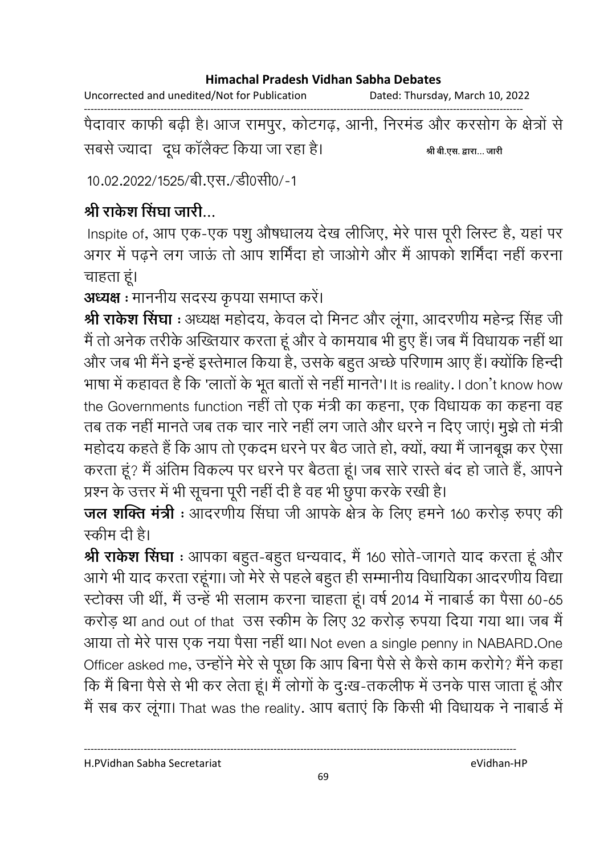Uncorrected and unedited/Not for Publication Dated: Thursday, March 10, 2022

पैदावार काफी बढ़ी है। आज रामपुर, कोटगढ़, आनी, निरमंड और करसोग के क्षेत्रों से सबसे ज्यादा दूध कॉलैक्ट किया जा रहा है। श्री बी.एस. द्वारा... जारी

10.02.2022/1525/बी.एस./डी0सी0/-1

## श्री राकेश सिंघा जारी...

Inspite of, आप एक-एक पशु औषधालय देख लीजिए, मेरे पास पूरी लिस्ट है, यहां पर अगर में पढने लग जाऊं तो आप शर्मिंदा हो जाओगे और मैं आपको शर्मिंदा नहीं करना चाहता हूं।

अध्यक्ष : माननीय सदस्य कृपया समाप्त करें।

श्री राकेश सिंघा : अध्यक्ष महोदय, केवल दो मिनट और लूंगा, आदरणीय महेन्द्र सिंह जी मैं तो अनेक तरीके अख्तियार करता हूं और वे कामयाब भी हुए हैं। जब मैं विधायक नहीं था और जब भी मैंने इन्हें इस्तेमाल किया है, उसके बहुत अच्छे परिणाम आए हैं। क्योंकि हिन्दी भाषा में कहावत है कि 'लातों के भूत बातों से नहीं मानते'। It is reality. I don't know how the Governments function नहीं तो एक मंत्री का कहना, एक विधायक का कहना वह तब तक नहीं मानते जब तक चार नारे नहीं लग जाते और धरने न दिए जाएं। मुझे तो मंत्री महोदय कहते हैं कि आप तो एकदम धरने पर बैठ जाते हो, क्यों, क्या मैं जानबूझ कर ऐसा करता हूं? मैं अंतिम विकल्प पर धरने पर बैठता हूं। जब सारे रास्ते बंद हो जाते हैं, आपने प्रश्न के उत्तर में भी सूचना पूरी नहीं दी है वह भी छुपा करके रखी है।

जल शक्ति मंत्री : आदरणीय सिंघा जी आपके क्षेत्र के लिए हमने 160 करोड़ रुपए की स्कीम दी है।

श्री राकेश सिंघा : आपका बहुत-बहुत धन्यवाद, मैं 160 सोते-जागते याद करता हूं और आगे भी याद करता रहूंगा। जो मेरे से पहले बहुत ही सम्मानीय विधायिका आदरणीय विद्या स्टोक्स जी थीं, मैं उन्हें भी सलाम करना चाहता हूं। वर्ष 2014 में नाबार्ड का पैसा 60-65 करोड़ था and out of that उस स्कीम के लिए 32 करोड़ रुपया दिया गया था। जब मैं आया तो मेरे पास एक नया पैसा नहीं था। Not even a single penny in NABARD.One Officer asked me, उन्होंने मेरे से पूछा कि आप बिना पैसे से कैसे काम करोगे? मैंने कहा कि मैं बिना पैसे से भी कर लेता हूं। मैं लोगों के दुःख-तकलीफ में उनके पास जाता हूं और मैं सब कर लूंगा। That was the reality. आप बताएं कि किसी भी विधायक ने नाबार्ड में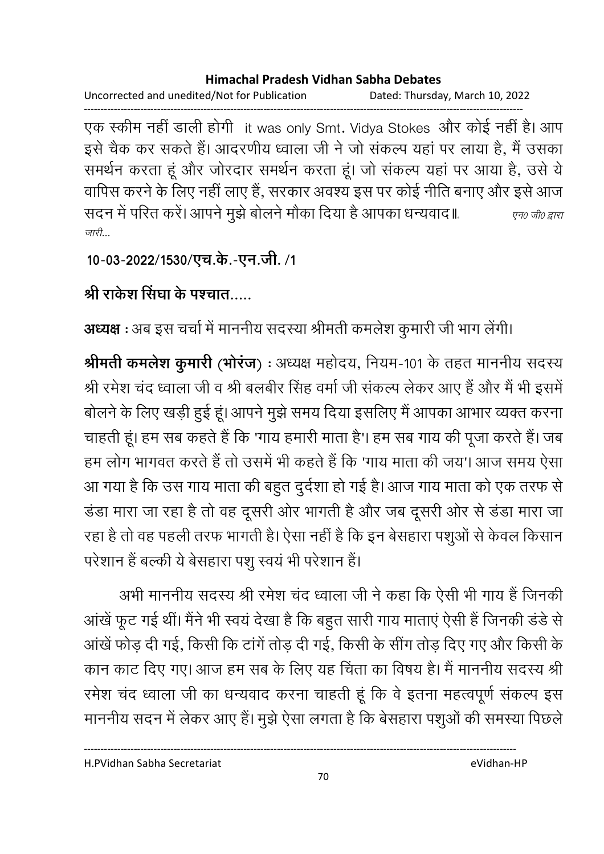Uncorrected and unedited/Not for Publication Dated: Thursday, March 10, 2022

एक स्कीम नहीं डाली होगी it was only Smt. Vidya Stokes और कोई नहीं है। आप इसे चैक कर सकते हैं। आदरणीय ध्वाला जी ने जो संकल्प यहां पर लाया है, मैं उसका समर्थन करता हूं और जोरदार समर्थन करता हूं। जो संकल्प यहां पर आया है, उसे ये वापिस करने के लिए नहीं लाए हैं, सरकार अवश्य इस पर कोई नीति बनाए और इसे आज सदन में परित करें। आपने मुझे बोलने मौका दिया है आपका धन्यवाद॥ एन0 जी0 द्वारा जारी...

10-03-2022/1530/एच.के.-एन.जी. /1

## श्री राकेश सिंघा के पश्चात

अध्यक्ष : अब इस चर्चा में माननीय सदस्या श्रीमती कमलेश कुमारी जी भाग लेंगी।

श्रीमती कमलेश कुमारी (भोरंज) : अध्यक्ष महोदय, नियम-101 के तहत माननीय सदस्य श्री रमेश चंद ध्वाला जी व श्री बलबीर सिंह वर्मा जी संकल्प लेकर आए हैं और मैं भी इसमें बोलने के लिए खड़ी हुई हूं। आपने मुझे समय दिया इसलिए मैं आपका आभार व्यक्त करना चाहती हूं। हम सब कहते हैं कि 'गाय हमारी माता है'। हम सब गाय की पूजा करते हैं। जब हम लोग भागवत करते हैं तो उसमें भी कहते हैं कि 'गाय माता की जय'। आज समय ऐसा आ गया है कि उस गाय माता की बहुत दुर्दशा हो गई है। आज गाय माता को एक तरफ से डंडा मारा जा रहा है तो वह दूसरी ओर भागती है और जब दूसरी ओर से डंडा मारा जा रहा है तो वह पहली तरफ भागती है। ऐसा नहीं है कि इन बेसहारा पशुओं से केवल किसान परेशान हैं बल्की ये बेसहारा पशु स्वयं भी परेशान हैं।

अभी माननीय सदस्य श्री रमेश चंद ध्वाला जी ने कहा कि ऐसी भी गाय हैं जिनकी आंखें फूट गई थीं। मैंने भी स्वयं देखा है कि बहुत सारी गाय माताएं ऐसी हैं जिनकी डंडे से आंखें फोड़ दी गई, किसी कि टांगें तोड़ दी गई, किसी के सींग तोड़ दिए गए और किसी के कान काट दिए गए। आज हम सब के लिए यह चिंता का विषय है। मैं माननीय सदस्य श्री रमेश चंद ध्वाला जी का धन्यवाद करना चाहती हूं कि वे इतना महत्वपूर्ण संकल्प इस माननीय सदन में लेकर आए हैं। मुझे ऐसा लगता है कि बेसहारा पशुओं की समस्या पिछले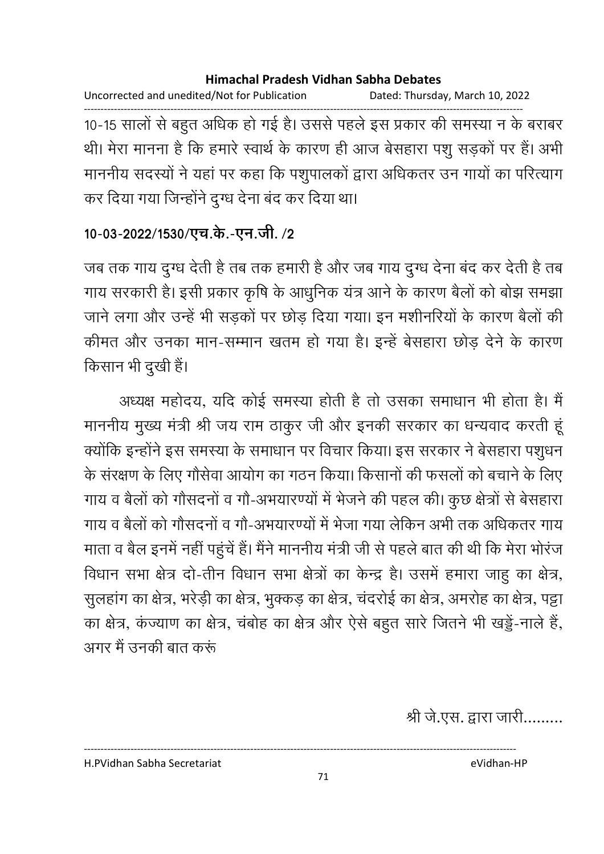Uncorrected and unedited/Not for Publication Dated: Thursday, March 10, 2022 10-15 सालों से बहुत अधिक हो गई है। उससे पहले इस प्रकार की समस्या न के बराबर थी। मेरा मानना है कि हमारे स्वार्थ के कारण ही आज बेसहारा पशू सड़कों पर हैं। अभी माननीय सदस्यों ने यहां पर कहा कि पशुपालकों द्वारा अधिकतर उन गायों का परित्याग कर दिया गया जिन्होंने दुग्ध देना बंद कर दिया था।

### 10-03-2022/1530/एच.के.-एन.जी. /2

जब तक गाय दुग्ध देती है तब तक हमारी है और जब गाय दुग्ध देना बंद कर देती है तब गाय सरकारी है। इसी प्रकार कृषि के आधुनिक यंत्र आने के कारण बैलों को बोझ समझा जाने लगा और उन्हें भी सड़कों पर छोड़ दिया गया। इन मशीनरियों के कारण बैलों की कीमत और उनका मान-सम्मान खतम हो गया है। इन्हें बेसहारा छोड़ देने के कारण किसान भी दुखी हैं।

अध्यक्ष महोदय, यदि कोई समस्या होती है तो उसका समाधान भी होता है। मैं माननीय मुख्य मंत्री श्री जय राम ठाकुर जी और इनकी सरकार का धन्यवाद करती हूं क्योंकि इन्होंने इस समस्या के समाधान पर विचार किया। इस सरकार ने बेसहारा पशुधन के संरक्षण के लिए गौसेवा आयोग का गठन किया। किसानों की फसलों को बचाने के लिए गाय व बैलों को गौसदनों व गौ-अभयारण्यों में भेजने की पहल की। कुछ क्षेत्रों से बेसहारा गाय व बैलों को गौसदनों व गौ-अभयारण्यों में भेजा गया लेकिन अभी तक अधिकतर गाय माता व बैल इनमें नहीं पहुंचें हैं। मैंने माननीय मंत्री जी से पहले बात की थी कि मेरा भोरंज विधान सभा क्षेत्र दो-तीन विधान सभा क्षेत्रों का केन्द्र है। उसमें हमारा जाहू का क्षेत्र, सुलहांग का क्षेत्र, भरेड़ी का क्षेत्र, भुक्कड़ का क्षेत्र, चंदरोई का क्षेत्र, अमरोह का क्षेत्र, पट्टा का क्षेत्र, कंज्याण का क्षेत्र, चंबोह का क्षेत्र और ऐसे बहुत सारे जितने भी खड्डें-नाले हैं, अगर मैं उनकी बात करूं

श्री जे.एस. द्वारा जारी.........

H.PVidhan Sabha Secretariat

71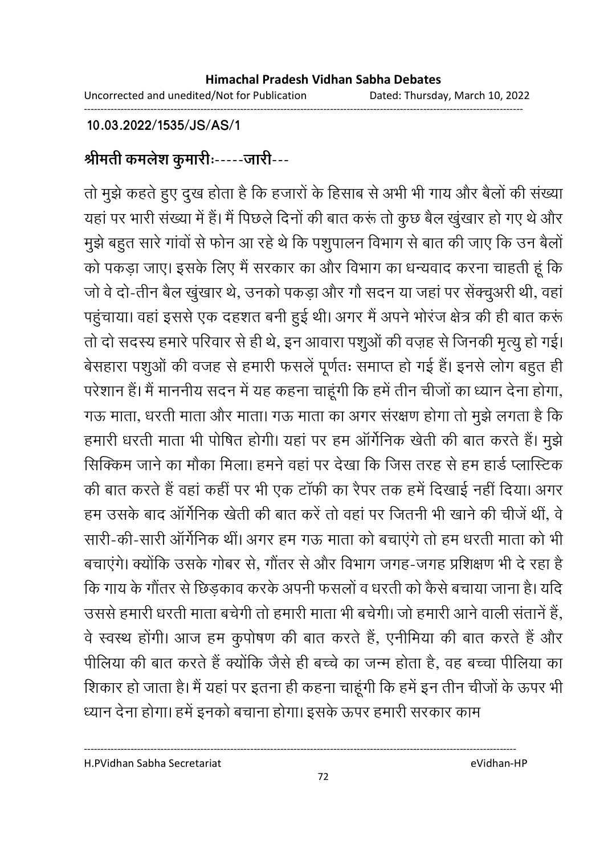Uncorrected and unedited/Not for Publication Dated: Thursday, March 10, 2022

### 10.03.2022/1535/JS/AS/1

# श्रीमती कमलेश कुमारीः-----जारी---

तो मुझे कहते हुए दुख होता है कि हजारों के हिसाब से अभी भी गाय और बैलों की संख्या यहां पर भारी संख्या में हैं। मैं पिछले दिनों की बात करूं तो कुछ बैल खुंखार हो गए थे और मुझे बहुत सारे गांवों से फोन आ रहे थे कि पशुपालन विभाग से बात की जाए कि उन बैलों को पकड़ा जाए। इसके लिए मैं सरकार का और विभाग का धन्यवाद करना चाहती हूं कि जो वे दो-तीन बैल खुंखार थे, उनको पकड़ा और गौ सदन या जहां पर सेंक्चूअरी थी, वहां पहुंचाया। वहां इससे एक दहशत बनी हुई थी। अगर मैं अपने भोरंज क्षेत्र की ही बात करूं तो दो सदस्य हमारे परिवार से ही थे, इन आवारा पशुओं की वज़ह से जिनकी मृत्यु हो गई। बेसहारा पशुओं की वजह से हमारी फसलें पूर्णतः समाप्त हो गई हैं। इनसे लोग बहुत ही परेशान हैं। मैं माननीय सदन में यह कहना चाहूंगी कि हमें तीन चीजों का ध्यान देना होगा, गऊ माता, धरती माता और माता। गऊ माता का अगर संरक्षण होगा तो मुझे लगता है कि हमारी धरती माता भी पोषित होगी। यहां पर हम ऑर्गेनिक खेती की बात करते हैं। मुझे सिक्किम जाने का मौका मिला। हमने वहां पर देखा कि जिस तरह से हम हार्ड प्लास्टिक की बात करते हैं वहां कहीं पर भी एक टॉफी का रैपर तक हमें दिखाई नहीं दिया। अगर हम उसके बाद ऑर्गेनिक खेती की बात करें तो वहां पर जितनी भी खाने की चीजें थीं, वे सारी-की-सारी ऑर्गेनिक थीं। अगर हम गऊ माता को बचाएंगे तो हम धरती माता को भी बचाएंगे। क्योंकि उसके गोबर से, गौंतर से और विभाग जगह-जगह प्रशिक्षण भी दे रहा है कि गाय के गौंतर से छिड़काव करके अपनी फसलों व धरती को कैसे बचाया जाना है। यदि उससे हमारी धरती माता बचेगी तो हमारी माता भी बचेगी। जो हमारी आने वाली संतानें हैं. वे स्वस्थ होंगी। आज हम कूपोषण की बात करते हैं, एनीमिया की बात करते हैं और पीलिया की बात करते हैं क्योंकि जैसे ही बच्चे का जन्म होता है, वह बच्चा पीलिया का शिकार हो जाता है। मैं यहां पर इतना ही कहना चाहूंगी कि हमें इन तीन चीजों के ऊपर भी

ध्यान देना होगा। हमें इनको बचाना होगा। इसके ऊपर हमारी सरकार काम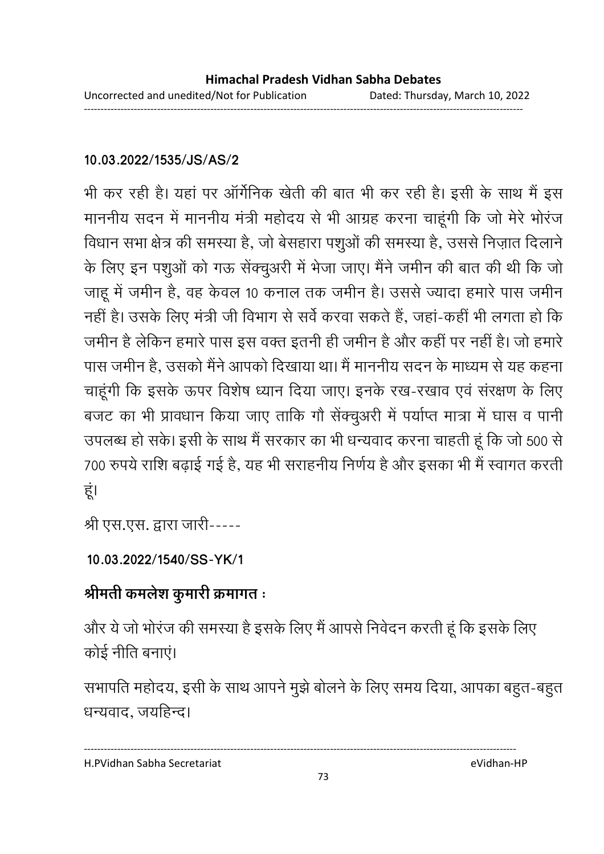### 10.03.2022/1535/JS/AS/2

भी कर रही है। यहां पर ऑर्गेनिक खेती की बात भी कर रही है। इसी के साथ मैं इस माननीय सदन में माननीय मंत्री महोदय से भी आग्रह करना चाहूंगी कि जो मेरे भोरंज विधान सभा क्षेत्र की समस्या है, जो बेसहारा पशुओं की समस्या है, उससे निज़ात दिलाने के लिए इन पशुओं को गऊ सेंक्चुअरी में भेजा जाए। मैंने जमीन की बात की थी कि जो जाहू में जमीन है, वह केवल 10 कनाल तक जमीन है। उससे ज्यादा हमारे पास जमीन नहीं है। उसके लिए मंत्री जी विभाग से सर्वे करवा सकते हैं. जहां-कहीं भी लगता हो कि जमीन है लेकिन हमारे पास इस वक्त इतनी ही जमीन है और कहीं पर नहीं है। जो हमारे पास जमीन है, उसको मैंने आपको दिखाया था। मैं माननीय सदन के माध्यम से यह कहना चाहूंगी कि इसके ऊपर विशेष ध्यान दिया जाए। इनके रख-रखाव एवं संरक्षण के लिए बजट का भी प्रावधान किया जाए ताकि गौ सेंक्चुअरी में पर्याप्त मात्रा में घास व पानी उपलब्ध हो सके। इसी के साथ मैं सरकार का भी धन्यवाद करना चाहती हूं कि जो 500 से 700 रुपये राशि बढ़ाई गई है, यह भी सराहनीय निर्णय है और इसका भी मैं स्वागत करती हूं।

श्री एस.एस. द्वारा जारी-----

### 10.03.2022/1540/SS-YK/1

### श्रीमती कमलेश कुमारी क्रमागत ः

और ये जो भोरंज की समस्या है इसके लिए मैं आपसे निवेदन करती हूं कि इसके लिए कोई नीति बनाएं।

सभापति महोदय, इसी के साथ आपने मुझे बोलने के लिए समय दिया, आपका बहुत-बहुत धन्यवाद, जयहिन्द।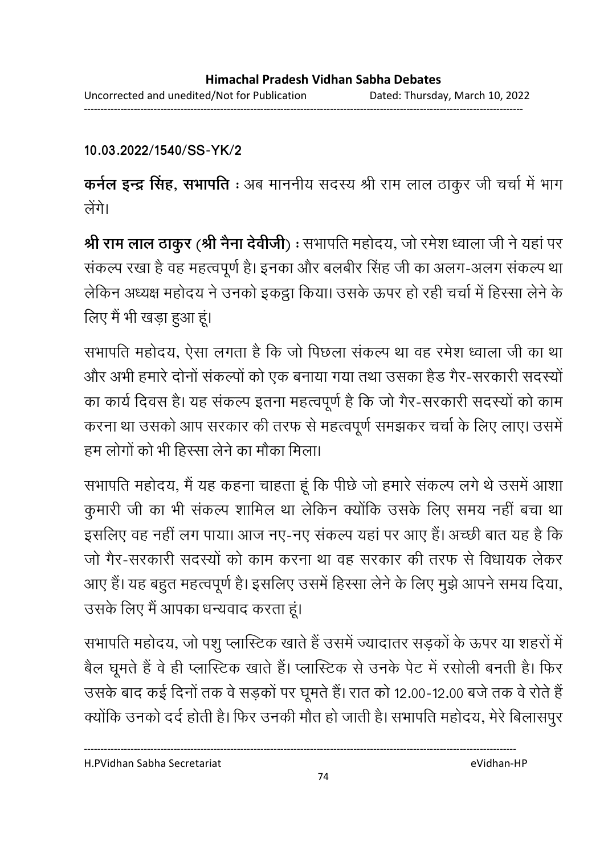10.03.2022/1540/SS-YK/2

कर्नल इन्द्र सिंह, सभापति : अब माननीय सदस्य श्री राम लाल ठाकुर जी चर्चा में भाग लेंगे।

श्री राम लाल ठाकुर (श्री नैना देवीजी) : सभापति महोदय, जो रमेश ध्वाला जी ने यहां पर संकल्प रखा है वह महत्वपूर्ण है। इनका और बलबीर सिंह जी का अलग-अलग संकल्प था लेकिन अध्यक्ष महोदय ने उनको इकट्ठा किया। उसके ऊपर हो रही चर्चा में हिस्सा लेने के लिए मैं भी खड़ा हुआ हूं।

सभापति महोदय, ऐसा लगता है कि जो पिछला संकल्प था वह रमेश ध्वाला जी का था और अभी हमारे दोनों संकल्पों को एक बनाया गया तथा उसका हैड गैर-सरकारी सदस्यों का कार्य दिवस है। यह संकल्प इतना महत्वपूर्ण है कि जो गैर-सरकारी सदस्यों को काम करना था उसको आप सरकार की तरफ से महत्वपूर्ण समझकर चर्चा के लिए लाए। उसमें हम लोगों को भी हिस्सा लेने का मौका मिला।

सभापति महोदय, मैं यह कहना चाहता हूं कि पीछे जो हमारे संकल्प लगे थे उसमें आशा कुमारी जी का भी संकल्प शामिल था लेकिन क्योंकि उसके लिए समय नहीं बचा था इसलिए वह नहीं लग पाया। आज नए-नए संकल्प यहां पर आए हैं। अच्छी बात यह है कि जो गैर-सरकारी सदस्यों को काम करना था वह सरकार की तरफ से विधायक लेकर आए हैं। यह बहुत महत्वपूर्ण है। इसलिए उसमें हिस्सा लेने के लिए मूझे आपने समय दिया, उसके लिए मैं आपका धन्यवाद करता हूं।

सभापति महोदय, जो पशु प्लास्टिक खाते हैं उसमें ज्यादातर सड़कों के ऊपर या शहरों में बैल घूमते हैं वे ही प्लास्टिक खाते हैं। प्लास्टिक से उनके पेट में रसोली बनती है। फिर उसके बाद कई दिनों तक वे सड़कों पर घूमते हैं। रात को 12.00-12.00 बजे तक वे रोते हैं क्योंकि उनको दर्द होती है। फिर उनकी मौत हो जाती है। सभापति महोदय, मेरे बिलासपुर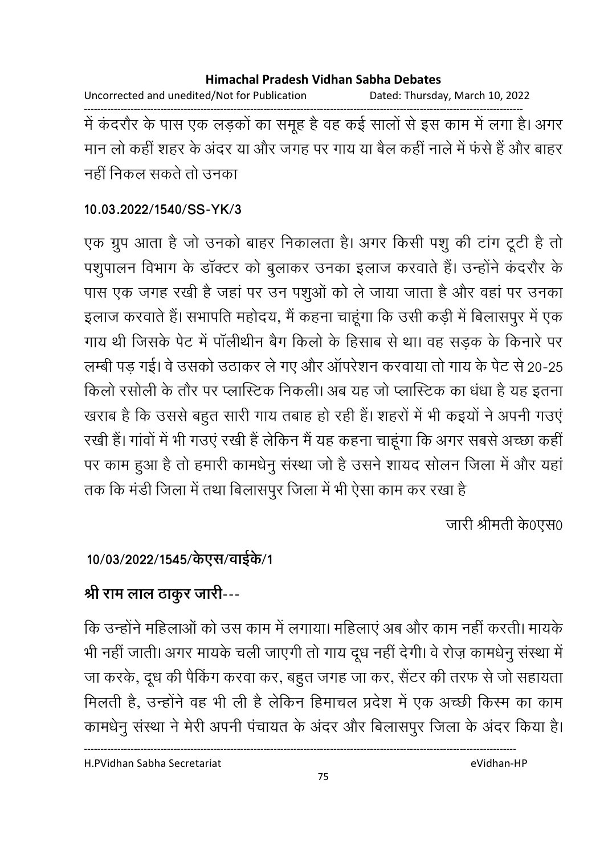Uncorrected and unedited/Not for Publication Dated: Thursday, March 10, 2022

------------------------------------------------------------------------------------------------------------------------------------ में कदरौर के पास एक लड़कों का समूह है वह कई सालों से इस काम में लगा है। अगर मान लो कही शहर के अंदर या और जगह पर गाय या बैल कही नाले में फर्स है और बाहर नहीं निकल सकते तो उनका

### **10.03.2022/1540/SS-YK/3**

एक ग्रुप आता है जो उनको बाहर निकालता है। अगर किसी पशु की टांग टूटी है तो पशुपालन विभाग के डॉक्टर को बुलाकर उनका इलाज करवाते हैं। उन्होंने कंदरौर के पास एक जगह रखी है जहां पर उन पशुओं को ले जाया जाता है और वहां पर उनका इलाज करवाते हैं। सभापति महोदय, मैं कहना चाहूंगा कि उसी कड़ी में बिलासपुर में एक गाय थी जिसके पेंट में पालेथिनि बैंग किलों के हिसाब से था। वह सड़क के किनारे पर लम्बी पड़ गई। वे उसको उठाकर ले गए और ऑपरेशन करवाया तो गाय के पेट से 20-25 किलो रसोली के तौर पर प्लास्टिक निकली। अब यह जो प्लास्टिक का धंधा है यह इतना खराब है कि उससे बहुत सारी गाय तबाह हो रही है। शहरों में भी कइयों ने अपनी गउए रखी है। गावों में भी गंउए रखी है लेकिन मैं यह कहना चाहूंगा कि अगर सबसे अच्छा कहीं | पर काम हुआ है तो हमारी कामर्धनु संस्था जो है उसने शायद सोलन जिला में और यहाँ तक कि मर्डी जिला में तथा बिलासपुर जिला में भी ऐसा काम कर रखा है।

जारी श्रीमती के0एस0

## 10/03/2022/1545/केएस/वाईके/1

# श्री राम लाल ठाकूर जारी---

कि उन्होंने महिलाओं को उस काम में लगाया। महिलाएं अब और काम नहीं करती। मायकें भी नहीं जाती। अगर मायके चली जाएगी तो गाय दूध नहीं देंगी। वे रोज़ कामधेनु संस्था में जा करके, दूध की पैकिंग करवा कर, बहुत जगह जा कर, सैंटर की तरफ से जो सहायता मिलती हैं, उन्होंने वह भी ली है लेकिन हिमाचल प्रदेश में एक अच्छी किरम का काम कामधेनु संस्था ने मेरी अपनी पंचायत के अंदर और बिलासपुर जिला के अंदर किया है।

75

----------------------------------------------------------------------------------------------------------------------------------

H.PVidhan Sabha Secretariat eVidhan-HP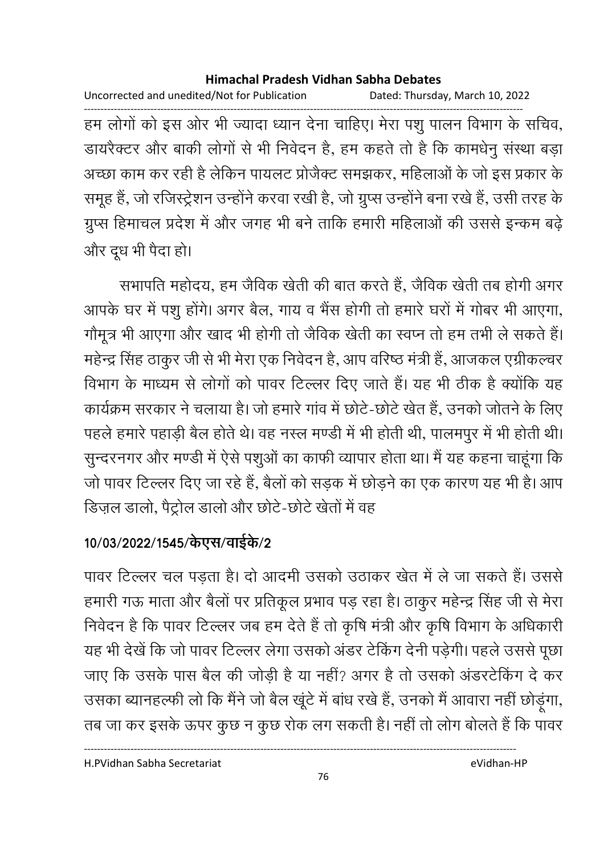Uncorrected and unedited/Not for Publication Dated: Thursday, March 10, 2022

हम लोगों को इस ओर भी ज्यादा ध्यान देना चाहिए। मेरा पशु पालन विभाग के सचिव, डायरैक्टर और बाकी लोगों से भी निवेदन है, हम कहते तो है कि कामधेनु संस्था बड़ा अच्छा काम कर रही है लेकिन पायलट प्रोजैक्ट समझकर, महिलाओं के जो इस प्रकार के समूह हैं, जो रजिस्ट्रेशन उन्होंने करवा रखी है, जो ग्रुप्स उन्होंने बना रखे हैं, उसी तरह के ग्रुप्स हिमाचल प्रदेश में और जगह भी बने ताकि हमारी महिलाओं की उससे इन्कम बढ़े और दूध भी पैदा हो।

सभापति महोदय, हम जैविक खेती की बात करते हैं, जैविक खेती तब होगी अगर आपके घर में पशु होंगे। अगर बैल, गाय व भैंस होगी तो हमारे घरों में गोबर भी आएगा, गौमूत्र भी आएगा और खाद भी होगी तो जैविक खेती का स्वप्न तो हम तभी ले सकते हैं। महेन्द्र सिंह ठाकुर जी से भी मेरा एक निवेदन है, आप वरिष्ठ मंत्री हैं, आजकल एग्रीकल्चर विभाग के माध्यम से लोगों को पावर टिल्लर दिए जाते हैं। यह भी ठीक है क्योंकि यह कार्यक्रम सरकार ने चलाया है। जो हमारे गांव में छोटे-छोटे खेत हैं, उनको जोतने के लिए पहले हमारे पहाड़ी बैल होते थे। वह नस्ल मण्डी में भी होती थी, पालमपुर में भी होती थी। सुन्दरनगर और मण्डी में ऐसे पशुओं का काफी व्यापार होता था। मैं यह कहना चाहूंगा कि जो पावर टिल्लर दिए जा रहे हैं, बैलों को सड़क में छोड़ने का एक कारण यह भी है। आप डिज़ल डालो, पैट्रोल डालो और छोटे-छोटे खेतों में वह

### 10/03/2022/1545/केएस/वाईके/2

पावर टिल्लर चल पड़ता है। दो आदमी उसको उठाकर खेत में ले जा सकते हैं। उससे हमारी गऊ माता और बैलों पर प्रतिकूल प्रभाव पड़ रहा है। ठाकुर महेन्द्र सिंह जी से मेरा निवेदन है कि पावर टिल्लर जब हम देते हैं तो कृषि मंत्री और कृषि विभाग के अधिकारी यह भी देखें कि जो पावर टिल्लर लेगा उसको अंडर टेकिंग देनी पड़ेगी। पहले उससे पूछा जाए कि उसके पास बैल की जोड़ी है या नहीं? अगर है तो उसको अंडरटेकिंग दे कर उसका ब्यानहल्फी लो कि मैंने जो बैल खूंटे में बांध रखे हैं, उनको मैं आवारा नहीं छोड़ंगा, तब जा कर इसके ऊपर कुछ न कुछ रोक लग सकती है। नहीं तो लोग बोलते हैं कि पावर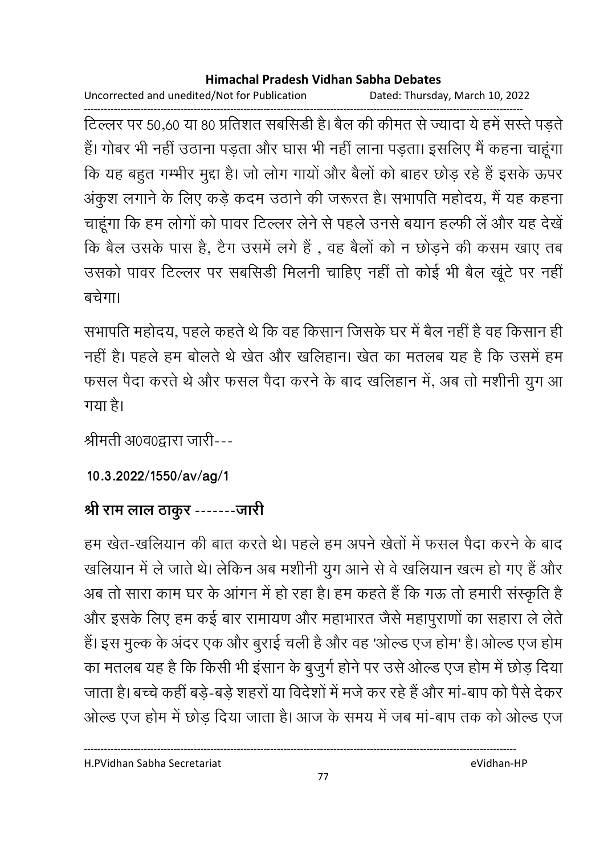Uncorrected and unedited/Not for Publication Dated: Thursday, March 10, 2022

------------------------------------------------------------------------------------------------------------------------------------ टिल्लर पर 50,60 या 80 प्रतिशत संबंसिडी है। बैल की कीमत से ज्यादा ये हमें संस्ते पड़ते हैं। गोंबर भी नहीं उठाना पड़ता और घास भी नहीं लाना पड़ता। इसलिए मैं कहना चाहूंगा कि यह बहुत गम्भीर मुद्दा है। जो लोग गायों और बैलों को बाहर छोड़ रहे हैं इसके ऊपर अकुश लगाने के लिए कड़े कदम उठाने की जरूरत है। सभापति महोदय, मैं यह कहना चाहूंगा कि हम लोगों को पावर टिल्लर लेने से पहले उनसे बयान हल्फी ले और यह देखें कि बैल उसके पास है, टैंग उसमें लगे हैं , वह बैलों को न छोड़ने की कसम खाए तब उसको पावर टिल्लर पर संबसिडी मिलनी चाहिए नहीं तो कोई भी बैल खूटे पर नहीं  $\overrightarrow{a}\overrightarrow{d}$ गा।

सभापति महोदय, पहले कहते थे कि वह किसान जिसके घर में बैल नहीं है वह किसान ही नहीं हैं। पहले हम बोलते थे खेत और खर्लिहान। खेत का मतलब यह है कि उसमें हम फसल पैदा करते थे और फसल पैदा करने के बाद खलिहान में, अब तो मशीनी युग आ गया है।

श्रीमती अ0व0द्वारा जारी---

**10.3.2022/1550/av/ag/1**

# श्री राम लाल ठाकुर -------जारी

हम खेत-खर्लियान की बात करते थे। पहले हम अपने खेतों में फसल पैदा करने के बाद खलियान में ले जाते थे। लेकिन अब मशीनी युग आने से वे खलियान खत्म हो गए है और अब तो सारा काम घर के आगन में हो रहा है। हम कहते हैं कि गऊ तो हमारी संस्कृति है और इसके लिए हम कई बार रामायण और महाभारत जैसे महापुराणों का सहारा ले लेते. है। इस मुल्क के अंदर एक और बुराई चली है और वह 'ओल्ड एज होम' है। ओल्ड एज होम का मतलब यह है कि किसी भी इसान के बुजुर्ग होने पर उसे ओल्ड एज होम में छोड़ दिया जाता है। बच्चे कहीं बड़े-बड़े शहरों या विदेशों में मर्ज कर रहे हैं और मा-बाप को पैसे देकर ओल्ड एज होम में छोड़ दिया जाता है। आज के समय में जब मा-बाप तक को ओल्ड एज

H.PVidhan Sabha Secretariat eVidhan-HP

----------------------------------------------------------------------------------------------------------------------------------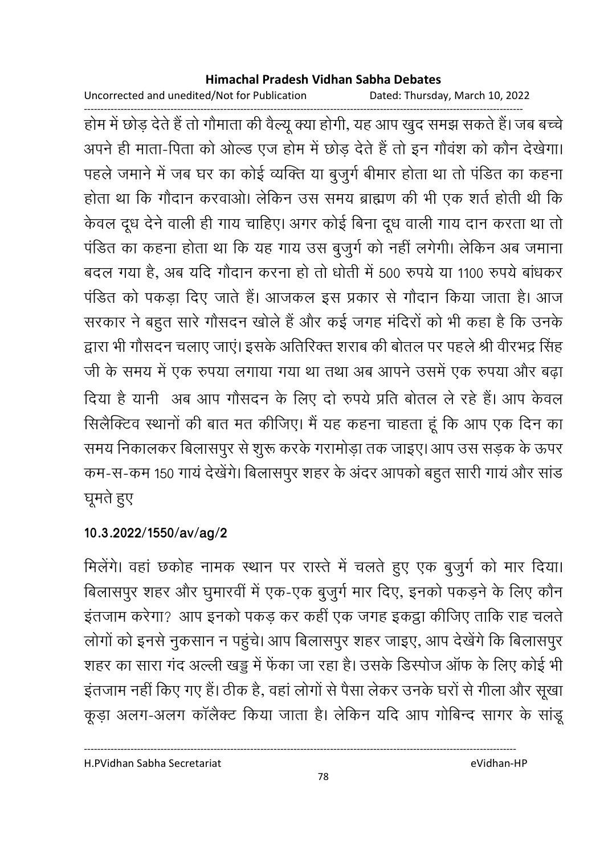Uncorrected and unedited/Not for Publication

Dated: Thursday, March 10, 2022

होम में छोड़ देते हैं तो गौमाता की वैल्यू क्या होगी, यह आप खुद समझ सकते हैं। जब बच्चे अपने ही माता-पिता को ओल्ड एज होम में छोड़ देते हैं तो इन गौवंश को कौन देखेगा। पहले जमाने में जब घर का कोई व्यक्ति या बुजुर्ग बीमार होता था तो पंडित का कहना होता था कि गौदान करवाओ। लेकिन उस समय ब्राह्मण की भी एक शर्त होती थी कि केवल दूध देने वाली ही गाय चाहिए। अगर कोई बिना दूध वाली गाय दान करता था तो पंडित का कहना होता था कि यह गाय उस बुजुर्ग को नहीं लगेगी। लेकिन अब जमाना बदल गया है, अब यदि गौदान करना हो तो धोती में 500 रुपये या 1100 रुपये बांधकर पंडित को पकड़ा दिए जाते हैं। आजकल इस प्रकार से गौदान किया जाता है। आज सरकार ने बहुत सारे गौसदन खोले हैं और कई जगह मंदिरों को भी कहा है कि उनके द्वारा भी गौसदन चलाए जाएं। इसके अतिरिक्त शराब की बोतल पर पहले श्री वीरभद्र सिंह जी के समय में एक रुपया लगाया गया था तथा अब आपने उसमें एक रुपया और बढ़ा दिया है यानी अब आप गौसदन के लिए दो रुपये प्रति बोतल ले रहे हैं। आप केवल सिलैक्टिव स्थानों की बात मत कीजिए। मैं यह कहना चाहता हूं कि आप एक दिन का समय निकालकर बिलासपुर से शुरू करके गरामोड़ा तक जाइए। आप उस सड़क के ऊपर कम-स-कम 150 गायं देखेंगे। बिलासपुर शहर के अंदर आपको बहुत सारी गायं और सांड घूमते हुए

### 10.3.2022/1550/av/ag/2

मिलेंगे। वहां छकोह नामक स्थान पर रास्ते में चलते हुए एक बुजुर्ग को मार दिया। बिलासपुर शहर और घुमारवीं में एक-एक बुजुर्ग मार दिए, इनको पकड़ने के लिए कौन इंतजाम करेगा? आप इनको पकड़ कर कहीं एक जगह इकट्ठा कीजिए ताकि राह चलते लोगों को इनसे नुकसान न पहुंचे। आप बिलासपुर शहर जाइए, आप देखेंगे कि बिलासपुर शहर का सारा गंद अल्ली खड्ड में फेंका जा रहा है। उसके डिस्पोज ऑफ के लिए कोई भी इंतजाम नहीं किए गए हैं। ठीक है, वहां लोगों से पैसा लेकर उनके घरों से गीला और सूखा कूड़ा अलग-अलग कॉलैक्ट किया जाता है। लेकिन यदि आप गोबिन्द सागर के सांडू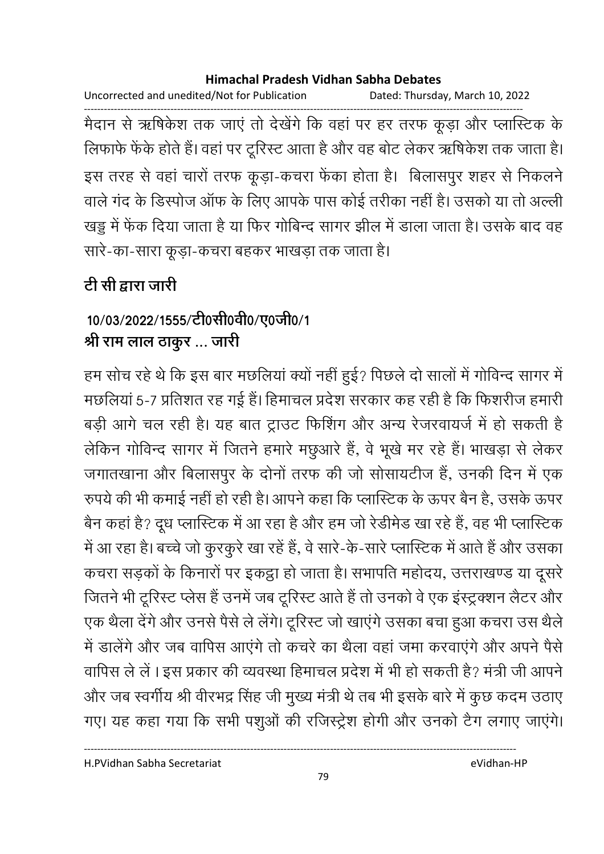Uncorrected and unedited/Not for Publication Dated: Thursday, March 10, 2022

मैदान से ऋषिकेश तक जाएं तो देखेंगे कि वहां पर हर तरफ कूड़ा और प्लास्टिक के लिफाफे फेंके होते हैं। वहां पर टूरिस्ट आता है और वह बोट लेकर ऋषिकेश तक जाता है। इस तरह से वहां चारों तरफ कूड़ा-कचरा फेंका होता है। बिलासपुर शहर से निकलने वाले गंद के डिस्पोज ऑफ के लिए आपके पास कोई तरीका नहीं है। उसको या तो अल्ली खड्डू में फेंक दिया जाता है या फिर गोबिन्द सागर झील में डाला जाता है। उसके बाद वह सारे-का-सारा कूड़ा-कचरा बहकर भाखड़ा तक जाता है।

# टी सी द्वारा जारी

## 10/03/2022/1555/टी0सी0वी0/ए0जी0/1 श्री राम लाल ठाकुर ... जारी

हम सोच रहे थे कि इस बार मछलियां क्यों नहीं हुई? पिछले दो सालों में गोविन्द सागर में मछलियां 5-7 प्रतिशत रह गई हैं। हिमाचल प्रदेश सरकार कह रही है कि फिशरीज हमारी बड़ी आगे चल रही है। यह बात ट्राउट फिशिंग और अन्य रेजरवायर्ज में हो सकती है लेकिन गोविन्द सागर में जितने हमारे मछुआरे हैं, वे भूखे मर रहे हैं। भाखड़ा से लेकर जगातखाना और बिलासपुर के दोनों तरफ की जो सोसायटीज हैं, उनकी दिन में एक रुपये की भी कमाई नहीं हो रही है। आपने कहा कि प्लास्टिक के ऊपर बैन है, उसके ऊपर बैन कहां है? दूध प्लास्टिक में आ रहा है और हम जो रेडीमेड खा रहे हैं, वह भी प्लास्टिक में आ रहा है। बच्चे जो कुरकुरे खा रहें हैं, वे सारे-के-सारे प्लास्टिक में आते हैं और उसका कचरा सड़कों के किनारों पर इकट्ठा हो जाता है। सभापति महोदय, उत्तराखण्ड या दूसरे जितने भी टूरिस्ट प्लेस हैं उनमें जब टूरिस्ट आते हैं तो उनको वे एक इंस्ट्रक्शन लैटर और एक थैला देंगे और उनसे पैसे ले लेंगे। टूरिस्ट जो खाएंगे उसका बचा हुआ कचरा उस थैले में डालेंगे और जब वापिस आएंगे तो कचरे का थैला वहां जमा करवाएंगे और अपने पैसे वापिस ले लें। इस प्रकार की व्यवस्था हिमाचल प्रदेश में भी हो सकती है? मंत्री जी आपने और जब स्वर्गीय श्री वीरभद्र सिंह जी मुख्य मंत्री थे तब भी इसके बारे में कुछ कदम उठाए गए। यह कहा गया कि सभी पशुओं की रजिस्ट्रेश होगी और उनको टैग लगाए जाएंगे।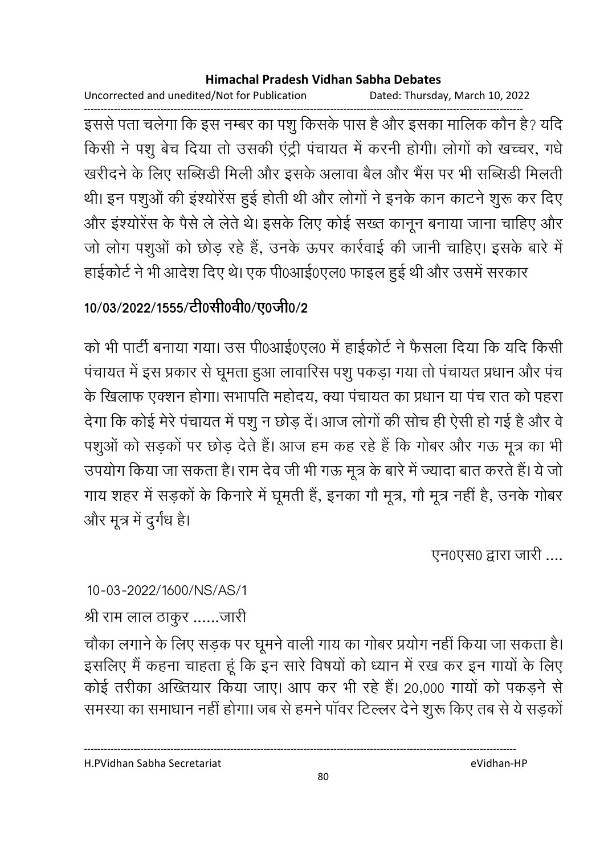Uncorrected and unedited/Not for Publication Dated: Thursday, March 10, 2022

इससे पता चलेगा कि इस नम्बर का पशु किसके पास है और इसका मालिक कौन है? यदि किसी ने पशु बेच दिया तो उसकी एंट्री पंचायत में करनी होगी। लोगों को खच्चर, गधे खरीदने के लिए सब्सिडी मिली और इसके अलावा बैल और भैंस पर भी सब्सिडी मिलती थी। इन पशुओं की इंश्योरेंस हुई होती थी और लोगों ने इनके कान काटने शुरू कर दिए और इंश्योरेंस के पैसे ले लेते थे। इसके लिए कोई सख्त कानून बनाया जाना चाहिए और जो लोग पशुओं को छोड़ रहे हैं, उनके ऊपर कार्रवाई की जानी चाहिए। इसके बारे में हाईकोर्ट ने भी आदेश दिए थे। एक पी0आई0एल0 फाइल हुई थी और उसमें सरकार

# 10/03/2022/1555/टी0सी0वी0/ए0जी0/2

को भी पार्टी बनाया गया। उस पी0आई0एल0 में हाईकोर्ट ने फैसला दिया कि यदि किसी पंचायत में इस प्रकार से घूमता हुआ लावारिस पशु पकड़ा गया तो पंचायत प्रधान और पंच के खिलाफ एक्शन होगा। सभापति महोदय, क्या पंचायत का प्रधान या पंच रात को पहरा देगा कि कोई मेरे पंचायत में पशु न छोड़ दें। आज लोगों की सोच ही ऐसी हो गई है और वे पशुओं को सड़कों पर छोड़ देते हैं। आज हम कह रहे हैं कि गोबर और गऊ मूत्र का भी उपयोग किया जा सकता है। राम देव जी भी गऊ मूत्र के बारे में ज्यादा बात करते हैं। ये जो गाय शहर में सड़कों के किनारे में घूमती हैं, इनका गौ मूत्र, गौ मूत्र नहीं है, उनके गोबर और मूत्र में दुर्गंध है।

एन0एस0 द्वारा जारी ....

### 10-03-2022/1600/NS/AS/1

श्री राम लाल ठाकुर ......जारी

चौका लगाने के लिए सड़क पर घूमने वाली गाय का गोबर प्रयोग नहीं किया जा सकता है। इसलिए मैं कहना चाहता हूं कि इन सारे विषयों को ध्यान में रख कर इन गायों के लिए कोई तरीका अख्तियार किया जाए। आप कर भी रहे हैं। 20,000 गायों को पकड़ने से समस्या का समाधान नहीं होगा। जब से हमने पॉवर टिल्लर देने शुरू किए तब से ये सड़कों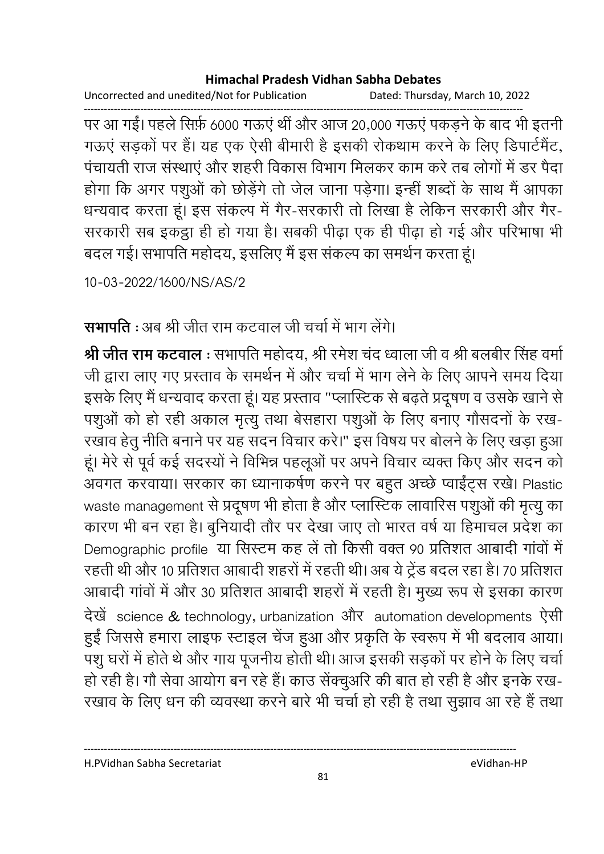Uncorrected and unedited/Not for Publication Dated: Thursday, March 10, 2022

पर आ गईं। पहले सिर्फ़ 6000 गऊएं थीं और आज 20,000 गऊएं पकड़ने के बाद भी इतनी गऊएं सड़कों पर हैं। यह एक ऐसी बीमारी है इसकी रोकथाम करने के लिए डिपार्टमैंट, पंचायती राज संस्थाएं और शहरी विकास विभाग मिलकर काम करे तब लोगों में डर पैदा होगा कि अगर पशुओं को छोड़ेंगे तो जेल जाना पड़ेगा। इन्हीं शब्दों के साथ मैं आपका धन्यवाद करता हूं। इस संकल्प में गैर-सरकारी तो लिखा है लेकिन सरकारी और गैर-सरकारी सब इकट्ठा ही हो गया है। सबकी पीढ़ा एक ही पीढ़ा हो गई और परिभाषा भी बदल गई। सभापति महोदय, इसलिए मैं इस संकल्प का समर्थन करता हूं।

10-03-2022/1600/NS/AS/2

**सभापति** : अब श्री जीत राम कटवाल जी चर्चा में भाग लेंगे।

<mark>श्री जीत राम कटवाल</mark> : सभापति महोदय, श्री रमेश चंद ध्वाला जी व श्री बलबीर सिंह वर्मा जी द्वारा लाए गए प्रस्ताव के समर्थन में और चर्चा में भाग लेने के लिए आपने समय दिया इसके लिए मैं धन्यवाद करता हूं। यह प्रस्ताव "प्लास्टिक से बढ़ते प्रदूषण व उसके खाने से पशुओं को हो रही अकाल मृत्यु तथा बेसहारा पशुओं के लिए बनाए गौसदनों के रख-रखाव हेतु नीति बनाने पर यह सदन विचार करे।" इस विषय पर बोलने के लिए खड़ा हुआ हूं। मेरे से पूर्व कई सदस्यों ने विभिन्न पहलूओं पर अपने विचार व्यक्त किए और सदन को अवगत करवाया। सरकार का ध्यानाकर्षण करने पर बहुत अच्छे प्वाईंट्स रखे। Plastic waste management से प्रदूषण भी होता है और प्लास्टिक लावारिस पशुओं की मृत्यु का कारण भी बन रहा है। बुनियादी तौर पर देखा जाए तो भारत वर्ष या हिमाचल प्रदेश का Demographic profile या सिस्टम कह लें तो किसी वक्त 90 प्रतिशत आबादी गांवों में रहती थी और 10 प्रतिशत आबादी शहरों में रहती थी। अब ये ट्रेंड बदल रहा है। 70 प्रतिशत आबादी गांवों में और 30 प्रतिशत आबादी शहरों में रहती है। मुख्य रूप से इसका कारण देखें science & technology, urbanization और automation developments ऐसी हुईं जिससे हमारा लाइफ स्टाइल चेंज हुआ और प्रकृति के स्वरूप में भी बदलाव आया। पशु घरों में होते थे और गाय पूजनीय होती थी। आज इसकी सड़कों पर होने के लिए चर्चा हो रही है। गौ सेवा आयोग बन रहे हैं। काउ सेंक्चुअरि की बात हो रही है और इनके रख-रखाव के लिए धन की व्यवस्था करने बारे भी चर्चा हो रही है तथा सुझाव आ रहे हैं तथा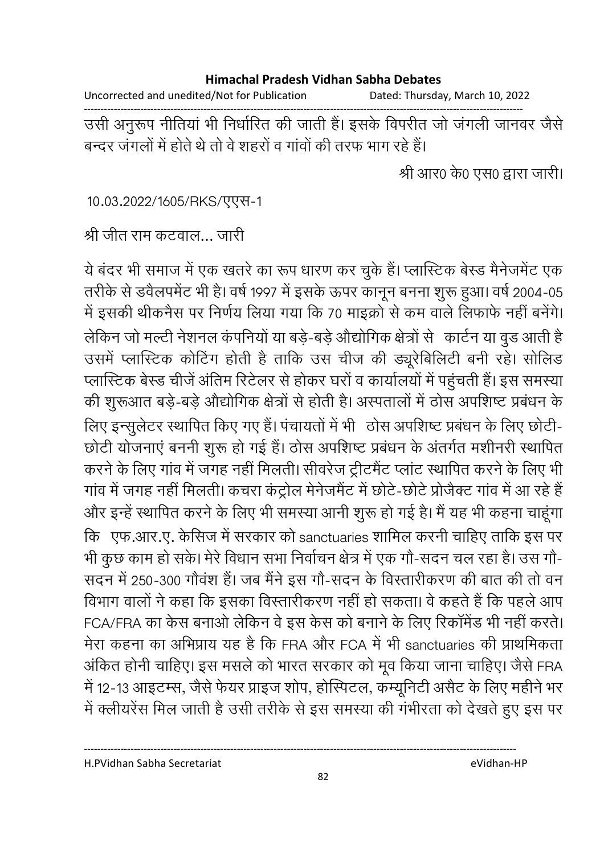Uncorrected and unedited/Not for Publication Dated: Thursday, March 10, 2022

उसी अनुरूप नीतियां भी निर्धारित की जाती हैं। इसके विपरीत जो जंगली जानवर जैसे बन्दर जंगलों में होते थे तो वे शहरों व गांवों की तरफ भाग रहे हैं।

श्री आर0 के0 एस0 द्वारा जारी।

10.03.2022/1605/RKS/एएस-1

श्री जीत राम कटवाल... जारी

ये बंदर भी समाज में एक खतरे का रूप धारण कर चुके हैं। प्लास्टिक बेस्ड मैनेजमेंट एक तरीके से डवैलपमेंट भी है। वर्ष 1997 में इसके ऊपर कानून बनना शुरू हुआ। वर्ष 2004-05 में इसकी थीकनैस पर निर्णय लिया गया कि 70 माइक्रों से कम वाले लिफाफे नहीं बनेंगे। लेकिन जो मल्टी नेशनल कंपनियों या बडे-बडे औद्योगिक क्षेत्रों से कार्टन या वूड आती है उसमें प्लास्टिक कोटिंग होती है ताकि उस चीज की ड्यूरेबिलिटी बनी रहे। सोलिड प्लास्टिक बेस्ड चीजें अंतिम रिटेलर से होकर घरों व कार्यालयों में पहुंचती हैं। इस समस्या की शुरूआत बड़े-बड़े औद्योगिक क्षेत्रों से होती है। अस्पतालों में ठोस अपशिष्ट प्रबंधन के लिए इन्सूलेटर स्थापित किए गए हैं। पंचायतों में भी ठोस अपशिष्ट प्रबंधन के लिए छोटी-छोटी योजनाएं बननी शुरू हो गई हैं। ठोस अपशिष्ट प्रबंधन के अंतर्गत मशीनरी स्थापित करने के लिए गांव में जगह नहीं मिलती। सीवरेज ट्रीटमैंट प्लांट स्थापित करने के लिए भी गांव में जगह नहीं मिलती। कचरा कंट्रोल मेनेजमैंट में छोटे-छोटे प्रोजैक्ट गांव में आ रहे हैं और इन्हें स्थापित करने के लिए भी समस्या आनी शुरू हो गई है। मैं यह भी कहना चाहूंगा कि एफ.आर.ए. केसिज में सरकार को sanctuaries शामिल करनी चाहिए ताकि इस पर भी कुछ काम हो सके। मेरे विधान सभा निर्वाचन क्षेत्र में एक गौ-सदन चल रहा है। उस गौ-सदन में 250-300 गौवंश हैं। जब मैंने इस गौ-सदन के विस्तारीकरण की बात की तो वन विभाग वालों ने कहा कि इसका विस्तारीकरण नहीं हो सकता। वे कहते हैं कि पहले आप FCA/FRA का केस बनाओ लेकिन वे इस केस को बनाने के लिए रिकॉमेंड भी नहीं करते। मेरा कहना का अभिप्राय यह है कि FRA और FCA में भी sanctuaries की प्राथमिकता अंकित होनी चाहिए। इस मसले को भारत सरकार को मूव किया जाना चाहिए। जैसे FRA में 12-13 आइटम्स, जैसे फेयर प्राइज शोप, होस्पिटल, कम्यूनिटी असैट के लिए महीने भर में क्लीयरेंस मिल जाती है उसी तरीके से इस समस्या की गंभीरता को देखते हुए इस पर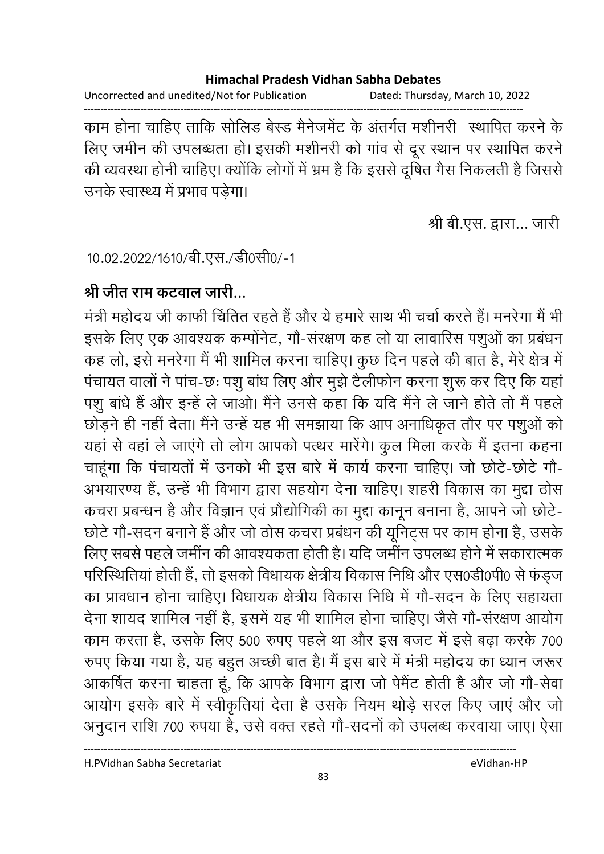Uncorrected and unedited/Not for Publication Dated: Thursday, March 10, 2022

काम होना चाहिए ताकि सोलिड बेस्ड मैनेजमेंट के अंतर्गत मशीनरी) स्थापित करने के लिए जमीन की उपलब्धता हो। इसकी मशीनरी को गांव से दूर स्थान पर स्थापित करने की व्यवस्था होनी चाहिए। क्योंकि लोगों में भ्रम है कि इससे दूषित गैस निकलती है जिससे उनके स्वास्थ्य में प्रभाव पडेगा।

श्री बी.एस. द्वारा... जारी

10.02.2022/1610/बी.एस./डी0सी0/-1

### श्री जीत राम कटवाल जारी…

मंत्री महोदय जी काफी चिंतित रहते हैं और ये हमारे साथ भी चर्चा करते हैं। मनरेगा मैं भी इसके लिए एक आवश्यक कम्पोंनेट, गौ-संरक्षण कह लो या लावारिस पशुओं का प्रबंधन कह लो, इसे मनरेगा मैं भी शामिल करना चाहिए। कुछ दिन पहले की बात है, मेरे क्षेत्र में पंचायत वालों ने पांच-छः पशु बांध लिए और मुझे टैलीफोन करना शुरू कर दिए कि यहां पशू बांधे हैं और इन्हें ले जाओ। मैंने उनसे कहा कि यदि मैंने ले जाने होते तो मैं पहले छोड़ने ही नहीं देता। मैंने उन्हें यह भी समझाया कि आप अनाधिकृत तौर पर पशुओं को यहां से वहां ले जाएंगे तो लोग आपको पत्थर मारेंगे। कुल मिला करके मैं इतना कहना चाहूंगा कि पंचायतों में उनको भी इस बारे में कार्य करना चाहिए। जो छोटे-छोटे गौ-अभयारण्य हैं, उन्हें भी विभाग द्वारा सहयोग देना चाहिए। शहरी विकास का मुद्दा ठोस कचरा प्रबन्धन है और विज्ञान एवं प्रौद्योगिकी का मुद्दा कानून बनाना है, आपने जो छोटे-छोटे गौ-सदन बनाने हैं और जो ठोस कचरा प्रबंधन की यूनिट्स पर काम होना है, उसके लिए सबसे पहले जमींन की आवश्यकता होती है। यदि जमींन उपलब्ध होने में सकारात्मक परिस्थितियां होती हैं, तो इसको विधायक क्षेत्रीय विकास निधि और एस0डी0पी0 से फंड़ज का प्रावधान होना चाहिए। विधायक क्षेत्रीय विकास निधि में गौ-सदन के लिए सहायता देना शायद शामिल नहीं है, इसमें यह भी शामिल होना चाहिए। जैसे गौ-संरक्षण आयोग काम करता है, उसके लिए 500 रुपए पहले था और इस बजट में इसे बढ़ा करके 700 रुपए किया गया है, यह बहुत अच्छी बात है। मैं इस बारे में मंत्री महोदय का ध्यान जरूर आकर्षित करना चाहता हूं, कि आपके विभाग द्वारा जो पेमेंट होती है और जो गौ-सेवा आयोग इसके बारे में स्वीकृतियां देता है उसके नियम थोड़े सरल किए जाएं और जो अनुदान राशि 700 रुपया है, उसे वक्त रहते गौ-सदनों को उपलब्ध करवाया जाए। ऐसा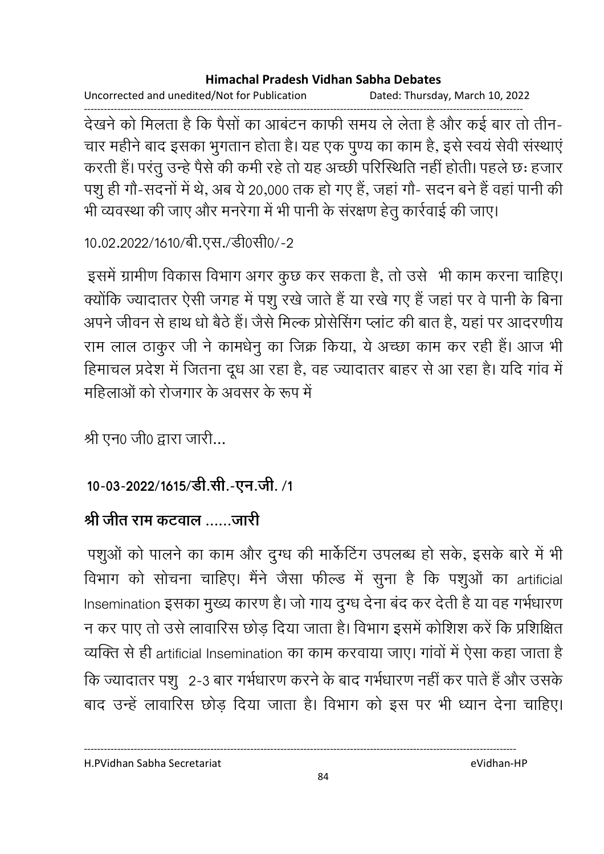Uncorrected and unedited/Not for Publication Dated: Thursday, March 10, 2022 देखने को मिलता है कि पैसों का आबंटन काफी समय ले लेता है और कई बार तो तीन-चार महीने बाद इसका भुगतान होता है। यह एक पुण्य का काम है, इसे स्वयं सेवी संस्थाएं करती हैं। परंतु उन्हें पैसे की कमी रहे तो यह अच्छी परिस्थिति नहीं होती। पहले छः हजार पशु ही गौ-सदनों में थे, अब ये 20,000 तक हो गए हैं, जहां गौ- सदन बने हैं वहां पानी की भी व्यवस्था की जाए और मनरेगा में भी पानी के संरक्षण हेतु कार्रवाई की जाए।

```
10.02.2022/1610/बी.एस./डी0सी0/-2
```
इसमें ग्रामीण विकास विभाग अगर कुछ कर सकता है, तो उसे भी काम करना चाहिए। क्योंकि ज्यादातर ऐसी जगह में पशू रखे जाते हैं या रखे गए हैं जहां पर वे पानी के बिना अपने जीवन से हाथ धो बैठे हैं। जैसे मिल्क प्रोसेसिंग प्लांट की बात है, यहां पर आदरणीय राम लाल ठाकुर जी ने कामधेनु का जिक्र किया, ये अच्छा काम कर रही हैं। आज भी हिमाचल प्रदेश में जितना दूध आ रहा है, वह ज्यादातर बाहर से आ रहा है। यदि गांव में महिलाओं को रोजगार के अवसर के रूप में

श्री एन0 जी0 द्वारा जारी...

### 10-03-2022/1615/डी.सी.-एन.जी. /1

## श्री जीत राम कटवाल ......जारी

पशुओं को पालने का काम और दुग्ध की मार्केटिंग उपलब्ध हो सके, इसके बारे में भी विभाग को सोचना चाहिए। मैंने जैसा फील्ड में सुना है कि पशुओं का artificial Insemination इसका मुख्य कारण है। जो गाय दुग्ध देना बंद कर देती है या वह गर्भधारण न कर पाए तो उसे लावारिस छोड़ दिया जाता है। विभाग इसमें कोशिश करें कि प्रशिक्षित व्यक्ति से ही artificial Insemination का काम करवाया जाए। गांवों में ऐसा कहा जाता है कि ज्यादातर पशु 2-3 बार गर्भधारण करने के बाद गर्भधारण नहीं कर पाते हैं और उसके बाद उन्हें लावारिस छोड़ दिया जाता है। विभाग को इस पर भी ध्यान देना चाहिए।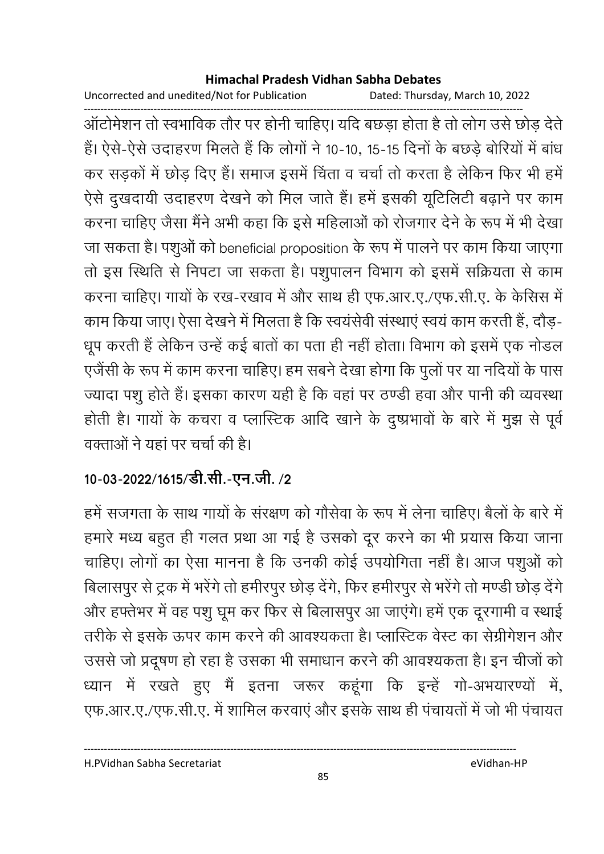Uncorrected and unedited/Not for Publication Dated: Thursday, March 10, 2022

ऑटोमेशन तो स्वभाविक तौर पर होनी चाहिए। यदि बछड़ा होता है तो लोग उसे छोड़ देते हैं। ऐसे-ऐसे उदाहरण मिलते हैं कि लोगों ने 10-10, 15-15 दिनों के बछड़े बोरियों में बांध कर सड़कों में छोड़ दिए हैं। समाज इसमें चिंता व चर्चा तो करता है लेकिन फिर भी हमें ऐसे दुखदायी उदाहरण देखने को मिल जाते हैं। हमें इसकी यूटिलिटी बढ़ाने पर काम करना चाहिए जैसा मैंने अभी कहा कि इसे महिलाओं को रोजगार देने के रूप में भी देखा जा सकता है। पशुओं को beneficial proposition के रूप में पालने पर काम किया जाएगा तो इस स्थिति से निपटा जा सकता है। पशुपालन विभाग को इसमें सक्रियता से काम करना चाहिए। गायों के रख-रखाव में और साथ ही एफ.आर.ए./एफ.सी.ए. के केसिस में काम किया जाए। ऐसा देखने में मिलता है कि स्वयंसेवी संस्थाएं स्वयं काम करती हैं, दौड़-धूप करती हैं लेकिन उन्हें कई बातों का पता ही नहीं होता। विभाग को इसमें एक नोडल एजैंसी के रूप में काम करना चाहिए। हम सबने देखा होगा कि पुलों पर या नदियों के पास ज्यादा पशु होते हैं। इसका कारण यही है कि वहां पर ठण्डी हवा और पानी की व्यवस्था होती है। गायों के कचरा व प्लास्टिक आदि खाने के दुष्प्रभावों के बारे में मुझ से पूर्व वक्ताओं ने यहां पर चर्चा की है।

# 10-03-2022/1615/डी.सी.-एन.जी./2

हमें सजगता के साथ गायों के संरक्षण को गौसेवा के रूप में लेना चाहिए। बैलों के बारे में हमारे मध्य बहुत ही गलत प्रथा आ गई है उसको दूर करने का भी प्रयास किया जाना चाहिए। लोगों का ऐसा मानना है कि उनकी कोई उपयोगिता नहीं है। आज पशुओं को बिलासपुर से ट्रक में भरेंगे तो हमीरपुर छोड़ देंगे, फिर हमीरपुर से भरेंगे तो मण्डी छोड़ देंगे और हफ्तेभर में वह पशु घूम कर फिर से बिलासपुर आ जाएंगे। हमें एक दूरगामी व स्थाई तरीके से इसके ऊपर काम करने की आवश्यकता है। प्लास्टिक वेस्ट का सेग्रीगेशन और उससे जो प्रदूषण हो रहा है उसका भी समाधान करने की आवश्यकता है। इन चीजों को ध्यान में रखते हुए मैं इतना जरूर कहूंगा कि इन्हें गो-अभयारण्यों में, एफ.आर.ए./एफ.सी.ए. में शामिल करवाएं और इसके साथ ही पंचायतों में जो भी पंचायत

H.PVidhan Sabha Secretariat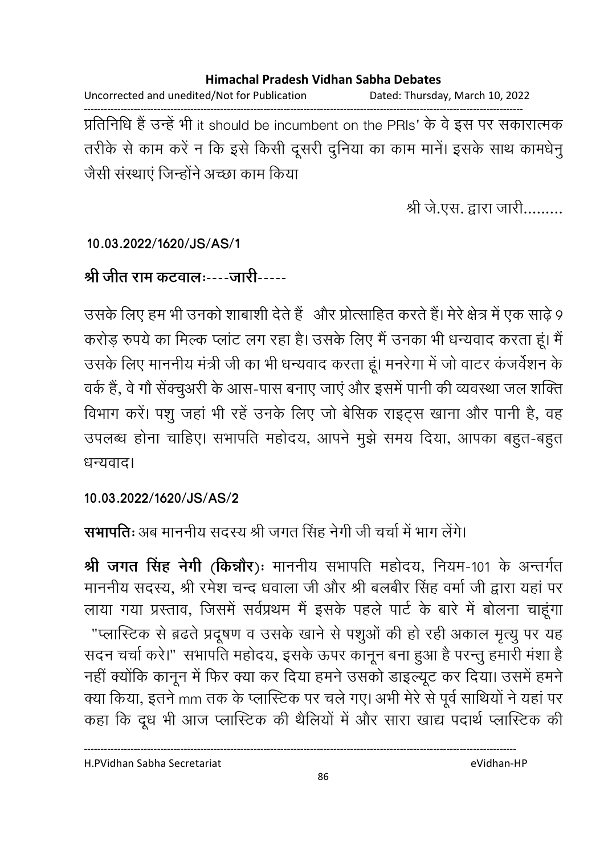Uncorrected and unedited/Not for Publication Dated: Thursday, March 10, 2022 प्रतिनिधि हैं उन्हें भी it should be incumbent on the PRIs' के वे इस पर सकारात्मक तरीके से काम करें न कि इसे किसी दूसरी दुनिया का काम मानें। इसके साथ कामधेनू जैसी संस्थाएं जिन्होंने अच्छा काम किया

श्री जे.एस. द्वारा जारी.........

### 10.03.2022/1620/JS/AS/1

### श्री जीत राम कटवालः----जारी-----

उसके लिए हम भी उनको शाबाशी देते हैं और प्रोत्साहित करते हैं। मेरे क्षेत्र में एक साढ़े 9 करोड़ रुपये का मिल्क प्लांट लग रहा है। उसके लिए मैं उनका भी धन्यवाद करता हूं। मैं उसके लिए माननीय मंत्री जी का भी धन्यवाद करता हूं। मनरेगा में जो वाटर कंजर्वेशन के वर्क हैं, वे गौ सेंक्चुअरी के आस-पास बनाए जाएं और इसमें पानी की व्यवस्था जल शक्ति विभाग करें। पशु जहां भी रहें उनके लिए जो बेसिक राइट्स खाना और पानी है, वह उपलब्ध होना चाहिए। सभापति महोदय, आपने मुझे समय दिया, आपका बहुत-बहुत धन्यवाद।

### 10.03.2022/1620/JS/AS/2

## सभापतिः अब माननीय सदस्य श्री जगत सिंह नेगी जी चर्चा में भाग लेंगे।

श्री जगत सिंह नेगी (किन्नौर): माननीय सभापति महोदय, नियम-101 के अन्तर्गत माननीय सदस्य, श्री रमेश चन्द धवाला जी और श्री बलबीर सिंह वर्मा जी द्वारा यहां पर लाया गया प्रस्ताव, जिसमें सर्वप्रथम मैं इसके पहले पार्ट के बारे में बोलना चाहूंगा "प्लास्टिक से ब़ढते प्रदूषण व उसके खाने से पशुओं की हो रही अकाल मृत्यू पर यह सदन चर्चा करे।" सभापति महोदय, इसके ऊपर कानून बना हुआ है परन्तु हमारी मंशा है नहीं क्योंकि कानून में फिर क्या कर दिया हमने उसको डाइल्यूट कर दिया। उसमें हमने क्या किया, इतने mm तक के प्लास्टिक पर चले गए। अभी मेरे से पूर्व साथियों ने यहां पर कहा कि दूध भी आज प्लास्टिक की थैलियों में और सारा खाद्य पदार्थ प्लास्टिक की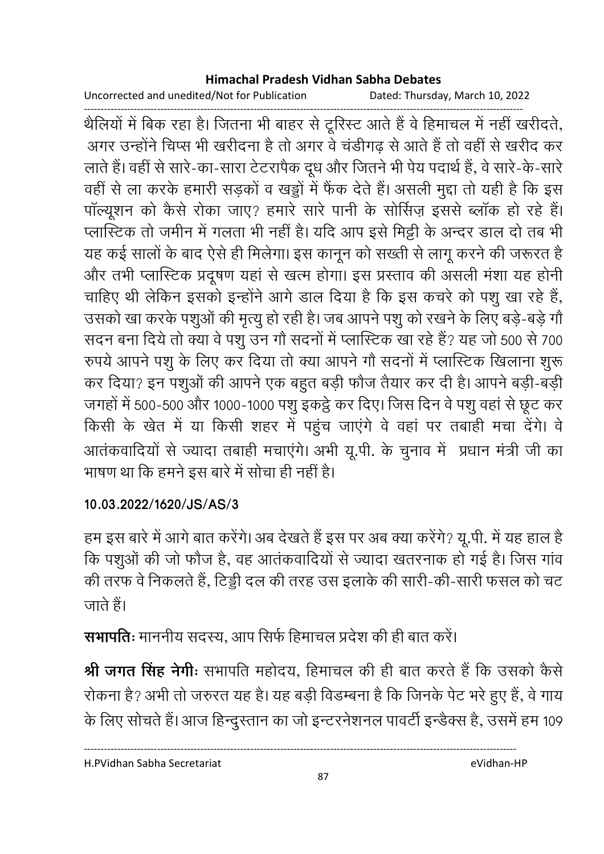Uncorrected and unedited/Not for Publication Dated: Thursday, March 10, 2022

थैलियों में बिक रहा है। जितना भी बाहर से टूरिस्ट आते हैं वे हिमाचल में नहीं खरीदते, अगर उन्होंने चिप्स भी खरीदना है तो अगर वे चंडीगढ़ से आते हैं तो वहीं से खरीद कर लाते हैं। वहीं से सारे-का-सारा टेटरापैक दूध और जितने भी पेय पदार्थ हैं, वे सारे-के-सारे वहीं से ला करके हमारी सड़कों व खड्डों में फैंक देते हैं। असली मुद्दा तो यही है कि इस पॉल्यूशन को कैसे रोका जाए? हमारे सारे पानी के सोर्सिज़ इससे ब्लॉक हो रहे हैं। प्लास्टिक तो जमीन में गलता भी नहीं है। यदि आप इसे मिट्टी के अन्दर डाल दो तब भी यह कई सालों के बाद ऐसे ही मिलेगा। इस कानून को सख्ती से लागू करने की जरूरत है और तभी प्लास्टिक प्रदूषण यहां से खत्म होगा। इस प्रस्ताव की असली मंशा यह होनी चाहिए थी लेकिन इसको इन्होंने आगे डाल दिया है कि इस कचरे को पशु खा रहे हैं, उसको खा करके पशुओं की मृत्यू हो रही है। जब आपने पशु को रखने के लिए बड़े-बड़े गौ सदन बना दिये तो क्या वे पशू उन गौ सदनों में प्लास्टिक खा रहे हैं? यह जो 500 से 700 रुपये आपने पशु के लिए कर दिया तो क्या आपने गौ सदनों में प्लास्टिक खिलाना शुरू कर दिया? इन पशुओं की आपने एक बहुत बड़ी फौज तैयार कर दी है। आपने बड़ी-बड़ी जगहों में 500-500 और 1000-1000 पशु इकट्ठे कर दिए। जिस दिन वे पशु वहां से छूट कर किसी के खेत में या किसी शहर में पहुंच जाएंगे वे वहां पर तबाही मचा देंगे। वे आतंकवादियों से ज्यादा तबाही मचाएंगे। अभी यू.पी. के चुनाव में प्रधान मंत्री जी का भाषण था कि हमने इस बारे में सोचा ही नहीं है।

### 10.03.2022/1620/JS/AS/3

हम इस बारे में आगे बात करेंगे। अब देखते हैं इस पर अब क्या करेंगे? यू.पी. में यह हाल है कि पशुओं की जो फौज है, वह आतंकवादियों से ज्यादा खतरनाक हो गई है। जिस गांव की तरफ वे निकलते हैं, टिड्डी दल की तरह उस इलाके की सारी-की-सारी फसल को चट जाते हैं।

सभापतिः माननीय सदस्य, आप सिर्फ हिमाचल प्रदेश की ही बात करें।

श्री जगत सिंह नेगीः सभापति महोदय, हिमाचल की ही बात करते हैं कि उसको कैसे रोकना है? अभी तो जरुरत यह है। यह बड़ी विडम्बना है कि जिनके पेट भरे हुए हैं, वे गाय के लिए सोचते हैं। आज हिन्दुस्तान का जो इन्टरनेशनल पावर्टी इन्डैक्स है, उसमें हम 109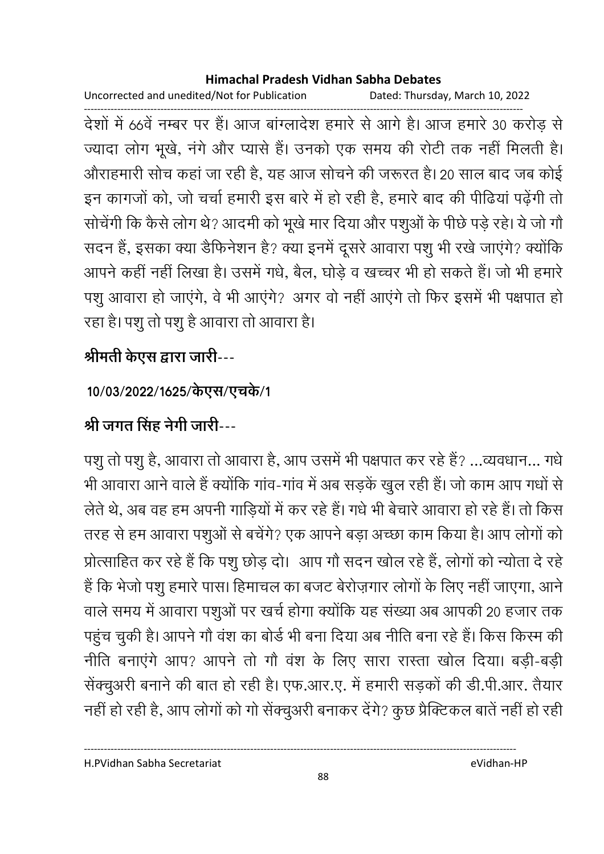Uncorrected and unedited/Not for Publication Dated: Thursday, March 10, 2022

देशों में 66वें नम्बर पर हैं। आज बांग्लादेश हमारे से आगे है। आज हमारे 30 करोड़ से ज्यादा लोग भूखे, नंगे और प्यासे हैं। उनको एक समय की रोटी तक नहीं मिलती है। औराहमारी सोच कहां जा रही है, यह आज सोचने की जरूरत है। 20 साल बाद जब कोई इन कागजों को, जो चर्चा हमारी इस बारे में हो रही है, हमारे बाद की पीढियां पढ़ेंगी तो सोचेंगी कि कैसे लोग थे? आदमी को भूखे मार दिया और पशुओं के पीछे पड़े रहे। ये जो गौ सदन हैं, इसका क्या डैफिनेशन है? क्या इनमें दूसरे आवारा पशु भी रखे जाएंगे? क्योंकि आपने कहीं नहीं लिखा है। उसमें गधे, बैल, घोड़े व खच्चर भी हो सकते हैं। जो भी हमारे पशू आवारा हो जाएंगे, वे भी आएंगे? अगर वो नहीं आएंगे तो फिर इसमें भी पक्षपात हो रहा है। पशु तो पशु है आवारा तो आवारा है।

# श्रीमती केएस द्वारा जारी---

## 10/03/2022/1625/केएस/एचके/1

# श्री जगत सिंह नेगी जारी---

पशु तो पशु है, आवारा तो आवारा है, आप उसमें भी पक्षपात कर रहे हैं? ...व्यवधान... गधे भी आवारा आने वाले हैं क्योंकि गांव-गांव में अब सड़कें खुल रही हैं। जो काम आप गधों से लेते थे, अब वह हम अपनी गाड़ियों में कर रहे हैं। गधे भी बेचारे आवारा हो रहे हैं। तो किस तरह से हम आवारा पशुओं से बचेंगे? एक आपने बड़ा अच्छा काम किया है। आप लोगों को प्रोत्साहित कर रहे हैं कि पशु छोड़ दो। आप गौ सदन खोल रहे हैं, लोगों को न्योता दे रहे हैं कि भेजो पशु हमारे पास। हिमाचल का बजट बेरोज़गार लोगों के लिए नहीं जाएगा, आने वाले समय में आवारा पशुओं पर खर्च होगा क्योंकि यह संख्या अब आपकी 20 हजार तक पहुंच चुकी है। आपने गौ वंश का बोर्ड भी बना दिया अब नीति बना रहे हैं। किस किस्म की नीति बनाएंगे आप? आपने तो गौ वंश के लिए सारा रास्ता खोल दिया। बड़ी-बड़ी सेंक्चुअरी बनाने की बात हो रही है। एफ.आर.ए. में हमारी सड़कों की डी.पी.आर. तैयार नहीं हो रही है, आप लोगों को गो सेंक्चुअरी बनाकर देंगे? कुछ प्रैक्टिकल बातें नहीं हो रही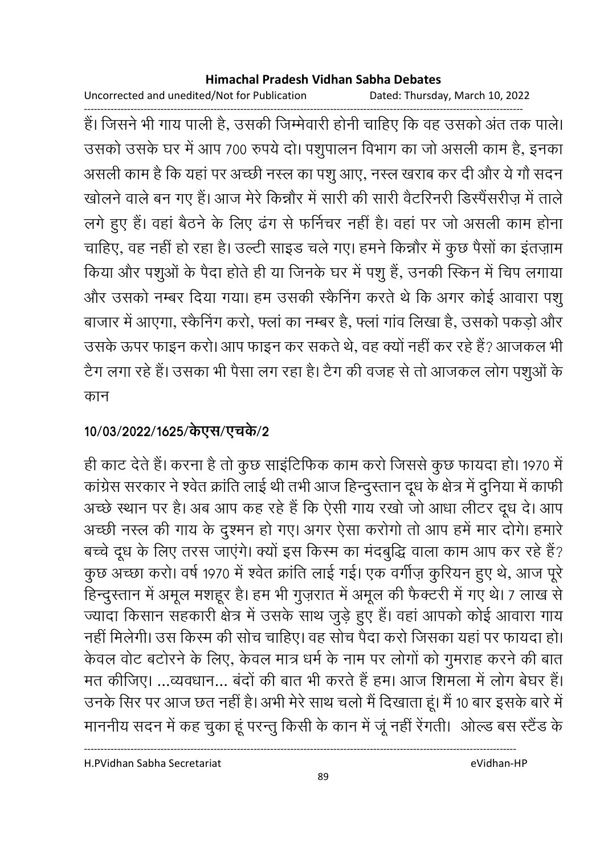Uncorrected and unedited/Not for Publication Dated: Thursday, March 10, 2022

हैं। जिसने भी गाय पाली है, उसकी जिम्मेवारी होनी चाहिए कि वह उसको अंत तक पाले। उसको उसके घर में आप 700 रुपये दो। पशुपालन विभाग का जो असली काम है, इनका असली काम है कि यहां पर अच्छी नस्ल का पशु आए, नस्ल खराब कर दी और ये गौ सदन खोलने वाले बन गए हैं। आज मेरे किन्नौर में सारी की सारी वैटरिनरी डिस्पैंसरीज़ में ताले लगे हुए हैं। वहां बैठने के लिए ढंग से फर्निचर नहीं है। वहां पर जो असली काम होना चाहिए, वह नहीं हो रहा है। उल्टी साइड चले गए। हमने किन्नौर में कुछ पैसों का इंतज़ाम किया और पशुओं के पैदा होते ही या जिनके घर में पशु हैं, उनकी स्किन में चिप लगाया और उसको नम्बर दिया गया। हम उसकी स्कैनिंग करते थे कि अगर कोई आवारा पशू बाजार में आएगा, स्कैनिंग करो, फ्लां का नम्बर है, फ्लां गांव लिखा है, उसको पकड़ो और उसके ऊपर फाइन करो। आप फाइन कर सकते थे, वह क्यों नहीं कर रहे हैं? आजकल भी टैग लगा रहे हैं। उसका भी पैसा लग रहा है। टैग की वजह से तो आजकल लोग पशुओं के कान

## 10/03/2022/1625/केएस/एचके/2

ही काट देते हैं। करना है तो कुछ साइंटिफिक काम करो जिससे कुछ फायदा हो। 1970 में कांग्रेस सरकार ने श्वेत क्रांति लाई थी तभी आज हिन्दुस्तान दूध के क्षेत्र में दुनिया में काफी अच्छे स्थान पर है। अब आप कह रहे हैं कि ऐसी गाय रखो जो आधा लीटर दूध दे। आप अच्छी नस्ल की गाय के दुश्मन हो गए। अगर ऐसा करोगो तो आप हमें मार दोगे। हमारे बच्चे दूध के लिए तरस जाएंगे। क्यों इस किरम का मंदबुद्धि वाला काम आप कर रहे हैं? कुछ अच्छा करो। वर्ष 1970 में श्वेत क्रांति लाई गई। एक वर्गीज़ कुरियन हुए थे, आज पूरे हिन्दुस्तान में अमूल मशहूर है। हम भी गुज़रात में अमूल की फैक्टरी में गए थे। 7 लाख से ज्यादा किसान सहकारी क्षेत्र में उसके साथ जुड़े हुए हैं। वहां आपको कोई आवारा गाय नहीं मिलेगी। उस किस्म की सोच चाहिए। वह सोच पैदा करो जिसका यहां पर फायदा हो। केवल वोट बटोरने के लिए, केवल मात्र धर्म के नाम पर लोगों को गुमराह करने की बात मत कीजिए। ...व्यवधान... बंदों की बात भी करते हैं हम। आज शिमला में लोग बेघर हैं। उनके सिर पर आज छत नहीं है। अभी मेरे साथ चलो मैं दिखाता हूं। मैं 10 बार इसके बारे में माननीय सदन में कह चुका हूं परन्तु किसी के कान में जूं नहीं रेंगती। ओल्ड बस स्टैंड के

H.PVidhan Sabha Secretariat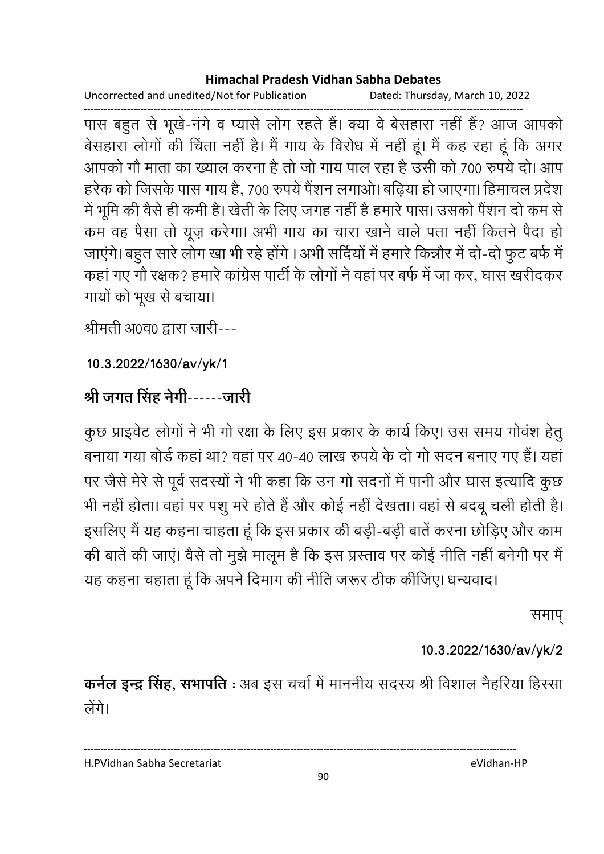Uncorrected and unedited/Not for Publication Dated: Thursday, March 10, 2022

पास बहुत से भूखे-नंगे व प्यासे लोग रहते हैं। क्या वे बेसहारा नहीं हैं? आज आपको बेसहारा लोगों की चिंता नहीं है। मैं गाय के विरोध में नहीं हूं। मैं कह रहा हूं कि अगर आपको गौ माता का ख्याल करना है तो जो गाय पाल रहा है उसी को 700 रुपये दो। आप हरेक को जिसके पास गाय है, 700 रुपये पैंशन लगाओ। बढ़िया हो जाएगा। हिमाचल प्रदेश में भूमि की वैसे ही कमी है। खेती के लिए जगह नहीं है हमारे पास। उसको पैंशन दो कम से कम वह पैसा तो यूज़ करेगा। अभी गाय का चारा खाने वाले पता नहीं कितने पैदा हो जाएंगे। बहुत सारे लोग खा भी रहे होंगे । अभी सर्दियों में हमारे किन्नौर में दो-दो फुट बर्फ में कहां गए गौ रक्षक? हमारे कांग्रेस पार्टी के लोगों ने वहां पर बर्फ में जा कर, घास खरीदकर गायों को भूख से बचाया।

श्रीमती अ0व0 द्वारा जारी---

10.3.2022/1630/av/yk/1

## श्री जगत सिंह नेगी------जारी

कुछ प्राइवेट लोगों ने भी गो रक्षा के लिए इस प्रकार के कार्य किए। उस समय गोवंश हेतु बनाया गया बोर्ड कहां था? वहां पर 40-40 लाख रुपये के दो गो सदन बनाए गए हैं। यहां पर जैसे मेरे से पूर्व सदस्यों ने भी कहा कि उन गो सदनों में पानी और घास इत्यादि कुछ भी नहीं होता। वहां पर पशु मरे होते हैं और कोई नहीं देखता। वहां से बदबू चली होती है। इसलिए मैं यह कहना चाहता हूं कि इस प्रकार की बड़ी-बड़ी बातें करना छोड़िए और काम की बातें की जाएं। वैसे तो मुझे मालूम है कि इस प्रस्ताव पर कोई नीति नहीं बनेगी पर मैं यह कहना चहाता हूं कि अपने दिमाग की नीति जरूर ठीक कीजिए। धन्यवाद।

समाप

### 10.3.2022/1630/av/yk/2

कर्नल इन्द्र सिंह, सभापति : अब इस चर्चा में माननीय सदस्य श्री विशाल नैहरिया हिस्सा लेंगे।

H.PVidhan Sabha Secretariat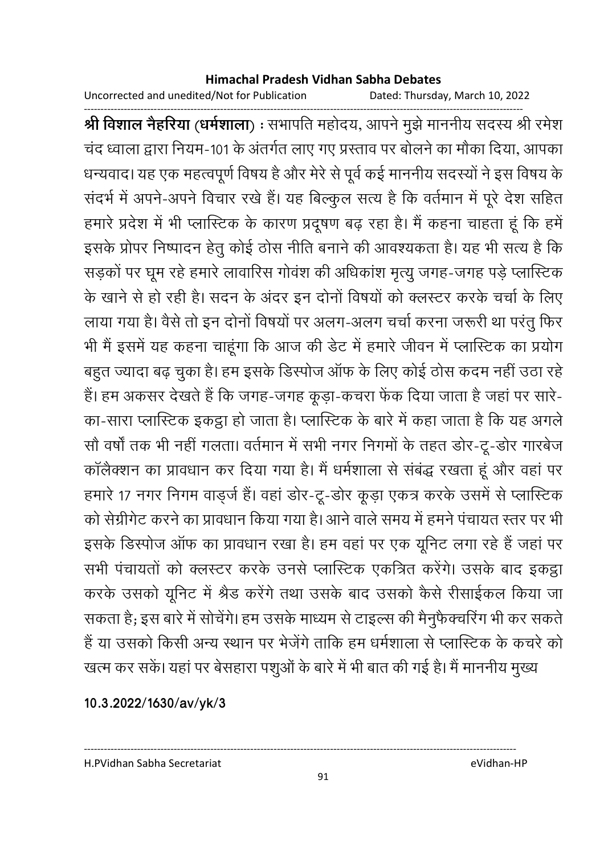Uncorrected and unedited/Not for Publication

Dated: Thursday, March 10, 2022

श्री विशाल नेहरिया (धर्मशाला) : सभापति महोदय, आपने मुझे माननीय सदस्य श्री रमेश चंद ध्वाला द्वारा नियम-101 के अंतर्गत लाए गए प्रस्ताव पर बोलने का मौका दिया, आपका धन्यवाद। यह एक महत्वपूर्ण विषय है और मेरे से पूर्व कई माननीय सदस्यों ने इस विषय के संदर्भ में अपने-अपने विचार रखे हैं। यह बिल्कुल सत्य है कि वर्तमान में पूरे देश सहित हमारे प्रदेश में भी प्लास्टिक के कारण प्रदूषण बढ़ रहा है। मैं कहना चाहता हूं कि हमें इसके प्रोपर निष्पादन हेतू कोई ठोस नीति बनाने की आवश्यकता है। यह भी सत्य है कि सड़कों पर घूम रहे हमारे लावारिस गोवंश की अधिकांश मृत्यु जगह-जगह पड़े प्लास्टिक के खाने से हो रही है। सदन के अंदर इन दोनों विषयों को क्लस्टर करके चर्चा के लिए लाया गया है। वैसे तो इन दोनों विषयों पर अलग-अलग चर्चा करना जरूरी था परंतु फिर भी मैं इसमें यह कहना चाहूंगा कि आज की डेट में हमारे जीवन में प्लास्टिक का प्रयोग बहुत ज्यादा बढ़ चुका है। हम इसके डिस्पोज ऑफ के लिए कोई ठोस कदम नहीं उठा रहे हैं। हम अकसर देखते हैं कि जगह-जगह कूड़ा-कचरा फेंक दिया जाता है जहां पर सारे-का-सारा प्लास्टिक इकट्ठा हो जाता है। प्लास्टिक के बारे में कहा जाता है कि यह अगले सौ वर्षों तक भी नहीं गलता। वर्तमान में सभी नगर निगमों के तहत डोर-टू-डोर गारबेज कॉलैक्शन का प्रावधान कर दिया गया है। मैं धर्मशाला से संबंद्ध रखता हूं और वहां पर हमारे 17 नगर निगम वाड़र्ज हैं। वहां डोर-टू-डोर कूड़ा एकत्र करके उसमें से प्लास्टिक को सेग्रीगेट करने का प्रावधान किया गया है। आने वाले समय में हमने पंचायत स्तर पर भी इसके डिस्पोज ऑफ का प्रावधान रखा है। हम वहां पर एक यूनिट लगा रहे हैं जहां पर सभी पंचायतों को क्लस्टर करके उनसे प्लास्टिक एकत्रित करेंगे। उसके बाद इकट्ठा करके उसको यूनिट में श्रेड करेंगे तथा उसके बाद उसको कैसे रीसाईकल किया जा सकता है; इस बारे में सोचेंगे। हम उसके माध्यम से टाइल्स की मैनुफैक्चरिंग भी कर सकते हैं या उसको किसी अन्य स्थान पर भेजेंगे ताकि हम धर्मशाला से प्लास्टिक के कचरे को खत्म कर सकें। यहां पर बेसहारा पशुओं के बारे में भी बात की गई है। मैं माननीय मुख्य

10.3.2022/1630/av/yk/3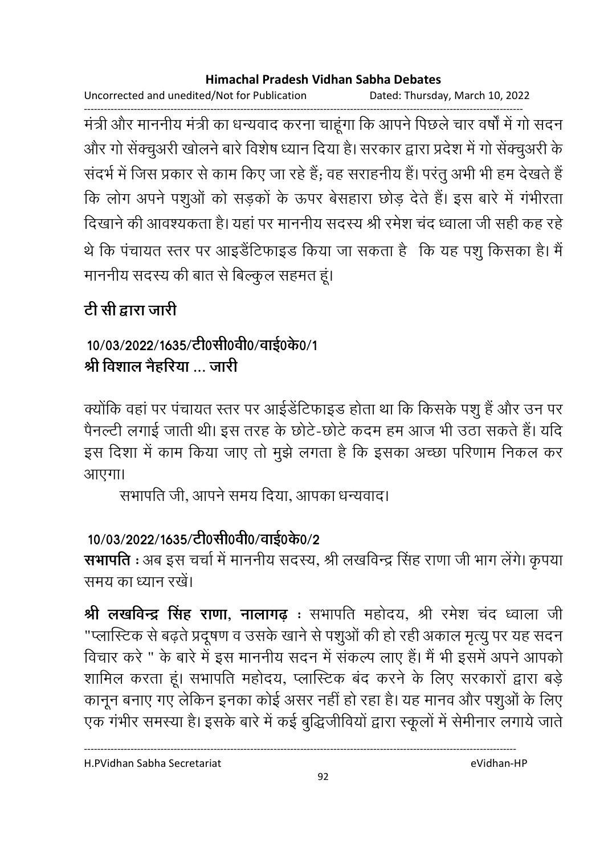Uncorrected and unedited/Not for Publication Dated: Thursday, March 10, 2022

मंत्री और माननीय मंत्री का धन्यवाद करना चाहूंगा कि आपने पिछले चार वर्षों में गो सदन और गो सेंक्चुअरी खोलने बारे विशेष ध्यान दिया है। सरकार द्वारा प्रदेश में गो सेंक्चुअरी के संदर्भ में जिस प्रकार से काम किए जा रहे हैं; वह सराहनीय हैं। परंतु अभी भी हम देखते हैं कि लोग अपने पशुओं को सड़कों के ऊपर बेसहारा छोड़ देते हैं। इस बारे में गंभीरता दिखाने की आवश्यकता है। यहां पर माननीय सदस्य श्री रमेश चंद ध्वाला जी सही कह रहे थे कि पंचायत स्तर पर आइडैंटिफाइड किया जा सकता है कि यह पशु किसका है। मैं माननीय सदस्य की बात से बिल्कुल सहमत हूं।

# टी सी द्वारा जारी

## 10/03/2022/1635/टी0सी0वी0/वाई0के0/1 श्री विशाल नैहरिया जारी

क्योंकि वहां पर पंचायत स्तर पर आईंडेंटिफाइड होता था कि किसके पशु हैं और उन पर पैनल्टी लगाई जाती थी। इस तरह के छोटे-छोटे कदम हम आज भी उठा सकते हैं। यदि इस दिशा में काम किया जाए तो मुझे लगता है कि इसका अच्छा परिणाम निकल कर आएगा।

सभापति जी. आपने समय दिया. आपका धन्यवाद।

# 10/03/2022/1635/टी0सी0वी0/वाई0के0/2

सभापति : अब इस चर्चा में माननीय सदस्य, श्री लखविन्द्र सिंह राणा जी भाग लेंगे। कृपया समय का ध्यान रखें।

श्री लखविन्द्र सिंह राणा, नालागढ : सभापति महोदय, श्री रमेश चंद ध्वाला जी "प्लास्टिक से बढ़ते प्रदूषण व उसके खाने से पशुओं की हो रही अकाल मृत्यु पर यह सदन विचार करे " के बारे में इस माननीय सदन में संकल्प लाए हैं। मैं भी इसमें अपने आपको शामिल करता हूं। सभापति महोदय, प्लास्टिक बंद करने के लिए सरकारों द्वारा बड़े कानून बनाए गए लेकिन इनका कोई असर नहीं हो रहा है। यह मानव और पशुओं के लिए एक गंभीर समस्या है। इसके बारे में कई बुद्धिजीवियों द्वारा स्कूलों में सेमीनार लगाये जाते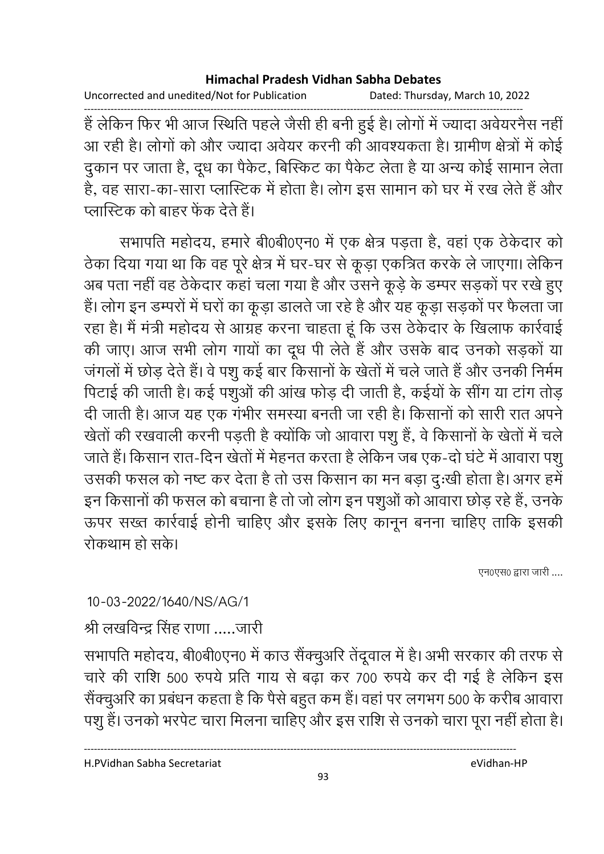Uncorrected and unedited/Not for Publication Dated: Thursday, March 10, 2022

हैं लेकिन फिर भी आज स्थिति पहले जैसी ही बनी हुई है। लोगों में ज्यादा अवेयरनैस नहीं आ रही है। लोगों को और ज्यादा अवेयर करनी की आवश्यकता है। ग्रामीण क्षेत्रों में कोई दुकान पर जाता है, दूध का पैकेट, बिस्किट का पैकेट लेता है या अन्य कोई सामान लेता है, वह सारा-का-सारा प्लास्टिक में होता है। लोग इस सामान को घर में रख लेते हैं और प्लास्टिक को बाहर फेंक देते हैं।

सभापति महोदय, हमारे बी0बी0एन0 में एक क्षेत्र पड़ता है, वहां एक ठेकेदार को ठेका दिया गया था कि वह पूरे क्षेत्र में घर-घर से कूड़ा एकत्रित करके ले जाएगा। लेकिन अब पता नहीं वह ठेकेदार कहां चला गया है और उसने कूड़े के डम्पर सड़कों पर रखे हुए हैं। लोग इन डम्परों में घरों का कूड़ा डालते जा रहे है और यह कूड़ा सड़कों पर फैलता जा रहा है। मैं मंत्री महोदय से आग्रह करना चाहता हूं कि उस ठेकेदार के खिलाफ कार्रवाई की जाए। आज सभी लोग गायों का दूध पी लेते हैं और उसके बाद उनको सड़कों या जंगलों में छोड़ देते हैं। वे पशु कई बार किसानों के खेतों में चले जाते हैं और उनकी निर्मम पिटाई की जाती है। कई पशुओं की आंख फोड़ दी जाती है, कईयों के सींग या टांग तोड़ दी जाती है। आज यह एक गंभीर समस्या बनती जा रही है। किसानों को सारी रात अपने खेतों की रखवाली करनी पड़ती है क्योंकि जो आवारा पशू हैं, वे किसानों के खेतों में चले जाते हैं। किसान रात-दिन खेतों में मेहनत करता है लेकिन जब एक-दो घंटे में आवारा पशु उसकी फसल को नष्ट कर देता है तो उस किसान का मन बड़ा दु:खी होता है। अगर हमें इन किसानों की फसल को बचाना है तो जो लोग इन पशुओं को आवारा छोड़ रहे हैं, उनके ऊपर सख्त कार्रवाई होनी चाहिए और इसके लिए कानून बनना चाहिए ताकि इसकी रोकथाम हो सके।

एन0एस0 द्वारा जारी ....

10-03-2022/1640/NS/AG/1

श्री लखविन्द्र सिंह राणा .....जारी

सभापति महोदय, बी0बी0एन0 में काउ सैंक्चुअरि तेंदूवाल में है। अभी सरकार की तरफ से चारे की राशि 500 रुपये प्रति गाय से बढ़ा कर 700 रुपये कर दी गई है लेकिन इस सैंक्चुअरि का प्रबंधन कहता है कि पैसे बहुत कम हैं। वहां पर लगभग 500 के करीब आवारा पशु हैं। उनको भरपेट चारा मिलना चाहिए और इस राशि से उनको चारा पूरा नहीं होता है।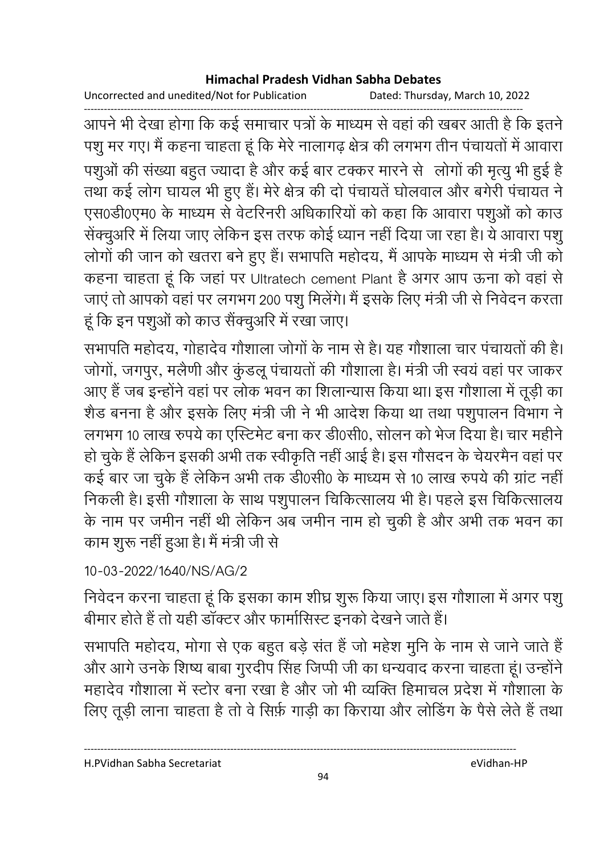Uncorrected and unedited/Not for Publication Dated: Thursday, March 10, 2022

आपने भी देखा होगा कि कई समाचार पत्रों के माध्यम से वहां की खबर आती है कि इतने पशु मर गए। मैं कहना चाहता हूं कि मेरे नालागढ़ क्षेत्र की लगभग तीन पंचायतों में आवारा पशुओं की संख्या बहुत ज्यादा है और कई बार टक्कर मारने से लोगों की मृत्यु भी हुई है तथा कई लोग घायल भी हुए हैं। मेरे क्षेत्र की दो पंचायतें घोलवाल और बगेरी पंचायत ने एस0डी0एम0 के माध्यम से वेटरिनरी अधिकारियों को कहा कि आवारा पशुओं को काउ सेंक्चुअरि में लिया जाए लेकिन इस तरफ कोई ध्यान नहीं दिया जा रहा है। ये आवारा पशु लोगों की जान को खतरा बने हुए हैं। सभापति महोदय, मैं आपके माध्यम से मंत्री जी को कहना चाहता हूं कि जहां पर Ultratech cement Plant है अगर आप ऊना को वहां से जाएं तो आपको वहां पर लगभग 200 पशु मिलेंगे। मैं इसके लिए मंत्री जी से निवेदन करता हूं कि इन पशुओं को काउ सेंक्चुअरि में रखा जाए।

सभापति महोदय, गोहादेव गौशाला जोगों के नाम से है। यह गौशाला चार पंचायतों की है। जोगों, जगपुर, मलैणी और कुंडलू पंचायतों की गौशाला है। मंत्री जी स्वयं वहां पर जाकर आए हैं जब इन्होंने वहां पर लोक भवन का शिलान्यास किया था। इस गौशाला में तूड़ी का शैड बनना है और इसके लिए मंत्री जी ने भी आदेश किया था तथा पशुपालन विभाग ने लगभग 10 लाख रुपये का एस्टिमेट बना कर डी0सी0, सोलन को भेज दिया है। चार महीने हो चुके हैं लेकिन इसकी अभी तक स्वीकृति नहीं आई है। इस गौसदन के चेयरमैन वहां पर कई बार जा चुके हैं लेकिन अभी तक डी0सी0 के माध्यम से 10 लाख रुपये की ग्रांट नहीं निकली है। इसी गौशाला के साथ पशुपालन चिकित्सालय भी है। पहले इस चिकित्सालय के नाम पर जमीन नहीं थी लेकिन अब जमीन नाम हो चुकी है और अभी तक भवन का काम शुरू नहीं हुआ है। मैं मंत्री जी से

## 10-03-2022/1640/NS/AG/2

निवेदन करना चाहता हूं कि इसका काम शीघ्र शुरू किया जाए। इस गौशाला में अगर पशु बीमार होते हैं तो यही डॉक्टर और फार्मासिस्ट इनको देखने जाते हैं।

सभापति महोदय, मोगा से एक बहुत बड़े संत हैं जो महेश मुनि के नाम से जाने जाते हैं और आगे उनके शिष्य बाबा गुरदीप सिंह जिप्पी जी का धन्यवाद करना चाहता हूं। उन्होंने महादेव गौशाला में स्टोर बना रखा है और जो भी व्यक्ति हिमाचल प्रदेश में गौशाला के लिए तूड़ी लाना चाहता है तो वे सिर्फ़ गाड़ी का किराया और लोडिंग के पैसे लेते हैं तथा

H.PVidhan Sabha Secretariat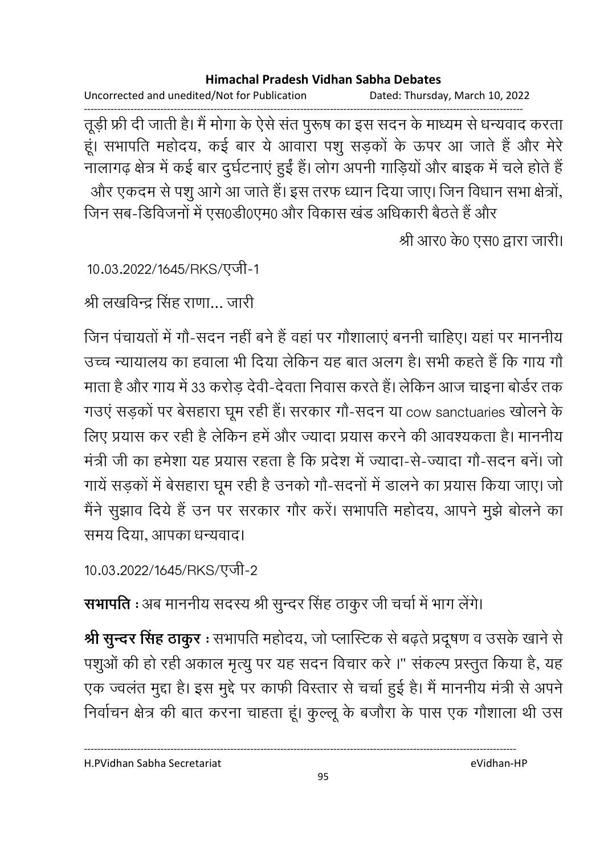Uncorrected and unedited/Not for Publication Dated: Thursday, March 10, 2022

तूड़ी फ्री दी जाती है। मैं मोगा के ऐसे संत पुरूष का इस सदन के माध्यम से धन्यवाद करता हूँ। सभापति महोदय, कई बार ये आवारा पशु सड़कों के ऊपर आ जाते हैं और मेरे नालागढ़ क्षेत्र में कई बार दुर्घटनाएं हुईं हैं। लोग अपनी गाड़ियों और बाइक में चले होते हैं और एकदम से पशु आगे आ जाते हैं। इस तरफ ध्यान दिया जाए। जिन विधान सभा क्षेत्रों, जिन सब-डिविजनों में एस0डी0एम0 और विकास खंड अधिकारी बैठते हैं और

श्री आर0 के0 एस0 द्वारा जारी।

10.03.2022/1645/RKS/एजी-1

श्री लखविन्द्र सिंह राणा... जारी

जिन पंचायतों में गौ-सदन नहीं बने हैं वहां पर गौशालाएं बननी चाहिए। यहां पर माननीय उच्च न्यायालय का हवाला भी दिया लेकिन यह बात अलग है। सभी कहते हैं कि गाय गौ माता है और गाय में 33 करोड़ देवी-देवता निवास करते हैं। लेकिन आज चाइना बोर्डर तक गउएं सड़कों पर बेसहारा घूम रही हैं। सरकार गौ-सदन या cow sanctuaries खोलने के लिए प्रयास कर रही है लेकिन हमें और ज्यादा प्रयास करने की आवश्यकता है। माननीय मंत्री जी का हमेशा यह प्रयास रहता है कि प्रदेश में ज्यादा-से-ज्यादा गौ-सदन बनें। जो गायें सड़कों में बेसहारा घूम रही है उनको गौ-सदनों में डालने का प्रयास किया जाए। जो मैंने सुझाव दिये हैं उन पर सरकार गौर करें। सभापति महोदय, आपने मुझे बोलने का समय दिया, आपका धन्यवाद।

10.03.2022/1645/RKS/एजी-2

सभापति : अब माननीय सदस्य श्री सुन्दर सिंह ठाकुर जी चर्चा में भाग लेंगे।

श्री सुन्दर सिंह ठाकुर : सभापति महोदय, जो प्लास्टिक से बढ़ते प्रदूषण व उसके खाने से पशुओं की हो रही अकाल मृत्यु पर यह सदन विचार करे।" संकल्प प्रस्तुत किया है, यह एक ज्वलंत मुद्दा है। इस मुद्दे पर काफी विस्तार से चर्चा हुई है। मैं माननीय मंत्री से अपने निर्वाचन क्षेत्र की बात करना चाहता हूं। कुल्लू के बजौरा के पास एक गौशाला थी उस

H.PVidhan Sabha Secretariat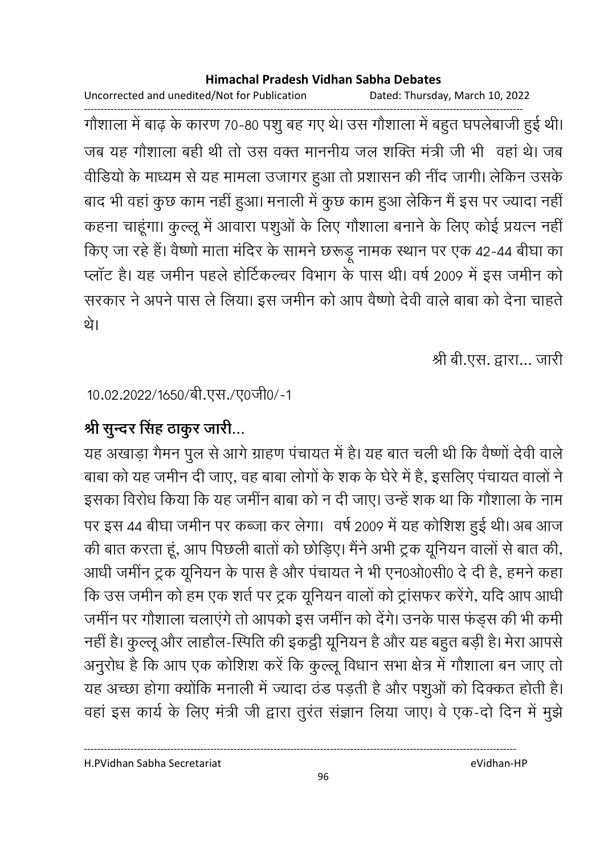Uncorrected and unedited/Not for Publication Dated: Thursday, March 10, 2022 ------------------------------------------------------------------------------------------------------------------------------------ गोशाला में बाढ़ के कारण 70-80 पशु बह गए थे। उस गोशाला में बहुत घपलेबाजी हुई थी। जब यह गौशाला बही थी तो उस वक्त माननीय जल शक्ति मंत्री जी भी वहा थे। जब वीडियों के माध्यम से यह मामला उजागर हुआ तो प्रशासन की नींद जागी। लेकिन उसके बाद भी वहां कुछ काम नहीं हुआ। मनाली में कुछ काम हुआ लेकिन मैं इस पर ज्यादा नहीं। कहना चाहूंगा। कुल्लू में आवारा पशुओं के लिए गौशाला बनाने के लिए कोई प्रयत्न नहीं किए जा रहे हैं। वैष्णों माता मंदिर के सामने छरूड़ू नामक स्थान पर एक 42-44 बीघा का प्लाट है। यह जमीन पहले होटिकल्चर विभाग के पास थी। वर्ष 2009 में इस जमीन को सरकार ने अपने पास ले लिया। इस जमीन को आप वैष्णों देवी वाले बाबा को देना चाहते. थे।

श्री बी.एस. द्वारा... जारी

10.02.2022/1650/बी.एस./ए0जी0/-1

# श्री सुन्दर सिंह ठाकुर जारी...

यह अखाड़ा गैमन पुल से आगे ग्राहण पंचायत में हैं। यह बात चली थी कि वैष्णों देवी वालें बाबा को यह जमीन दी जाए, वह बाबा लोगों के शक के घेरे में है, इसलिए पचायत वालों ने इसका विरोध किया कि यह जमीन बाबा को न दी जाए। उन्हें शक था कि गौशाला के नाम पर इस 44 बीघा जमीन पर कब्जा कर लेगा। वर्ष 2009 में यह कोशिश हुई थी। अब आज की बात करता हूँ, आप पिछली बातों को छोड़िए। मैंने अभी ट्रक यूनियन वालों से बात की, आंधी जमीन ट्रक यूनियन के पास है और पंचायत ने भी एन0ओ0सी0 दें दी हैं, हमने कहा कि उस जमीन को हम एक शर्त पर ट्रक यूनियन वालों को ट्रासफर करेंगे, यदि आप आंधी जमीन पर गौशाला चलाएंगे तो आपको इस जमीन को देंगे। उनके पास फंड्स की भी कमी नहीं है। कुल्लू और लाहौल-स्पिति की इकट्ठी यूनियन है और यह बहुत बड़ी है। मेरा आपसे अनुरोध है कि आप एक कोशिश करें कि कुल्लू विधान सभा क्षेत्र में गौशाला बन जाए तो यह अच्छा होगा क्योंकि मनाली में ज्यादा ठंड पड़ती है और पशुओं को दिक्कत होती है। वहां इस कार्य के लिए मंत्री जी द्वारा तुरंत सज्ञान लिया जाए। वे एक-दो दिन में मुझे

----------------------------------------------------------------------------------------------------------------------------------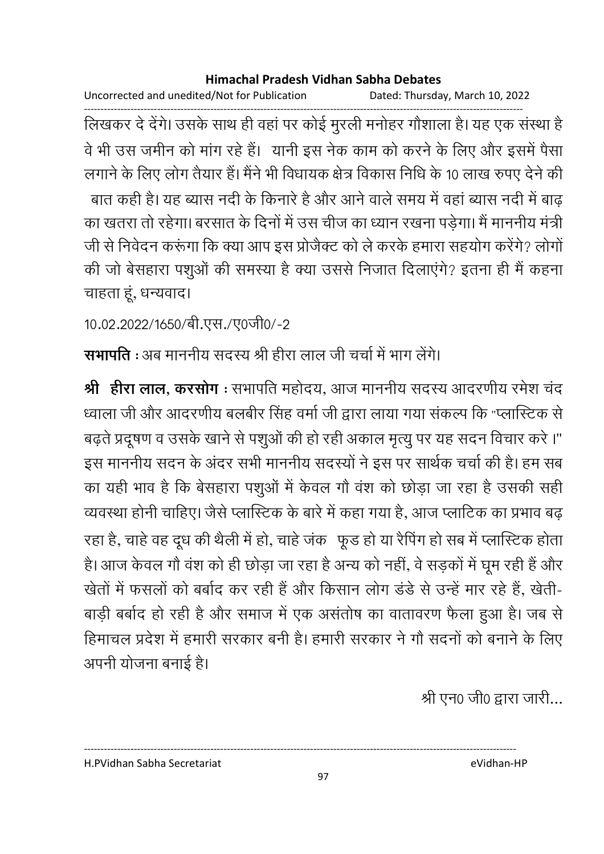Uncorrected and unedited/Not for Publication Dated: Thursday, March 10, 2022

लिखकर दे देंगे। उसके साथ ही वहां पर कोई मुरली मनोहर गौशाला है। यह एक संस्था है वे भी उस जमीन को मांग रहे हैं। यानी इस नेक काम को करने के लिए और इसमें पैसा लगाने के लिए लोग तैयार हैं। मैंने भी विधायक क्षेत्र विकास निधि के 10 लाख रुपए देने की बात कही है। यह ब्यास नदी के किनारे है और आने वाले समय में वहां ब्यास नदी में बाढ का खतरा तो रहेगा। बरसात के दिनों में उस चीज का ध्यान रखना पड़ेगा। मैं माननीय मंत्री जी से निवेदन करूंगा कि क्या आप इस प्रोजैक्ट को ले करके हमारा सहयोग करेंगे? लोगों की जो बेसहारा पशुओं की समस्या है क्या उससे निजात दिलाएंगे? इतना ही मैं कहना चाहता हूं, धन्यवाद।

10.02.2022/1650/बी.एस./ए0जी0/-2

सभापति : अब माननीय सदस्य श्री हीरा लाल जी चर्चा में भाग लेंगे।

श्री हीरा लाल, करसोग : सभापति महोदय, आज माननीय सदस्य आदरणीय रमेश चंद ध्वाला जी और आदरणीय बलबीर सिंह वर्मा जी द्वारा लाया गया संकल्प कि "प्लास्टिक से बढ़ते प्रदूषण व उसके खाने से पशुओं की हो रही अकाल मृत्यू पर यह सदन विचार करे।" इस माननीय सदन के अंदर सभी माननीय सदस्यों ने इस पर सार्थक चर्चा की है। हम सब का यही भाव है कि बेसहारा पशुओं में केवल गौ वंश को छोड़ा जा रहा है उसकी सही व्यवस्था होनी चाहिए। जैसे प्लास्टिक के बारे में कहा गया है, आज प्लाटिक का प्रभाव बढ़ रहा है, चाहे वह दूध की थैली में हो, चाहे जंक) फूड हो या रैपिंग हो सब में प्लास्टिक होता है। आज केवल गौ वंश को ही छोड़ा जा रहा है अन्य को नहीं, वे सड़कों में घूम रही हैं और खेतों में फसलों को बर्बाद कर रही हैं और किसान लोग डंडे से उन्हें मार रहे हैं, खेती-बाड़ी बर्बाद हो रही है और समाज में एक असंतोष का वातावरण फैला हुआ है। जब से हिमाचल प्रदेश में हमारी सरकार बनी है। हमारी सरकार ने गौ सदनों को बनाने के लिए अपनी योजना बनाई है।

श्री एन0 जी0 द्वारा जारी...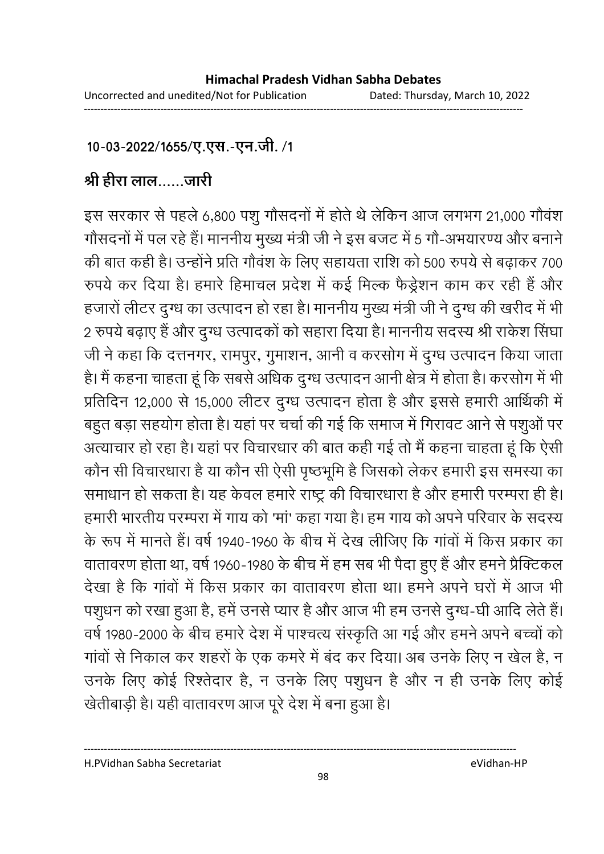### 10-03-2022/1655/ए.एस.-एन.जी. /1

# श्री हीरा लाल......जारी

इस सरकार से पहले 6,800 पशु गौसदनों में होते थे लेकिन आज लगभग 21,000 गौवंश गोंसदनों में पल रहे हैं। माननीय मुख्य मंत्री जी ने इस बजट में 5 गों-अभयारण्य और बनाने की बात कही है। उन्होंने प्रति गौवंश के लिए सहायता राशि को 500 रुपये से बढाकर 700 रुपये कर दिया है। हमारे हिमाचल प्रदेश में कई मिल्क फैंड्रेशन काम कर रही है और हजारों लेटिर दुग्ध का उत्पादन हो रहा है। माननीय मुख्य मंत्री जी ने दुग्ध की खरीद में भी 2 रुपये बढ़ाएं हैं और दुग्ध उत्पादकों को सहारा दिया है। माननीय सदस्य श्री राकेश सिंघा जी ने कहा कि दत्तनगर, रामपुर, गुमाशन, आनी व करसोग में दुग्ध उत्पादन किया जाता. हैं। मैं कहना चाहता हूं कि सबसे अधिक दुग्ध उत्पादन आनी क्षेत्र में होता है। करसोग में भी प्रतिदिन 12,000 से 15,000 लेटिर दुग्ध उत्पादन होता है और इससे हमारी आर्थिकी में बहुत बड़ा सहयोग होता है। यहां पर चर्चा की गई कि समाज में गिरावट आने से पशुओं पर अत्याचार हो रहा है। यहां पर विचारधार की बात कही गई तो मैं कहना चाहता हूं कि ऐसी कौन सी विचारधारा है या कौन सी ऐसी पृष्ठभूमि है जिसको लेकर हमारी इस समस्या का समाधान हो सकता है। यह केवल हमारे राष्ट्र की विचारधारा है और हमारी परम्परा ही है। हमारी भारतीय परम्परा में गाय को 'मा' कहा गया है। हम गाय को अपने परिवार के सदस्य के रूप में मानते हैं। वर्ष 1940-1960 के बीच में देख लीजिए कि गांवों में किस प्रकार का वातावरण होता था, वर्ष 1960-1980 के बीच में हम सब भी पैदा हुए हैं और हमने प्रैक्टिकल देखा है कि गावों में किस प्रकार का वातावरण होता था। हमने अपने घरों में आज भी पशुधन को रखा हुआ है, हमें उनसे प्यार है और आज भी हम उनसे दुग्ध-घी आदि लेते हैं। वर्ष 1980-2000 के बीच हमारे देश में पाश्चत्य संस्कृति आ गई और हमने अपने बच्चों को गावों से निकाल कर शहरों के एक कमरे में बंद कर दिया। अब उनके लिए न खेल हैं, न उनके लिए कोई रिश्तेदार है, न उनके लिए पशुधन है और न ही उनके लिए कोई खेतीबाड़ी है। यही वातावरण आज पूरे देश में बना हुआ है।

H.PVidhan Sabha Secretariat eVidhan-HP

----------------------------------------------------------------------------------------------------------------------------------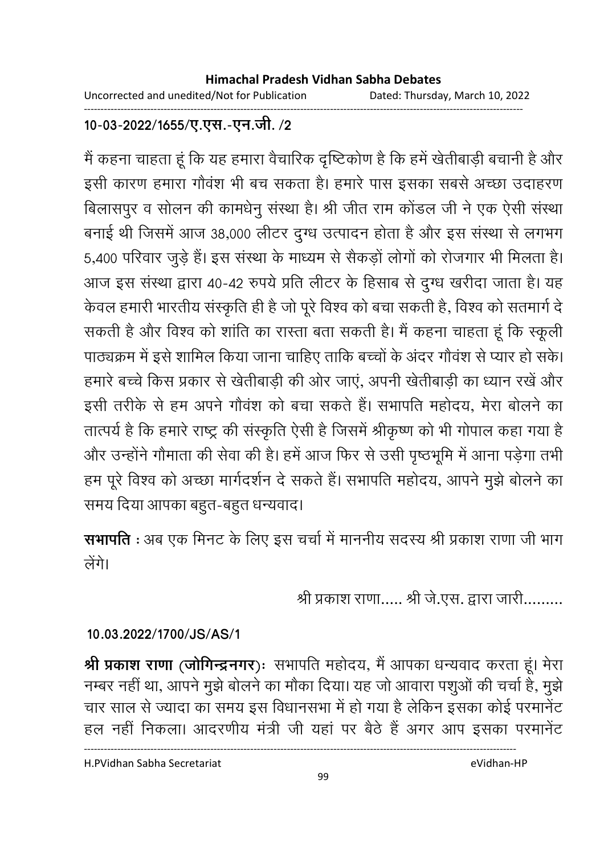Uncorrected and unedited/Not for Publication Dated: Thursday, March 10, 2022

### 10-03-2022/1655/ए.एस.-एन.जी./2

मैं कहना चाहता हूं कि यह हमारा वैचारिक दृष्टिकोण है कि हमें खेतीबाड़ी बचानी है और इसी कारण हमारा गौवंश भी बच सकता है। हमारे पास इसका सबसे अच्छा उदाहरण बिलासपुर व सोलन की कामधेनु संस्था है। श्री जीत राम कोंडल जी ने एक ऐसी संस्था बनाई थी जिसमें आज 38,000 लीटर दुग्ध उत्पादन होता है और इस संस्था से लगभग 5,400 परिवार जुड़े हैं। इस संस्था के माध्यम से सैकड़ों लोगों को रोजगार भी मिलता है। आज इस संस्था द्वारा 40-42 रुपये प्रति लीटर के हिसाब से दुग्ध खरीदा जाता है। यह केवल हमारी भारतीय संस्कृति ही है जो पूरे विश्व को बचा सकती है, विश्व को सतमार्ग दे सकती है और विश्व को शांति का रास्ता बता सकती है। मैं कहना चाहता हूं कि स्कूली पाठ्यक्रम में इसे शामिल किया जाना चाहिए ताकि बच्चों के अंदर गौवंश से प्यार हो सके। हमारे बच्चे किस प्रकार से खेतीबाड़ी की ओर जाएं, अपनी खेतीबाड़ी का ध्यान रखें और इसी तरीके से हम अपने गौवंश को बचा सकते हैं। सभापति महोदय, मेरा बोलने का तात्पर्य है कि हमारे राष्ट्र की संस्कृति ऐसी है जिसमें श्रीकृष्ण को भी गोपाल कहा गया है और उन्होंने गौमाता की सेवा की है। हमें आज फिर से उसी पृष्ठभूमि में आना पड़ेगा तभी हम पूरे विश्व को अच्छा मार्गदर्शन दे सकते हैं। सभापति महोदय, आपने मुझे बोलने का समय दिया आपका बहुत-बहुत धन्यवाद।

सभापति : अब एक मिनट के लिए इस चर्चा में माननीय सदस्य श्री प्रकाश राणा जी भाग लेंगे।

श्री प्रकाश राणा..... श्री जे.एस. द्वारा जारी.........

### 10.03.2022/1700/JS/AS/1

श्री प्रकाश राणा (जोगिन्द्रनगर)ः सभापति महोदय, मैं आपका धन्यवाद करता हूं। मेरा नम्बर नहीं था, आपने मुझे बोलने का मौका दिया। यह जो आवारा पशुओं की चर्चा है, मुझे चार साल से ज्यादा का समय इस विधानसभा में हो गया है लेकिन इसका कोई परमानेंट हल नहीं निकला। आदरणीय मंत्री जी यहां पर बैठे हैं अगर आप इसका परमानेंट